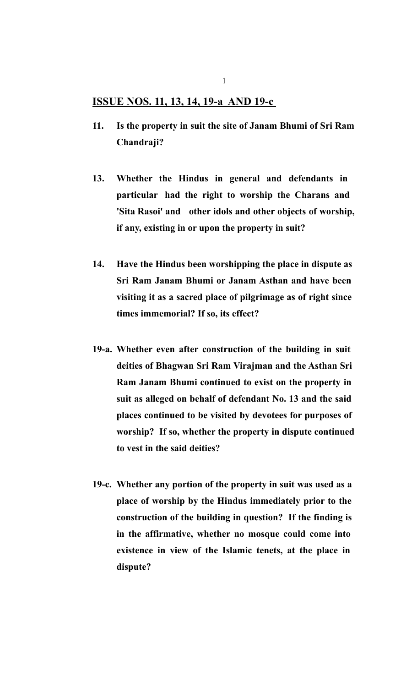# **ISSUE NOS. 11, 13, 14, 19-a AND 19-c**

- **11. Is the property in suit the site of Janam Bhumi of Sri Ram Chandraji?**
- **13. Whether the Hindus in general and defendants in particular had the right to worship the Charans and 'Sita Rasoi' and other idols and other objects of worship, if any, existing in or upon the property in suit?**
- **14. Have the Hindus been worshipping the place in dispute as Sri Ram Janam Bhumi or Janam Asthan and have been visiting it as a sacred place of pilgrimage as of right since times immemorial? If so, its effect?**
- **19-a. Whether even after construction of the building in suit deities of Bhagwan Sri Ram Virajman and the Asthan Sri Ram Janam Bhumi continued to exist on the property in suit as alleged on behalf of defendant No. 13 and the said places continued to be visited by devotees for purposes of worship? If so, whether the property in dispute continued to vest in the said deities?**
- **19-c. Whether any portion of the property in suit was used as a place of worship by the Hindus immediately prior to the construction of the building in question? If the finding is in the affirmative, whether no mosque could come into existence in view of the Islamic tenets, at the place in dispute?**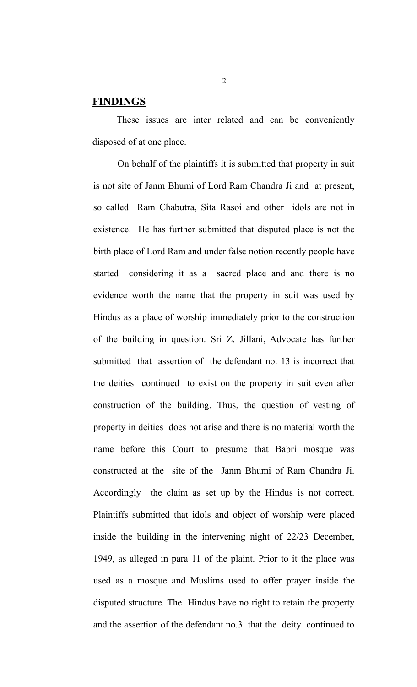### **FINDINGS**

These issues are inter related and can be conveniently disposed of at one place.

On behalf of the plaintiffs it is submitted that property in suit is not site of Janm Bhumi of Lord Ram Chandra Ji and at present, so called Ram Chabutra, Sita Rasoi and other idols are not in existence. He has further submitted that disputed place is not the birth place of Lord Ram and under false notion recently people have started considering it as a sacred place and and there is no evidence worth the name that the property in suit was used by Hindus as a place of worship immediately prior to the construction of the building in question. Sri Z. Jillani, Advocate has further submitted that assertion of the defendant no. 13 is incorrect that the deities continued to exist on the property in suit even after construction of the building. Thus, the question of vesting of property in deities does not arise and there is no material worth the name before this Court to presume that Babri mosque was constructed at the site of the Janm Bhumi of Ram Chandra Ji. Accordingly the claim as set up by the Hindus is not correct. Plaintiffs submitted that idols and object of worship were placed inside the building in the intervening night of 22/23 December, 1949, as alleged in para 11 of the plaint. Prior to it the place was used as a mosque and Muslims used to offer prayer inside the disputed structure. The Hindus have no right to retain the property and the assertion of the defendant no.3 that the deity continued to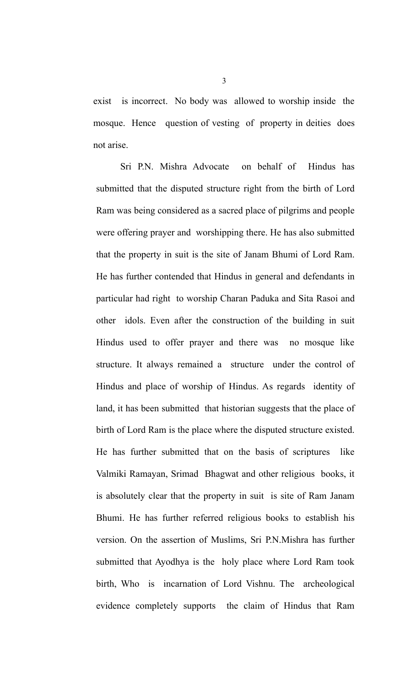exist is incorrect. No body was allowed to worship inside the mosque. Hence question of vesting of property in deities does not arise.

Sri P.N. Mishra Advocate on behalf of Hindus has submitted that the disputed structure right from the birth of Lord Ram was being considered as a sacred place of pilgrims and people were offering prayer and worshipping there. He has also submitted that the property in suit is the site of Janam Bhumi of Lord Ram. He has further contended that Hindus in general and defendants in particular had right to worship Charan Paduka and Sita Rasoi and other idols. Even after the construction of the building in suit Hindus used to offer prayer and there was no mosque like structure. It always remained a structure under the control of Hindus and place of worship of Hindus. As regards identity of land, it has been submitted that historian suggests that the place of birth of Lord Ram is the place where the disputed structure existed. He has further submitted that on the basis of scriptures like Valmiki Ramayan, Srimad Bhagwat and other religious books, it is absolutely clear that the property in suit is site of Ram Janam Bhumi. He has further referred religious books to establish his version. On the assertion of Muslims, Sri P.N.Mishra has further submitted that Ayodhya is the holy place where Lord Ram took birth, Who is incarnation of Lord Vishnu. The archeological evidence completely supports the claim of Hindus that Ram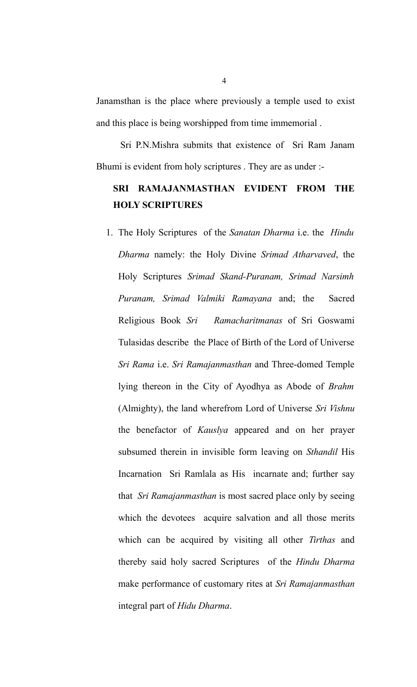Janamsthan is the place where previously a temple used to exist and this place is being worshipped from time immemorial .

Sri P.N.Mishra submits that existence of Sri Ram Janam Bhumi is evident from holy scriptures . They are as under :-

# **SRI RAMAJANMASTHAN EVIDENT FROM THE HOLY SCRIPTURES**

1. The Holy Scriptures of the *Sanatan Dharma* i.e. the *Hindu Dharma* namely: the Holy Divine *Srimad Atharvaved*, the Holy Scriptures *Srimad Skand-Puranam, Srimad Narsimh Puranam, Srimad Valmiki Ramayana* and; the Sacred Religious Book *Sri Ramacharitmanas* of Sri Goswami Tulasidas describe the Place of Birth of the Lord of Universe *Sri Rama* i.e. *Sri Ramajanmasthan* and Three-domed Temple lying thereon in the City of Ayodhya as Abode of *Brahm* (Almighty), the land wherefrom Lord of Universe *Sri Vishnu* the benefactor of *Kauslya* appeared and on her prayer subsumed therein in invisible form leaving on *Sthandil* His Incarnation Sri Ramlala as His incarnate and; further say that *Sri Ramajanmasthan* is most sacred place only by seeing which the devotees acquire salvation and all those merits which can be acquired by visiting all other *Tirthas* and thereby said holy sacred Scriptures of the *Hindu Dharma* make performance of customary rites at *Sri Ramajanmasthan* integral part of *Hidu Dharma*.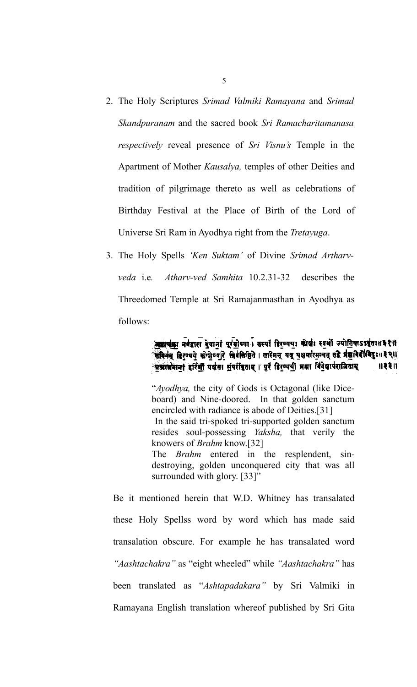- 2. The Holy Scriptures *Srimad Valmiki Ramayana* and *Srimad Skandpuranam* and the sacred book *Sri Ramacharitamanasa respectively* reveal presence of *Sri Visnu's* Temple in the Apartment of Mother *Kausalya,* temples of other Deities and tradition of pilgrimage thereto as well as celebrations of Birthday Festival at the Place of Birth of the Lord of Universe Sri Ram in Ayodhya right from the *Tretayuga*.
- 3. The Holy Spells *'Ken Suktam'* of Divine *Srimad Artharvveda* i.e*. Atharv-ved Samhita* 10.2.31-32 describes the Threedomed Temple at Sri Ramajanmasthan in Ayodhya as follows:

अध्यवंका नवंद्वारा देवानां पूर्णग्रेष्या । तस्यां हिरण्यया कोर्याः स्वर्गो ज्योतिषाऽऽपूताः ।। इशा अभिनं हिरण्यये कोश्चेत्र्वारे त्रिमसिष्ठिते । तस्मिन् यद् युक्षमारमन्वत् तद्रे ब्रह्मविदौविदुः ॥३२॥ प्रश्रावनानां इरिंजी यर्थवा संपरीवृताम् । पुरं हिरण्ययी त्रसा विवेद्यापराजिताम् 113311

"*Ayodhya,* the city of Gods is Octagonal (like Diceboard) and Nine-doored. In that golden sanctum encircled with radiance is abode of Deities.[31] In the said tri-spoked tri-supported golden sanctum resides soul-possessing *Yaksha,* that verily the knowers of *Brahm* know.[32] The *Brahm* entered in the resplendent, sindestroying, golden unconquered city that was all surrounded with glory. [33]"

Be it mentioned herein that W.D. Whitney has transalated these Holy Spellss word by word which has made said transalation obscure. For example he has transalated word *"Aashtachakra"* as "eight wheeled" while *"Aashtachakra"* has been translated as "*Ashtapadakara"* by Sri Valmiki in Ramayana English translation whereof published by Sri Gita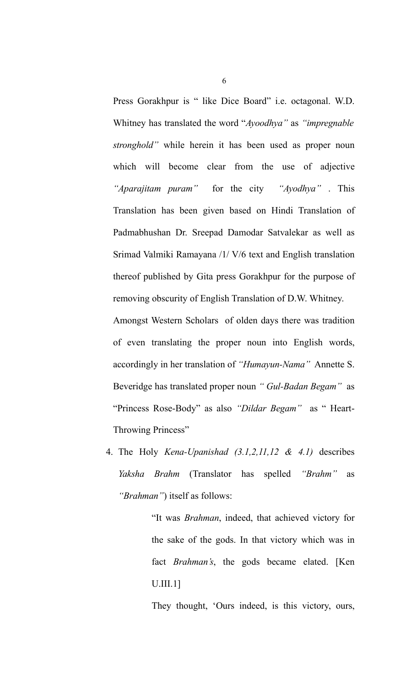Press Gorakhpur is " like Dice Board" i.e. octagonal. W.D. Whitney has translated the word "*Ayoodhya"* as *"impregnable stronghold"* while herein it has been used as proper noun which will become clear from the use of adjective *"Aparajitam puram"* for the city *"Ayodhya"* . This Translation has been given based on Hindi Translation of Padmabhushan Dr. Sreepad Damodar Satvalekar as well as Srimad Valmiki Ramayana /1/ V/6 text and English translation thereof published by Gita press Gorakhpur for the purpose of removing obscurity of English Translation of D.W. Whitney.

Amongst Western Scholars of olden days there was tradition of even translating the proper noun into English words, accordingly in her translation of *"Humayun-Nama"* Annette S. Beveridge has translated proper noun *" Gul-Badan Begam"* as "Princess Rose-Body" as also *"Dildar Begam"* as " Heart-Throwing Princess"

4. The Holy *Kena-Upanishad (3.1,2,11,12 & 4.1)* describes *Yaksha Brahm* (Translator has spelled *"Brahm"* as *"Brahman"*) itself as follows:

> "It was *Brahman*, indeed, that achieved victory for the sake of the gods. In that victory which was in fact *Brahman's*, the gods became elated. [Ken U.III.1]

> They thought, 'Ours indeed, is this victory, ours,

6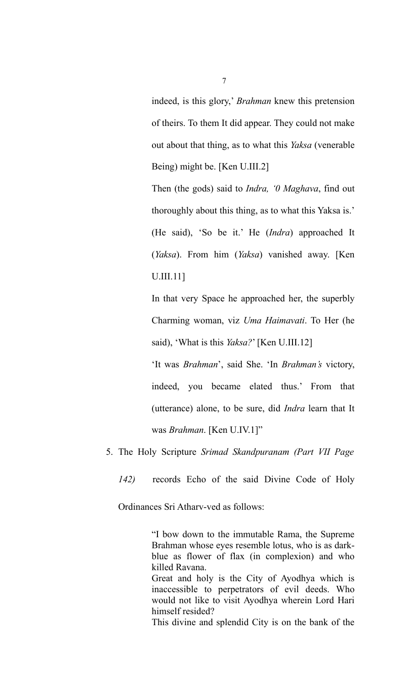indeed, is this glory,' *Brahman* knew this pretension of theirs. To them It did appear. They could not make out about that thing, as to what this *Yaksa* (venerable Being) might be. [Ken U.III.2]

Then (the gods) said to *Indra, '0 Maghava*, find out thoroughly about this thing, as to what this Yaksa is.' (He said), 'So be it.' He (*Indra*) approached It (*Yaksa*). From him (*Yaksa*) vanished away. [Ken U.III.11]

In that very Space he approached her, the superbly Charming woman, viz *Uma Haimavati*. To Her (he said), 'What is this *Yaksa?*' [Ken U.III.12]

'It was *Brahman*', said She. 'In *Brahman's* victory, indeed, you became elated thus.' From that (utterance) alone, to be sure, did *Indra* learn that It was *Brahman*. [Ken U.IV.1]"

### 5. The Holy Scripture *Srimad Skandpuranam (Part VII Page*

*142)* records Echo of the said Divine Code of Holy

Ordinances Sri Atharv-ved as follows:

"I bow down to the immutable Rama, the Supreme Brahman whose eyes resemble lotus, who is as darkblue as flower of flax (in complexion) and who killed Ravana. Great and holy is the City of Ayodhya which is inaccessible to perpetrators of evil deeds. Who would not like to visit Ayodhya wherein Lord Hari himself resided?

This divine and splendid City is on the bank of the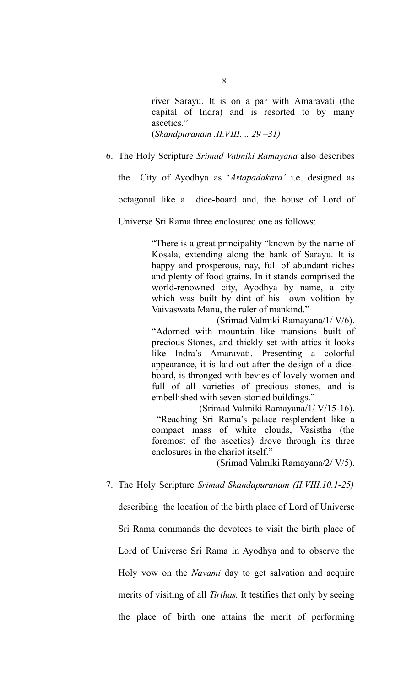river Sarayu. It is on a par with Amaravati (the capital of Indra) and is resorted to by many ascetics." (*Skandpuranam .II.VIII. .. 29 –31)*

#### 6. The Holy Scripture *Srimad Valmiki Ramayana* also describes

the City of Ayodhya as '*Astapadakara'* i.e. designed as octagonal like a dice-board and, the house of Lord of

Universe Sri Rama three enclosured one as follows:

"There is a great principality "known by the name of Kosala, extending along the bank of Sarayu. It is happy and prosperous, nay, full of abundant riches and plenty of food grains. In it stands comprised the world-renowned city, Ayodhya by name, a city which was built by dint of his own volition by Vaivaswata Manu, the ruler of mankind."

(Srimad Valmiki Ramayana/1/ V/6). "Adorned with mountain like mansions built of precious Stones, and thickly set with attics it looks like Indra's Amaravati. Presenting a colorful appearance, it is laid out after the design of a diceboard, is thronged with bevies of lovely women and full of all varieties of precious stones, and is embellished with seven-storied buildings."

 (Srimad Valmiki Ramayana/1/ V/15-16). "Reaching Sri Rama's palace resplendent like a compact mass of white clouds, Vasistha (the foremost of the ascetics) drove through its three enclosures in the chariot itself."

(Srimad Valmiki Ramayana/2/ V/5).

## 7. The Holy Scripture *Srimad Skandapuranam (II.VIII.10.1-25)*

describing the location of the birth place of Lord of Universe Sri Rama commands the devotees to visit the birth place of Lord of Universe Sri Rama in Ayodhya and to observe the Holy vow on the *Navami* day to get salvation and acquire merits of visiting of all *Tirthas.* It testifies that only by seeing the place of birth one attains the merit of performing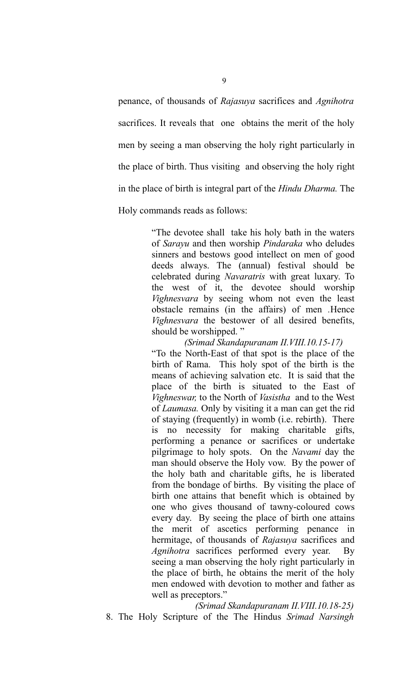penance, of thousands of *Rajasuya* sacrifices and *Agnihotra* sacrifices. It reveals that one obtains the merit of the holy men by seeing a man observing the holy right particularly in the place of birth. Thus visiting and observing the holy right in the place of birth is integral part of the *Hindu Dharma.* The Holy commands reads as follows:

> "The devotee shall take his holy bath in the waters of *Sarayu* and then worship *Pindaraka* who deludes sinners and bestows good intellect on men of good deeds always. The (annual) festival should be celebrated during *Navaratris* with great luxary. To the west of it, the devotee should worship *Vighnesvara* by seeing whom not even the least obstacle remains (in the affairs) of men *.*Hence *Vighnesvara* the bestower of all desired benefits, should be worshipped. "

> *(Srimad Skandapuranam II.VIII.10.15-17)*  "To the North-East of that spot is the place of the birth of Rama. This holy spot of the birth is the means of achieving salvation etc. It is said that the place of the birth is situated to the East of *Vighneswar,* to the North of *Vasistha* and to the West of *Laumasa.* Only by visiting it a man can get the rid of staying (frequently) in womb (i.e. rebirth). There is no necessity for making charitable gifts, performing a penance or sacrifices or undertake pilgrimage to holy spots. On the *Navami* day the man should observe the Holy vow. By the power of the holy bath and charitable gifts, he is liberated from the bondage of births. By visiting the place of birth one attains that benefit which is obtained by one who gives thousand of tawny-coloured cows every day. By seeing the place of birth one attains the merit of ascetics performing penance in hermitage, of thousands of *Rajasuya* sacrifices and *Agnihotra* sacrifices performed every year. By seeing a man observing the holy right particularly in the place of birth, he obtains the merit of the holy men endowed with devotion to mother and father as well as preceptors."

*(Srimad Skandapuranam II.VIII.10.18-25)* 8. The Holy Scripture of the The Hindus *Srimad Narsingh*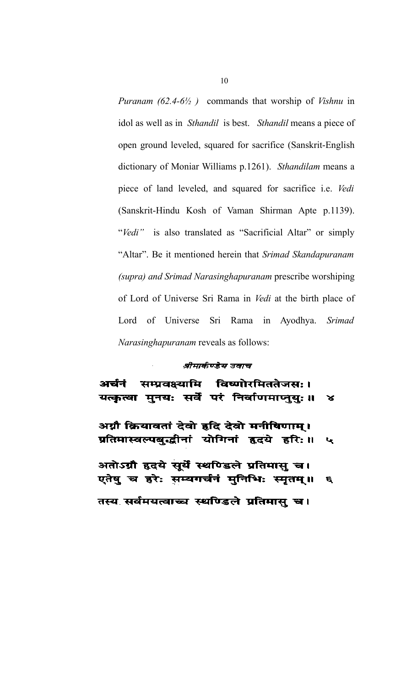*Puranam (62.4-6½ )* commands that worship of *Vishnu* in idol as well as in *Sthandil* is best. *Sthandil* means a piece of open ground leveled, squared for sacrifice (Sanskrit-English dictionary of Moniar Williams p.1261). *Sthandilam* means a piece of land leveled, and squared for sacrifice i.e. *Vedi* (Sanskrit-Hindu Kosh of Vaman Shirman Apte p.1139). "Vedi" is also translated as "Sacrificial Altar" or simply "Altar". Be it mentioned herein that *Srimad Skandapuranam (supra) and Srimad Narasinghapuranam* prescribe worshiping of Lord of Universe Sri Rama in *Vedi* at the birth place of Lord of Universe Sri Rama in Ayodhya. *Srimad Narasinghapuranam* reveals as follows:

#### श्रीमार्कण्डेय उवाच

विष्णोरमिततेजसः । सम्प्रवक्ष्यामि अर्चनं यत्कृत्वा मुनय: सर्वे परं निर्वाणमाप्नुयु:॥ X अग्नौ क्रियावतां देवो हृदि देवो मनीषिणाम्। प्रतिमास्वल्पबुद्धीनां योगिनां हृदये हरि:॥ Ч अतोऽग्नौ हृदये सूर्ये स्थण्डिले प्रतिमासु च। एतेषु च हरेः सम्यगर्चनं मुनिभिः स्मृतम्॥ Ę. तस्य सर्वमयत्वाच्च स्थण्डिले प्रतिमासु च।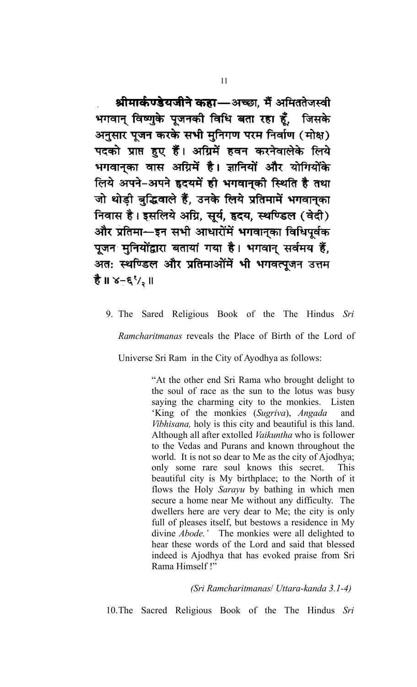श्रीमार्कण्डेयजीने कहा- अच्छा, मैं अमिततेजस्वी भगवान् विष्णुके पूजनकी विधि बता रहा हूँ, जिसके अनुसार पूजन करके सभी मुनिगण परम निर्वाण (मोक्ष) पदको प्राप्त हुए हैं। अग्निमें हवन करनेवालेके लिये भगवान्का वास अग्निमें है। ज्ञानियों और योगियोंके लिये अपने-अपने हृदयमें ही भगवान्की स्थिति है तथा जो थोड़ी बुद्धिवाले हैं, उनके लिये प्रतिमामें भगवानुका निवास है। इसलिये अग्नि, सूर्य, हृदय, स्थण्डिल (वेदी) और प्रतिमा-इन सभी आधारोंमें भगवान्का विधिपूर्वक पूजन मुनियोंद्वारा बतायां गया है। भगवान् सर्वमय हैं, अत: स्थण्डिल और प्रतिमाओंमें भी भगवत्पूजन उत्तम है ॥ ४–६′⁄, ॥

9. The Sared Religious Book of the The Hindus *Sri Ramcharitmanas* reveals the Place of Birth of the Lord of Universe Sri Ram in the City of Ayodhya as follows:

> "At the other end Sri Rama who brought delight to the soul of race as the sun to the lotus was busy saying the charming city to the monkies. Listen 'King of the monkies (*Sugriva*), *Angada* and *Vibhisana,* holy is this city and beautiful is this land. Although all after extolled *Vaikuntha* who is follower to the Vedas and Purans and known throughout the world. It is not so dear to Me as the city of Ajodhya; only some rare soul knows this secret. This beautiful city is My birthplace; to the North of it flows the Holy *Sarayu* by bathing in which men secure a home near Me without any difficulty. The dwellers here are very dear to Me; the city is only full of pleases itself, but bestows a residence in My divine *Abode.'* The monkies were all delighted to hear these words of the Lord and said that blessed indeed is Ajodhya that has evoked praise from Sri Rama Himself !"

> > *(Sri Ramcharitmanas*/ *Uttara-kanda 3.1-4)*

10.The Sacred Religious Book of the The Hindus *Sri*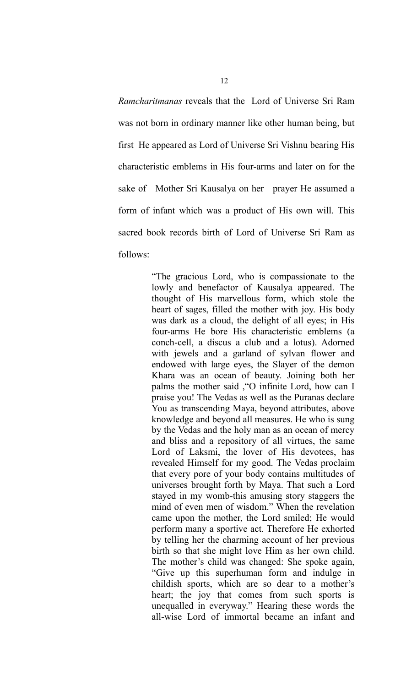*Ramcharitmanas* reveals that the Lord of Universe Sri Ram was not born in ordinary manner like other human being, but first He appeared as Lord of Universe Sri Vishnu bearing His characteristic emblems in His four-arms and later on for the sake of Mother Sri Kausalya on her prayer He assumed a form of infant which was a product of His own will. This sacred book records birth of Lord of Universe Sri Ram as follows:

> "The gracious Lord, who is compassionate to the lowly and benefactor of Kausalya appeared. The thought of His marvellous form, which stole the heart of sages, filled the mother with joy. His body was dark as a cloud, the delight of all eyes; in His four-arms He bore His characteristic emblems (a conch-cell, a discus a club and a lotus). Adorned with jewels and a garland of sylvan flower and endowed with large eyes, the Slayer of the demon Khara was an ocean of beauty. Joining both her palms the mother said ,"O infinite Lord, how can I praise you! The Vedas as well as the Puranas declare You as transcending Maya, beyond attributes, above knowledge and beyond all measures. He who is sung by the Vedas and the holy man as an ocean of mercy and bliss and a repository of all virtues, the same Lord of Laksmi, the lover of His devotees, has revealed Himself for my good. The Vedas proclaim that every pore of your body contains multitudes of universes brought forth by Maya. That such a Lord stayed in my womb-this amusing story staggers the mind of even men of wisdom." When the revelation came upon the mother, the Lord smiled; He would perform many a sportive act. Therefore He exhorted by telling her the charming account of her previous birth so that she might love Him as her own child. The mother's child was changed: She spoke again, "Give up this superhuman form and indulge in childish sports, which are so dear to a mother's heart; the joy that comes from such sports is unequalled in everyway." Hearing these words the all-wise Lord of immortal became an infant and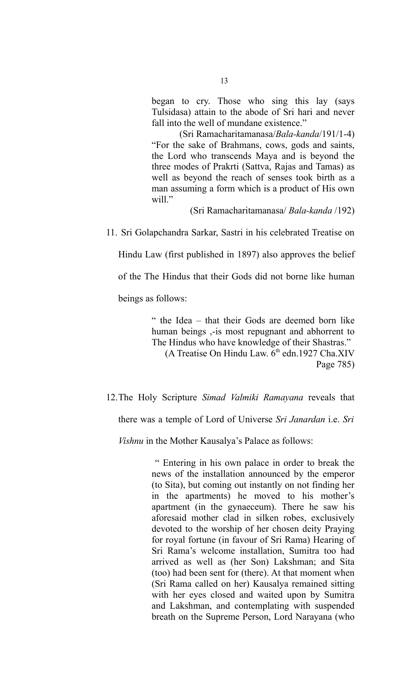began to cry. Those who sing this lay (says Tulsidasa) attain to the abode of Sri hari and never fall into the well of mundane existence."

(Sri Ramacharitamanasa/*Bala-kanda*/191/1-4) "For the sake of Brahmans, cows, gods and saints, the Lord who transcends Maya and is beyond the three modes of Prakrti (Sattva, Rajas and Tamas) as well as beyond the reach of senses took birth as a man assuming a form which is a product of His own will."

(Sri Ramacharitamanasa/ *Bala-kanda* /192)

11. Sri Golapchandra Sarkar, Sastri in his celebrated Treatise on

Hindu Law (first published in 1897) also approves the belief

of the The Hindus that their Gods did not borne like human

beings as follows:

" the Idea – that their Gods are deemed born like human beings ,-is most repugnant and abhorrent to The Hindus who have knowledge of their Shastras." (A Treatise On Hindu Law.  $6<sup>th</sup>$  edn.1927 Cha.XIV Page 785)

12.The Holy Scripture *Simad Valmiki Ramayana* reveals that

there was a temple of Lord of Universe *Sri Janardan* i.e. *Sri*

*Vishnu* in the Mother Kausalya's Palace as follows:

 " Entering in his own palace in order to break the news of the installation announced by the emperor (to Sita), but coming out instantly on not finding her in the apartments) he moved to his mother's apartment (in the gynaeceum). There he saw his aforesaid mother clad in silken robes, exclusively devoted to the worship of her chosen deity Praying for royal fortune (in favour of Sri Rama) Hearing of Sri Rama's welcome installation, Sumitra too had arrived as well as (her Son) Lakshman; and Sita (too) had been sent for (there). At that moment when (Sri Rama called on her) Kausalya remained sitting with her eyes closed and waited upon by Sumitra and Lakshman, and contemplating with suspended breath on the Supreme Person, Lord Narayana (who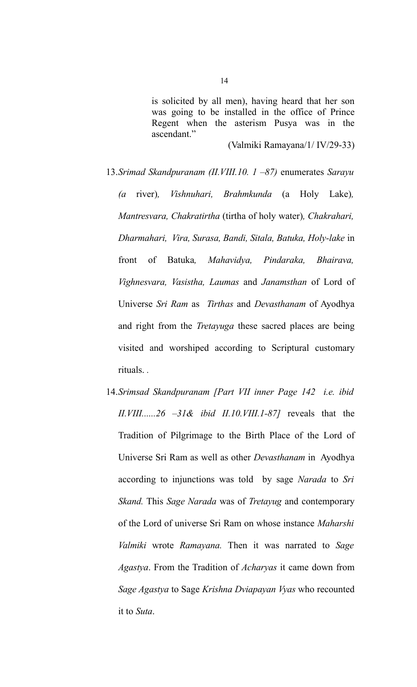is solicited by all men), having heard that her son was going to be installed in the office of Prince Regent when the asterism Pusya was in the ascendant."

(Valmiki Ramayana/1/ IV/29-33)

- 13.*Srimad Skandpuranam (II.VIII.10. 1 –87)* enumerates *Sarayu (a* river)*, Vishnuhari, Brahmkunda* (a Holy Lake)*, Mantresvara, Chakratirtha* (tirtha of holy water)*, Chakrahari, Dharmahari, Vira, Surasa, Bandi, Sitala, Batuka, Holy-lake* in front of Batuka*, Mahavidya, Pindaraka, Bhairava, Vighnesvara, Vasistha, Laumas* and *Janamsthan* of Lord of Universe *Sri Ram* as *Tirthas* and *Devasthanam* of Ayodhya and right from the *Tretayuga* these sacred places are being visited and worshiped according to Scriptural customary rituals. *.*
- 14.*Srimsad Skandpuranam [Part VII inner Page 142 i.e. ibid II.VIII......26 –31& ibid II.10.VIII.1-87]* reveals that the Tradition of Pilgrimage to the Birth Place of the Lord of Universe Sri Ram as well as other *Devasthanam* in Ayodhya according to injunctions was told by sage *Narada* to *Sri Skand.* This *Sage Narada* was of *Tretayug* and contemporary of the Lord of universe Sri Ram on whose instance *Maharshi Valmiki* wrote *Ramayana.* Then it was narrated to *Sage Agastya*. From the Tradition of *Acharyas* it came down from *Sage Agastya* to Sage *Krishna Dviapayan Vyas* who recounted it to *Suta*.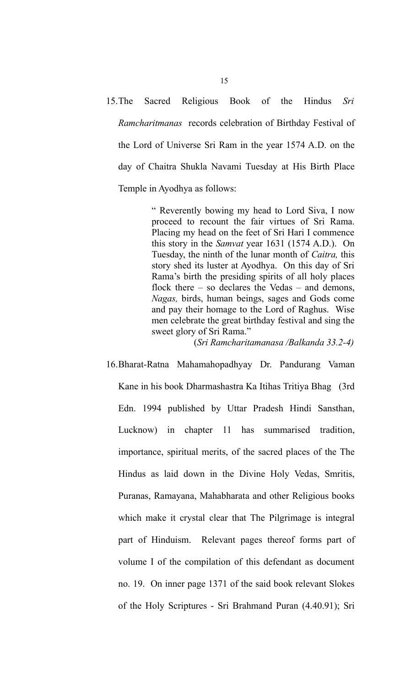15.The Sacred Religious Book of the Hindus *Sri Ramcharitmanas* records celebration of Birthday Festival of the Lord of Universe Sri Ram in the year 1574 A.D. on the day of Chaitra Shukla Navami Tuesday at His Birth Place Temple in Ayodhya as follows:

> " Reverently bowing my head to Lord Siva, I now proceed to recount the fair virtues of Sri Rama. Placing my head on the feet of Sri Hari I commence this story in the *Samvat* year 1631 (1574 A.D.). On Tuesday, the ninth of the lunar month of *Caitra,* this story shed its luster at Ayodhya. On this day of Sri Rama's birth the presiding spirits of all holy places flock there – so declares the Vedas – and demons, *Nagas,* birds, human beings, sages and Gods come and pay their homage to the Lord of Raghus. Wise men celebrate the great birthday festival and sing the sweet glory of Sri Rama."

(*Sri Ramcharitamanasa /Balkanda 33.2-4)*

16.Bharat-Ratna Mahamahopadhyay Dr. Pandurang Vaman Kane in his book Dharmashastra Ka Itihas Tritiya Bhag (3rd Edn. 1994 published by Uttar Pradesh Hindi Sansthan, Lucknow) in chapter 11 has summarised tradition, importance, spiritual merits, of the sacred places of the The Hindus as laid down in the Divine Holy Vedas, Smritis, Puranas, Ramayana, Mahabharata and other Religious books which make it crystal clear that The Pilgrimage is integral part of Hinduism. Relevant pages thereof forms part of volume I of the compilation of this defendant as document no. 19. On inner page 1371 of the said book relevant Slokes of the Holy Scriptures - Sri Brahmand Puran (4.40.91); Sri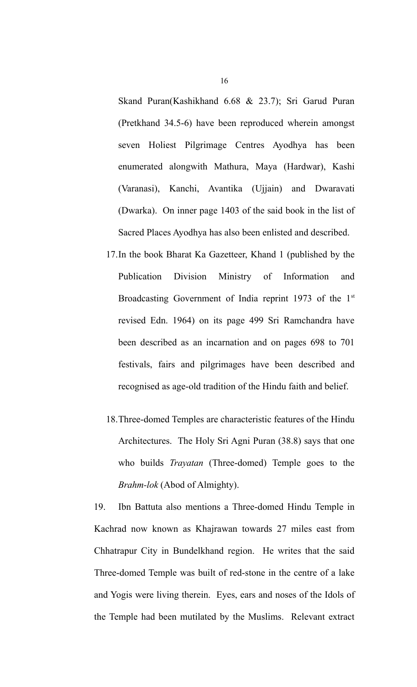Skand Puran(Kashikhand 6.68 & 23.7); Sri Garud Puran (Pretkhand 34.5-6) have been reproduced wherein amongst seven Holiest Pilgrimage Centres Ayodhya has been enumerated alongwith Mathura, Maya (Hardwar), Kashi (Varanasi), Kanchi, Avantika (Ujjain) and Dwaravati (Dwarka). On inner page 1403 of the said book in the list of Sacred Places Ayodhya has also been enlisted and described.

- 17.In the book Bharat Ka Gazetteer, Khand 1 (published by the Publication Division Ministry of Information and Broadcasting Government of India reprint 1973 of the 1<sup>st</sup> revised Edn. 1964) on its page 499 Sri Ramchandra have been described as an incarnation and on pages 698 to 701 festivals, fairs and pilgrimages have been described and recognised as age-old tradition of the Hindu faith and belief.
- 18.Three-domed Temples are characteristic features of the Hindu Architectures. The Holy Sri Agni Puran (38.8) says that one who builds *Trayatan* (Three-domed) Temple goes to the *Brahm-lok* (Abod of Almighty).

19. Ibn Battuta also mentions a Three-domed Hindu Temple in Kachrad now known as Khajrawan towards 27 miles east from Chhatrapur City in Bundelkhand region. He writes that the said Three-domed Temple was built of red-stone in the centre of a lake and Yogis were living therein. Eyes, ears and noses of the Idols of the Temple had been mutilated by the Muslims. Relevant extract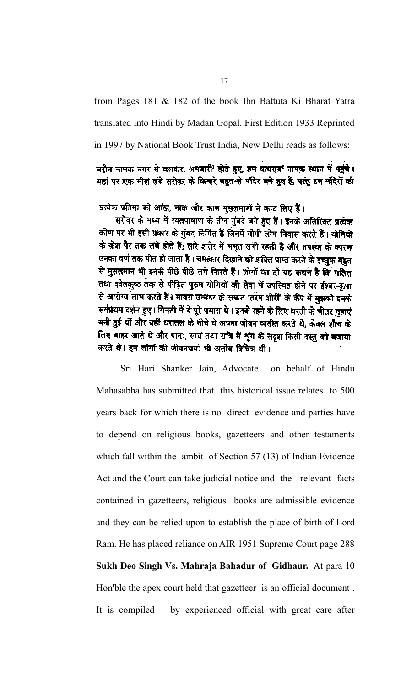from Pages 181 & 182 of the book Ibn Battuta Ki Bharat Yatra translated into Hindi by Madan Gopal. First Edition 1933 Reprinted in 1997 by National Book Trust India, New Delhi reads as follows:

# बरौन नामक नगर से चलकर, अमवारी' होते हुए, हम कचराद' नामक स्थान में पहुंचे। यहां पर एक मील लंबे सरोवर के किनारे बहुत से मंदिर बने हुए हैं, परंतु इन मंदिरों की

प्रत्येक प्रतिमा की आंख, नाक और कान मुसलमानों ने काट लिए हैं।

सरोवर के मध्य में रक्तपाषाण के तीन गुंबद बने हुए हैं। इनके अतिरिक्त प्रत्येक कोण पर भी इसी प्रकार के गुंबद निर्मित हैं जिनमें योगी लोग निवास करते हैं। योगियों के केश पैर तक लंबे होते हैं; सारे शरीर में भभूत लगी रहती है और तपस्या के कारण उनका वर्ण तक पीत हो जाता है। चमल्कार दिखाने की शक्ति प्राप्त करने के इच्छुक बहुत से मुसलमान भी इनके पीछे पीछे लगे फिरते हैं। लोगों का तो यह कथन है कि गलित तथा श्वेतकुष्ठ तक से पीड़ित पुरुष योगियों की सेवा में उपस्थित होने पर ईश्वर-कृपा से आरोग्य लाभ करते हैं। मावरा उन्नहर के सम्राट 'तरम शीरी' के कैंप में मुझको इनके सर्वप्रथम दर्शन हुए। गिनती में ये पूरे पचास थे। इनके रहने के लिए धरती के मीतर गुहाएं बनी हुई थीं और वहीं धरातल के नीचे ये अपना जीवन व्यतीत करते थे, केवल शीच के लिए बाहर आते थे और प्रातः, सायं तथा रात्रि में शृंग के सदृश किसी वस्तु को बजाया करते थे। इन लोगों की जीवनचर्या भी अतीव विचित्र थी।

Sri Hari Shanker Jain, Advocate on behalf of Hindu Mahasabha has submitted that this historical issue relates to 500 years back for which there is no direct evidence and parties have to depend on religious books, gazetteers and other testaments which fall within the ambit of Section 57 (13) of Indian Evidence Act and the Court can take judicial notice and the relevant facts contained in gazetteers, religious books are admissible evidence and they can be relied upon to establish the place of birth of Lord Ram. He has placed reliance on AIR 1951 Supreme Court page 288 **Sukh Deo Singh Vs. Mahraja Bahadur of Gidhaur.** At para 10 Hon'ble the apex court held that gazetteer is an official document . It is compiled by experienced official with great care after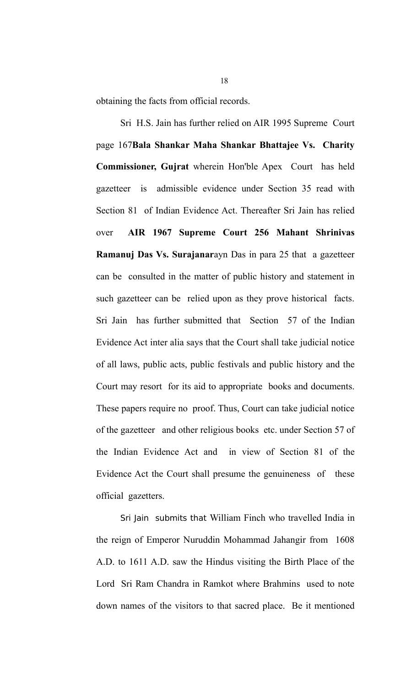obtaining the facts from official records.

Sri H.S. Jain has further relied on AIR 1995 Supreme Court page 167**Bala Shankar Maha Shankar Bhattajee Vs. Charity Commissioner, Gujrat** wherein Hon'ble Apex Court has held gazetteer is admissible evidence under Section 35 read with Section 81 of Indian Evidence Act. Thereafter Sri Jain has relied over **AIR 1967 Supreme Court 256 Mahant Shrinivas Ramanuj Das Vs. Surajanar**ayn Das in para 25 that a gazetteer can be consulted in the matter of public history and statement in such gazetteer can be relied upon as they prove historical facts. Sri Jain has further submitted that Section 57 of the Indian Evidence Act inter alia says that the Court shall take judicial notice of all laws, public acts, public festivals and public history and the Court may resort for its aid to appropriate books and documents. These papers require no proof. Thus, Court can take judicial notice of the gazetteer and other religious books etc. under Section 57 of the Indian Evidence Act and in view of Section 81 of the Evidence Act the Court shall presume the genuineness of these official gazetters.

Sri Jain submits that William Finch who travelled India in the reign of Emperor Nuruddin Mohammad Jahangir from 1608 A.D. to 1611 A.D. saw the Hindus visiting the Birth Place of the Lord Sri Ram Chandra in Ramkot where Brahmins used to note down names of the visitors to that sacred place. Be it mentioned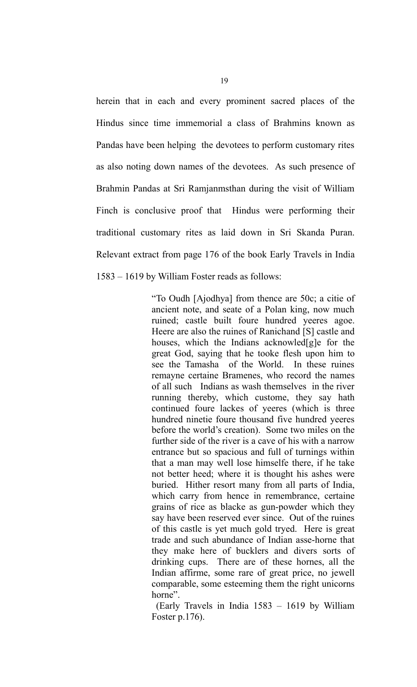herein that in each and every prominent sacred places of the Hindus since time immemorial a class of Brahmins known as Pandas have been helping the devotees to perform customary rites as also noting down names of the devotees. As such presence of Brahmin Pandas at Sri Ramjanmsthan during the visit of William Finch is conclusive proof that Hindus were performing their traditional customary rites as laid down in Sri Skanda Puran. Relevant extract from page 176 of the book Early Travels in India 1583 – 1619 by William Foster reads as follows:

> "To Oudh [Ajodhya] from thence are 50c; a citie of ancient note, and seate of a Polan king, now much ruined; castle built foure hundred yeeres agoe. Heere are also the ruines of Ranichand [S] castle and houses, which the Indians acknowled[g]e for the great God, saying that he tooke flesh upon him to see the Tamasha of the World. In these ruines remayne certaine Bramenes, who record the names of all such Indians as wash themselves in the river running thereby, which custome, they say hath continued foure lackes of yeeres (which is three hundred ninetie foure thousand five hundred yeeres before the world's creation). Some two miles on the further side of the river is a cave of his with a narrow entrance but so spacious and full of turnings within that a man may well lose himselfe there, if he take not better heed; where it is thought his ashes were buried. Hither resort many from all parts of India, which carry from hence in remembrance, certaine grains of rice as blacke as gun-powder which they say have been reserved ever since. Out of the ruines of this castle is yet much gold tryed. Here is great trade and such abundance of Indian asse-horne that they make here of bucklers and divers sorts of drinking cups. There are of these hornes, all the Indian affirme, some rare of great price, no jewell comparable, some esteeming them the right unicorns horne".

> (Early Travels in India 1583 – 1619 by William Foster p.176).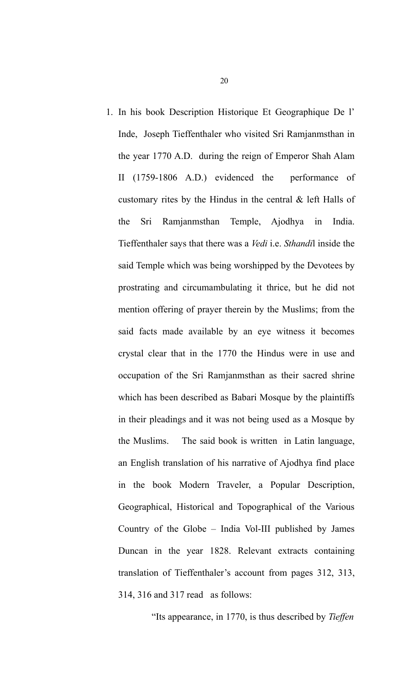1. In his book Description Historique Et Geographique De l' Inde, Joseph Tieffenthaler who visited Sri Ramjanmsthan in the year 1770 A.D. during the reign of Emperor Shah Alam II (1759-1806 A.D.) evidenced the performance of customary rites by the Hindus in the central & left Halls of the Sri Ramjanmsthan Temple, Ajodhya in India. Tieffenthaler says that there was a *Vedi* i.e. *Sthandi*l inside the said Temple which was being worshipped by the Devotees by prostrating and circumambulating it thrice, but he did not mention offering of prayer therein by the Muslims; from the said facts made available by an eye witness it becomes crystal clear that in the 1770 the Hindus were in use and occupation of the Sri Ramjanmsthan as their sacred shrine which has been described as Babari Mosque by the plaintiffs in their pleadings and it was not being used as a Mosque by the Muslims. The said book is written in Latin language, an English translation of his narrative of Ajodhya find place in the book Modern Traveler, a Popular Description, Geographical, Historical and Topographical of the Various Country of the Globe – India Vol-III published by James Duncan in the year 1828. Relevant extracts containing translation of Tieffenthaler's account from pages 312, 313, 314, 316 and 317 read as follows:

"Its appearance, in 1770, is thus described by *Tieffen*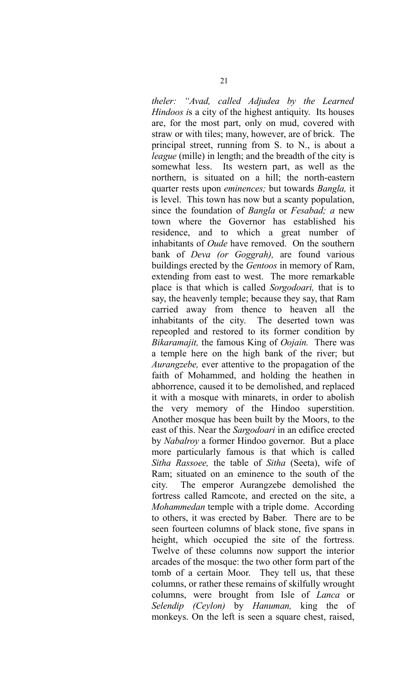*theler: "Avad, called Adjudea by the Learned Hindoos i*s a city of the highest antiquity. Its houses are, for the most part, only on mud, covered with straw or with tiles; many, however, are of brick. The principal street, running from S. to N., is about a *league* (mille) in length; and the breadth of the city is somewhat less. Its western part, as well as the northern, is situated on a hill; the north-eastern quarter rests upon *eminences;* but towards *Bangla,* it is level. This town has now but a scanty population, since the foundation of *Bangla* or *Fesabad; a* new town where the Governor has established his residence, and to which a great number of inhabitants of *Oude* have removed. On the southern bank of *Deva (or Goggrah),* are found various buildings erected by the *Gentoos* in memory of Ram, extending from east to west. The more remarkable place is that which is called *Sorgodoari,* that is to say, the heavenly temple; because they say, that Ram carried away from thence to heaven all the inhabitants of the city. The deserted town was repeopled and restored to its former condition by *Bikaramajit,* the famous King of *Oojain.* There was a temple here on the high bank of the river; but *Aurangzebe,* ever attentive to the propagation of the faith of Mohammed, and holding the heathen in abhorrence, caused it to be demolished, and replaced it with a mosque with minarets, in order to abolish the very memory of the Hindoo superstition. Another mosque has been built by the Moors, to the east of this. Near the *Sargodoari* in an edifice erected by *Nabalroy* a former Hindoo governor. But a place more particularly famous is that which is called *Sitha Rassoee,* the table of *Sitha* (Seeta), wife of Ram; situated on an eminence to the south of the city. The emperor Aurangzebe demolished the fortress called Ramcote, and erected on the site, a *Mohammedan* temple with a triple dome. According to others, it was erected by Baber. There are to be seen fourteen columns of black stone, five spans in height, which occupied the site of the fortress. Twelve of these columns now support the interior arcades of the mosque: the two other form part of the tomb of a certain Moor. They tell us, that these columns, or rather these remains of skilfully wrought columns, were brought from Isle of *Lanca* or *Selendip (Ceylon)* by *Hanuman,* king the of monkeys. On the left is seen a square chest, raised,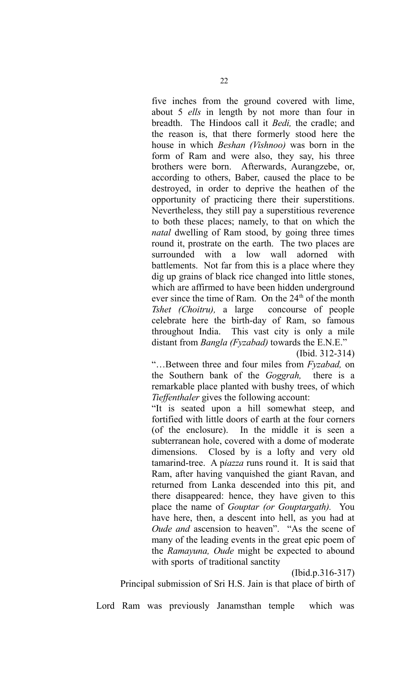five inches from the ground covered with lime, about 5 *ells* in length by not more than four in breadth. The Hindoos call it *Bedi,* the cradle; and the reason is, that there formerly stood here the house in which *Beshan (Vishnoo)* was born in the form of Ram and were also, they say, his three brothers were born. Afterwards, Aurangzebe, or, according to others, Baber, caused the place to be destroyed, in order to deprive the heathen of the opportunity of practicing there their superstitions. Nevertheless, they still pay a superstitious reverence to both these places; namely, to that on which the *natal* dwelling of Ram stood, by going three times round it, prostrate on the earth. The two places are surrounded with a low wall adorned with battlements. Not far from this is a place where they dig up grains of black rice changed into little stones, which are affirmed to have been hidden underground ever since the time of Ram. On the  $24<sup>th</sup>$  of the month *Tshet (Choitru),* a large concourse of people celebrate here the birth-day of Ram, so famous throughout India. This vast city is only a mile distant from *Bangla (Fyzabad)* towards the E.N.E."

(Ibid. 312-314)

"…Between three and four miles from *Fyzabad,* on the Southern bank of the *Goggrah,* there is a remarkable place planted with bushy trees, of which *Tieffenthaler* gives the following account:

"It is seated upon a hill somewhat steep, and fortified with little doors of earth at the four corners (of the enclosure). In the middle it is seen a subterranean hole, covered with a dome of moderate dimensions. Closed by is a lofty and very old tamarind-tree. A p*iazza* runs round it. It is said that Ram, after having vanquished the giant Ravan, and returned from Lanka descended into this pit, and there disappeared: hence, they have given to this place the name of *Gouptar (or Gouptargath).* You have here, then, a descent into hell, as you had at *Oude and* ascension to heaven". "As the scene of many of the leading events in the great epic poem of the *Ramayuna, Oude* might be expected to abound with sports of traditional sanctity

(Ibid.p.316-317)

Principal submission of Sri H.S. Jain is that place of birth of

Lord Ram was previously Janamsthan temple which was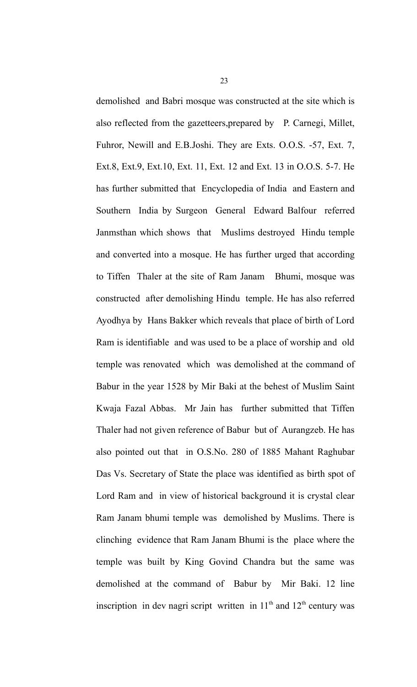demolished and Babri mosque was constructed at the site which is also reflected from the gazetteers,prepared by P. Carnegi, Millet, Fuhror, Newill and E.B.Joshi. They are Exts. O.O.S. -57, Ext. 7, Ext.8, Ext.9, Ext.10, Ext. 11, Ext. 12 and Ext. 13 in O.O.S. 5-7. He has further submitted that Encyclopedia of India and Eastern and Southern India by Surgeon General Edward Balfour referred Janmsthan which shows that Muslims destroyed Hindu temple and converted into a mosque. He has further urged that according to Tiffen Thaler at the site of Ram Janam Bhumi, mosque was constructed after demolishing Hindu temple. He has also referred Ayodhya by Hans Bakker which reveals that place of birth of Lord Ram is identifiable and was used to be a place of worship and old temple was renovated which was demolished at the command of Babur in the year 1528 by Mir Baki at the behest of Muslim Saint Kwaja Fazal Abbas. Mr Jain has further submitted that Tiffen Thaler had not given reference of Babur but of Aurangzeb. He has also pointed out that in O.S.No. 280 of 1885 Mahant Raghubar Das Vs. Secretary of State the place was identified as birth spot of Lord Ram and in view of historical background it is crystal clear Ram Janam bhumi temple was demolished by Muslims. There is clinching evidence that Ram Janam Bhumi is the place where the temple was built by King Govind Chandra but the same was demolished at the command of Babur by Mir Baki. 12 line inscription in dev nagri script written in  $11<sup>th</sup>$  and  $12<sup>th</sup>$  century was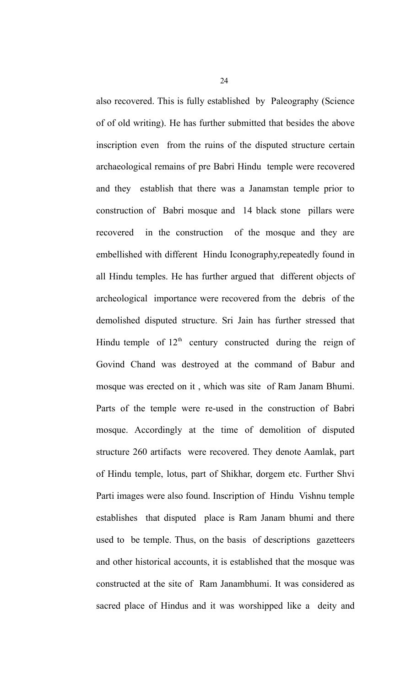also recovered. This is fully established by Paleography (Science of of old writing). He has further submitted that besides the above inscription even from the ruins of the disputed structure certain archaeological remains of pre Babri Hindu temple were recovered and they establish that there was a Janamstan temple prior to construction of Babri mosque and 14 black stone pillars were recovered in the construction of the mosque and they are embellished with different Hindu Iconography,repeatedly found in all Hindu temples. He has further argued that different objects of archeological importance were recovered from the debris of the demolished disputed structure. Sri Jain has further stressed that Hindu temple of  $12<sup>th</sup>$  century constructed during the reign of Govind Chand was destroyed at the command of Babur and mosque was erected on it , which was site of Ram Janam Bhumi. Parts of the temple were re-used in the construction of Babri mosque. Accordingly at the time of demolition of disputed structure 260 artifacts were recovered. They denote Aamlak, part of Hindu temple, lotus, part of Shikhar, dorgem etc. Further Shvi Parti images were also found. Inscription of Hindu Vishnu temple establishes that disputed place is Ram Janam bhumi and there used to be temple. Thus, on the basis of descriptions gazetteers and other historical accounts, it is established that the mosque was constructed at the site of Ram Janambhumi. It was considered as sacred place of Hindus and it was worshipped like a deity and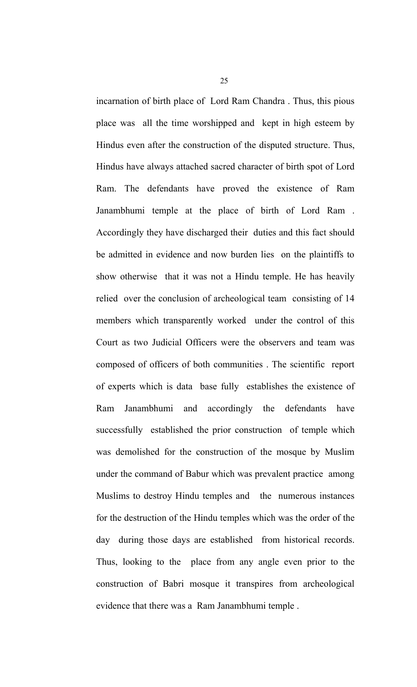incarnation of birth place of Lord Ram Chandra . Thus, this pious place was all the time worshipped and kept in high esteem by Hindus even after the construction of the disputed structure. Thus, Hindus have always attached sacred character of birth spot of Lord Ram. The defendants have proved the existence of Ram Janambhumi temple at the place of birth of Lord Ram . Accordingly they have discharged their duties and this fact should be admitted in evidence and now burden lies on the plaintiffs to show otherwise that it was not a Hindu temple. He has heavily relied over the conclusion of archeological team consisting of 14 members which transparently worked under the control of this Court as two Judicial Officers were the observers and team was composed of officers of both communities . The scientific report of experts which is data base fully establishes the existence of Ram Janambhumi and accordingly the defendants have successfully established the prior construction of temple which was demolished for the construction of the mosque by Muslim under the command of Babur which was prevalent practice among Muslims to destroy Hindu temples and the numerous instances for the destruction of the Hindu temples which was the order of the day during those days are established from historical records. Thus, looking to the place from any angle even prior to the construction of Babri mosque it transpires from archeological evidence that there was a Ram Janambhumi temple .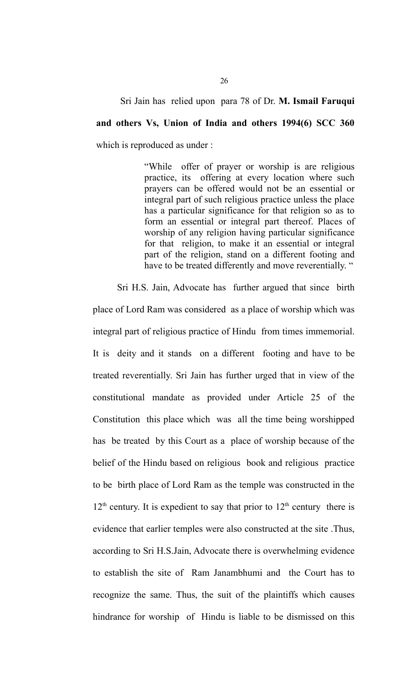# Sri Jain has relied upon para 78 of Dr. **M. Ismail Faruqui and others Vs, Union of India and others 1994(6) SCC 360** which is reproduced as under :

"While offer of prayer or worship is are religious practice, its offering at every location where such prayers can be offered would not be an essential or integral part of such religious practice unless the place has a particular significance for that religion so as to form an essential or integral part thereof. Places of worship of any religion having particular significance for that religion, to make it an essential or integral part of the religion, stand on a different footing and have to be treated differently and move reverentially. "

Sri H.S. Jain, Advocate has further argued that since birth place of Lord Ram was considered as a place of worship which was integral part of religious practice of Hindu from times immemorial. It is deity and it stands on a different footing and have to be treated reverentially. Sri Jain has further urged that in view of the constitutional mandate as provided under Article 25 of the Constitution this place which was all the time being worshipped has be treated by this Court as a place of worship because of the belief of the Hindu based on religious book and religious practice to be birth place of Lord Ram as the temple was constructed in the  $12<sup>th</sup>$  century. It is expedient to say that prior to  $12<sup>th</sup>$  century there is evidence that earlier temples were also constructed at the site .Thus, according to Sri H.S.Jain, Advocate there is overwhelming evidence to establish the site of Ram Janambhumi and the Court has to recognize the same. Thus, the suit of the plaintiffs which causes hindrance for worship of Hindu is liable to be dismissed on this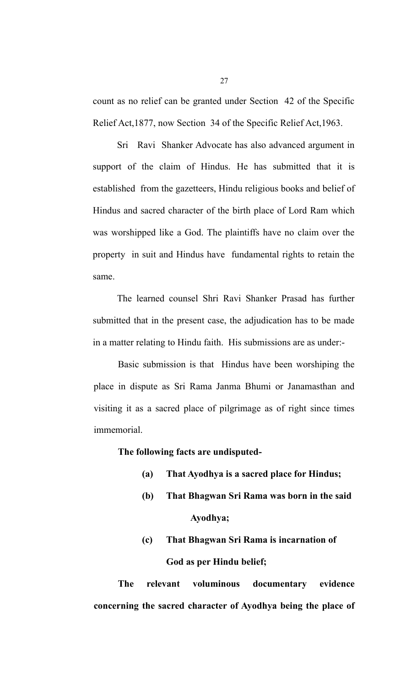count as no relief can be granted under Section 42 of the Specific Relief Act,1877, now Section 34 of the Specific Relief Act,1963.

Sri Ravi Shanker Advocate has also advanced argument in support of the claim of Hindus. He has submitted that it is established from the gazetteers, Hindu religious books and belief of Hindus and sacred character of the birth place of Lord Ram which was worshipped like a God. The plaintiffs have no claim over the property in suit and Hindus have fundamental rights to retain the same.

The learned counsel Shri Ravi Shanker Prasad has further submitted that in the present case, the adjudication has to be made in a matter relating to Hindu faith. His submissions are as under:-

Basic submission is that Hindus have been worshiping the place in dispute as Sri Rama Janma Bhumi or Janamasthan and visiting it as a sacred place of pilgrimage as of right since times immemorial.

**The following facts are undisputed-**

- **(a) That Ayodhya is a sacred place for Hindus;**
- **(b) That Bhagwan Sri Rama was born in the said Ayodhya;**
- **(c) That Bhagwan Sri Rama is incarnation of God as per Hindu belief;**

**The relevant voluminous documentary evidence concerning the sacred character of Ayodhya being the place of**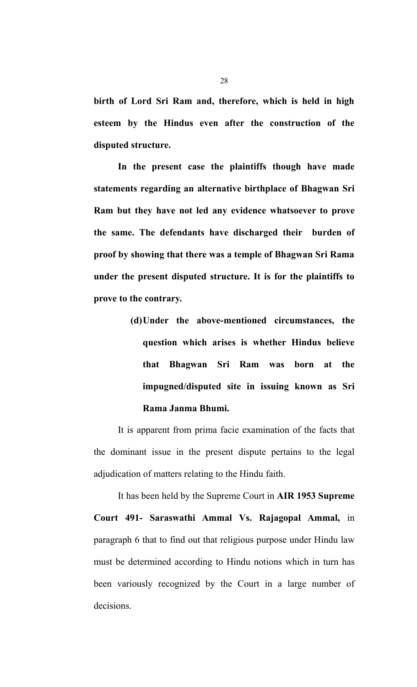**birth of Lord Sri Ram and, therefore, which is held in high esteem by the Hindus even after the construction of the disputed structure.**

**In the present case the plaintiffs though have made statements regarding an alternative birthplace of Bhagwan Sri Ram but they have not led any evidence whatsoever to prove the same. The defendants have discharged their burden of proof by showing that there was a temple of Bhagwan Sri Rama under the present disputed structure. It is for the plaintiffs to prove to the contrary.**

> **(d)Under the above-mentioned circumstances, the question which arises is whether Hindus believe that Bhagwan Sri Ram was born at the impugned/disputed site in issuing known as Sri Rama Janma Bhumi.**

It is apparent from prima facie examination of the facts that the dominant issue in the present dispute pertains to the legal adjudication of matters relating to the Hindu faith.

It has been held by the Supreme Court in **AIR 1953 Supreme Court 491- Saraswathi Ammal Vs. Rajagopal Ammal,** in paragraph 6 that to find out that religious purpose under Hindu law must be determined according to Hindu notions which in turn has been variously recognized by the Court in a large number of decisions.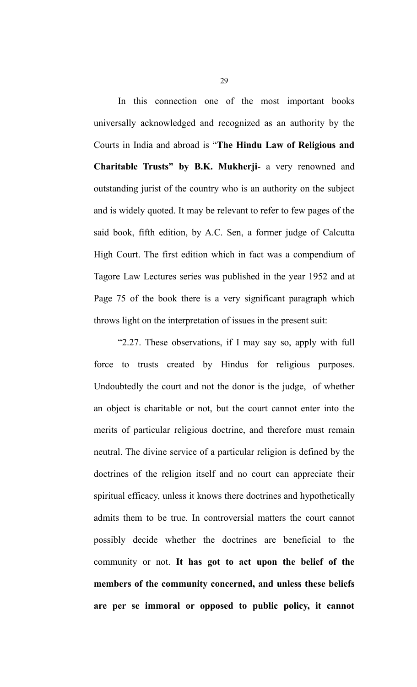In this connection one of the most important books universally acknowledged and recognized as an authority by the Courts in India and abroad is "**The Hindu Law of Religious and Charitable Trusts" by B.K. Mukherji**- a very renowned and outstanding jurist of the country who is an authority on the subject and is widely quoted. It may be relevant to refer to few pages of the said book, fifth edition, by A.C. Sen, a former judge of Calcutta High Court. The first edition which in fact was a compendium of Tagore Law Lectures series was published in the year 1952 and at Page 75 of the book there is a very significant paragraph which throws light on the interpretation of issues in the present suit:

"2.27. These observations, if I may say so, apply with full force to trusts created by Hindus for religious purposes. Undoubtedly the court and not the donor is the judge, of whether an object is charitable or not, but the court cannot enter into the merits of particular religious doctrine, and therefore must remain neutral. The divine service of a particular religion is defined by the doctrines of the religion itself and no court can appreciate their spiritual efficacy, unless it knows there doctrines and hypothetically admits them to be true. In controversial matters the court cannot possibly decide whether the doctrines are beneficial to the community or not. **It has got to act upon the belief of the members of the community concerned, and unless these beliefs are per se immoral or opposed to public policy, it cannot**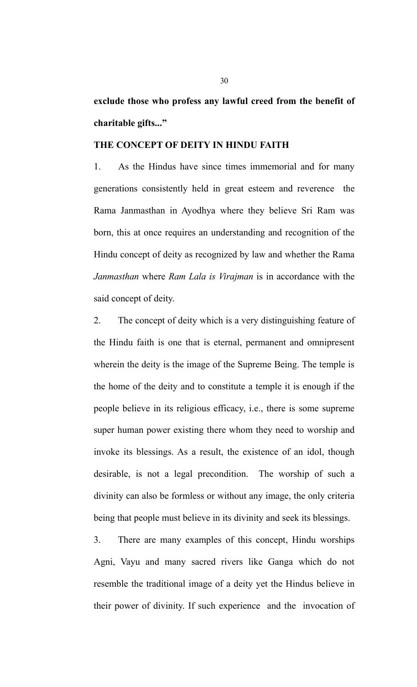**exclude those who profess any lawful creed from the benefit of charitable gifts..."**

#### **THE CONCEPT OF DEITY IN HINDU FAITH**

1. As the Hindus have since times immemorial and for many generations consistently held in great esteem and reverence the Rama Janmasthan in Ayodhya where they believe Sri Ram was born, this at once requires an understanding and recognition of the Hindu concept of deity as recognized by law and whether the Rama *Janmasthan* where *Ram Lala is Virajman* is in accordance with the said concept of deity.

2. The concept of deity which is a very distinguishing feature of the Hindu faith is one that is eternal, permanent and omnipresent wherein the deity is the image of the Supreme Being. The temple is the home of the deity and to constitute a temple it is enough if the people believe in its religious efficacy, i.e., there is some supreme super human power existing there whom they need to worship and invoke its blessings. As a result, the existence of an idol, though desirable, is not a legal precondition. The worship of such a divinity can also be formless or without any image, the only criteria being that people must believe in its divinity and seek its blessings.

3. There are many examples of this concept, Hindu worships Agni, Vayu and many sacred rivers like Ganga which do not resemble the traditional image of a deity yet the Hindus believe in their power of divinity. If such experience and the invocation of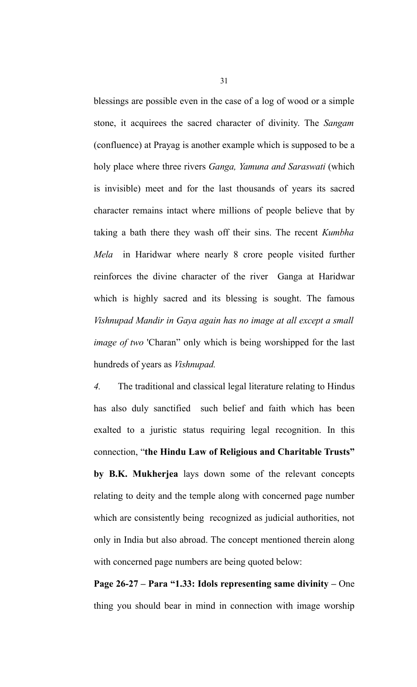blessings are possible even in the case of a log of wood or a simple stone, it acquirees the sacred character of divinity. The *Sangam* (confluence) at Prayag is another example which is supposed to be a holy place where three rivers *Ganga, Yamuna and Saraswati* (which is invisible) meet and for the last thousands of years its sacred character remains intact where millions of people believe that by taking a bath there they wash off their sins. The recent *Kumbha Mela* in Haridwar where nearly 8 crore people visited further reinforces the divine character of the river Ganga at Haridwar which is highly sacred and its blessing is sought. The famous *Vishnupad Mandir in Gaya again has no image at all except a small image of two* 'Charan" only which is being worshipped for the last hundreds of years as *Vishnupad.*

*4.* The traditional and classical legal literature relating to Hindus has also duly sanctified such belief and faith which has been exalted to a juristic status requiring legal recognition. In this connection, "**the Hindu Law of Religious and Charitable Trusts" by B.K. Mukherjea** lays down some of the relevant concepts relating to deity and the temple along with concerned page number which are consistently being recognized as judicial authorities, not only in India but also abroad. The concept mentioned therein along with concerned page numbers are being quoted below:

**Page 26-27 – Para "1.33: Idols representing same divinity –** One thing you should bear in mind in connection with image worship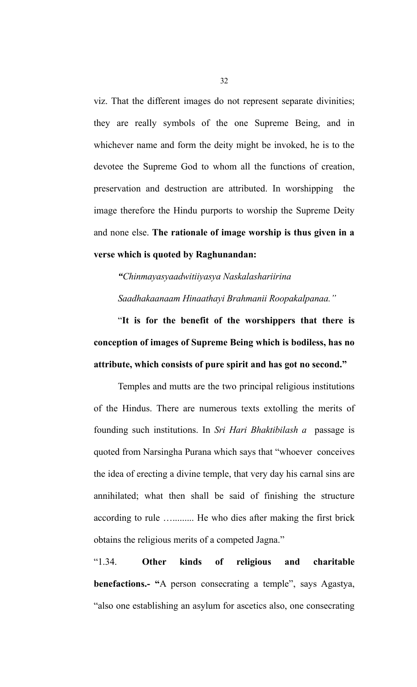viz. That the different images do not represent separate divinities; they are really symbols of the one Supreme Being, and in whichever name and form the deity might be invoked, he is to the devotee the Supreme God to whom all the functions of creation, preservation and destruction are attributed. In worshipping the image therefore the Hindu purports to worship the Supreme Deity and none else. **The rationale of image worship is thus given in a verse which is quoted by Raghunandan:**

*"Chinmayasyaadwitiiyasya Naskalashariirina Saadhakaanaam Hinaathayi Brahmanii Roopakalpanaa."*

"**It is for the benefit of the worshippers that there is conception of images of Supreme Being which is bodiless, has no attribute, which consists of pure spirit and has got no second."**

Temples and mutts are the two principal religious institutions of the Hindus. There are numerous texts extolling the merits of founding such institutions. In *Sri Hari Bhaktibilash a* passage is quoted from Narsingha Purana which says that "whoever conceives the idea of erecting a divine temple, that very day his carnal sins are annihilated; what then shall be said of finishing the structure according to rule …......... He who dies after making the first brick obtains the religious merits of a competed Jagna."

"1.34. **Other kinds of religious and charitable benefactions.- "**A person consecrating a temple", says Agastya, "also one establishing an asylum for ascetics also, one consecrating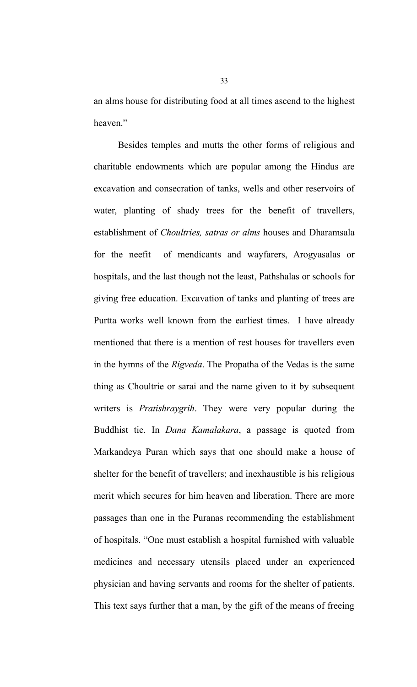an alms house for distributing food at all times ascend to the highest heaven."

Besides temples and mutts the other forms of religious and charitable endowments which are popular among the Hindus are excavation and consecration of tanks, wells and other reservoirs of water, planting of shady trees for the benefit of travellers, establishment of *Choultries, satras or alms* houses and Dharamsala for the neefit of mendicants and wayfarers, Arogyasalas or hospitals, and the last though not the least, Pathshalas or schools for giving free education. Excavation of tanks and planting of trees are Purtta works well known from the earliest times. I have already mentioned that there is a mention of rest houses for travellers even in the hymns of the *Rigveda*. The Propatha of the Vedas is the same thing as Choultrie or sarai and the name given to it by subsequent writers is *Pratishraygrih*. They were very popular during the Buddhist tie. In *Dana Kamalakara*, a passage is quoted from Markandeya Puran which says that one should make a house of shelter for the benefit of travellers; and inexhaustible is his religious merit which secures for him heaven and liberation. There are more passages than one in the Puranas recommending the establishment of hospitals. "One must establish a hospital furnished with valuable medicines and necessary utensils placed under an experienced physician and having servants and rooms for the shelter of patients. This text says further that a man, by the gift of the means of freeing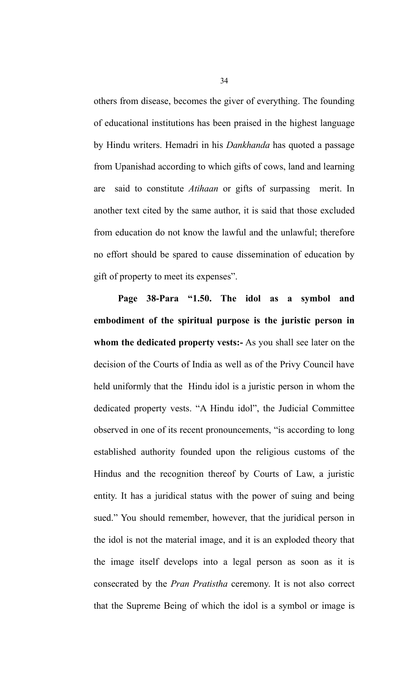others from disease, becomes the giver of everything. The founding of educational institutions has been praised in the highest language by Hindu writers. Hemadri in his *Dankhanda* has quoted a passage from Upanishad according to which gifts of cows, land and learning are said to constitute *Atihaan* or gifts of surpassing merit. In another text cited by the same author, it is said that those excluded from education do not know the lawful and the unlawful; therefore no effort should be spared to cause dissemination of education by gift of property to meet its expenses".

**Page 38-Para "1.50. The idol as a symbol and embodiment of the spiritual purpose is the juristic person in whom the dedicated property vests:-** As you shall see later on the decision of the Courts of India as well as of the Privy Council have held uniformly that the Hindu idol is a juristic person in whom the dedicated property vests. "A Hindu idol", the Judicial Committee observed in one of its recent pronouncements, "is according to long established authority founded upon the religious customs of the Hindus and the recognition thereof by Courts of Law, a juristic entity. It has a juridical status with the power of suing and being sued." You should remember, however, that the juridical person in the idol is not the material image, and it is an exploded theory that the image itself develops into a legal person as soon as it is consecrated by the *Pran Pratistha* ceremony. It is not also correct that the Supreme Being of which the idol is a symbol or image is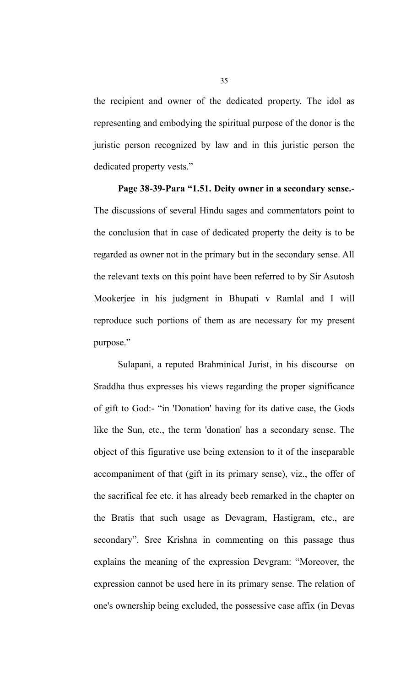the recipient and owner of the dedicated property. The idol as representing and embodying the spiritual purpose of the donor is the juristic person recognized by law and in this juristic person the dedicated property vests."

**Page 38-39-Para "1.51. Deity owner in a secondary sense.-** The discussions of several Hindu sages and commentators point to the conclusion that in case of dedicated property the deity is to be regarded as owner not in the primary but in the secondary sense. All the relevant texts on this point have been referred to by Sir Asutosh Mookerjee in his judgment in Bhupati v Ramlal and I will reproduce such portions of them as are necessary for my present purpose."

Sulapani, a reputed Brahminical Jurist, in his discourse on Sraddha thus expresses his views regarding the proper significance of gift to God:- "in 'Donation' having for its dative case, the Gods like the Sun, etc., the term 'donation' has a secondary sense. The object of this figurative use being extension to it of the inseparable accompaniment of that (gift in its primary sense), viz., the offer of the sacrifical fee etc. it has already beeb remarked in the chapter on the Bratis that such usage as Devagram, Hastigram, etc., are secondary". Sree Krishna in commenting on this passage thus explains the meaning of the expression Devgram: "Moreover, the expression cannot be used here in its primary sense. The relation of one's ownership being excluded, the possessive case affix (in Devas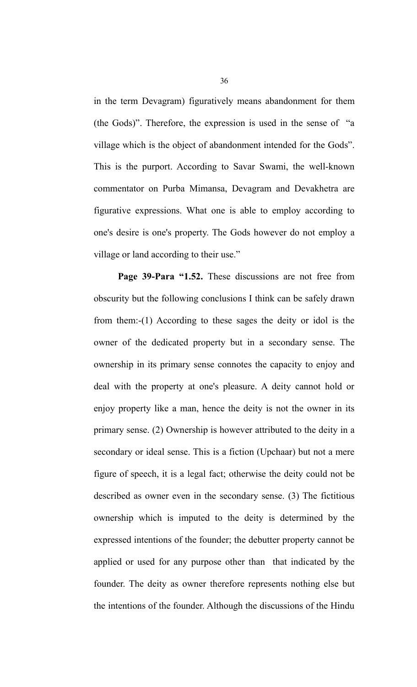in the term Devagram) figuratively means abandonment for them (the Gods)". Therefore, the expression is used in the sense of "a village which is the object of abandonment intended for the Gods". This is the purport. According to Savar Swami, the well-known commentator on Purba Mimansa, Devagram and Devakhetra are figurative expressions. What one is able to employ according to one's desire is one's property. The Gods however do not employ a village or land according to their use."

Page 39-Para "1.52. These discussions are not free from obscurity but the following conclusions I think can be safely drawn from them:-(1) According to these sages the deity or idol is the owner of the dedicated property but in a secondary sense. The ownership in its primary sense connotes the capacity to enjoy and deal with the property at one's pleasure. A deity cannot hold or enjoy property like a man, hence the deity is not the owner in its primary sense. (2) Ownership is however attributed to the deity in a secondary or ideal sense. This is a fiction (Upchaar) but not a mere figure of speech, it is a legal fact; otherwise the deity could not be described as owner even in the secondary sense. (3) The fictitious ownership which is imputed to the deity is determined by the expressed intentions of the founder; the debutter property cannot be applied or used for any purpose other than that indicated by the founder. The deity as owner therefore represents nothing else but the intentions of the founder. Although the discussions of the Hindu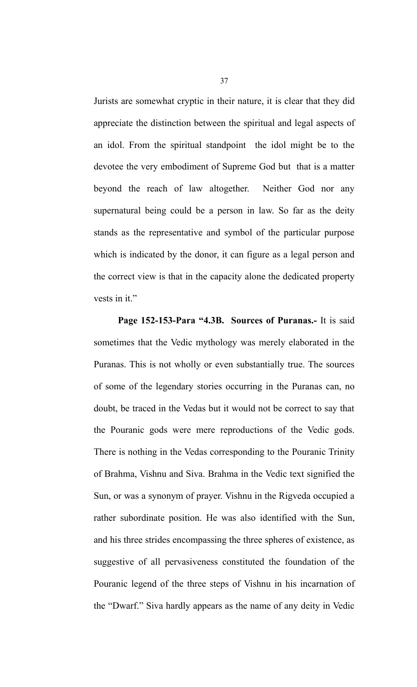Jurists are somewhat cryptic in their nature, it is clear that they did appreciate the distinction between the spiritual and legal aspects of an idol. From the spiritual standpoint the idol might be to the devotee the very embodiment of Supreme God but that is a matter beyond the reach of law altogether. Neither God nor any supernatural being could be a person in law. So far as the deity stands as the representative and symbol of the particular purpose which is indicated by the donor, it can figure as a legal person and the correct view is that in the capacity alone the dedicated property vests in it."

**Page 152-153-Para "4.3B. Sources of Puranas.-** It is said sometimes that the Vedic mythology was merely elaborated in the Puranas. This is not wholly or even substantially true. The sources of some of the legendary stories occurring in the Puranas can, no doubt, be traced in the Vedas but it would not be correct to say that the Pouranic gods were mere reproductions of the Vedic gods. There is nothing in the Vedas corresponding to the Pouranic Trinity of Brahma, Vishnu and Siva. Brahma in the Vedic text signified the Sun, or was a synonym of prayer. Vishnu in the Rigveda occupied a rather subordinate position. He was also identified with the Sun, and his three strides encompassing the three spheres of existence, as suggestive of all pervasiveness constituted the foundation of the Pouranic legend of the three steps of Vishnu in his incarnation of the "Dwarf." Siva hardly appears as the name of any deity in Vedic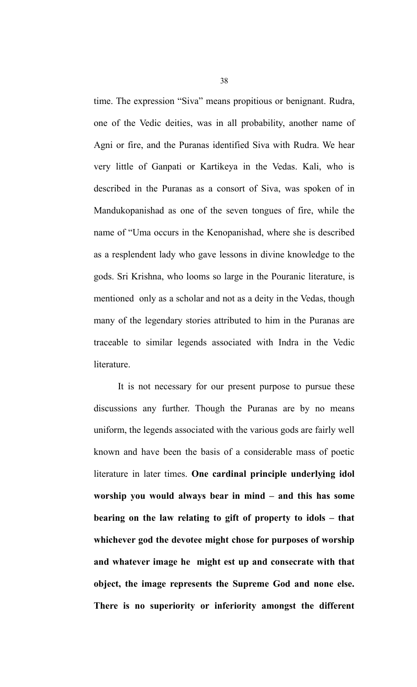time. The expression "Siva" means propitious or benignant. Rudra, one of the Vedic deities, was in all probability, another name of Agni or fire, and the Puranas identified Siva with Rudra. We hear very little of Ganpati or Kartikeya in the Vedas. Kali, who is described in the Puranas as a consort of Siva, was spoken of in Mandukopanishad as one of the seven tongues of fire, while the name of "Uma occurs in the Kenopanishad, where she is described as a resplendent lady who gave lessons in divine knowledge to the gods. Sri Krishna, who looms so large in the Pouranic literature, is mentioned only as a scholar and not as a deity in the Vedas, though many of the legendary stories attributed to him in the Puranas are traceable to similar legends associated with Indra in the Vedic literature.

It is not necessary for our present purpose to pursue these discussions any further. Though the Puranas are by no means uniform, the legends associated with the various gods are fairly well known and have been the basis of a considerable mass of poetic literature in later times. **One cardinal principle underlying idol worship you would always bear in mind – and this has some bearing on the law relating to gift of property to idols – that whichever god the devotee might chose for purposes of worship and whatever image he might est up and consecrate with that object, the image represents the Supreme God and none else. There is no superiority or inferiority amongst the different**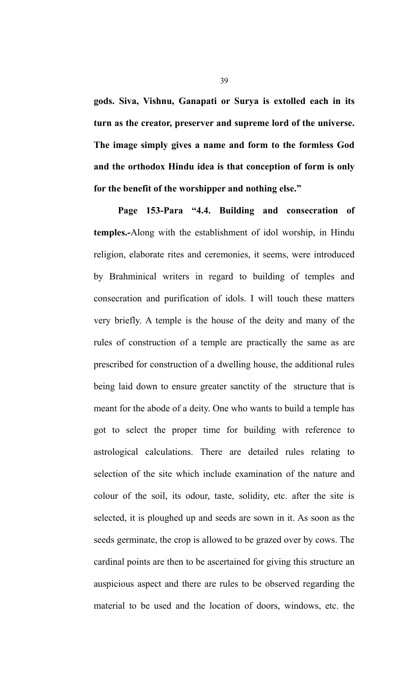**gods. Siva, Vishnu, Ganapati or Surya is extolled each in its turn as the creator, preserver and supreme lord of the universe. The image simply gives a name and form to the formless God and the orthodox Hindu idea is that conception of form is only for the benefit of the worshipper and nothing else."**

**Page 153-Para "4.4. Building and consecration of temples.-**Along with the establishment of idol worship, in Hindu religion, elaborate rites and ceremonies, it seems, were introduced by Brahminical writers in regard to building of temples and consecration and purification of idols. I will touch these matters very briefly. A temple is the house of the deity and many of the rules of construction of a temple are practically the same as are prescribed for construction of a dwelling house, the additional rules being laid down to ensure greater sanctity of the structure that is meant for the abode of a deity. One who wants to build a temple has got to select the proper time for building with reference to astrological calculations. There are detailed rules relating to selection of the site which include examination of the nature and colour of the soil, its odour, taste, solidity, etc. after the site is selected, it is ploughed up and seeds are sown in it. As soon as the seeds germinate, the crop is allowed to be grazed over by cows. The cardinal points are then to be ascertained for giving this structure an auspicious aspect and there are rules to be observed regarding the material to be used and the location of doors, windows, etc. the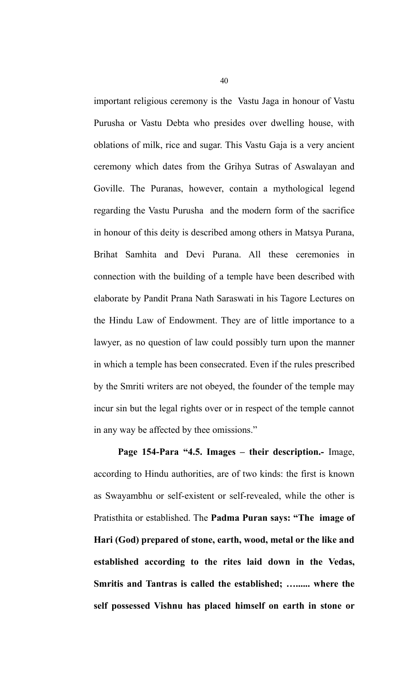important religious ceremony is the Vastu Jaga in honour of Vastu Purusha or Vastu Debta who presides over dwelling house, with oblations of milk, rice and sugar. This Vastu Gaja is a very ancient ceremony which dates from the Grihya Sutras of Aswalayan and Goville. The Puranas, however, contain a mythological legend regarding the Vastu Purusha and the modern form of the sacrifice in honour of this deity is described among others in Matsya Purana, Brihat Samhita and Devi Purana. All these ceremonies in connection with the building of a temple have been described with elaborate by Pandit Prana Nath Saraswati in his Tagore Lectures on the Hindu Law of Endowment. They are of little importance to a lawyer, as no question of law could possibly turn upon the manner in which a temple has been consecrated. Even if the rules prescribed by the Smriti writers are not obeyed, the founder of the temple may incur sin but the legal rights over or in respect of the temple cannot in any way be affected by thee omissions."

**Page 154-Para "4.5. Images – their description.-** Image, according to Hindu authorities, are of two kinds: the first is known as Swayambhu or self-existent or self-revealed, while the other is Pratisthita or established. The **Padma Puran says: "The image of Hari (God) prepared of stone, earth, wood, metal or the like and established according to the rites laid down in the Vedas, Smritis and Tantras is called the established; …...... where the self possessed Vishnu has placed himself on earth in stone or**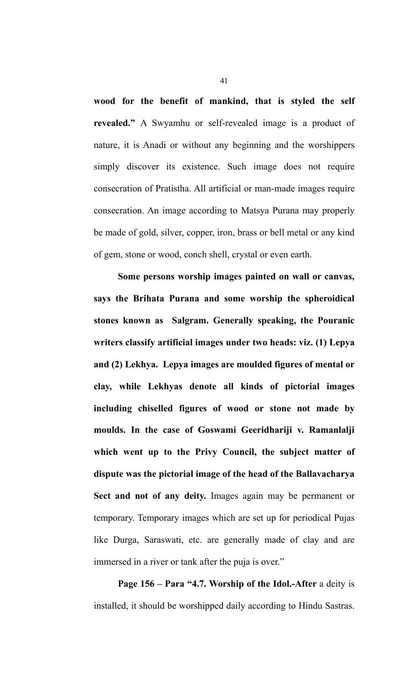**wood for the benefit of mankind, that is styled the self revealed."** A Swyamhu or self-revealed image is a product of nature, it is Anadi or without any beginning and the worshippers simply discover its existence. Such image does not require consecration of Pratistha. All artificial or man-made images require consecration. An image according to Matsya Purana may properly be made of gold, silver, copper, iron, brass or bell metal or any kind of gem, stone or wood, conch shell, crystal or even earth.

**Some persons worship images painted on wall or canvas, says the Brihata Purana and some worship the spheroidical stones known as Salgram. Generally speaking, the Pouranic writers classify artificial images under two heads: viz. (1) Lepya and (2) Lekhya. Lepya images are moulded figures of mental or clay, while Lekhyas denote all kinds of pictorial images including chiselled figures of wood or stone not made by moulds. In the case of Goswami Geeridhariji v. Ramanlalji which went up to the Privy Council, the subject matter of dispute was the pictorial image of the head of the Ballavacharya Sect and not of any deity.** Images again may be permanent or temporary. Temporary images which are set up for periodical Pujas like Durga, Saraswati, etc. are generally made of clay and are immersed in a river or tank after the puja is over."

**Page 156 – Para "4.7. Worship of the Idol.-After** a deity is installed, it should be worshipped daily according to Hindu Sastras.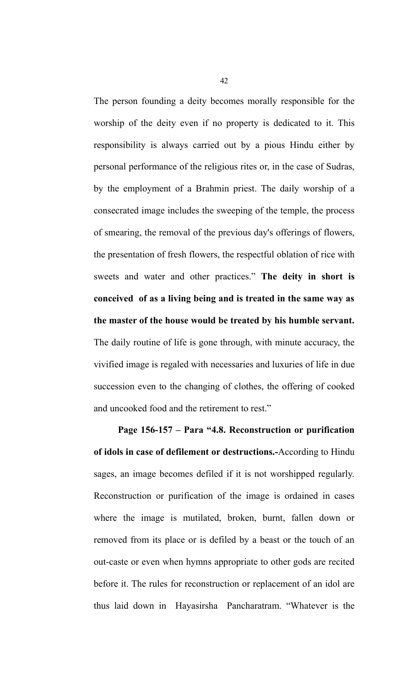The person founding a deity becomes morally responsible for the worship of the deity even if no property is dedicated to it. This responsibility is always carried out by a pious Hindu either by personal performance of the religious rites or, in the case of Sudras, by the employment of a Brahmin priest. The daily worship of a consecrated image includes the sweeping of the temple, the process of smearing, the removal of the previous day's offerings of flowers, the presentation of fresh flowers, the respectful oblation of rice with sweets and water and other practices." **The deity in short is conceived of as a living being and is treated in the same way as the master of the house would be treated by his humble servant.** The daily routine of life is gone through, with minute accuracy, the vivified image is regaled with necessaries and luxuries of life in due succession even to the changing of clothes, the offering of cooked and uncooked food and the retirement to rest."

**Page 156-157 – Para "4.8. Reconstruction or purification of idols in case of defilement or destructions.-**According to Hindu sages, an image becomes defiled if it is not worshipped regularly. Reconstruction or purification of the image is ordained in cases where the image is mutilated, broken, burnt, fallen down or removed from its place or is defiled by a beast or the touch of an out-caste or even when hymns appropriate to other gods are recited before it. The rules for reconstruction or replacement of an idol are thus laid down in Hayasirsha Pancharatram. "Whatever is the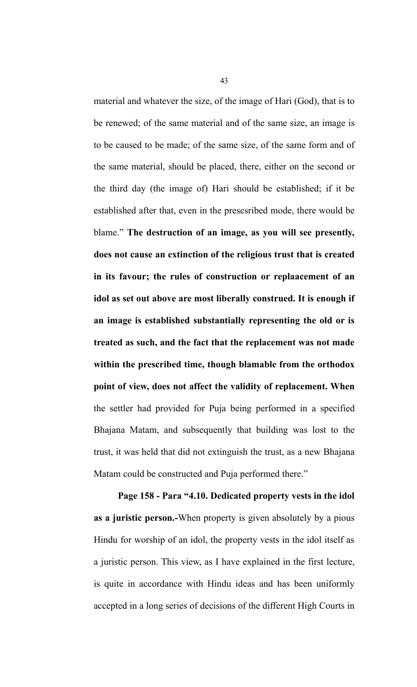material and whatever the size, of the image of Hari (God), that is to be renewed; of the same material and of the same size, an image is to be caused to be made; of the same size, of the same form and of the same material, should be placed, there, either on the second or the third day (the image of) Hari should be established; if it be established after that, even in the prescsribed mode, there would be blame." **The destruction of an image, as you will see presently, does not cause an extinction of the religious trust that is created in its favour; the rules of construction or replaacement of an idol as set out above are most liberally construed. It is enough if an image is established substantially representing the old or is treated as such, and the fact that the replacement was not made within the prescribed time, though blamable from the orthodox point of view, does not affect the validity of replacement. When** the settler had provided for Puja being performed in a specified Bhajana Matam, and subsequently that building was lost to the trust, it was held that did not extinguish the trust, as a new Bhajana Matam could be constructed and Puja performed there."

**Page 158 - Para "4.10. Dedicated property vests in the idol as a juristic person.-**When property is given absolutely by a pious Hindu for worship of an idol, the property vests in the idol itself as a juristic person. This view, as I have explained in the first lecture, is quite in accordance with Hindu ideas and has been uniformly accepted in a long series of decisions of the different High Courts in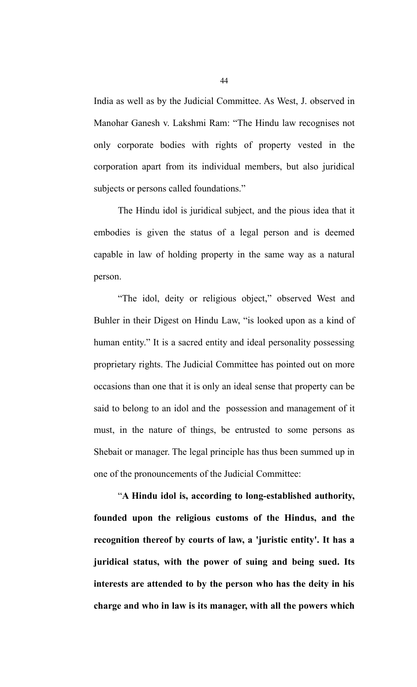India as well as by the Judicial Committee. As West, J. observed in Manohar Ganesh v. Lakshmi Ram: "The Hindu law recognises not only corporate bodies with rights of property vested in the corporation apart from its individual members, but also juridical subjects or persons called foundations."

The Hindu idol is juridical subject, and the pious idea that it embodies is given the status of a legal person and is deemed capable in law of holding property in the same way as a natural person.

"The idol, deity or religious object," observed West and Buhler in their Digest on Hindu Law, "is looked upon as a kind of human entity." It is a sacred entity and ideal personality possessing proprietary rights. The Judicial Committee has pointed out on more occasions than one that it is only an ideal sense that property can be said to belong to an idol and the possession and management of it must, in the nature of things, be entrusted to some persons as Shebait or manager. The legal principle has thus been summed up in one of the pronouncements of the Judicial Committee:

"**A Hindu idol is, according to long-established authority, founded upon the religious customs of the Hindus, and the recognition thereof by courts of law, a 'juristic entity'. It has a juridical status, with the power of suing and being sued. Its interests are attended to by the person who has the deity in his charge and who in law is its manager, with all the powers which**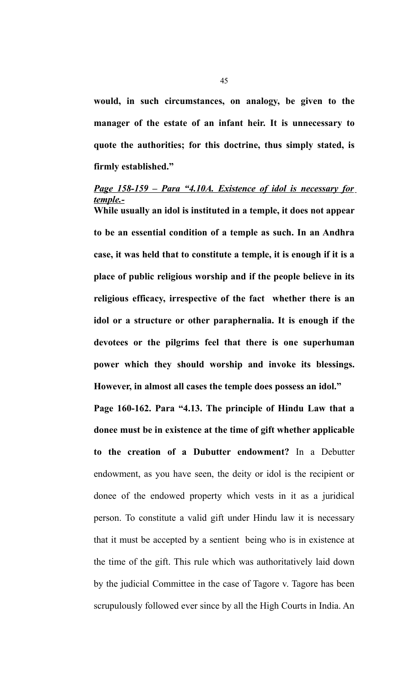**would, in such circumstances, on analogy, be given to the manager of the estate of an infant heir. It is unnecessary to quote the authorities; for this doctrine, thus simply stated, is firmly established."**

### *Page 158-159 – Para "4.10A. Existence of idol is necessary for temple.-*

**While usually an idol is instituted in a temple, it does not appear to be an essential condition of a temple as such. In an Andhra case, it was held that to constitute a temple, it is enough if it is a place of public religious worship and if the people believe in its religious efficacy, irrespective of the fact whether there is an idol or a structure or other paraphernalia. It is enough if the devotees or the pilgrims feel that there is one superhuman power which they should worship and invoke its blessings. However, in almost all cases the temple does possess an idol."**

**Page 160-162. Para "4.13. The principle of Hindu Law that a donee must be in existence at the time of gift whether applicable to the creation of a Dubutter endowment?** In a Debutter endowment, as you have seen, the deity or idol is the recipient or donee of the endowed property which vests in it as a juridical person. To constitute a valid gift under Hindu law it is necessary that it must be accepted by a sentient being who is in existence at the time of the gift. This rule which was authoritatively laid down by the judicial Committee in the case of Tagore v. Tagore has been scrupulously followed ever since by all the High Courts in India. An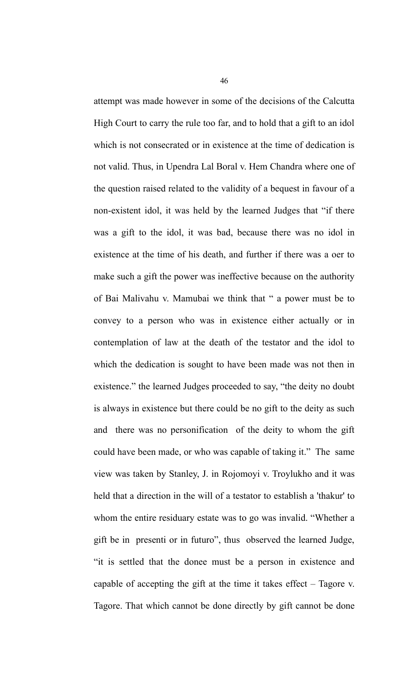attempt was made however in some of the decisions of the Calcutta High Court to carry the rule too far, and to hold that a gift to an idol which is not consecrated or in existence at the time of dedication is not valid. Thus, in Upendra Lal Boral v. Hem Chandra where one of the question raised related to the validity of a bequest in favour of a non-existent idol, it was held by the learned Judges that "if there was a gift to the idol, it was bad, because there was no idol in existence at the time of his death, and further if there was a oer to make such a gift the power was ineffective because on the authority of Bai Malivahu v. Mamubai we think that " a power must be to convey to a person who was in existence either actually or in contemplation of law at the death of the testator and the idol to which the dedication is sought to have been made was not then in existence." the learned Judges proceeded to say, "the deity no doubt is always in existence but there could be no gift to the deity as such and there was no personification of the deity to whom the gift could have been made, or who was capable of taking it." The same view was taken by Stanley, J. in Rojomoyi v. Troylukho and it was held that a direction in the will of a testator to establish a 'thakur' to whom the entire residuary estate was to go was invalid. "Whether a gift be in presenti or in futuro", thus observed the learned Judge, "it is settled that the donee must be a person in existence and capable of accepting the gift at the time it takes effect – Tagore v. Tagore. That which cannot be done directly by gift cannot be done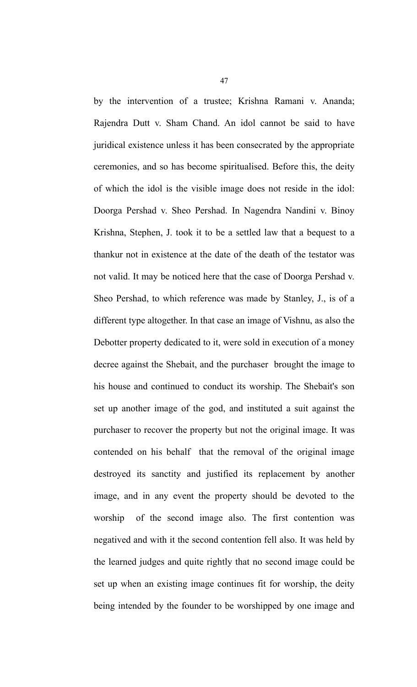by the intervention of a trustee; Krishna Ramani v. Ananda; Rajendra Dutt v. Sham Chand. An idol cannot be said to have juridical existence unless it has been consecrated by the appropriate ceremonies, and so has become spiritualised. Before this, the deity of which the idol is the visible image does not reside in the idol: Doorga Pershad v. Sheo Pershad. In Nagendra Nandini v. Binoy Krishna, Stephen, J. took it to be a settled law that a bequest to a thankur not in existence at the date of the death of the testator was not valid. It may be noticed here that the case of Doorga Pershad v. Sheo Pershad, to which reference was made by Stanley, J., is of a different type altogether. In that case an image of Vishnu, as also the Debotter property dedicated to it, were sold in execution of a money decree against the Shebait, and the purchaser brought the image to his house and continued to conduct its worship. The Shebait's son set up another image of the god, and instituted a suit against the purchaser to recover the property but not the original image. It was contended on his behalf that the removal of the original image destroyed its sanctity and justified its replacement by another image, and in any event the property should be devoted to the worship of the second image also. The first contention was negatived and with it the second contention fell also. It was held by the learned judges and quite rightly that no second image could be set up when an existing image continues fit for worship, the deity being intended by the founder to be worshipped by one image and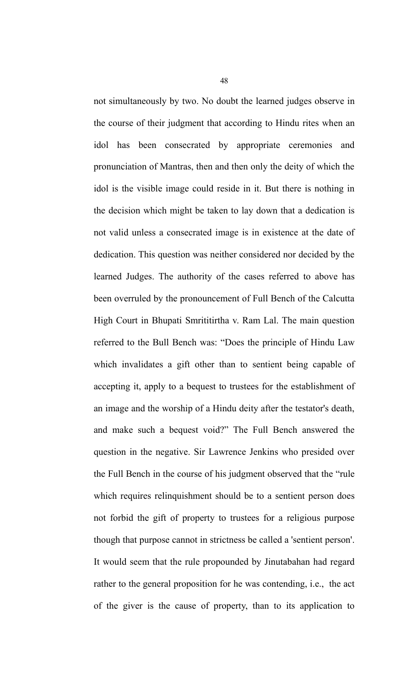not simultaneously by two. No doubt the learned judges observe in the course of their judgment that according to Hindu rites when an idol has been consecrated by appropriate ceremonies and pronunciation of Mantras, then and then only the deity of which the idol is the visible image could reside in it. But there is nothing in the decision which might be taken to lay down that a dedication is not valid unless a consecrated image is in existence at the date of dedication. This question was neither considered nor decided by the learned Judges. The authority of the cases referred to above has been overruled by the pronouncement of Full Bench of the Calcutta High Court in Bhupati Smrititirtha v. Ram Lal. The main question referred to the Bull Bench was: "Does the principle of Hindu Law which invalidates a gift other than to sentient being capable of accepting it, apply to a bequest to trustees for the establishment of an image and the worship of a Hindu deity after the testator's death, and make such a bequest void?" The Full Bench answered the question in the negative. Sir Lawrence Jenkins who presided over the Full Bench in the course of his judgment observed that the "rule which requires relinquishment should be to a sentient person does not forbid the gift of property to trustees for a religious purpose though that purpose cannot in strictness be called a 'sentient person'. It would seem that the rule propounded by Jinutabahan had regard rather to the general proposition for he was contending, i.e., the act of the giver is the cause of property, than to its application to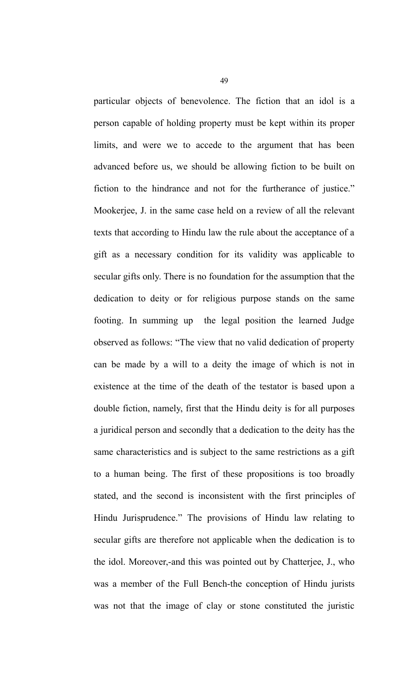particular objects of benevolence. The fiction that an idol is a person capable of holding property must be kept within its proper limits, and were we to accede to the argument that has been advanced before us, we should be allowing fiction to be built on fiction to the hindrance and not for the furtherance of justice." Mookerjee, J. in the same case held on a review of all the relevant texts that according to Hindu law the rule about the acceptance of a gift as a necessary condition for its validity was applicable to secular gifts only. There is no foundation for the assumption that the dedication to deity or for religious purpose stands on the same footing. In summing up the legal position the learned Judge observed as follows: "The view that no valid dedication of property can be made by a will to a deity the image of which is not in existence at the time of the death of the testator is based upon a double fiction, namely, first that the Hindu deity is for all purposes a juridical person and secondly that a dedication to the deity has the same characteristics and is subject to the same restrictions as a gift to a human being. The first of these propositions is too broadly stated, and the second is inconsistent with the first principles of Hindu Jurisprudence." The provisions of Hindu law relating to secular gifts are therefore not applicable when the dedication is to the idol. Moreover,-and this was pointed out by Chatterjee, J., who was a member of the Full Bench-the conception of Hindu jurists was not that the image of clay or stone constituted the juristic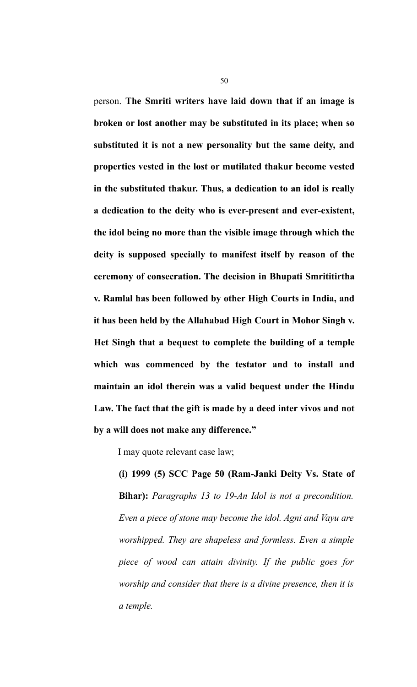person. **The Smriti writers have laid down that if an image is broken or lost another may be substituted in its place; when so substituted it is not a new personality but the same deity, and properties vested in the lost or mutilated thakur become vested in the substituted thakur. Thus, a dedication to an idol is really a dedication to the deity who is ever-present and ever-existent, the idol being no more than the visible image through which the deity is supposed specially to manifest itself by reason of the ceremony of consecration. The decision in Bhupati Smrititirtha v. Ramlal has been followed by other High Courts in India, and it has been held by the Allahabad High Court in Mohor Singh v. Het Singh that a bequest to complete the building of a temple which was commenced by the testator and to install and maintain an idol therein was a valid bequest under the Hindu Law. The fact that the gift is made by a deed inter vivos and not by a will does not make any difference."**

I may quote relevant case law;

**(i) 1999 (5) SCC Page 50 (Ram-Janki Deity Vs. State of Bihar):** *Paragraphs 13 to 19-An Idol is not a precondition. Even a piece of stone may become the idol. Agni and Vayu are worshipped. They are shapeless and formless. Even a simple piece of wood can attain divinity. If the public goes for worship and consider that there is a divine presence, then it is a temple.*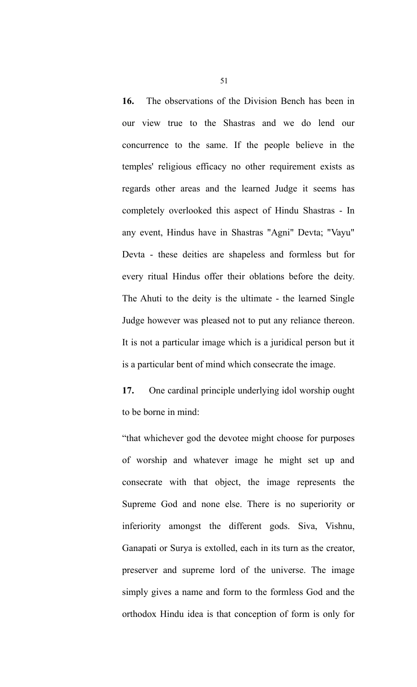**16.** The observations of the Division Bench has been in our view true to the Shastras and we do lend our concurrence to the same. If the people believe in the temples' religious efficacy no other requirement exists as regards other areas and the learned Judge it seems has completely overlooked this aspect of Hindu Shastras - In any event, Hindus have in Shastras "Agni" Devta; "Vayu" Devta - these deities are shapeless and formless but for every ritual Hindus offer their oblations before the deity. The Ahuti to the deity is the ultimate - the learned Single Judge however was pleased not to put any reliance thereon. It is not a particular image which is a juridical person but it is a particular bent of mind which consecrate the image.

**17.** One cardinal principle underlying idol worship ought to be borne in mind:

"that whichever god the devotee might choose for purposes of worship and whatever image he might set up and consecrate with that object, the image represents the Supreme God and none else. There is no superiority or inferiority amongst the different gods. Siva, Vishnu, Ganapati or Surya is extolled, each in its turn as the creator, preserver and supreme lord of the universe. The image simply gives a name and form to the formless God and the orthodox Hindu idea is that conception of form is only for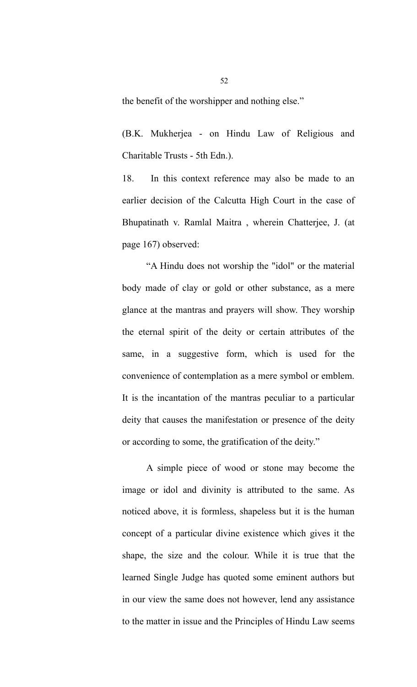the benefit of the worshipper and nothing else."

(B.K. Mukherjea - on Hindu Law of Religious and Charitable Trusts - 5th Edn.).

18. In this context reference may also be made to an earlier decision of the Calcutta High Court in the case of Bhupatinath v. Ramlal Maitra , wherein Chatterjee, J. (at page 167) observed:

"A Hindu does not worship the "idol" or the material body made of clay or gold or other substance, as a mere glance at the mantras and prayers will show. They worship the eternal spirit of the deity or certain attributes of the same, in a suggestive form, which is used for the convenience of contemplation as a mere symbol or emblem. It is the incantation of the mantras peculiar to a particular deity that causes the manifestation or presence of the deity or according to some, the gratification of the deity."

A simple piece of wood or stone may become the image or idol and divinity is attributed to the same. As noticed above, it is formless, shapeless but it is the human concept of a particular divine existence which gives it the shape, the size and the colour. While it is true that the learned Single Judge has quoted some eminent authors but in our view the same does not however, lend any assistance to the matter in issue and the Principles of Hindu Law seems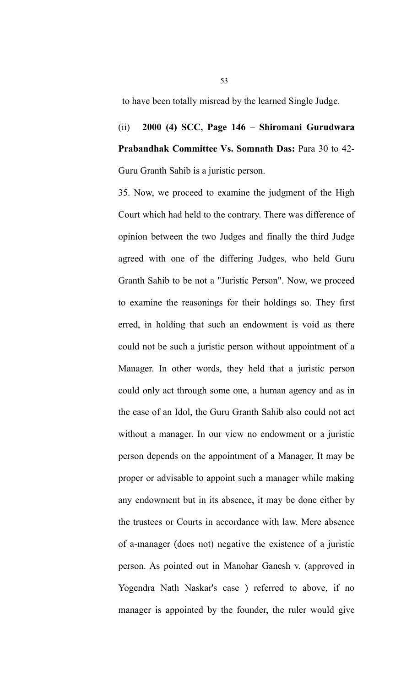to have been totally misread by the learned Single Judge.

## (ii) **2000 (4) SCC, Page 146 – Shiromani Gurudwara Prabandhak Committee Vs. Somnath Das:** Para 30 to 42- Guru Granth Sahib is a juristic person.

35. Now, we proceed to examine the judgment of the High Court which had held to the contrary. There was difference of opinion between the two Judges and finally the third Judge agreed with one of the differing Judges, who held Guru Granth Sahib to be not a "Juristic Person". Now, we proceed to examine the reasonings for their holdings so. They first erred, in holding that such an endowment is void as there could not be such a juristic person without appointment of a Manager. In other words, they held that a juristic person could only act through some one, a human agency and as in the ease of an Idol, the Guru Granth Sahib also could not act without a manager. In our view no endowment or a juristic person depends on the appointment of a Manager, It may be proper or advisable to appoint such a manager while making any endowment but in its absence, it may be done either by the trustees or Courts in accordance with law. Mere absence of a-manager (does not) negative the existence of a juristic person. As pointed out in Manohar Ganesh v. (approved in Yogendra Nath Naskar's case ) referred to above, if no manager is appointed by the founder, the ruler would give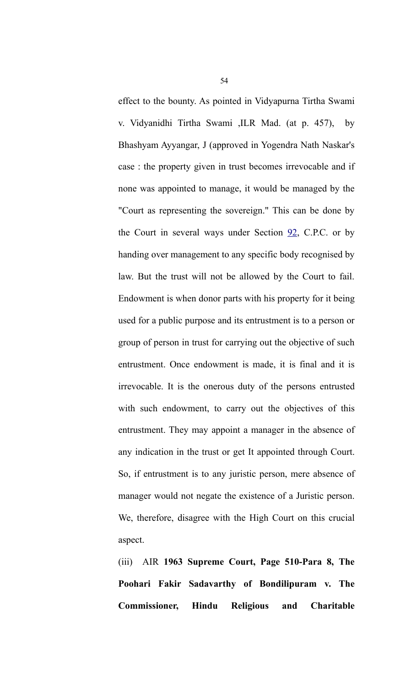effect to the bounty. As pointed in Vidyapurna Tirtha Swami v. Vidyanidhi Tirtha Swami ,ILR Mad. (at p. 457), by Bhashyam Ayyangar, J (approved in Yogendra Nath Naskar's case : the property given in trust becomes irrevocable and if none was appointed to manage, it would be managed by the "Court as representing the sovereign." This can be done by the Court in several ways under Section  $92$ , C.P.C. or by handing over management to any specific body recognised by law. But the trust will not be allowed by the Court to fail. Endowment is when donor parts with his property for it being used for a public purpose and its entrustment is to a person or group of person in trust for carrying out the objective of such entrustment. Once endowment is made, it is final and it is irrevocable. It is the onerous duty of the persons entrusted with such endowment, to carry out the objectives of this entrustment. They may appoint a manager in the absence of any indication in the trust or get It appointed through Court. So, if entrustment is to any juristic person, mere absence of manager would not negate the existence of a Juristic person. We, therefore, disagree with the High Court on this crucial aspect.

(iii) AIR **1963 Supreme Court, Page 510-Para 8, The Poohari Fakir Sadavarthy of Bondilipuram v. The Commissioner, Hindu Religious and Charitable**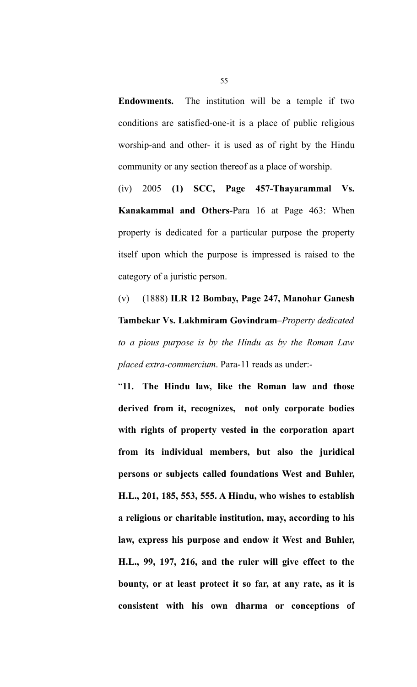**Endowments.** The institution will be a temple if two conditions are satisfied-one-it is a place of public religious worship-and and other- it is used as of right by the Hindu community or any section thereof as a place of worship.

(iv) 2005 **(1) SCC, Page 457-Thayarammal Vs. Kanakammal and Others-**Para 16 at Page 463: When property is dedicated for a particular purpose the property itself upon which the purpose is impressed is raised to the category of a juristic person.

(v) (1888) **ILR 12 Bombay, Page 247, Manohar Ganesh Tambekar Vs. Lakhmiram Govindram***–Property dedicated to a pious purpose is by the Hindu as by the Roman Law placed extra-commercium*. Para-11 reads as under:-

"**11. The Hindu law, like the Roman law and those derived from it, recognizes, not only corporate bodies with rights of property vested in the corporation apart from its individual members, but also the juridical persons or subjects called foundations West and Buhler, H.L., 201, 185, 553, 555. A Hindu, who wishes to establish a religious or charitable institution, may, according to his law, express his purpose and endow it West and Buhler, H.L., 99, 197, 216, and the ruler will give effect to the bounty, or at least protect it so far, at any rate, as it is consistent with his own dharma or conceptions of**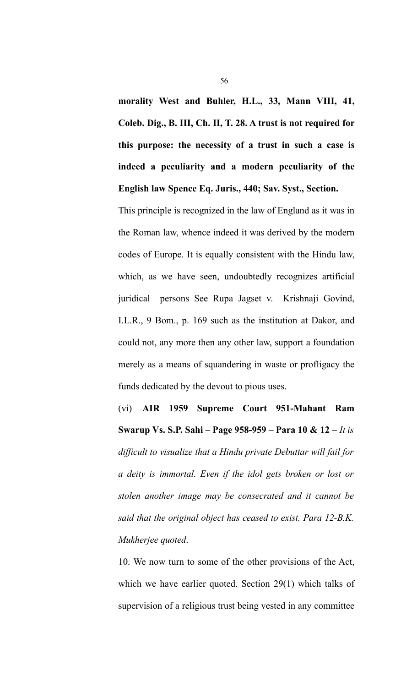**morality West and Buhler, H.L., 33, Mann VIII, 41, Coleb. Dig., B. III, Ch. II, T. 28. A trust is not required for this purpose: the necessity of a trust in such a case is indeed a peculiarity and a modern peculiarity of the English law Spence Eq. Juris., 440; Sav. Syst., Section.**

This principle is recognized in the law of England as it was in the Roman law, whence indeed it was derived by the modern codes of Europe. It is equally consistent with the Hindu law, which, as we have seen, undoubtedly recognizes artificial juridical persons See Rupa Jagset v. Krishnaji Govind, I.L.R., 9 Bom., p. 169 such as the institution at Dakor, and could not, any more then any other law, support a foundation merely as a means of squandering in waste or profligacy the funds dedicated by the devout to pious uses.

(vi) **AIR 1959 Supreme Court 951-Mahant Ram Swarup Vs. S.P. Sahi – Page 958-959 – Para 10 & 12 –** *It is difficult to visualize that a Hindu private Debuttar will fail for a deity is immortal. Even if the idol gets broken or lost or stolen another image may be consecrated and it cannot be said that the original object has ceased to exist. Para 12-B.K. Mukherjee quoted*.

10. We now turn to some of the other provisions of the Act, which we have earlier quoted. Section 29(1) which talks of supervision of a religious trust being vested in any committee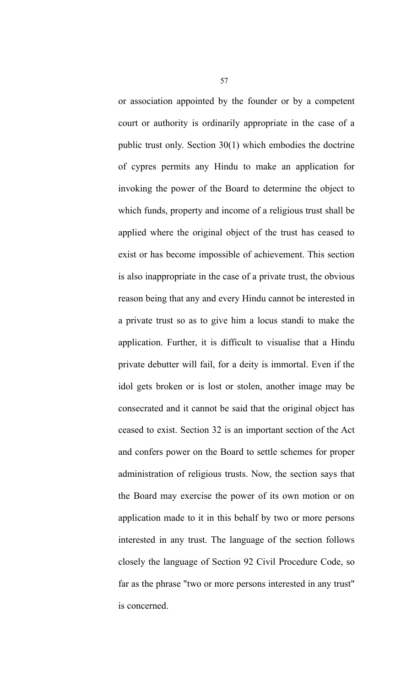or association appointed by the founder or by a competent court or authority is ordinarily appropriate in the case of a public trust only. Section 30(1) which embodies the doctrine of cypres permits any Hindu to make an application for invoking the power of the Board to determine the object to which funds, property and income of a religious trust shall be applied where the original object of the trust has ceased to exist or has become impossible of achievement. This section is also inappropriate in the case of a private trust, the obvious reason being that any and every Hindu cannot be interested in a private trust so as to give him a locus standi to make the application. Further, it is difficult to visualise that a Hindu private debutter will fail, for a deity is immortal. Even if the idol gets broken or is lost or stolen, another image may be consecrated and it cannot be said that the original object has ceased to exist. Section 32 is an important section of the Act and confers power on the Board to settle schemes for proper administration of religious trusts. Now, the section says that the Board may exercise the power of its own motion or on application made to it in this behalf by two or more persons interested in any trust. The language of the section follows closely the language of Section 92 Civil Procedure Code, so far as the phrase "two or more persons interested in any trust" is concerned.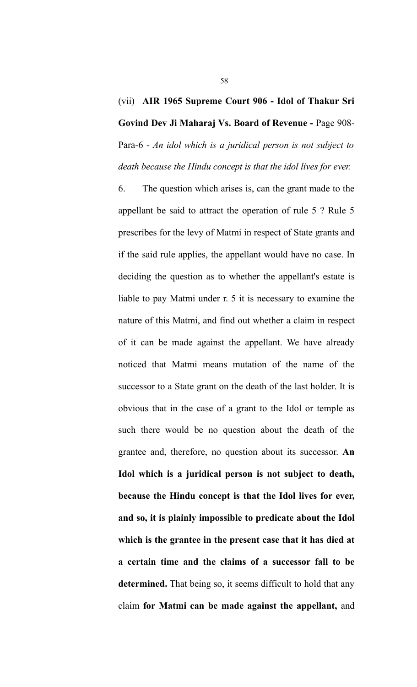# (vii) **AIR 1965 Supreme Court 906 - Idol of Thakur Sri Govind Dev Ji Maharaj Vs. Board of Revenue -** Page 908- Para-6 - *An idol which is a juridical person is not subject to death because the Hindu concept is that the idol lives for ever.*

6. The question which arises is, can the grant made to the appellant be said to attract the operation of rule 5 ? Rule 5 prescribes for the levy of Matmi in respect of State grants and if the said rule applies, the appellant would have no case. In deciding the question as to whether the appellant's estate is liable to pay Matmi under r. 5 it is necessary to examine the nature of this Matmi, and find out whether a claim in respect of it can be made against the appellant. We have already noticed that Matmi means mutation of the name of the successor to a State grant on the death of the last holder. It is obvious that in the case of a grant to the Idol or temple as such there would be no question about the death of the grantee and, therefore, no question about its successor. **An Idol which is a juridical person is not subject to death, because the Hindu concept is that the Idol lives for ever, and so, it is plainly impossible to predicate about the Idol which is the grantee in the present case that it has died at a certain time and the claims of a successor fall to be determined.** That being so, it seems difficult to hold that any claim **for Matmi can be made against the appellant,** and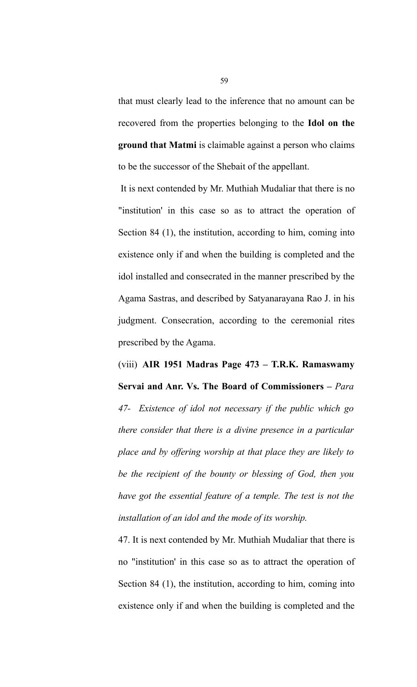that must clearly lead to the inference that no amount can be recovered from the properties belonging to the **Idol on the ground that Matmi** is claimable against a person who claims to be the successor of the Shebait of the appellant.

 It is next contended by Mr. Muthiah Mudaliar that there is no "institution' in this case so as to attract the operation of Section 84 (1), the institution, according to him, coming into existence only if and when the building is completed and the idol installed and consecrated in the manner prescribed by the Agama Sastras, and described by Satyanarayana Rao J. in his judgment. Consecration, according to the ceremonial rites prescribed by the Agama.

(viii) **AIR 1951 Madras Page 473 – T.R.K. Ramaswamy Servai and Anr. Vs. The Board of Commissioners –** *Para 47- Existence of idol not necessary if the public which go there consider that there is a divine presence in a particular place and by offering worship at that place they are likely to be the recipient of the bounty or blessing of God, then you have got the essential feature of a temple. The test is not the installation of an idol and the mode of its worship.* 

47. It is next contended by Mr. Muthiah Mudaliar that there is no "institution' in this case so as to attract the operation of Section 84 (1), the institution, according to him, coming into existence only if and when the building is completed and the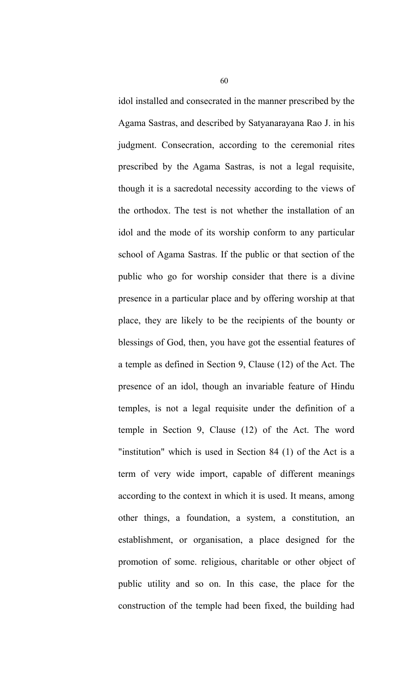idol installed and consecrated in the manner prescribed by the Agama Sastras, and described by Satyanarayana Rao J. in his judgment. Consecration, according to the ceremonial rites prescribed by the Agama Sastras, is not a legal requisite, though it is a sacredotal necessity according to the views of the orthodox. The test is not whether the installation of an idol and the mode of its worship conform to any particular school of Agama Sastras. If the public or that section of the public who go for worship consider that there is a divine presence in a particular place and by offering worship at that place, they are likely to be the recipients of the bounty or blessings of God, then, you have got the essential features of a temple as defined in Section 9, Clause (12) of the Act. The presence of an idol, though an invariable feature of Hindu temples, is not a legal requisite under the definition of a temple in Section 9, Clause (12) of the Act. The word "institution" which is used in Section 84 (1) of the Act is a term of very wide import, capable of different meanings according to the context in which it is used. It means, among other things, a foundation, a system, a constitution, an establishment, or organisation, a place designed for the promotion of some. religious, charitable or other object of public utility and so on. In this case, the place for the construction of the temple had been fixed, the building had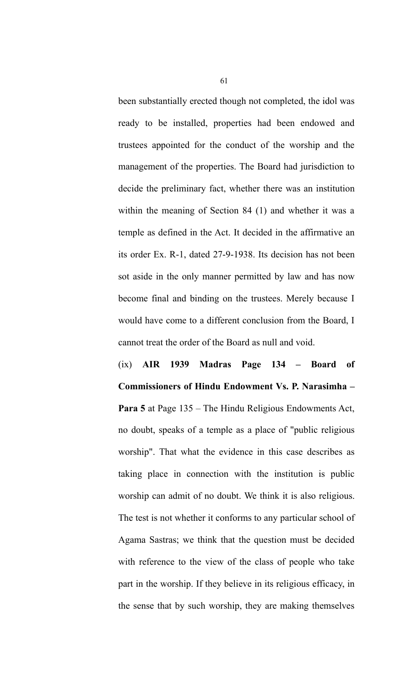been substantially erected though not completed, the idol was ready to be installed, properties had been endowed and trustees appointed for the conduct of the worship and the management of the properties. The Board had jurisdiction to decide the preliminary fact, whether there was an institution within the meaning of Section 84 (1) and whether it was a temple as defined in the Act. It decided in the affirmative an its order Ex. R-1, dated 27-9-1938. Its decision has not been sot aside in the only manner permitted by law and has now become final and binding on the trustees. Merely because I would have come to a different conclusion from the Board, I cannot treat the order of the Board as null and void.

(ix) **AIR 1939 Madras Page 134 – Board of Commissioners of Hindu Endowment Vs. P. Narasimha – Para 5** at Page 135 – The Hindu Religious Endowments Act, no doubt, speaks of a temple as a place of "public religious worship". That what the evidence in this case describes as taking place in connection with the institution is public worship can admit of no doubt. We think it is also religious. The test is not whether it conforms to any particular school of Agama Sastras; we think that the question must be decided with reference to the view of the class of people who take part in the worship. If they believe in its religious efficacy, in the sense that by such worship, they are making themselves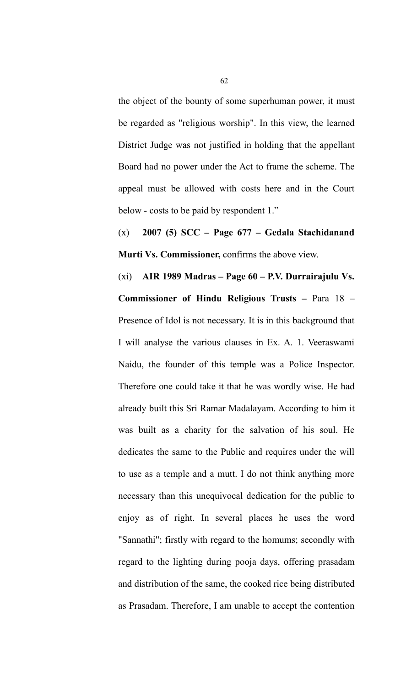the object of the bounty of some superhuman power, it must be regarded as "religious worship". In this view, the learned District Judge was not justified in holding that the appellant Board had no power under the Act to frame the scheme. The appeal must be allowed with costs here and in the Court below - costs to be paid by respondent 1."

(x) **2007 (5) SCC – Page 677 – Gedala Stachidanand Murti Vs. Commissioner,** confirms the above view.

(xi) **AIR 1989 Madras – Page 60 – P.V. Durrairajulu Vs. Commissioner of Hindu Religious Trusts –** Para 18 – Presence of Idol is not necessary. It is in this background that I will analyse the various clauses in Ex. A. 1. Veeraswami Naidu, the founder of this temple was a Police Inspector. Therefore one could take it that he was wordly wise. He had already built this Sri Ramar Madalayam. According to him it was built as a charity for the salvation of his soul. He dedicates the same to the Public and requires under the will to use as a temple and a mutt. I do not think anything more necessary than this unequivocal dedication for the public to enjoy as of right. In several places he uses the word "Sannathi"; firstly with regard to the homums; secondly with regard to the lighting during pooja days, offering prasadam and distribution of the same, the cooked rice being distributed as Prasadam. Therefore, I am unable to accept the contention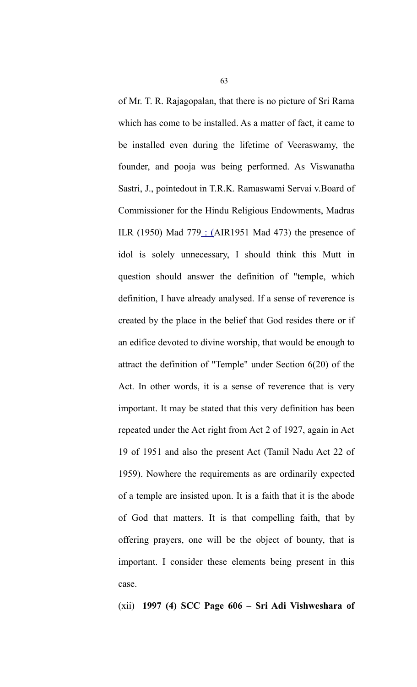of Mr. T. R. Rajagopalan, that there is no picture of Sri Rama which has come to be installed. As a matter of fact, it came to be installed even during the lifetime of Veeraswamy, the founder, and pooja was being performed. As Viswanatha Sastri, J., pointedout in T.R.K. Ramaswami Servai v.Board of Commissioner for the Hindu Religious Endowments, Madras ILR (1950) Mad  $779 \div (AIR1951 \text{ Mad } 473)$  the presence of idol is solely unnecessary, I should think this Mutt in question should answer the definition of "temple, which definition, I have already analysed. If a sense of reverence is created by the place in the belief that God resides there or if an edifice devoted to divine worship, that would be enough to attract the definition of "Temple" under Section 6(20) of the Act. In other words, it is a sense of reverence that is very important. It may be stated that this very definition has been repeated under the Act right from Act 2 of 1927, again in Act 19 of 1951 and also the present Act (Tamil Nadu Act 22 of 1959). Nowhere the requirements as are ordinarily expected of a temple are insisted upon. It is a faith that it is the abode of God that matters. It is that compelling faith, that by offering prayers, one will be the object of bounty, that is important. I consider these elements being present in this case.

(xii) **1997 (4) SCC Page 606 – Sri Adi Vishweshara of**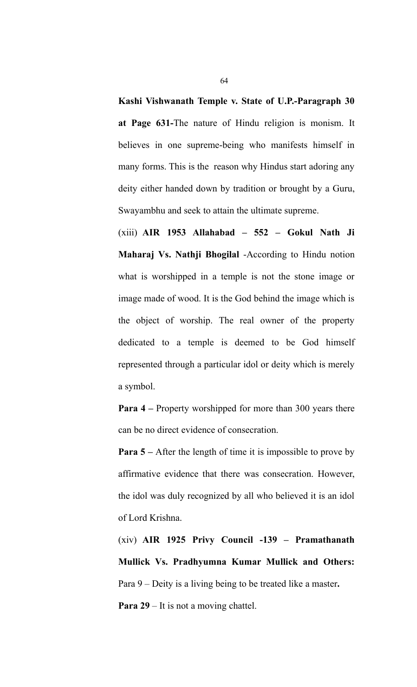**Kashi Vishwanath Temple v. State of U.P.-Paragraph 30 at Page 631-**The nature of Hindu religion is monism. It believes in one supreme-being who manifests himself in many forms. This is the reason why Hindus start adoring any deity either handed down by tradition or brought by a Guru, Swayambhu and seek to attain the ultimate supreme.

(xiii) **AIR 1953 Allahabad – 552 – Gokul Nath Ji Maharaj Vs. Nathji Bhogilal** -According to Hindu notion what is worshipped in a temple is not the stone image or image made of wood. It is the God behind the image which is the object of worship. The real owner of the property dedicated to a temple is deemed to be God himself represented through a particular idol or deity which is merely a symbol.

**Para 4** – Property worshipped for more than 300 years there can be no direct evidence of consecration.

**Para 5** – After the length of time it is impossible to prove by affirmative evidence that there was consecration. However, the idol was duly recognized by all who believed it is an idol of Lord Krishna.

(xiv) **AIR 1925 Privy Council -139 – Pramathanath Mullick Vs. Pradhyumna Kumar Mullick and Others:** Para 9 – Deity is a living being to be treated like a master**. Para 29** – It is not a moving chattel.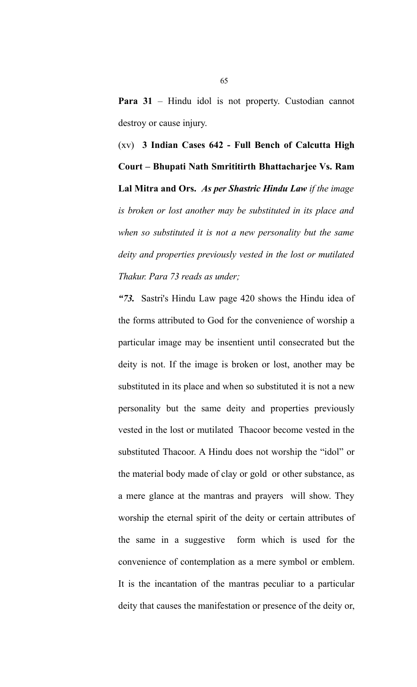**Para 31** – Hindu idol is not property. Custodian cannot destroy or cause injury.

(xv) **3 Indian Cases 642 - Full Bench of Calcutta High Court – Bhupati Nath Smrititirth Bhattacharjee Vs. Ram Lal Mitra and Ors.** *As per Shastric Hindu Law if the image is broken or lost another may be substituted in its place and when so substituted it is not a new personality but the same deity and properties previously vested in the lost or mutilated Thakur. Para 73 reads as under;*

*"73.* Sastri's Hindu Law page 420 shows the Hindu idea of the forms attributed to God for the convenience of worship a particular image may be insentient until consecrated but the deity is not. If the image is broken or lost, another may be substituted in its place and when so substituted it is not a new personality but the same deity and properties previously vested in the lost or mutilated Thacoor become vested in the substituted Thacoor. A Hindu does not worship the "idol" or the material body made of clay or gold or other substance, as a mere glance at the mantras and prayers will show. They worship the eternal spirit of the deity or certain attributes of the same in a suggestive form which is used for the convenience of contemplation as a mere symbol or emblem. It is the incantation of the mantras peculiar to a particular deity that causes the manifestation or presence of the deity or,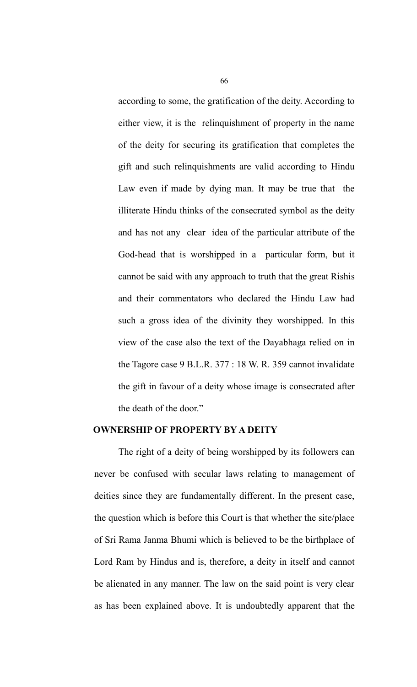according to some, the gratification of the deity. According to either view, it is the relinquishment of property in the name of the deity for securing its gratification that completes the gift and such relinquishments are valid according to Hindu Law even if made by dying man. It may be true that the illiterate Hindu thinks of the consecrated symbol as the deity and has not any clear idea of the particular attribute of the God-head that is worshipped in a particular form, but it cannot be said with any approach to truth that the great Rishis and their commentators who declared the Hindu Law had such a gross idea of the divinity they worshipped. In this view of the case also the text of the Dayabhaga relied on in the Tagore case 9 B.L.R. 377 : 18 W. R. 359 cannot invalidate the gift in favour of a deity whose image is consecrated after the death of the door."

#### **OWNERSHIP OF PROPERTY BY A DEITY**

The right of a deity of being worshipped by its followers can never be confused with secular laws relating to management of deities since they are fundamentally different. In the present case, the question which is before this Court is that whether the site/place of Sri Rama Janma Bhumi which is believed to be the birthplace of Lord Ram by Hindus and is, therefore, a deity in itself and cannot be alienated in any manner. The law on the said point is very clear as has been explained above. It is undoubtedly apparent that the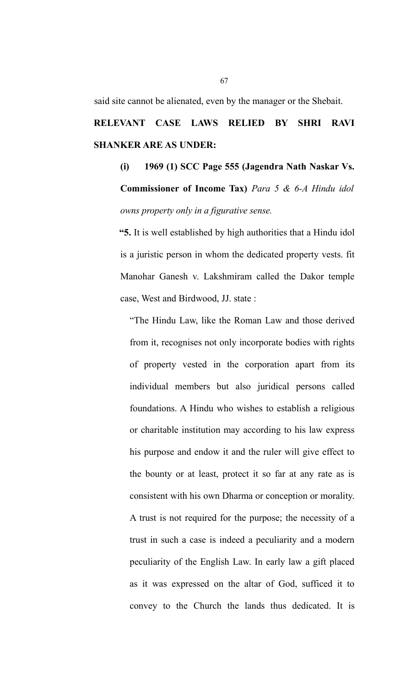said site cannot be alienated, even by the manager or the Shebait.

### **RELEVANT CASE LAWS RELIED BY SHRI RAVI SHANKER ARE AS UNDER:**

**(i) 1969 (1) SCC Page 555 (Jagendra Nath Naskar Vs. Commissioner of Income Tax)** *Para 5 & 6-A Hindu idol owns property only in a figurative sense.*

**"5.** It is well established by high authorities that a Hindu idol is a juristic person in whom the dedicated property vests. fit Manohar Ganesh v. Lakshmiram called the Dakor temple case, West and Birdwood, JJ. state :

"The Hindu Law, like the Roman Law and those derived from it, recognises not only incorporate bodies with rights of property vested in the corporation apart from its individual members but also juridical persons called foundations. A Hindu who wishes to establish a religious or charitable institution may according to his law express his purpose and endow it and the ruler will give effect to the bounty or at least, protect it so far at any rate as is consistent with his own Dharma or conception or morality. A trust is not required for the purpose; the necessity of a trust in such a case is indeed a peculiarity and a modern peculiarity of the English Law. In early law a gift placed as it was expressed on the altar of God, sufficed it to convey to the Church the lands thus dedicated. It is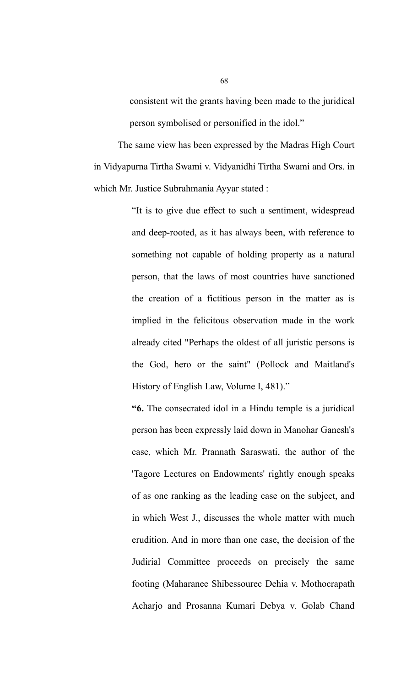consistent wit the grants having been made to the juridical person symbolised or personified in the idol."

The same view has been expressed by the Madras High Court in Vidyapurna Tirtha Swami v. Vidyanidhi Tirtha Swami and Ors. in which Mr. Justice Subrahmania Ayyar stated :

> "It is to give due effect to such a sentiment, widespread and deep-rooted, as it has always been, with reference to something not capable of holding property as a natural person, that the laws of most countries have sanctioned the creation of a fictitious person in the matter as is implied in the felicitous observation made in the work already cited "Perhaps the oldest of all juristic persons is the God, hero or the saint" (Pollock and Maitland's History of English Law, Volume I, 481)."

> **"6.** The consecrated idol in a Hindu temple is a juridical person has been expressly laid down in Manohar Ganesh's case, which Mr. Prannath Saraswati, the author of the 'Tagore Lectures on Endowments' rightly enough speaks of as one ranking as the leading case on the subject, and in which West J., discusses the whole matter with much erudition. And in more than one case, the decision of the Judirial Committee proceeds on precisely the same footing (Maharanee Shibessourec Dehia v. Mothocrapath Acharjo and Prosanna Kumari Debya v. Golab Chand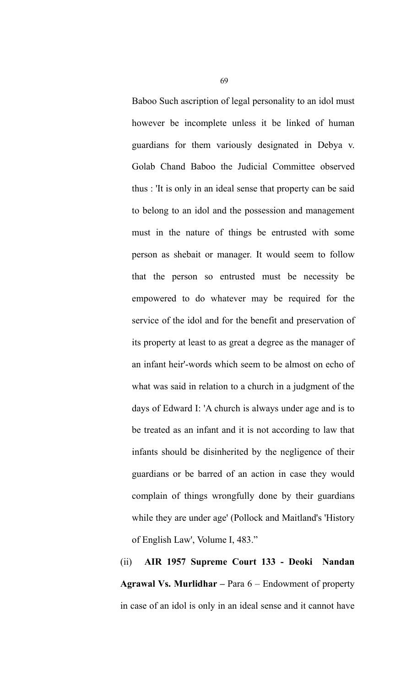Baboo Such ascription of legal personality to an idol must however be incomplete unless it be linked of human guardians for them variously designated in Debya v. Golab Chand Baboo the Judicial Committee observed thus : 'It is only in an ideal sense that property can be said to belong to an idol and the possession and management must in the nature of things be entrusted with some person as shebait or manager. It would seem to follow that the person so entrusted must be necessity be empowered to do whatever may be required for the service of the idol and for the benefit and preservation of its property at least to as great a degree as the manager of an infant heir'-words which seem to be almost on echo of what was said in relation to a church in a judgment of the days of Edward I: 'A church is always under age and is to be treated as an infant and it is not according to law that infants should be disinherited by the negligence of their guardians or be barred of an action in case they would complain of things wrongfully done by their guardians while they are under age' (Pollock and Maitland's 'History of English Law', Volume I, 483."

(ii) **AIR 1957 Supreme Court 133 - Deoki Nandan Agrawal Vs. Murlidhar –** Para 6 – Endowment of property in case of an idol is only in an ideal sense and it cannot have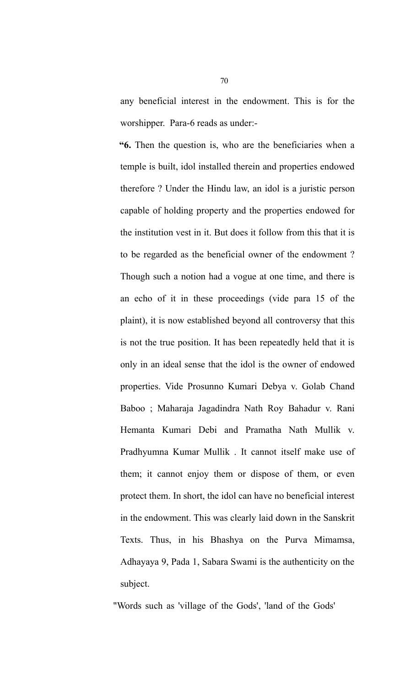any beneficial interest in the endowment. This is for the worshipper. Para-6 reads as under:-

**"6.** Then the question is, who are the beneficiaries when a temple is built, idol installed therein and properties endowed therefore ? Under the Hindu law, an idol is a juristic person capable of holding property and the properties endowed for the institution vest in it. But does it follow from this that it is to be regarded as the beneficial owner of the endowment ? Though such a notion had a vogue at one time, and there is an echo of it in these proceedings (vide para 15 of the plaint), it is now established beyond all controversy that this is not the true position. It has been repeatedly held that it is only in an ideal sense that the idol is the owner of endowed properties. Vide Prosunno Kumari Debya v. Golab Chand Baboo ; Maharaja Jagadindra Nath Roy Bahadur v. Rani Hemanta Kumari Debi and Pramatha Nath Mullik v. Pradhyumna Kumar Mullik . It cannot itself make use of them; it cannot enjoy them or dispose of them, or even protect them. In short, the idol can have no beneficial interest in the endowment. This was clearly laid down in the Sanskrit Texts. Thus, in his Bhashya on the Purva Mimamsa, Adhayaya 9, Pada 1, Sabara Swami is the authenticity on the subject.

"Words such as 'village of the Gods', 'land of the Gods'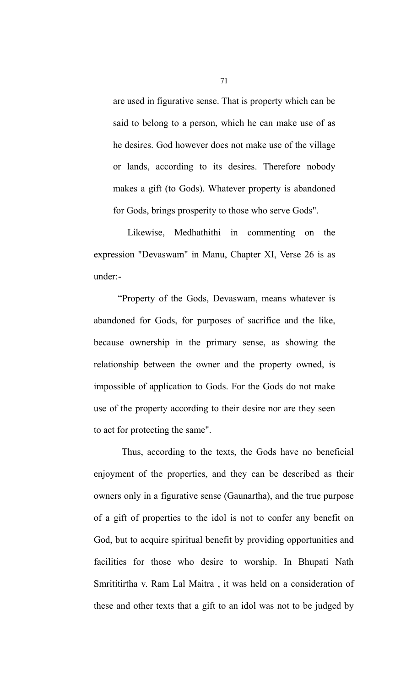are used in figurative sense. That is property which can be said to belong to a person, which he can make use of as he desires. God however does not make use of the village or lands, according to its desires. Therefore nobody makes a gift (to Gods). Whatever property is abandoned for Gods, brings prosperity to those who serve Gods".

 Likewise, Medhathithi in commenting on the expression "Devaswam" in Manu, Chapter XI, Verse 26 is as under:-

"Property of the Gods, Devaswam, means whatever is abandoned for Gods, for purposes of sacrifice and the like, because ownership in the primary sense, as showing the relationship between the owner and the property owned, is impossible of application to Gods. For the Gods do not make use of the property according to their desire nor are they seen to act for protecting the same".

 Thus, according to the texts, the Gods have no beneficial enjoyment of the properties, and they can be described as their owners only in a figurative sense (Gaunartha), and the true purpose of a gift of properties to the idol is not to confer any benefit on God, but to acquire spiritual benefit by providing opportunities and facilities for those who desire to worship. In Bhupati Nath Smrititirtha v. Ram Lal Maitra , it was held on a consideration of these and other texts that a gift to an idol was not to be judged by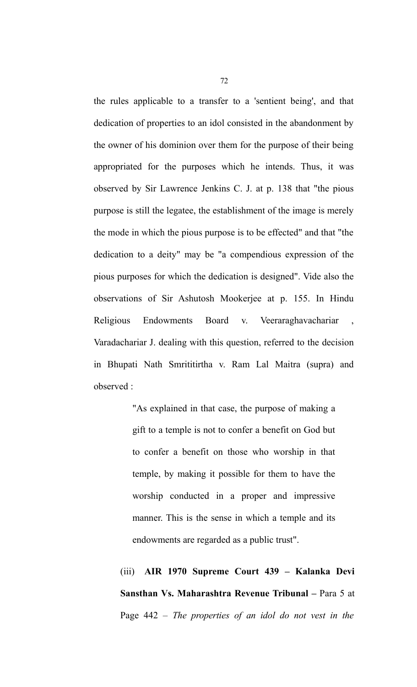the rules applicable to a transfer to a 'sentient being', and that dedication of properties to an idol consisted in the abandonment by the owner of his dominion over them for the purpose of their being appropriated for the purposes which he intends. Thus, it was observed by Sir Lawrence Jenkins C. J. at p. 138 that "the pious purpose is still the legatee, the establishment of the image is merely the mode in which the pious purpose is to be effected" and that "the dedication to a deity" may be "a compendious expression of the pious purposes for which the dedication is designed". Vide also the observations of Sir Ashutosh Mookerjee at p. 155. In Hindu Religious Endowments Board v. Veeraraghavachariar Varadachariar J. dealing with this question, referred to the decision in Bhupati Nath Smrititirtha v. Ram Lal Maitra (supra) and observed :

> "As explained in that case, the purpose of making a gift to a temple is not to confer a benefit on God but to confer a benefit on those who worship in that temple, by making it possible for them to have the worship conducted in a proper and impressive manner. This is the sense in which a temple and its endowments are regarded as a public trust".

(iii) **AIR 1970 Supreme Court 439 – Kalanka Devi Sansthan Vs. Maharashtra Revenue Tribunal –** Para 5 at Page 442 – *The properties of an idol do not vest in the*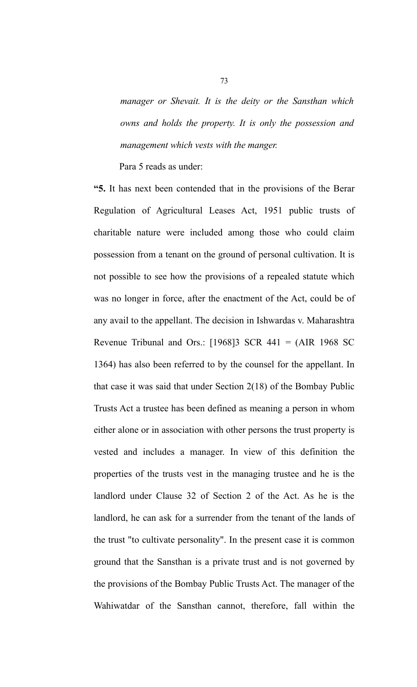*manager or Shevait. It is the deity or the Sansthan which owns and holds the property. It is only the possession and management which vests with the manger.* 

Para 5 reads as under:

**"5.** It has next been contended that in the provisions of the Berar Regulation of Agricultural Leases Act, 1951 public trusts of charitable nature were included among those who could claim possession from a tenant on the ground of personal cultivation. It is not possible to see how the provisions of a repealed statute which was no longer in force, after the enactment of the Act, could be of any avail to the appellant. The decision in Ishwardas v. Maharashtra Revenue Tribunal and Ors.:  $[1968]$ 3 SCR 441 = (AIR 1968 SC 1364) has also been referred to by the counsel for the appellant. In that case it was said that under Section 2(18) of the Bombay Public Trusts Act a trustee has been defined as meaning a person in whom either alone or in association with other persons the trust property is vested and includes a manager. In view of this definition the properties of the trusts vest in the managing trustee and he is the landlord under Clause 32 of Section 2 of the Act. As he is the landlord, he can ask for a surrender from the tenant of the lands of the trust "to cultivate personality". In the present case it is common ground that the Sansthan is a private trust and is not governed by the provisions of the Bombay Public Trusts Act. The manager of the Wahiwatdar of the Sansthan cannot, therefore, fall within the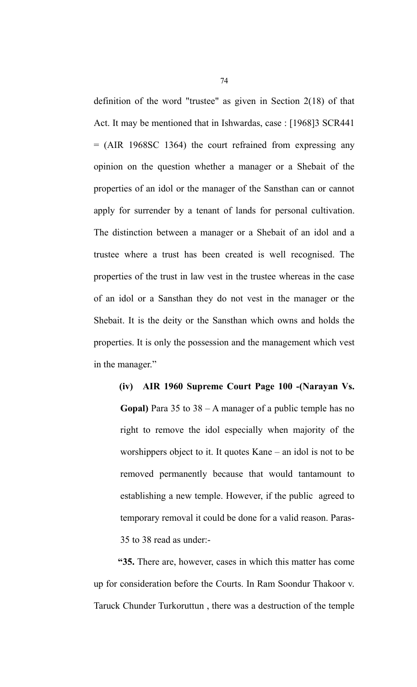definition of the word "trustee" as given in Section 2(18) of that Act. It may be mentioned that in Ishwardas, case : [1968]3 SCR441 = (AIR 1968SC 1364) the court refrained from expressing any opinion on the question whether a manager or a Shebait of the properties of an idol or the manager of the Sansthan can or cannot apply for surrender by a tenant of lands for personal cultivation. The distinction between a manager or a Shebait of an idol and a trustee where a trust has been created is well recognised. The properties of the trust in law vest in the trustee whereas in the case of an idol or a Sansthan they do not vest in the manager or the Shebait. It is the deity or the Sansthan which owns and holds the properties. It is only the possession and the management which vest in the manager."

**(iv) AIR 1960 Supreme Court Page 100 -(Narayan Vs. Gopal)** Para 35 to 38 – A manager of a public temple has no right to remove the idol especially when majority of the worshippers object to it. It quotes Kane – an idol is not to be removed permanently because that would tantamount to establishing a new temple. However, if the public agreed to temporary removal it could be done for a valid reason. Paras-35 to 38 read as under:-

**"35.** There are, however, cases in which this matter has come up for consideration before the Courts. In Ram Soondur Thakoor v. Taruck Chunder Turkoruttun , there was a destruction of the temple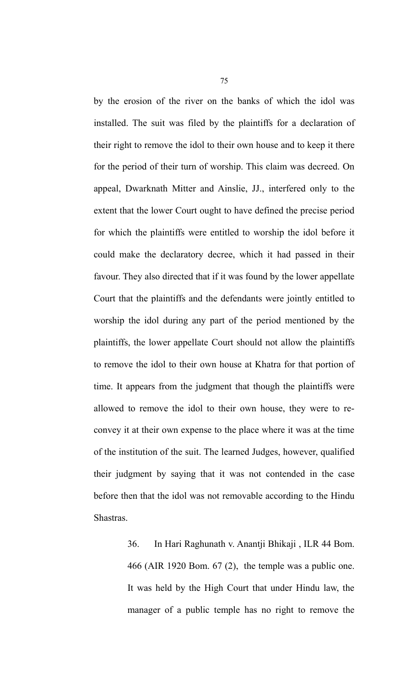by the erosion of the river on the banks of which the idol was installed. The suit was filed by the plaintiffs for a declaration of their right to remove the idol to their own house and to keep it there for the period of their turn of worship. This claim was decreed. On appeal, Dwarknath Mitter and Ainslie, JJ., interfered only to the extent that the lower Court ought to have defined the precise period for which the plaintiffs were entitled to worship the idol before it could make the declaratory decree, which it had passed in their favour. They also directed that if it was found by the lower appellate Court that the plaintiffs and the defendants were jointly entitled to worship the idol during any part of the period mentioned by the plaintiffs, the lower appellate Court should not allow the plaintiffs to remove the idol to their own house at Khatra for that portion of time. It appears from the judgment that though the plaintiffs were allowed to remove the idol to their own house, they were to reconvey it at their own expense to the place where it was at the time of the institution of the suit. The learned Judges, however, qualified their judgment by saying that it was not contended in the case before then that the idol was not removable according to the Hindu Shastras.

> 36. In Hari Raghunath v. Anantji Bhikaji , ILR 44 Bom. 466 (AIR 1920 Bom. 67 (2), the temple was a public one. It was held by the High Court that under Hindu law, the manager of a public temple has no right to remove the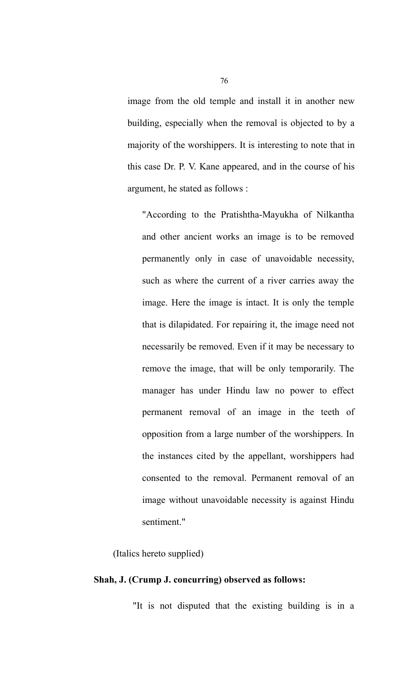image from the old temple and install it in another new building, especially when the removal is objected to by a majority of the worshippers. It is interesting to note that in this case Dr. P. V. Kane appeared, and in the course of his argument, he stated as follows :

"According to the Pratishtha-Mayukha of Nilkantha and other ancient works an image is to be removed permanently only in case of unavoidable necessity, such as where the current of a river carries away the image. Here the image is intact. It is only the temple that is dilapidated. For repairing it, the image need not necessarily be removed. Even if it may be necessary to remove the image, that will be only temporarily. The manager has under Hindu law no power to effect permanent removal of an image in the teeth of opposition from a large number of the worshippers. In the instances cited by the appellant, worshippers had consented to the removal. Permanent removal of an image without unavoidable necessity is against Hindu sentiment."

(Italics hereto supplied)

#### **Shah, J. (Crump J. concurring) observed as follows:**

"It is not disputed that the existing building is in a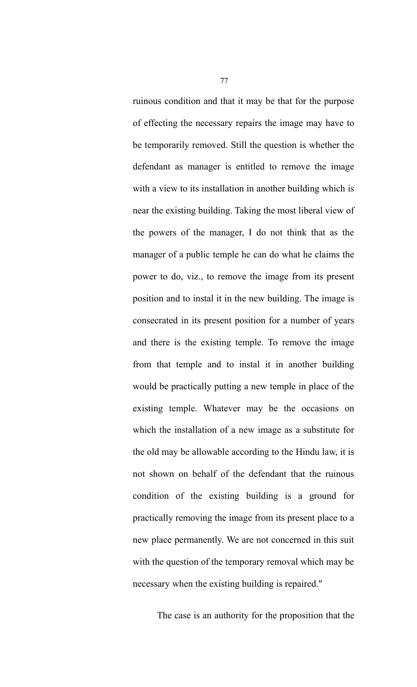ruinous condition and that it may be that for the purpose of effecting the necessary repairs the image may have to be temporarily removed. Still the question is whether the defendant as manager is entitled to remove the image with a view to its installation in another building which is near the existing building. Taking the most liberal view of the powers of the manager, I do not think that as the manager of a public temple he can do what he claims the power to do, viz., to remove the image from its present position and to instal it in the new building. The image is consecrated in its present position for a number of years and there is the existing temple. To remove the image from that temple and to instal it in another building would be practically putting a new temple in place of the existing temple. Whatever may be the occasions on which the installation of a new image as a substitute for the old may be allowable according to the Hindu law, it is not shown on behalf of the defendant that the ruinous condition of the existing building is a ground for practically removing the image from its present place to a new place permanently. We are not concerned in this suit with the question of the temporary removal which may be necessary when the existing building is repaired."

The case is an authority for the proposition that the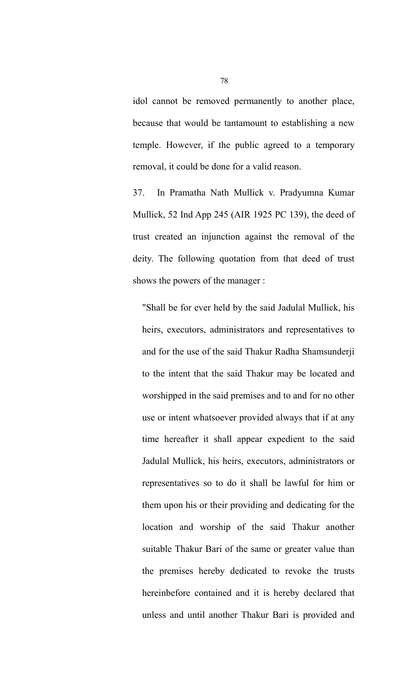idol cannot be removed permanently to another place, because that would be tantamount to establishing a new temple. However, if the public agreed to a temporary removal, it could be done for a valid reason.

37. In Pramatha Nath Mullick v. Pradyumna Kumar Mullick, 52 Ind App 245 (AIR 1925 PC 139), the deed of trust created an injunction against the removal of the deity. The following quotation from that deed of trust shows the powers of the manager :

"Shall be for ever held by the said Jadulal Mullick, his heirs, executors, administrators and representatives to and for the use of the said Thakur Radha Shamsunderji to the intent that the said Thakur may be located and worshipped in the said premises and to and for no other use or intent whatsoever provided always that if at any time hereafter it shall appear expedient to the said Jadulal Mullick, his heirs, executors, administrators or representatives so to do it shall be lawful for him or them upon his or their providing and dedicating for the location and worship of the said Thakur another suitable Thakur Bari of the same or greater value than the premises hereby dedicated to revoke the trusts hereinbefore contained and it is hereby declared that unless and until another Thakur Bari is provided and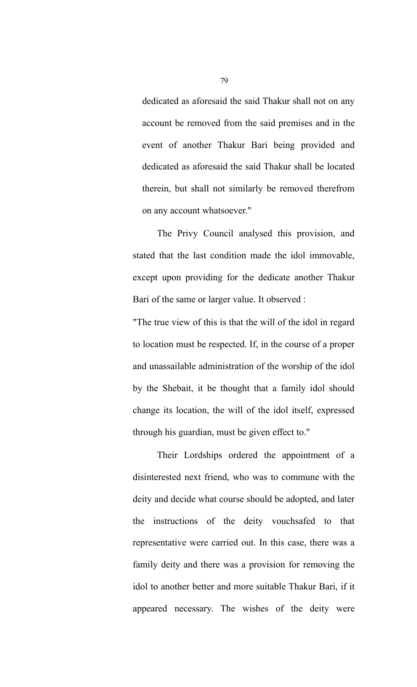dedicated as aforesaid the said Thakur shall not on any account be removed from the said premises and in the event of another Thakur Bari being provided and dedicated as aforesaid the said Thakur shall be located therein, but shall not similarly be removed therefrom on any account whatsoever."

The Privy Council analysed this provision, and stated that the last condition made the idol immovable, except upon providing for the dedicate another Thakur Bari of the same or larger value. It observed :

"The true view of this is that the will of the idol in regard to location must be respected. If, in the course of a proper and unassailable administration of the worship of the idol by the Shebait, it be thought that a family idol should change its location, the will of the idol itself, expressed through his guardian, must be given effect to."

Their Lordships ordered the appointment of a disinterested next friend, who was to commune with the deity and decide what course should be adopted, and later the instructions of the deity vouchsafed to that representative were carried out. In this case, there was a family deity and there was a provision for removing the idol to another better and more suitable Thakur Bari, if it appeared necessary. The wishes of the deity were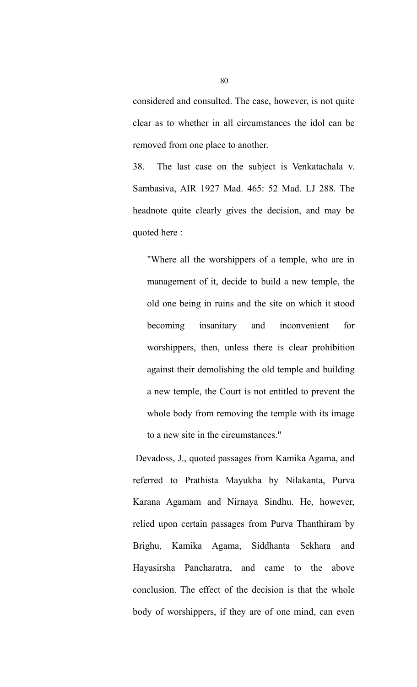considered and consulted. The case, however, is not quite clear as to whether in all circumstances the idol can be removed from one place to another.

38. The last case on the subject is Venkatachala v. Sambasiva, AIR 1927 Mad. 465: 52 Mad. LJ 288. The headnote quite clearly gives the decision, and may be quoted here :

"Where all the worshippers of a temple, who are in management of it, decide to build a new temple, the old one being in ruins and the site on which it stood becoming insanitary and inconvenient for worshippers, then, unless there is clear prohibition against their demolishing the old temple and building a new temple, the Court is not entitled to prevent the whole body from removing the temple with its image to a new site in the circumstances."

 Devadoss, J., quoted passages from Kamika Agama, and referred to Prathista Mayukha by Nilakanta, Purva Karana Agamam and Nirnaya Sindhu. He, however, relied upon certain passages from Purva Thanthiram by Brighu, Kamika Agama, Siddhanta Sekhara and Hayasirsha Pancharatra, and came to the above conclusion. The effect of the decision is that the whole body of worshippers, if they are of one mind, can even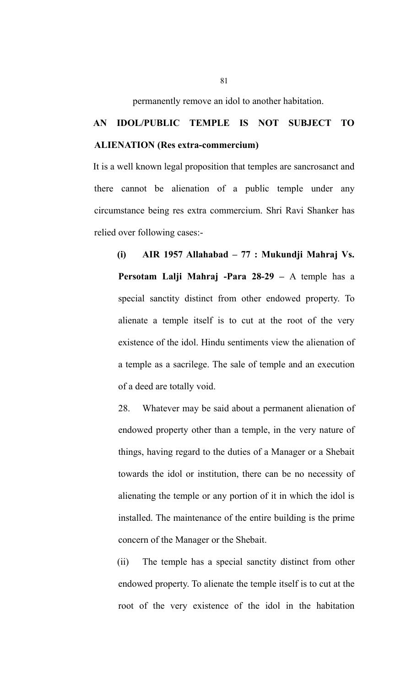permanently remove an idol to another habitation.

## **AN IDOL/PUBLIC TEMPLE IS NOT SUBJECT TO ALIENATION (Res extra-commercium)**

It is a well known legal proposition that temples are sancrosanct and there cannot be alienation of a public temple under any circumstance being res extra commercium. Shri Ravi Shanker has relied over following cases:-

**(i) AIR 1957 Allahabad – 77 : Mukundji Mahraj Vs. Persotam Lalji Mahraj -Para 28-29 –** A temple has a special sanctity distinct from other endowed property. To alienate a temple itself is to cut at the root of the very existence of the idol. Hindu sentiments view the alienation of a temple as a sacrilege. The sale of temple and an execution of a deed are totally void.

28. Whatever may be said about a permanent alienation of endowed property other than a temple, in the very nature of things, having regard to the duties of a Manager or a Shebait towards the idol or institution, there can be no necessity of alienating the temple or any portion of it in which the idol is installed. The maintenance of the entire building is the prime concern of the Manager or the Shebait.

(ii) The temple has a special sanctity distinct from other endowed property. To alienate the temple itself is to cut at the root of the very existence of the idol in the habitation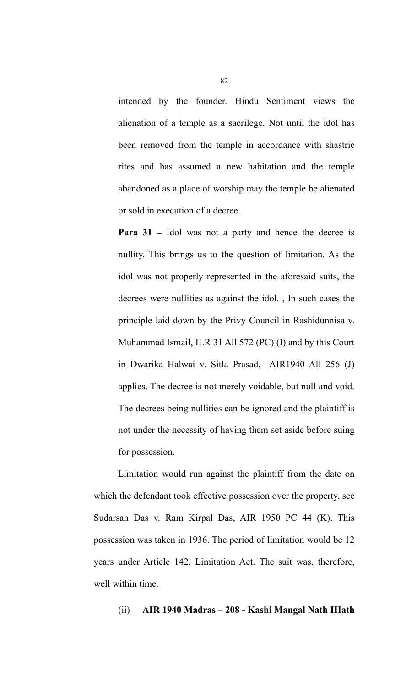intended by the founder. Hindu Sentiment views the alienation of a temple as a sacrilege. Not until the idol has been removed from the temple in accordance with shastric rites and has assumed a new habitation and the temple abandoned as a place of worship may the temple be alienated or sold in execution of a decree.

**Para 31 –** Idol was not a party and hence the decree is nullity. This brings us to the question of limitation. As the idol was not properly represented in the aforesaid suits, the decrees were nullities as against the idol. , In such cases the principle laid down by the Privy Council in Rashidunnisa v. Muhammad Ismail, ILR 31 All 572 (PC) (I) and by this Court in Dwarika Halwai v. Sitla Prasad, AIR1940 All 256 (J) applies. The decree is not merely voidable, but null and void. The decrees being nullities can be ignored and the plaintiff is not under the necessity of having them set aside before suing for possession.

Limitation would run against the plaintiff from the date on which the defendant took effective possession over the property, see Sudarsan Das v. Ram Kirpal Das, AIR 1950 PC 44 (K). This possession was taken in 1936. The period of limitation would be 12 years under Article 142, Limitation Act. The suit was, therefore, well within time.

#### (ii) **AIR 1940 Madras – 208 - Kashi Mangal Nath IIIath**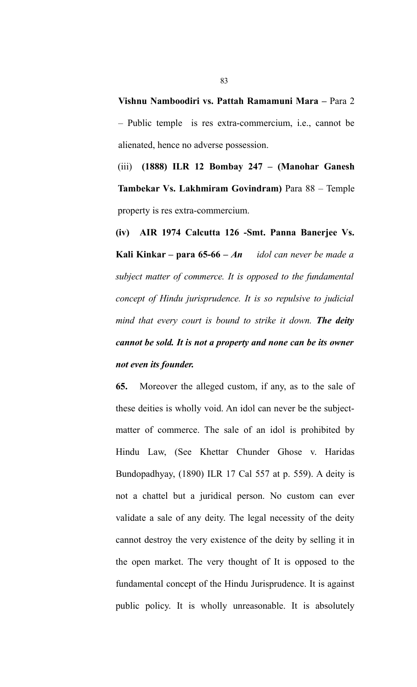**Vishnu Namboodiri vs. Pattah Ramamuni Mara –** Para 2 – Public temple is res extra-commercium, i.e., cannot be alienated, hence no adverse possession.

(iii) **(1888) ILR 12 Bombay 247 – (Manohar Ganesh Tambekar Vs. Lakhmiram Govindram)** Para 88 – Temple property is res extra-commercium.

**(iv) AIR 1974 Calcutta 126 -Smt. Panna Banerjee Vs. Kali Kinkar – para 65-66 –** *An idol can never be made a subject matter of commerce. It is opposed to the fundamental concept of Hindu jurisprudence. It is so repulsive to judicial mind that every court is bound to strike it down. The deity cannot be sold. It is not a property and none can be its owner not even its founder.*

**65.** Moreover the alleged custom, if any, as to the sale of these deities is wholly void. An idol can never be the subjectmatter of commerce. The sale of an idol is prohibited by Hindu Law, (See Khettar Chunder Ghose v. Haridas Bundopadhyay, (1890) ILR 17 Cal 557 at p. 559). A deity is not a chattel but a juridical person. No custom can ever validate a sale of any deity. The legal necessity of the deity cannot destroy the very existence of the deity by selling it in the open market. The very thought of It is opposed to the fundamental concept of the Hindu Jurisprudence. It is against public policy. It is wholly unreasonable. It is absolutely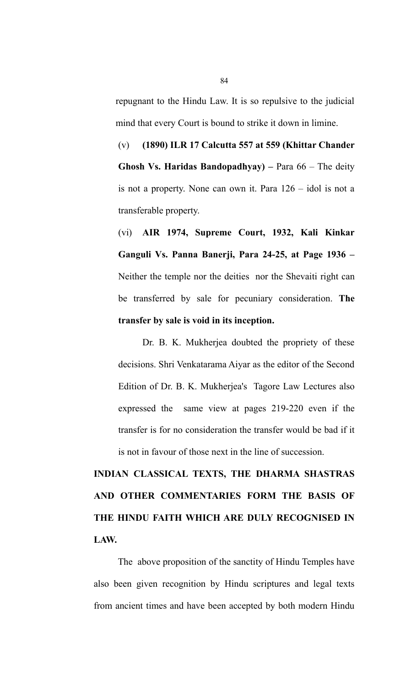repugnant to the Hindu Law. It is so repulsive to the judicial mind that every Court is bound to strike it down in limine.

(v) **(1890) ILR 17 Calcutta 557 at 559 (Khittar Chander Ghosh Vs. Haridas Bandopadhyay) –** Para 66 – The deity is not a property. None can own it. Para 126 – idol is not a transferable property.

(vi) **AIR 1974, Supreme Court, 1932, Kali Kinkar Ganguli Vs. Panna Banerji, Para 24-25, at Page 1936 –** Neither the temple nor the deities nor the Shevaiti right can be transferred by sale for pecuniary consideration. **The transfer by sale is void in its inception.**

Dr. B. K. Mukherjea doubted the propriety of these decisions. Shri Venkatarama Aiyar as the editor of the Second Edition of Dr. B. K. Mukherjea's Tagore Law Lectures also expressed the same view at pages 219-220 even if the transfer is for no consideration the transfer would be bad if it is not in favour of those next in the line of succession.

# **INDIAN CLASSICAL TEXTS, THE DHARMA SHASTRAS AND OTHER COMMENTARIES FORM THE BASIS OF THE HINDU FAITH WHICH ARE DULY RECOGNISED IN LAW.**

The above proposition of the sanctity of Hindu Temples have also been given recognition by Hindu scriptures and legal texts from ancient times and have been accepted by both modern Hindu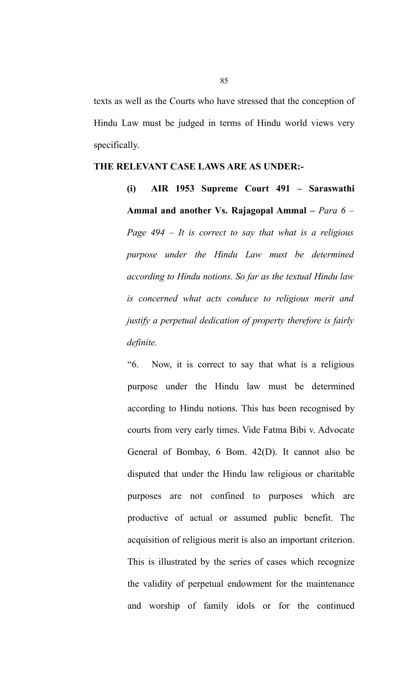texts as well as the Courts who have stressed that the conception of Hindu Law must be judged in terms of Hindu world views very specifically.

### **THE RELEVANT CASE LAWS ARE AS UNDER:-**

**(i) AIR 1953 Supreme Court 491 – Saraswathi Ammal and another Vs. Rajagopal Ammal –** *Para 6 – Page 494 – It is correct to say that what is a religious purpose under the Hindu Law must be determined according to Hindu notions. So far as the textual Hindu law is concerned what acts conduce to religious merit and justify a perpetual dedication of property therefore is fairly definite.*

"6. Now, it is correct to say that what is a religious purpose under the Hindu law must be determined according to Hindu notions. This has been recognised by courts from very early times. Vide Fatma Bibi v. Advocate General of Bombay, 6 Bom. 42(D). It cannot also be disputed that under the Hindu law religious or charitable purposes are not confined to purposes which are productive of actual or assumed public benefit. The acquisition of religious merit is also an important criterion. This is illustrated by the series of cases which recognize the validity of perpetual endowment for the maintenance and worship of family idols or for the continued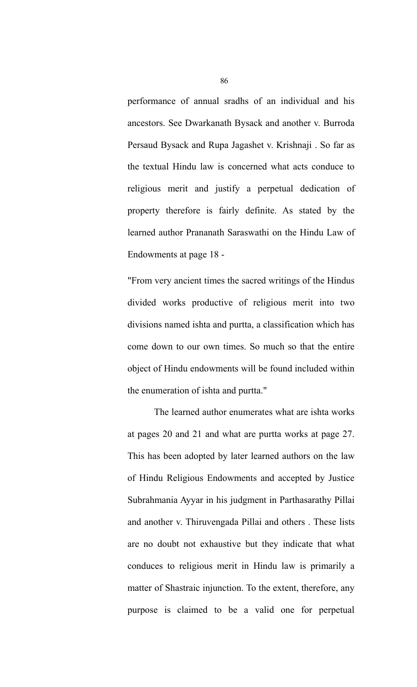performance of annual sradhs of an individual and his ancestors. See Dwarkanath Bysack and another v. Burroda Persaud Bysack and Rupa Jagashet v. Krishnaji . So far as the textual Hindu law is concerned what acts conduce to religious merit and justify a perpetual dedication of property therefore is fairly definite. As stated by the learned author Prananath Saraswathi on the Hindu Law of Endowments at page 18 -

"From very ancient times the sacred writings of the Hindus divided works productive of religious merit into two divisions named ishta and purtta, a classification which has come down to our own times. So much so that the entire object of Hindu endowments will be found included within the enumeration of ishta and purtta."

 The learned author enumerates what are ishta works at pages 20 and 21 and what are purtta works at page 27. This has been adopted by later learned authors on the law of Hindu Religious Endowments and accepted by Justice Subrahmania Ayyar in his judgment in Parthasarathy Pillai and another v. Thiruvengada Pillai and others . These lists are no doubt not exhaustive but they indicate that what conduces to religious merit in Hindu law is primarily a matter of Shastraic injunction. To the extent, therefore, any purpose is claimed to be a valid one for perpetual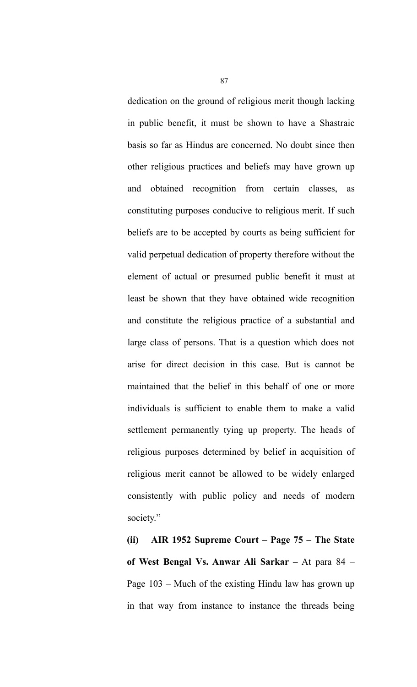dedication on the ground of religious merit though lacking in public benefit, it must be shown to have a Shastraic basis so far as Hindus are concerned. No doubt since then other religious practices and beliefs may have grown up and obtained recognition from certain classes, as constituting purposes conducive to religious merit. If such beliefs are to be accepted by courts as being sufficient for valid perpetual dedication of property therefore without the element of actual or presumed public benefit it must at least be shown that they have obtained wide recognition and constitute the religious practice of a substantial and large class of persons. That is a question which does not arise for direct decision in this case. But is cannot be maintained that the belief in this behalf of one or more individuals is sufficient to enable them to make a valid settlement permanently tying up property. The heads of religious purposes determined by belief in acquisition of religious merit cannot be allowed to be widely enlarged consistently with public policy and needs of modern society."

**(ii) AIR 1952 Supreme Court – Page 75 – The State of West Bengal Vs. Anwar Ali Sarkar –** At para 84 – Page 103 – Much of the existing Hindu law has grown up in that way from instance to instance the threads being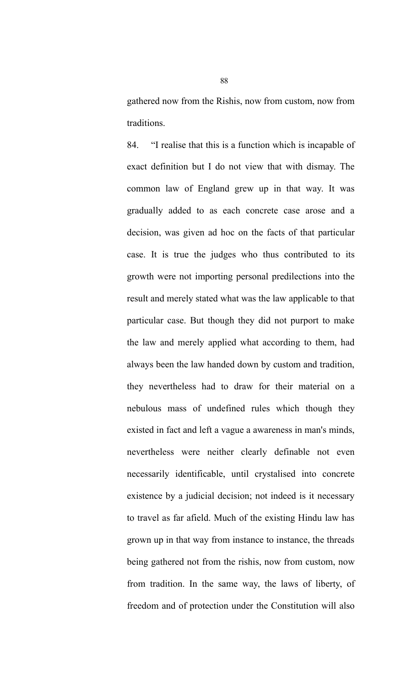gathered now from the Rishis, now from custom, now from traditions.

84. "I realise that this is a function which is incapable of exact definition but I do not view that with dismay. The common law of England grew up in that way. It was gradually added to as each concrete case arose and a decision, was given ad hoc on the facts of that particular case. It is true the judges who thus contributed to its growth were not importing personal predilections into the result and merely stated what was the law applicable to that particular case. But though they did not purport to make the law and merely applied what according to them, had always been the law handed down by custom and tradition, they nevertheless had to draw for their material on a nebulous mass of undefined rules which though they existed in fact and left a vague a awareness in man's minds, nevertheless were neither clearly definable not even necessarily identificable, until crystalised into concrete existence by a judicial decision; not indeed is it necessary to travel as far afield. Much of the existing Hindu law has grown up in that way from instance to instance, the threads being gathered not from the rishis, now from custom, now from tradition. In the same way, the laws of liberty, of freedom and of protection under the Constitution will also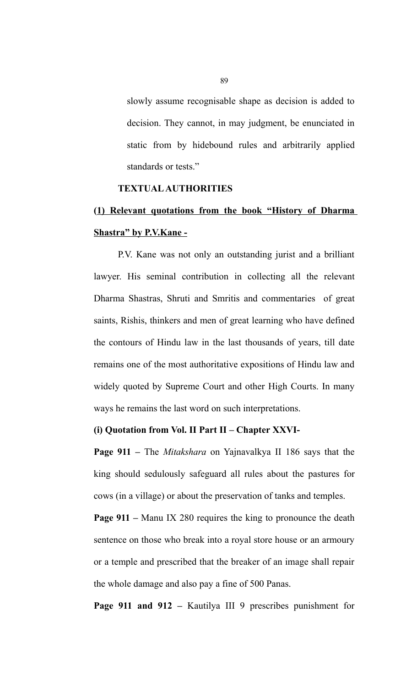slowly assume recognisable shape as decision is added to decision. They cannot, in may judgment, be enunciated in static from by hidebound rules and arbitrarily applied standards or tests."

#### **TEXTUAL AUTHORITIES**

## **(1) Relevant quotations from the book "History of Dharma Shastra" by P.V.Kane -**

P.V. Kane was not only an outstanding jurist and a brilliant lawyer. His seminal contribution in collecting all the relevant Dharma Shastras, Shruti and Smritis and commentaries of great saints, Rishis, thinkers and men of great learning who have defined the contours of Hindu law in the last thousands of years, till date remains one of the most authoritative expositions of Hindu law and widely quoted by Supreme Court and other High Courts. In many ways he remains the last word on such interpretations.

#### **(i) Quotation from Vol. II Part II – Chapter XXVI-**

**Page 911 –** The *Mitakshara* on Yajnavalkya II 186 says that the king should sedulously safeguard all rules about the pastures for cows (in a village) or about the preservation of tanks and temples.

**Page 911 –** Manu IX 280 requires the king to pronounce the death sentence on those who break into a royal store house or an armoury or a temple and prescribed that the breaker of an image shall repair the whole damage and also pay a fine of 500 Panas.

**Page 911 and 912 –** Kautilya III 9 prescribes punishment for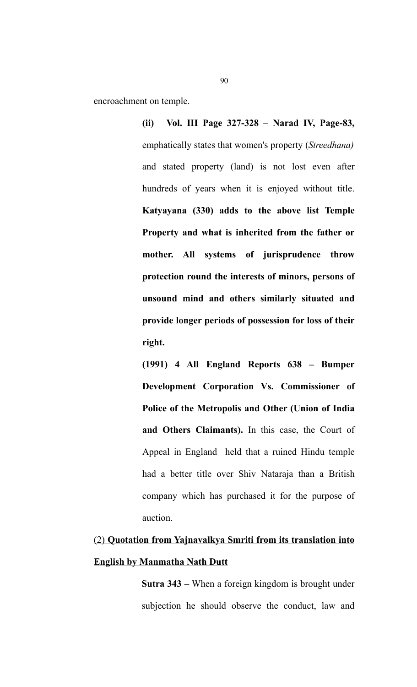encroachment on temple.

**(ii) Vol. III Page 327-328 – Narad IV, Page-83,** emphatically states that women's property (*Streedhana)* and stated property (land) is not lost even after hundreds of years when it is enjoyed without title. **Katyayana (330) adds to the above list Temple Property and what is inherited from the father or mother. All systems of jurisprudence throw protection round the interests of minors, persons of unsound mind and others similarly situated and provide longer periods of possession for loss of their right.**

**(1991) 4 All England Reports 638 – Bumper Development Corporation Vs. Commissioner of Police of the Metropolis and Other (Union of India and Others Claimants).** In this case, the Court of Appeal in England held that a ruined Hindu temple had a better title over Shiv Nataraja than a British company which has purchased it for the purpose of auction.

# (2) **Quotation from Yajnavalkya Smriti from its translation into English by Manmatha Nath Dutt**

**Sutra 343 –** When a foreign kingdom is brought under subjection he should observe the conduct, law and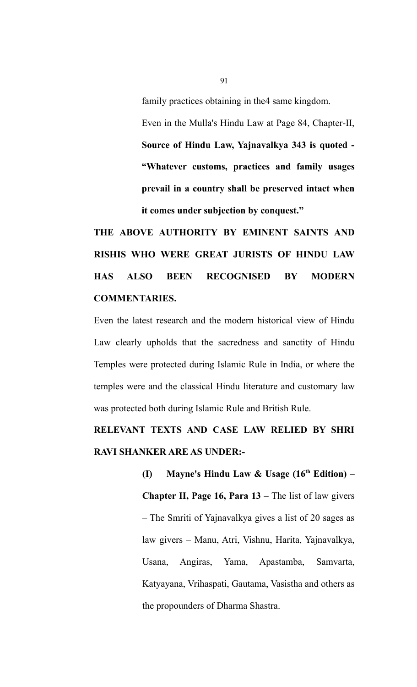family practices obtaining in the4 same kingdom. Even in the Mulla's Hindu Law at Page 84, Chapter-II, **Source of Hindu Law, Yajnavalkya 343 is quoted - "Whatever customs, practices and family usages prevail in a country shall be preserved intact when it comes under subjection by conquest."**

**THE ABOVE AUTHORITY BY EMINENT SAINTS AND RISHIS WHO WERE GREAT JURISTS OF HINDU LAW HAS ALSO BEEN RECOGNISED BY MODERN COMMENTARIES.**

Even the latest research and the modern historical view of Hindu Law clearly upholds that the sacredness and sanctity of Hindu Temples were protected during Islamic Rule in India, or where the temples were and the classical Hindu literature and customary law was protected both during Islamic Rule and British Rule.

**RELEVANT TEXTS AND CASE LAW RELIED BY SHRI RAVI SHANKER ARE AS UNDER:-**

> **(I) Mayne's Hindu Law & Usage (16th Edition) – Chapter II, Page 16, Para 13 – The list of law givers** – The Smriti of Yajnavalkya gives a list of 20 sages as law givers – Manu, Atri, Vishnu, Harita, Yajnavalkya, Usana, Angiras, Yama, Apastamba, Samvarta, Katyayana, Vrihaspati, Gautama, Vasistha and others as the propounders of Dharma Shastra.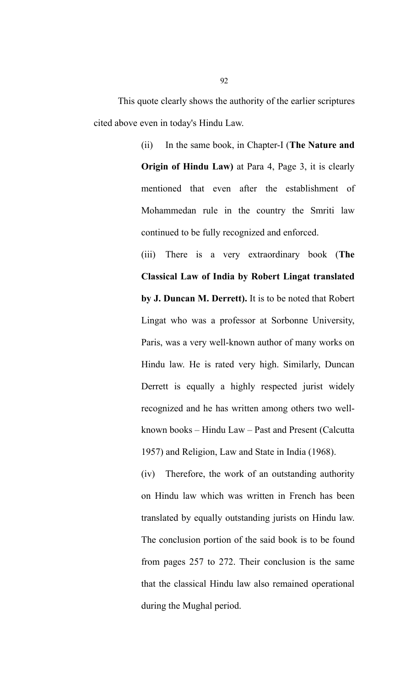This quote clearly shows the authority of the earlier scriptures cited above even in today's Hindu Law.

> (ii) In the same book, in Chapter-I (**The Nature and Origin of Hindu Law)** at Para 4, Page 3, it is clearly mentioned that even after the establishment of Mohammedan rule in the country the Smriti law continued to be fully recognized and enforced.

> (iii) There is a very extraordinary book (**The Classical Law of India by Robert Lingat translated by J. Duncan M. Derrett).** It is to be noted that Robert Lingat who was a professor at Sorbonne University, Paris, was a very well-known author of many works on Hindu law. He is rated very high. Similarly, Duncan Derrett is equally a highly respected jurist widely recognized and he has written among others two wellknown books – Hindu Law – Past and Present (Calcutta 1957) and Religion, Law and State in India (1968).

> (iv) Therefore, the work of an outstanding authority on Hindu law which was written in French has been translated by equally outstanding jurists on Hindu law. The conclusion portion of the said book is to be found from pages 257 to 272. Their conclusion is the same that the classical Hindu law also remained operational during the Mughal period.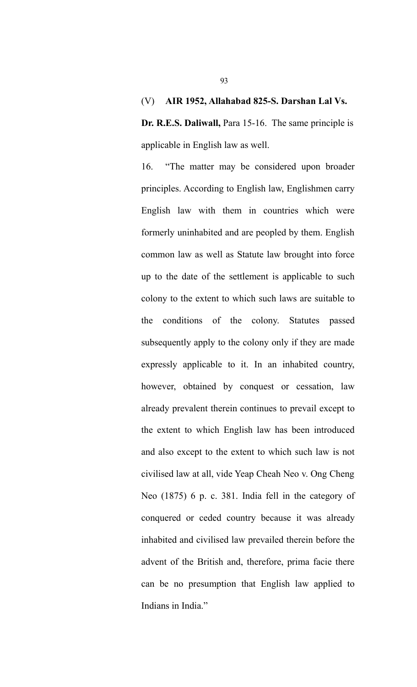### (V) **AIR 1952, Allahabad 825-S. Darshan Lal Vs.**

**Dr. R.E.S. Daliwall,** Para 15-16. The same principle is applicable in English law as well.

16. "The matter may be considered upon broader principles. According to English law, Englishmen carry English law with them in countries which were formerly uninhabited and are peopled by them. English common law as well as Statute law brought into force up to the date of the settlement is applicable to such colony to the extent to which such laws are suitable to the conditions of the colony. Statutes passed subsequently apply to the colony only if they are made expressly applicable to it. In an inhabited country, however, obtained by conquest or cessation, law already prevalent therein continues to prevail except to the extent to which English law has been introduced and also except to the extent to which such law is not civilised law at all, vide Yeap Cheah Neo v. Ong Cheng Neo (1875) 6 p. c. 381. India fell in the category of conquered or ceded country because it was already inhabited and civilised law prevailed therein before the advent of the British and, therefore, prima facie there can be no presumption that English law applied to Indians in India."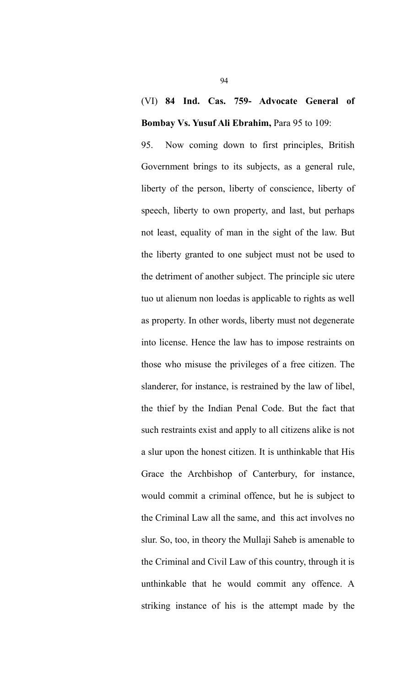## (VI) **84 Ind. Cas. 759- Advocate General of Bombay Vs. Yusuf Ali Ebrahim,** Para 95 to 109:

95. Now coming down to first principles, British Government brings to its subjects, as a general rule, liberty of the person, liberty of conscience, liberty of speech, liberty to own property, and last, but perhaps not least, equality of man in the sight of the law. But the liberty granted to one subject must not be used to the detriment of another subject. The principle sic utere tuo ut alienum non loedas is applicable to rights as well as property. In other words, liberty must not degenerate into license. Hence the law has to impose restraints on those who misuse the privileges of a free citizen. The slanderer, for instance, is restrained by the law of libel, the thief by the Indian Penal Code. But the fact that such restraints exist and apply to all citizens alike is not a slur upon the honest citizen. It is unthinkable that His Grace the Archbishop of Canterbury, for instance, would commit a criminal offence, but he is subject to the Criminal Law all the same, and this act involves no slur. So, too, in theory the Mullaji Saheb is amenable to the Criminal and Civil Law of this country, through it is unthinkable that he would commit any offence. A striking instance of his is the attempt made by the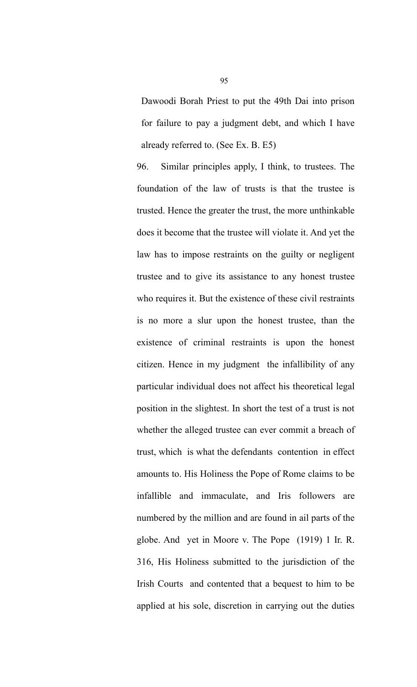Dawoodi Borah Priest to put the 49th Dai into prison for failure to pay a judgment debt, and which I have already referred to. (See Ex. B. E5)

96. Similar principles apply, I think, to trustees. The foundation of the law of trusts is that the trustee is trusted. Hence the greater the trust, the more unthinkable does it become that the trustee will violate it. And yet the law has to impose restraints on the guilty or negligent trustee and to give its assistance to any honest trustee who requires it. But the existence of these civil restraints is no more a slur upon the honest trustee, than the existence of criminal restraints is upon the honest citizen. Hence in my judgment the infallibility of any particular individual does not affect his theoretical legal position in the slightest. In short the test of a trust is not whether the alleged trustee can ever commit a breach of trust, which is what the defendants contention in effect amounts to. His Holiness the Pope of Rome claims to be infallible and immaculate, and Iris followers are numbered by the million and are found in ail parts of the globe. And yet in Moore v. The Pope (1919) 1 Ir. R. 316, His Holiness submitted to the jurisdiction of the Irish Courts and contented that a bequest to him to be applied at his sole, discretion in carrying out the duties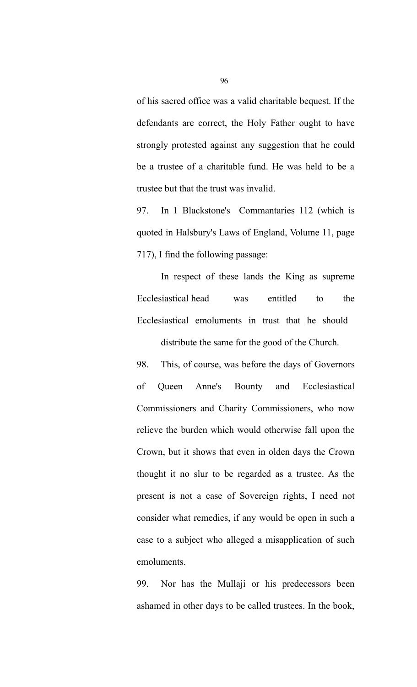of his sacred office was a valid charitable bequest. If the defendants are correct, the Holy Father ought to have strongly protested against any suggestion that he could be a trustee of a charitable fund. He was held to be a trustee but that the trust was invalid.

97. In 1 Blackstone's Commantaries 112 (which is quoted in Halsbury's Laws of England, Volume 11, page 717), I find the following passage:

In respect of these lands the King as supreme Ecclesiastical head was entitled to the Ecclesiastical emoluments in trust that he should

distribute the same for the good of the Church.

98. This, of course, was before the days of Governors of Queen Anne's Bounty and Ecclesiastical Commissioners and Charity Commissioners, who now relieve the burden which would otherwise fall upon the Crown, but it shows that even in olden days the Crown thought it no slur to be regarded as a trustee. As the present is not a case of Sovereign rights, I need not consider what remedies, if any would be open in such a case to a subject who alleged a misapplication of such emoluments.

99. Nor has the Mullaji or his predecessors been ashamed in other days to be called trustees. In the book,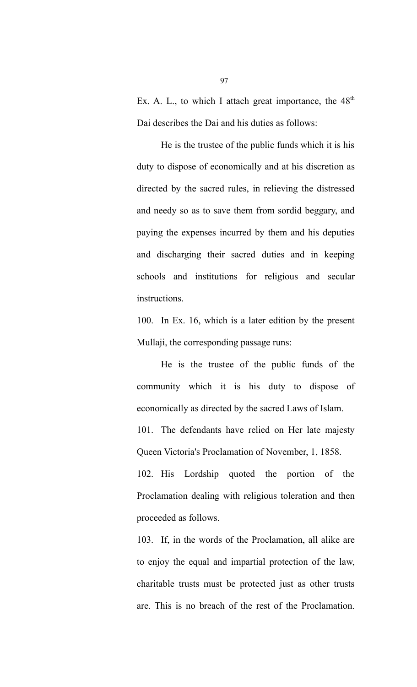Ex. A. L., to which I attach great importance, the  $48<sup>th</sup>$ Dai describes the Dai and his duties as follows:

He is the trustee of the public funds which it is his duty to dispose of economically and at his discretion as directed by the sacred rules, in relieving the distressed and needy so as to save them from sordid beggary, and paying the expenses incurred by them and his deputies and discharging their sacred duties and in keeping schools and institutions for religious and secular instructions.

100. In Ex. 16, which is a later edition by the present Mullaji, the corresponding passage runs:

He is the trustee of the public funds of the community which it is his duty to dispose of economically as directed by the sacred Laws of Islam.

101. The defendants have relied on Her late majesty Queen Victoria's Proclamation of November, 1, 1858.

102. His Lordship quoted the portion of the Proclamation dealing with religious toleration and then proceeded as follows.

103. If, in the words of the Proclamation, all alike are to enjoy the equal and impartial protection of the law, charitable trusts must be protected just as other trusts are. This is no breach of the rest of the Proclamation.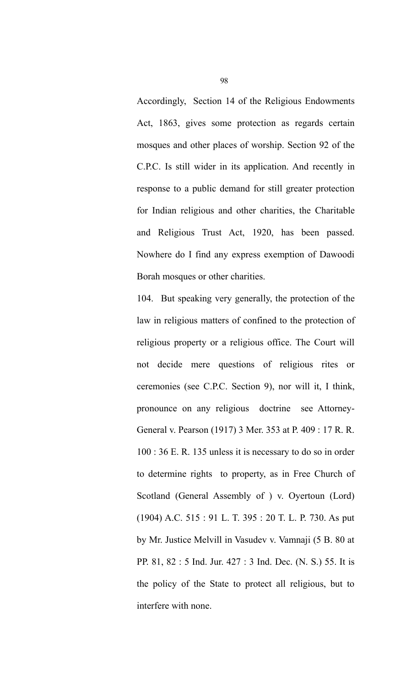Accordingly, Section 14 of the Religious Endowments Act, 1863, gives some protection as regards certain mosques and other places of worship. Section 92 of the C.P.C. Is still wider in its application. And recently in response to a public demand for still greater protection for Indian religious and other charities, the Charitable and Religious Trust Act, 1920, has been passed. Nowhere do I find any express exemption of Dawoodi Borah mosques or other charities.

104. But speaking very generally, the protection of the law in religious matters of confined to the protection of religious property or a religious office. The Court will not decide mere questions of religious rites or ceremonies (see C.P.C. Section 9), nor will it, I think, pronounce on any religious doctrine see Attorney-General v. Pearson (1917) 3 Mer. 353 at P. 409 : 17 R. R. 100 : 36 E. R. 135 unless it is necessary to do so in order to determine rights to property, as in Free Church of Scotland (General Assembly of ) v. Oyertoun (Lord) (1904) A.C. 515 : 91 L. T. 395 : 20 T. L. P. 730. As put by Mr. Justice Melvill in Vasudev v. Vamnaji (5 B. 80 at PP. 81, 82 : 5 Ind. Jur. 427 : 3 Ind. Dec. (N. S.) 55. It is the policy of the State to protect all religious, but to interfere with none.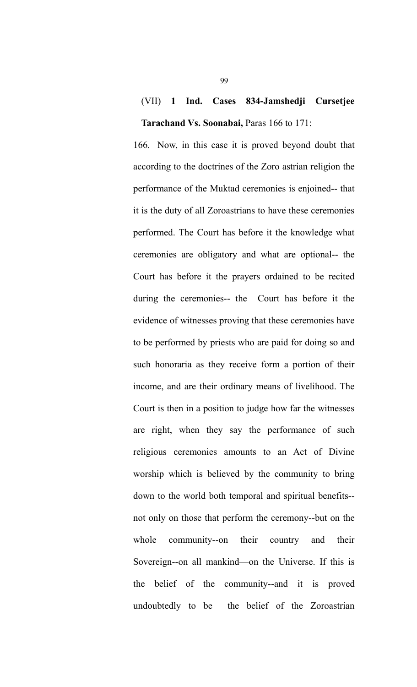### (VII) **1 Ind. Cases 834-Jamshedji Cursetjee Tarachand Vs. Soonabai,** Paras 166 to 171:

166. Now, in this case it is proved beyond doubt that according to the doctrines of the Zoro astrian religion the performance of the Muktad ceremonies is enjoined-- that it is the duty of all Zoroastrians to have these ceremonies performed. The Court has before it the knowledge what ceremonies are obligatory and what are optional-- the Court has before it the prayers ordained to be recited during the ceremonies-- the Court has before it the evidence of witnesses proving that these ceremonies have to be performed by priests who are paid for doing so and such honoraria as they receive form a portion of their income, and are their ordinary means of livelihood. The Court is then in a position to judge how far the witnesses are right, when they say the performance of such religious ceremonies amounts to an Act of Divine worship which is believed by the community to bring down to the world both temporal and spiritual benefits- not only on those that perform the ceremony--but on the whole community--on their country and their Sovereign--on all mankind—on the Universe. If this is the belief of the community--and it is proved undoubtedly to be the belief of the Zoroastrian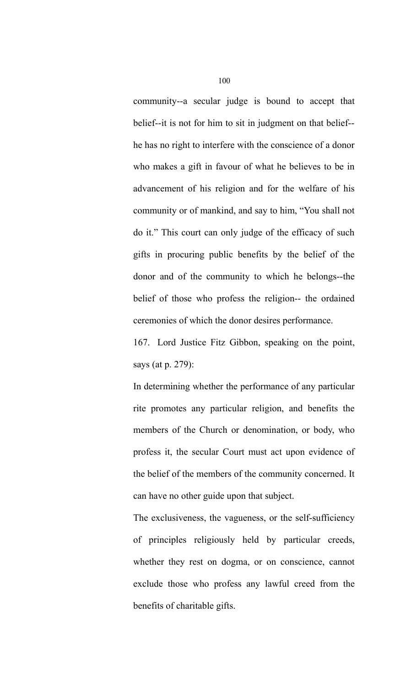community--a secular judge is bound to accept that belief--it is not for him to sit in judgment on that belief- he has no right to interfere with the conscience of a donor who makes a gift in favour of what he believes to be in advancement of his religion and for the welfare of his community or of mankind, and say to him, "You shall not do it." This court can only judge of the efficacy of such gifts in procuring public benefits by the belief of the donor and of the community to which he belongs--the belief of those who profess the religion-- the ordained ceremonies of which the donor desires performance.

167. Lord Justice Fitz Gibbon, speaking on the point, says (at p. 279):

In determining whether the performance of any particular rite promotes any particular religion, and benefits the members of the Church or denomination, or body, who profess it, the secular Court must act upon evidence of the belief of the members of the community concerned. It can have no other guide upon that subject.

The exclusiveness, the vagueness, or the self-sufficiency of principles religiously held by particular creeds, whether they rest on dogma, or on conscience, cannot exclude those who profess any lawful creed from the benefits of charitable gifts.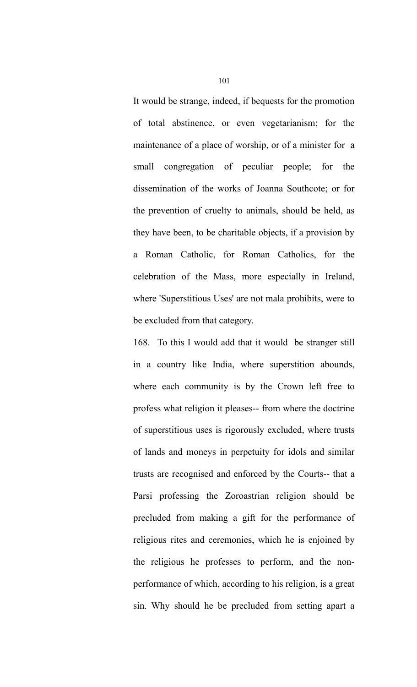It would be strange, indeed, if bequests for the promotion of total abstinence, or even vegetarianism; for the maintenance of a place of worship, or of a minister for a small congregation of peculiar people; for the dissemination of the works of Joanna Southcote; or for the prevention of cruelty to animals, should be held, as they have been, to be charitable objects, if a provision by a Roman Catholic, for Roman Catholics, for the celebration of the Mass, more especially in Ireland, where 'Superstitious Uses' are not mala prohibits, were to be excluded from that category.

168. To this I would add that it would be stranger still in a country like India, where superstition abounds, where each community is by the Crown left free to profess what religion it pleases-- from where the doctrine of superstitious uses is rigorously excluded, where trusts of lands and moneys in perpetuity for idols and similar trusts are recognised and enforced by the Courts-- that a Parsi professing the Zoroastrian religion should be precluded from making a gift for the performance of religious rites and ceremonies, which he is enjoined by the religious he professes to perform, and the nonperformance of which, according to his religion, is a great sin. Why should he be precluded from setting apart a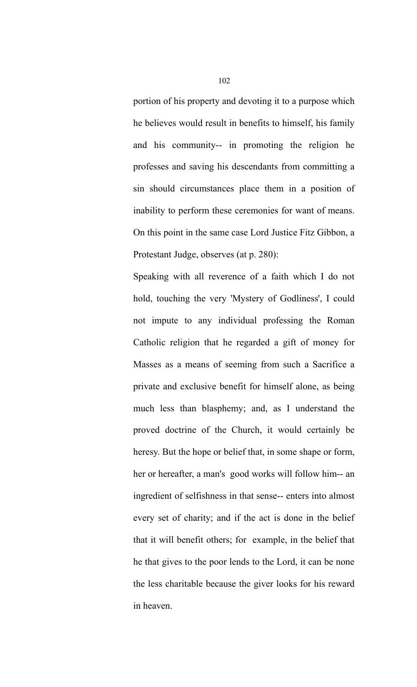portion of his property and devoting it to a purpose which he believes would result in benefits to himself, his family and his community-- in promoting the religion he professes and saving his descendants from committing a sin should circumstances place them in a position of inability to perform these ceremonies for want of means. On this point in the same case Lord Justice Fitz Gibbon, a Protestant Judge, observes (at p. 280):

Speaking with all reverence of a faith which I do not hold, touching the very 'Mystery of Godliness', I could not impute to any individual professing the Roman Catholic religion that he regarded a gift of money for Masses as a means of seeming from such a Sacrifice a private and exclusive benefit for himself alone, as being much less than blasphemy; and, as I understand the proved doctrine of the Church, it would certainly be heresy. But the hope or belief that, in some shape or form, her or hereafter, a man's good works will follow him-- an ingredient of selfishness in that sense-- enters into almost every set of charity; and if the act is done in the belief that it will benefit others; for example, in the belief that he that gives to the poor lends to the Lord, it can be none the less charitable because the giver looks for his reward in heaven.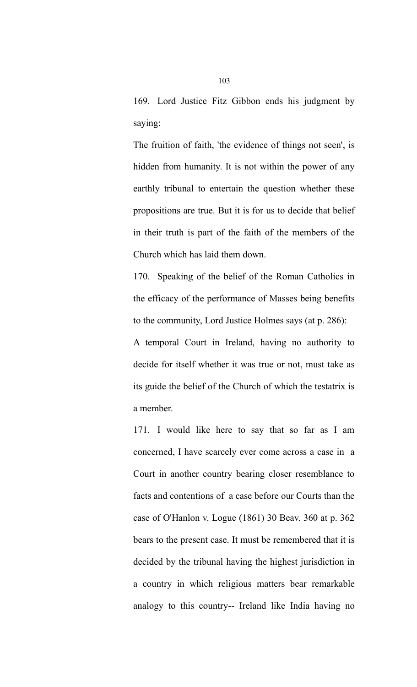169. Lord Justice Fitz Gibbon ends his judgment by saying:

The fruition of faith, 'the evidence of things not seen', is hidden from humanity. It is not within the power of any earthly tribunal to entertain the question whether these propositions are true. But it is for us to decide that belief in their truth is part of the faith of the members of the Church which has laid them down.

170. Speaking of the belief of the Roman Catholics in the efficacy of the performance of Masses being benefits to the community, Lord Justice Holmes says (at p. 286):

A temporal Court in Ireland, having no authority to decide for itself whether it was true or not, must take as its guide the belief of the Church of which the testatrix is a member.

171. I would like here to say that so far as I am concerned, I have scarcely ever come across a case in a Court in another country bearing closer resemblance to facts and contentions of a case before our Courts than the case of O'Hanlon v. Logue (1861) 30 Beav. 360 at p. 362 bears to the present case. It must be remembered that it is decided by the tribunal having the highest jurisdiction in a country in which religious matters bear remarkable analogy to this country-- Ireland like India having no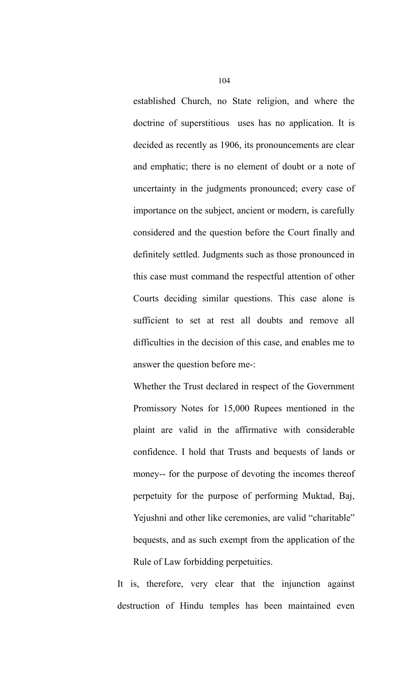established Church, no State religion, and where the doctrine of superstitious uses has no application. It is decided as recently as 1906, its pronouncements are clear and emphatic; there is no element of doubt or a note of uncertainty in the judgments pronounced; every case of importance on the subject, ancient or modern, is carefully considered and the question before the Court finally and definitely settled. Judgments such as those pronounced in this case must command the respectful attention of other Courts deciding similar questions. This case alone is sufficient to set at rest all doubts and remove all difficulties in the decision of this case, and enables me to answer the question before me-:

Whether the Trust declared in respect of the Government Promissory Notes for 15,000 Rupees mentioned in the plaint are valid in the affirmative with considerable confidence. I hold that Trusts and bequests of lands or money-- for the purpose of devoting the incomes thereof perpetuity for the purpose of performing Muktad, Baj, Yejushni and other like ceremonies, are valid "charitable" bequests, and as such exempt from the application of the Rule of Law forbidding perpetuities.

It is, therefore, very clear that the injunction against destruction of Hindu temples has been maintained even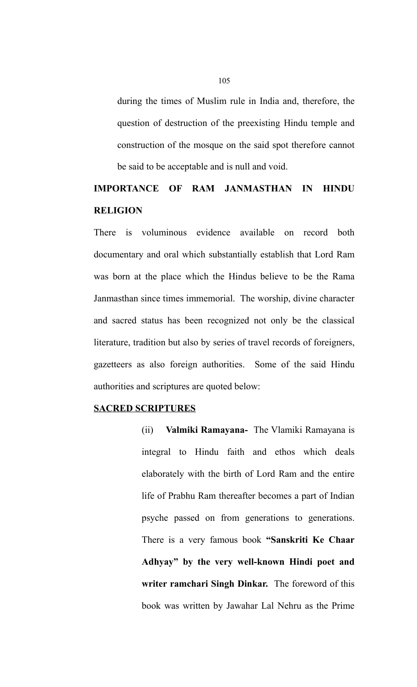during the times of Muslim rule in India and, therefore, the question of destruction of the preexisting Hindu temple and construction of the mosque on the said spot therefore cannot be said to be acceptable and is null and void.

### **IMPORTANCE OF RAM JANMASTHAN IN HINDU RELIGION**

There is voluminous evidence available on record both documentary and oral which substantially establish that Lord Ram was born at the place which the Hindus believe to be the Rama Janmasthan since times immemorial. The worship, divine character and sacred status has been recognized not only be the classical literature, tradition but also by series of travel records of foreigners, gazetteers as also foreign authorities. Some of the said Hindu authorities and scriptures are quoted below:

#### **SACRED SCRIPTURES**

(ii) **Valmiki Ramayana-** The Vlamiki Ramayana is integral to Hindu faith and ethos which deals elaborately with the birth of Lord Ram and the entire life of Prabhu Ram thereafter becomes a part of Indian psyche passed on from generations to generations. There is a very famous book **"Sanskriti Ke Chaar Adhyay" by the very well-known Hindi poet and writer ramchari Singh Dinkar.** The foreword of this book was written by Jawahar Lal Nehru as the Prime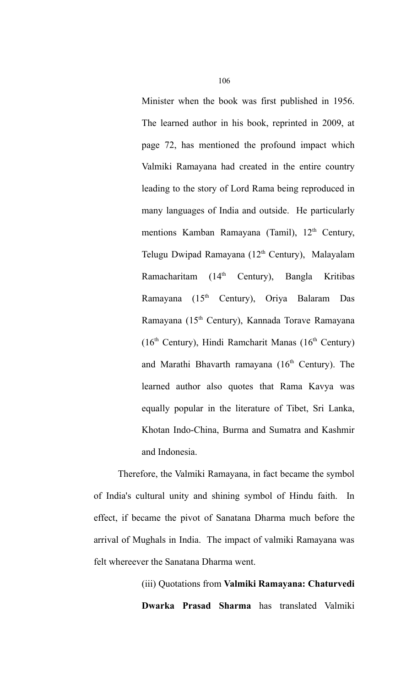Minister when the book was first published in 1956. The learned author in his book, reprinted in 2009, at page 72, has mentioned the profound impact which Valmiki Ramayana had created in the entire country leading to the story of Lord Rama being reproduced in many languages of India and outside. He particularly mentions Kamban Ramayana (Tamil), 12<sup>th</sup> Century, Telugu Dwipad Ramayana  $(12<sup>th</sup> Century)$ , Malayalam Ramacharitam  $(14<sup>th</sup>$  Century), Bangla Kritibas Ramayana  $(15<sup>th</sup>$  Century), Oriya Balaram Das Ramayana (15th Century), Kannada Torave Ramayana  $(16<sup>th</sup> Century)$ , Hindi Ramcharit Manas  $(16<sup>th</sup> Century)$ and Marathi Bhavarth ramayana  $(16<sup>th</sup>$  Century). The learned author also quotes that Rama Kavya was equally popular in the literature of Tibet, Sri Lanka, Khotan Indo-China, Burma and Sumatra and Kashmir and Indonesia.

Therefore, the Valmiki Ramayana, in fact became the symbol of India's cultural unity and shining symbol of Hindu faith. In effect, if became the pivot of Sanatana Dharma much before the arrival of Mughals in India. The impact of valmiki Ramayana was felt whereever the Sanatana Dharma went.

> (iii) Quotations from **Valmiki Ramayana: Chaturvedi Dwarka Prasad Sharma** has translated Valmiki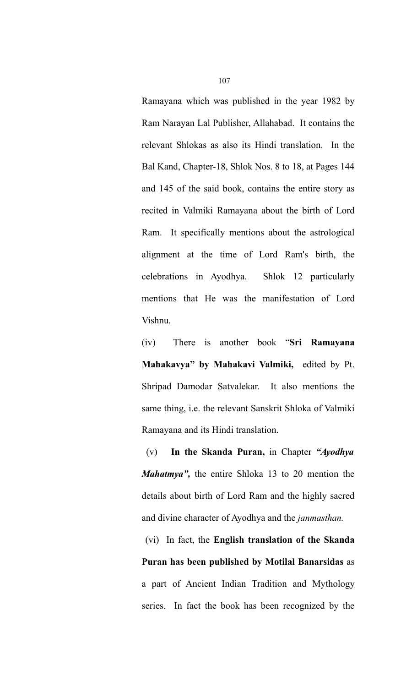Ramayana which was published in the year 1982 by Ram Narayan Lal Publisher, Allahabad. It contains the relevant Shlokas as also its Hindi translation. In the Bal Kand, Chapter-18, Shlok Nos. 8 to 18, at Pages 144 and 145 of the said book, contains the entire story as recited in Valmiki Ramayana about the birth of Lord Ram. It specifically mentions about the astrological alignment at the time of Lord Ram's birth, the celebrations in Ayodhya. Shlok 12 particularly mentions that He was the manifestation of Lord Vishnu.

(iv) There is another book "**Sri Ramayana Mahakavya" by Mahakavi Valmiki,** edited by Pt. Shripad Damodar Satvalekar. It also mentions the same thing, i.e. the relevant Sanskrit Shloka of Valmiki Ramayana and its Hindi translation.

 (v) **In the Skanda Puran,** in Chapter *"Ayodhya Mahatmya",* the entire Shloka 13 to 20 mention the details about birth of Lord Ram and the highly sacred and divine character of Ayodhya and the *janmasthan.*

 (vi) In fact, the **English translation of the Skanda Puran has been published by Motilal Banarsidas** as a part of Ancient Indian Tradition and Mythology series. In fact the book has been recognized by the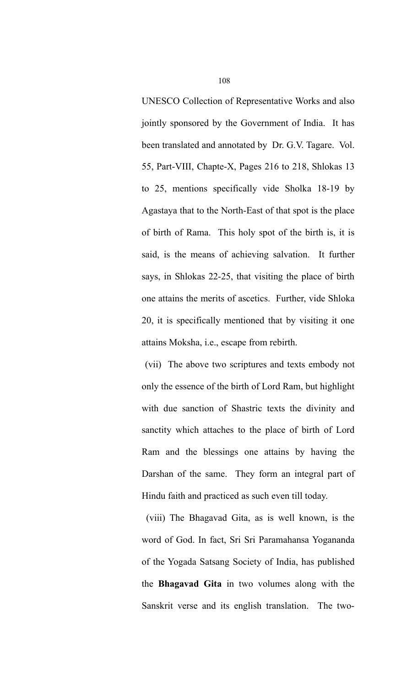UNESCO Collection of Representative Works and also jointly sponsored by the Government of India. It has been translated and annotated by Dr. G.V. Tagare. Vol. 55, Part-VIII, Chapte-X, Pages 216 to 218, Shlokas 13 to 25, mentions specifically vide Sholka 18-19 by Agastaya that to the North-East of that spot is the place of birth of Rama. This holy spot of the birth is, it is said, is the means of achieving salvation. It further says, in Shlokas 22-25, that visiting the place of birth one attains the merits of ascetics. Further, vide Shloka 20, it is specifically mentioned that by visiting it one attains Moksha, i.e., escape from rebirth.

 (vii) The above two scriptures and texts embody not only the essence of the birth of Lord Ram, but highlight with due sanction of Shastric texts the divinity and sanctity which attaches to the place of birth of Lord Ram and the blessings one attains by having the Darshan of the same. They form an integral part of Hindu faith and practiced as such even till today.

 (viii) The Bhagavad Gita, as is well known, is the word of God. In fact, Sri Sri Paramahansa Yogananda of the Yogada Satsang Society of India, has published the **Bhagavad Gita** in two volumes along with the Sanskrit verse and its english translation. The two-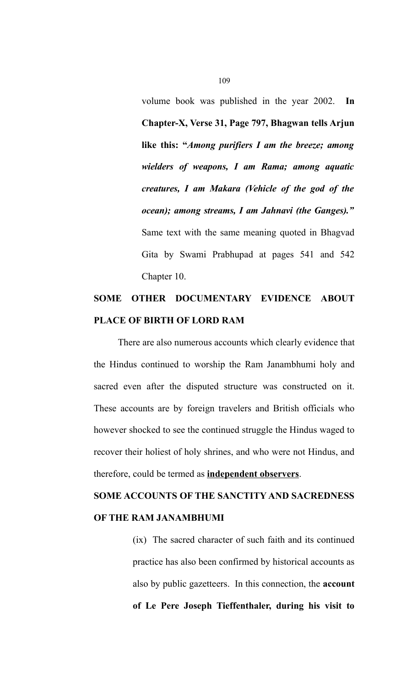volume book was published in the year 2002. **In Chapter-X, Verse 31, Page 797, Bhagwan tells Arjun like this: "***Among purifiers I am the breeze; among wielders of weapons, I am Rama; among aquatic creatures, I am Makara (Vehicle of the god of the ocean); among streams, I am Jahnavi (the Ganges)."* Same text with the same meaning quoted in Bhagvad Gita by Swami Prabhupad at pages 541 and 542 Chapter 10.

### **SOME OTHER DOCUMENTARY EVIDENCE ABOUT PLACE OF BIRTH OF LORD RAM**

There are also numerous accounts which clearly evidence that the Hindus continued to worship the Ram Janambhumi holy and sacred even after the disputed structure was constructed on it. These accounts are by foreign travelers and British officials who however shocked to see the continued struggle the Hindus waged to recover their holiest of holy shrines, and who were not Hindus, and therefore, could be termed as **independent observers**.

## **SOME ACCOUNTS OF THE SANCTITY AND SACREDNESS OF THE RAM JANAMBHUMI**

(ix) The sacred character of such faith and its continued practice has also been confirmed by historical accounts as also by public gazetteers. In this connection, the **account of Le Pere Joseph Tieffenthaler, during his visit to**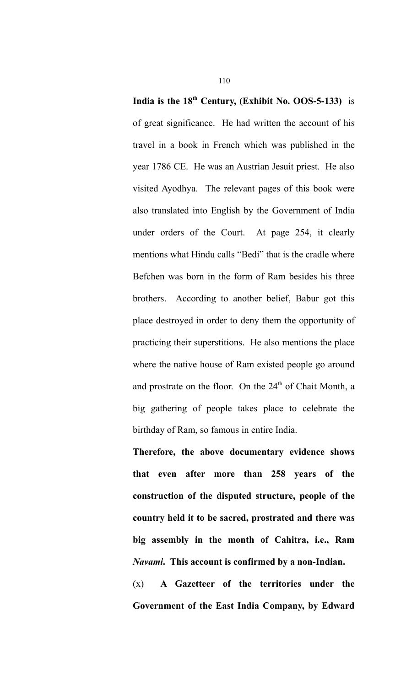**India is the 18th Century, (Exhibit No. OOS-5-133)** is of great significance. He had written the account of his travel in a book in French which was published in the year 1786 CE. He was an Austrian Jesuit priest. He also visited Ayodhya. The relevant pages of this book were also translated into English by the Government of India under orders of the Court. At page 254, it clearly mentions what Hindu calls "Bedi" that is the cradle where Befchen was born in the form of Ram besides his three brothers. According to another belief, Babur got this place destroyed in order to deny them the opportunity of practicing their superstitions. He also mentions the place where the native house of Ram existed people go around and prostrate on the floor. On the  $24<sup>th</sup>$  of Chait Month, a big gathering of people takes place to celebrate the birthday of Ram, so famous in entire India.

**Therefore, the above documentary evidence shows that even after more than 258 years of the construction of the disputed structure, people of the country held it to be sacred, prostrated and there was big assembly in the month of Cahitra, i.e., Ram** *Navami***. This account is confirmed by a non-Indian.** 

(x) **A Gazetteer of the territories under the Government of the East India Company, by Edward**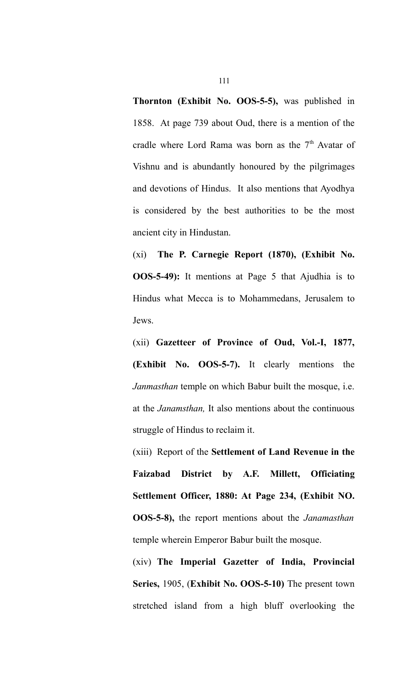**Thornton (Exhibit No. OOS-5-5),** was published in 1858. At page 739 about Oud, there is a mention of the cradle where Lord Rama was born as the  $7<sup>th</sup>$  Avatar of Vishnu and is abundantly honoured by the pilgrimages and devotions of Hindus. It also mentions that Ayodhya is considered by the best authorities to be the most ancient city in Hindustan.

(xi) **The P. Carnegie Report (1870), (Exhibit No. OOS-5-49):** It mentions at Page 5 that Ajudhia is to Hindus what Mecca is to Mohammedans, Jerusalem to Jews.

(xii) **Gazetteer of Province of Oud, Vol.-I, 1877, (Exhibit No. OOS-5-7).** It clearly mentions the *Janmasthan* temple on which Babur built the mosque, i.e. at the *Janamsthan,* It also mentions about the continuous struggle of Hindus to reclaim it.

(xiii) Report of the **Settlement of Land Revenue in the Faizabad District by A.F. Millett, Officiating Settlement Officer, 1880: At Page 234, (Exhibit NO. OOS-5-8),** the report mentions about the *Janamasthan* temple wherein Emperor Babur built the mosque.

(xiv) **The Imperial Gazetter of India, Provincial Series,** 1905, (**Exhibit No. OOS-5-10)** The present town stretched island from a high bluff overlooking the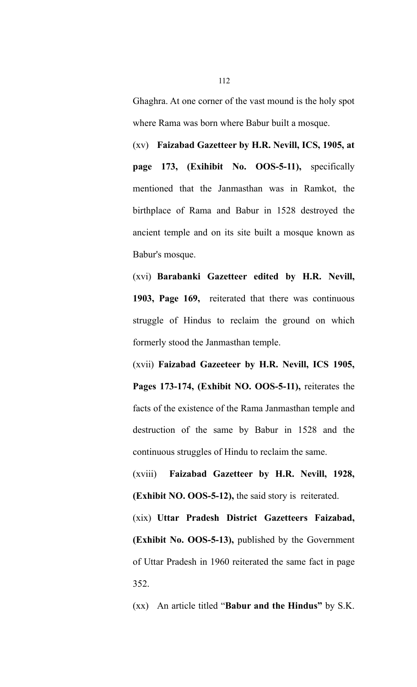Ghaghra. At one corner of the vast mound is the holy spot where Rama was born where Babur built a mosque.

(xv) **Faizabad Gazetteer by H.R. Nevill, ICS, 1905, at page 173, (Exihibit No. OOS-5-11),** specifically mentioned that the Janmasthan was in Ramkot, the birthplace of Rama and Babur in 1528 destroyed the ancient temple and on its site built a mosque known as Babur's mosque.

(xvi) **Barabanki Gazetteer edited by H.R. Nevill, 1903, Page 169,** reiterated that there was continuous struggle of Hindus to reclaim the ground on which formerly stood the Janmasthan temple.

(xvii) **Faizabad Gazeeteer by H.R. Nevill, ICS 1905, Pages 173-174, (Exhibit NO. OOS-5-11),** reiterates the facts of the existence of the Rama Janmasthan temple and destruction of the same by Babur in 1528 and the continuous struggles of Hindu to reclaim the same.

(xviii) **Faizabad Gazetteer by H.R. Nevill, 1928, (Exhibit NO. OOS-5-12),** the said story is reiterated.

(xix) **Uttar Pradesh District Gazetteers Faizabad, (Exhibit No. OOS-5-13),** published by the Government of Uttar Pradesh in 1960 reiterated the same fact in page 352.

(xx) An article titled "**Babur and the Hindus"** by S.K.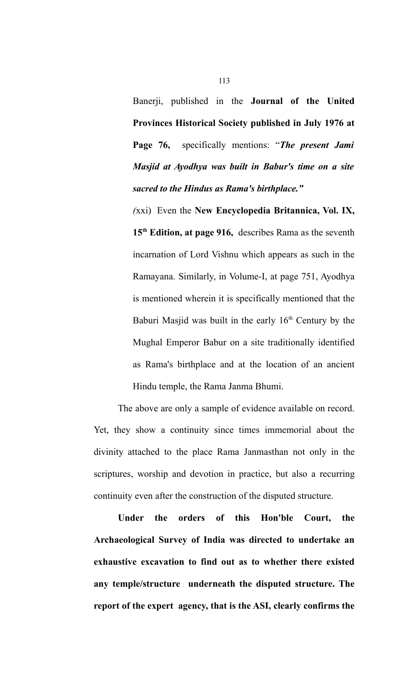Banerji, published in the **Journal of the United Provinces Historical Society published in July 1976 at Page 76,** specifically mentions: "*The present Jami Masjid at Ayodhya was built in Babur's time on a site sacred to the Hindus as Rama's birthplace."*

*(*xxi) Even the **New Encyclopedia Britannica, Vol. IX, 15th Edition, at page 916,** describes Rama as the seventh incarnation of Lord Vishnu which appears as such in the Ramayana. Similarly, in Volume-I, at page 751, Ayodhya is mentioned wherein it is specifically mentioned that the Baburi Masjid was built in the early  $16<sup>th</sup>$  Century by the Mughal Emperor Babur on a site traditionally identified as Rama's birthplace and at the location of an ancient Hindu temple, the Rama Janma Bhumi.

The above are only a sample of evidence available on record. Yet, they show a continuity since times immemorial about the divinity attached to the place Rama Janmasthan not only in the scriptures, worship and devotion in practice, but also a recurring continuity even after the construction of the disputed structure.

**Under the orders of this Hon'ble Court, the Archaeological Survey of India was directed to undertake an exhaustive excavation to find out as to whether there existed any temple/structure underneath the disputed structure. The report of the expert agency, that is the ASI, clearly confirms the**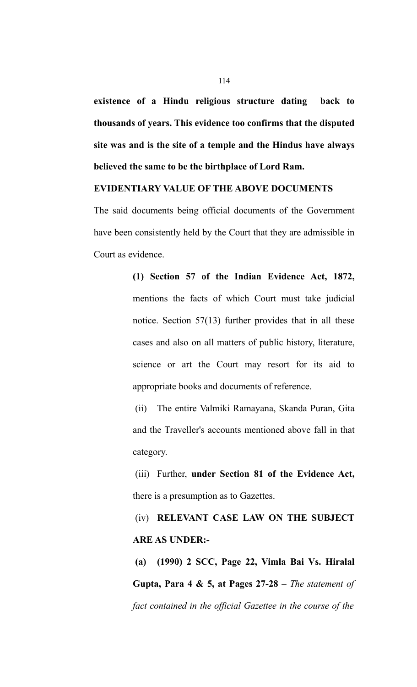**existence of a Hindu religious structure dating back to thousands of years. This evidence too confirms that the disputed site was and is the site of a temple and the Hindus have always believed the same to be the birthplace of Lord Ram.**

#### **EVIDENTIARY VALUE OF THE ABOVE DOCUMENTS**

The said documents being official documents of the Government have been consistently held by the Court that they are admissible in Court as evidence.

> **(1) Section 57 of the Indian Evidence Act, 1872,** mentions the facts of which Court must take judicial notice. Section 57(13) further provides that in all these cases and also on all matters of public history, literature, science or art the Court may resort for its aid to appropriate books and documents of reference.

> (ii) The entire Valmiki Ramayana, Skanda Puran, Gita and the Traveller's accounts mentioned above fall in that category.

> (iii) Further, **under Section 81 of the Evidence Act,** there is a presumption as to Gazettes.

> (iv) **RELEVANT CASE LAW ON THE SUBJECT ARE AS UNDER:-**

> **(a) (1990) 2 SCC, Page 22, Vimla Bai Vs. Hiralal Gupta, Para 4 & 5, at Pages 27-28 –** *The statement of fact contained in the official Gazettee in the course of the*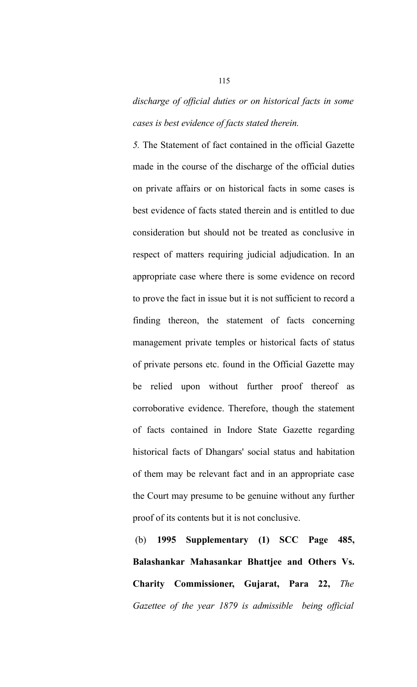*discharge of official duties or on historical facts in some cases is best evidence of facts stated therein.*

*5.* The Statement of fact contained in the official Gazette made in the course of the discharge of the official duties on private affairs or on historical facts in some cases is best evidence of facts stated therein and is entitled to due consideration but should not be treated as conclusive in respect of matters requiring judicial adjudication. In an appropriate case where there is some evidence on record to prove the fact in issue but it is not sufficient to record a finding thereon, the statement of facts concerning management private temples or historical facts of status of private persons etc. found in the Official Gazette may be relied upon without further proof thereof as corroborative evidence. Therefore, though the statement of facts contained in Indore State Gazette regarding historical facts of Dhangars' social status and habitation of them may be relevant fact and in an appropriate case the Court may presume to be genuine without any further proof of its contents but it is not conclusive.

 (b) **1995 Supplementary (1) SCC Page 485, Balashankar Mahasankar Bhattjee and Others Vs. Charity Commissioner, Gujarat, Para 22,** *The Gazettee of the year 1879 is admissible being official*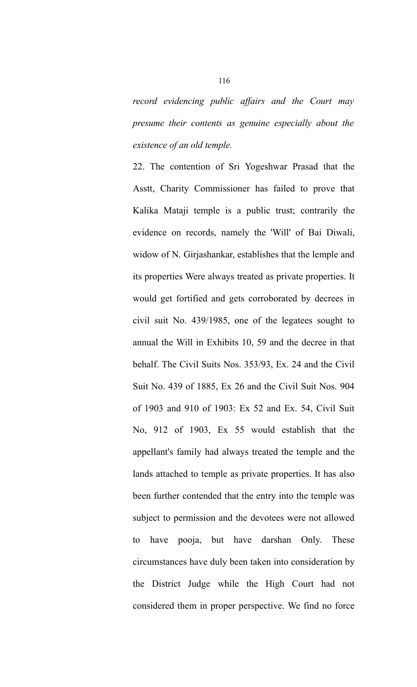*record evidencing public affairs and the Court may presume their contents as genuine especially about the existence of an old temple.*

22. The contention of Sri Yogeshwar Prasad that the Asstt, Charity Commissioner has failed to prove that Kalika Mataji temple is a public trust; contrarily the evidence on records, namely the 'Will' of Bai Diwali, widow of N. Girjashankar, establishes that the lemple and its properties Were always treated as private properties. It would get fortified and gets corroborated by decrees in civil suit No. 439/1985, one of the legatees sought to annual the Will in Exhibits 10, 59 and the decree in that behalf. The Civil Suits Nos. 353/93, Ex. 24 and the Civil Suit No. 439 of 1885, Ex 26 and the Civil Suit Nos. 904 of 1903 and 910 of 1903: Ex 52 and Ex. 54, Civil Suit No, 912 of 1903, Ex 55 would establish that the appellant's family had always treated the temple and the lands attached to temple as private properties. It has also been further contended that the entry into the temple was subject to permission and the devotees were not allowed to have pooja, but have darshan Only. These circumstances have duly been taken into consideration by the District Judge while the High Court had not considered them in proper perspective. We find no force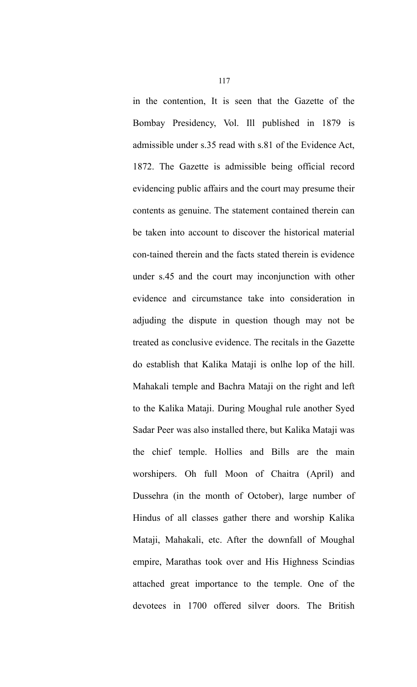in the contention, It is seen that the Gazette of the Bombay Presidency, Vol. Ill published in 1879 is admissible under s.35 read with s.81 of the Evidence Act, 1872. The Gazette is admissible being official record evidencing public affairs and the court may presume their contents as genuine. The statement contained therein can be taken into account to discover the historical material con-tained therein and the facts stated therein is evidence under s.45 and the court may inconjunction with other evidence and circumstance take into consideration in adjuding the dispute in question though may not be treated as conclusive evidence. The recitals in the Gazette do establish that Kalika Mataji is onlhe lop of the hill. Mahakali temple and Bachra Mataji on the right and left to the Kalika Mataji. During Moughal rule another Syed Sadar Peer was also installed there, but Kalika Mataji was the chief temple. Hollies and Bills are the main worshipers. Oh full Moon of Chaitra (April) and Dussehra (in the month of October), large number of Hindus of all classes gather there and worship Kalika Mataji, Mahakali, etc. After the downfall of Moughal empire, Marathas took over and His Highness Scindias attached great importance to the temple. One of the devotees in 1700 offered silver doors. The British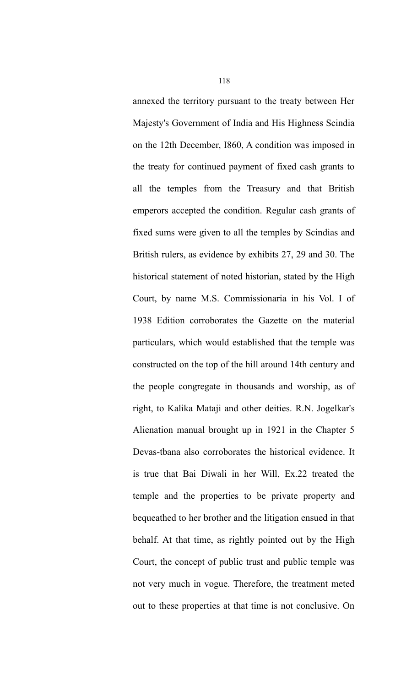annexed the territory pursuant to the treaty between Her Majesty's Government of India and His Highness Scindia on the 12th December, I860, A condition was imposed in the treaty for continued payment of fixed cash grants to all the temples from the Treasury and that British emperors accepted the condition. Regular cash grants of fixed sums were given to all the temples by Scindias and British rulers, as evidence by exhibits 27, 29 and 30. The historical statement of noted historian, stated by the High Court, by name M.S. Commissionaria in his Vol. I of 1938 Edition corroborates the Gazette on the material particulars, which would established that the temple was constructed on the top of the hill around 14th century and the people congregate in thousands and worship, as of right, to Kalika Mataji and other deities. R.N. Jogelkar's Alienation manual brought up in 1921 in the Chapter 5 Devas-tbana also corroborates the historical evidence. It is true that Bai Diwali in her Will, Ex.22 treated the temple and the properties to be private property and bequeathed to her brother and the litigation ensued in that behalf. At that time, as rightly pointed out by the High Court, the concept of public trust and public temple was not very much in vogue. Therefore, the treatment meted out to these properties at that time is not conclusive. On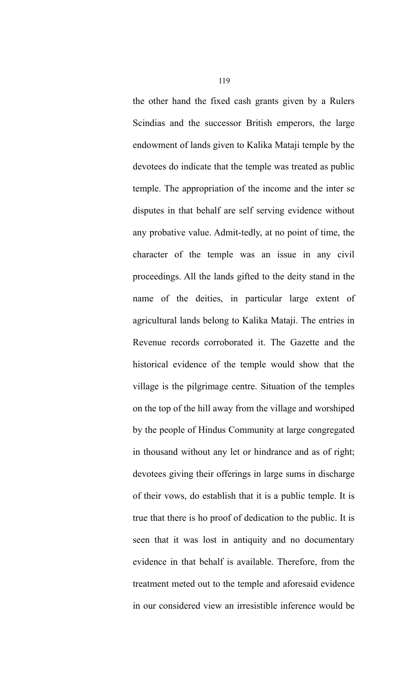the other hand the fixed cash grants given by a Rulers Scindias and the successor British emperors, the large endowment of lands given to Kalika Mataji temple by the devotees do indicate that the temple was treated as public temple. The appropriation of the income and the inter se disputes in that behalf are self serving evidence without any probative value. Admit-tedly, at no point of time, the character of the temple was an issue in any civil proceedings. All the lands gifted to the deity stand in the name of the deities, in particular large extent of agricultural lands belong to Kalika Mataji. The entries in Revenue records corroborated it. The Gazette and the historical evidence of the temple would show that the village is the pilgrimage centre. Situation of the temples on the top of the hill away from the village and worshiped by the people of Hindus Community at large congregated in thousand without any let or hindrance and as of right; devotees giving their offerings in large sums in discharge of their vows, do establish that it is a public temple. It is true that there is ho proof of dedication to the public. It is seen that it was lost in antiquity and no documentary evidence in that behalf is available. Therefore, from the treatment meted out to the temple and aforesaid evidence in our considered view an irresistible inference would be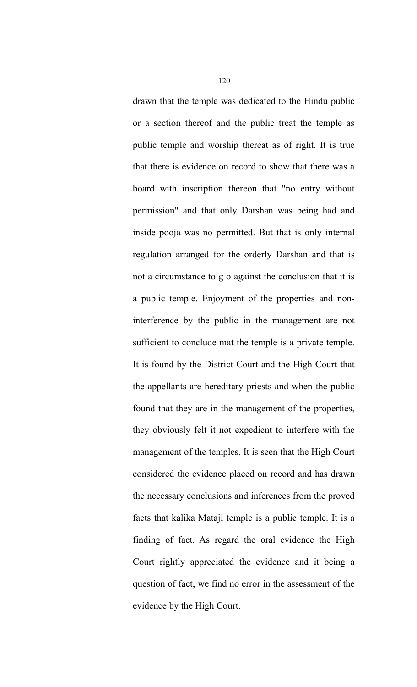drawn that the temple was dedicated to the Hindu public or a section thereof and the public treat the temple as public temple and worship thereat as of right. It is true that there is evidence on record to show that there was a board with inscription thereon that "no entry without permission" and that only Darshan was being had and inside pooja was no permitted. But that is only internal regulation arranged for the orderly Darshan and that is not a circumstance to g o against the conclusion that it is a public temple. Enjoyment of the properties and noninterference by the public in the management are not sufficient to conclude mat the temple is a private temple. It is found by the District Court and the High Court that the appellants are hereditary priests and when the public found that they are in the management of the properties, they obviously felt it not expedient to interfere with the management of the temples. It is seen that the High Court considered the evidence placed on record and has drawn the necessary conclusions and inferences from the proved facts that kalika Mataji temple is a public temple. It is a finding of fact. As regard the oral evidence the High Court rightly appreciated the evidence and it being a question of fact, we find no error in the assessment of the evidence by the High Court.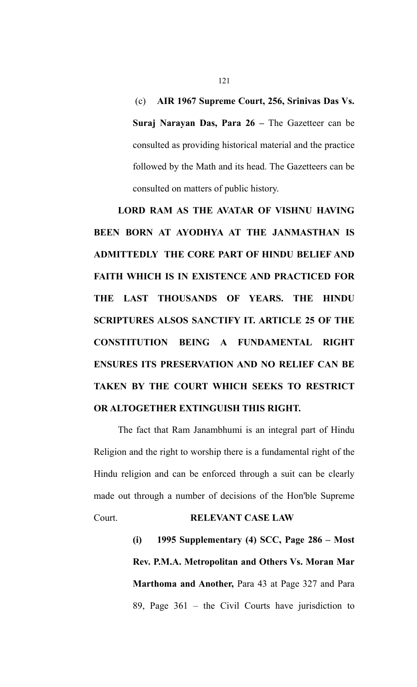(c) **AIR 1967 Supreme Court, 256, Srinivas Das Vs. Suraj Narayan Das, Para 26 –** The Gazetteer can be consulted as providing historical material and the practice followed by the Math and its head. The Gazetteers can be consulted on matters of public history.

**LORD RAM AS THE AVATAR OF VISHNU HAVING BEEN BORN AT AYODHYA AT THE JANMASTHAN IS ADMITTEDLY THE CORE PART OF HINDU BELIEF AND FAITH WHICH IS IN EXISTENCE AND PRACTICED FOR THE LAST THOUSANDS OF YEARS. THE HINDU SCRIPTURES ALSOS SANCTIFY IT. ARTICLE 25 OF THE CONSTITUTION BEING A FUNDAMENTAL RIGHT ENSURES ITS PRESERVATION AND NO RELIEF CAN BE TAKEN BY THE COURT WHICH SEEKS TO RESTRICT OR ALTOGETHER EXTINGUISH THIS RIGHT.**

The fact that Ram Janambhumi is an integral part of Hindu Religion and the right to worship there is a fundamental right of the Hindu religion and can be enforced through a suit can be clearly made out through a number of decisions of the Hon'ble Supreme Court. **RELEVANT CASE LAW**

> **(i) 1995 Supplementary (4) SCC, Page 286 – Most Rev. P.M.A. Metropolitan and Others Vs. Moran Mar Marthoma and Another,** Para 43 at Page 327 and Para 89, Page 361 – the Civil Courts have jurisdiction to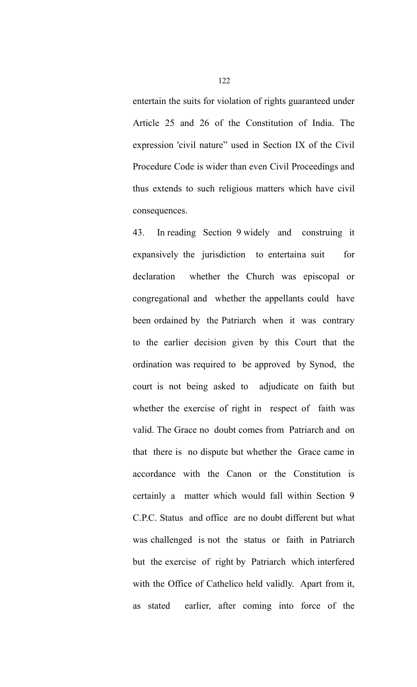entertain the suits for violation of rights guaranteed under Article 25 and 26 of the Constitution of India. The expression 'civil nature" used in Section IX of the Civil Procedure Code is wider than even Civil Proceedings and thus extends to such religious matters which have civil consequences.

43. In reading Section 9 widely and construing it expansively the jurisdiction to entertaina suit for declaration whether the Church was episcopal or congregational and whether the appellants could have been ordained by the Patriarch when it was contrary to the earlier decision given by this Court that the ordination was required to be approved by Synod, the court is not being asked to adjudicate on faith but whether the exercise of right in respect of faith was valid. The Grace no doubt comes from Patriarch and on that there is no dispute but whether the Grace came in accordance with the Canon or the Constitution is certainly a matter which would fall within Section 9 C.P.C. Status and office are no doubt different but what was challenged is not the status or faith in Patriarch but the exercise of right by Patriarch which interfered with the Office of Cathelico held validly. Apart from it, as stated earlier, after coming into force of the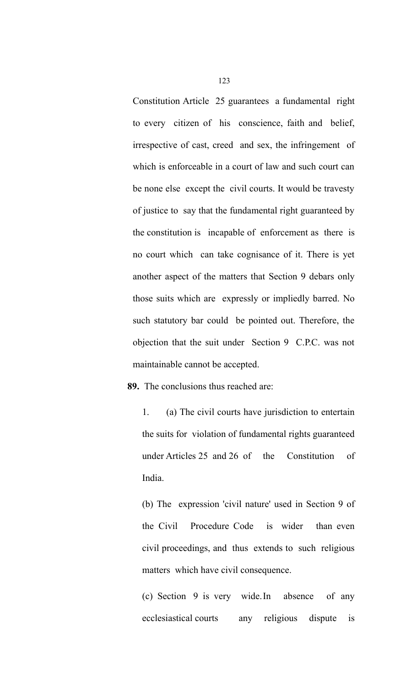Constitution Article 25 guarantees a fundamental right to every citizen of his conscience, faith and belief, irrespective of cast, creed and sex, the infringement of which is enforceable in a court of law and such court can be none else except the civil courts. It would be travesty of justice to say that the fundamental right guaranteed by the constitution is incapable of enforcement as there is no court which can take cognisance of it. There is yet another aspect of the matters that Section 9 debars only those suits which are expressly or impliedly barred. No such statutory bar could be pointed out. Therefore, the objection that the suit under Section 9 C.P.C. was not maintainable cannot be accepted.

 **89.** The conclusions thus reached are:

1. (a) The civil courts have jurisdiction to entertain the suits for violation of fundamental rights guaranteed under Articles 25 and 26 of the Constitution of India.

(b) The expression 'civil nature' used in Section 9 of the Civil Procedure Code is wider than even civil proceedings, and thus extends to such religious matters which have civil consequence.

(c) Section 9 is very wide.In absence of any ecclesiastical courts any religious dispute is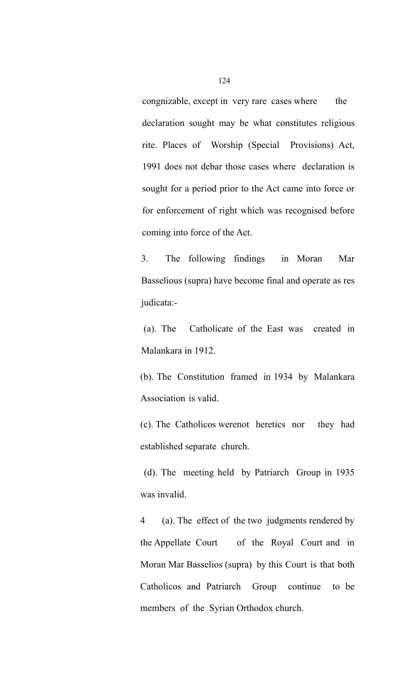congnizable, except in very rare cases where the declaration sought may be what constitutes religious rite. Places of Worship (Special Provisions) Act, 1991 does not debar those cases where declaration is sought for a period prior to the Act came into force or for enforcement of right which was recognised before coming into force of the Act.

3. The following findings in Moran Mar Basselious (supra) have become final and operate as res judicata:-

 (a). The Catholicate of the East was created in Malankara in 1912.

(b). The Constitution framed in 1934 by Malankara Association is valid.

(c). The Catholicos werenot heretics nor they had established separate church.

 (d). The meeting held by Patriarch Group in 1935 was invalid.

4 (a). The effect of the two judgments rendered by the Appellate Court of the Royal Court and in Moran Mar Basselios (supra) by this Court is that both Catholicos and Patriarch Group continue to be members of the Syrian Orthodox church.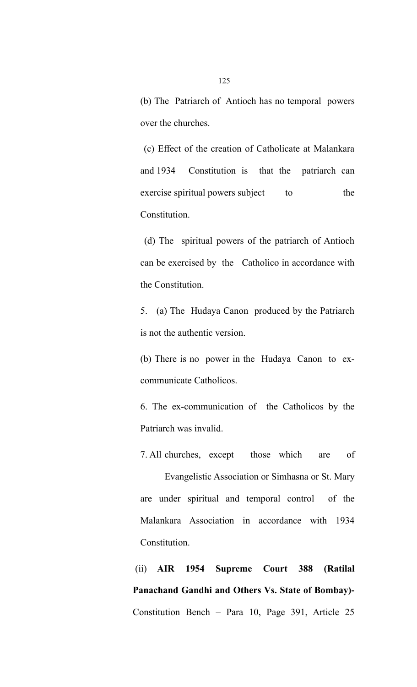(b) The Patriarch of Antioch has no temporal powers over the churches.

 (c) Effect of the creation of Catholicate at Malankara and 1934 Constitution is that the patriarch can exercise spiritual powers subject to the Constitution.

 (d) The spiritual powers of the patriarch of Antioch can be exercised by the Catholico in accordance with the Constitution.

5. (a) The Hudaya Canon produced by the Patriarch is not the authentic version.

(b) There is no power in the Hudaya Canon to excommunicate Catholicos.

6. The ex-communication of the Catholicos by the Patriarch was invalid.

7. All churches, except those which are of

Evangelistic Association or Simhasna or St. Mary are under spiritual and temporal control of the Malankara Association in accordance with 1934 Constitution.

 (ii) **AIR 1954 Supreme Court 388 (Ratilal Panachand Gandhi and Others Vs. State of Bombay)-** Constitution Bench – Para 10, Page 391, Article 25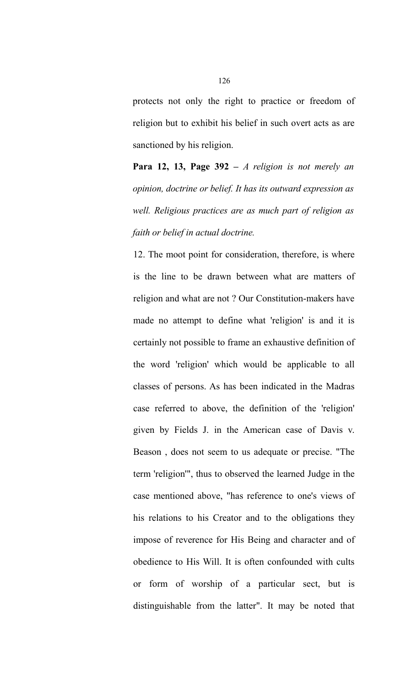protects not only the right to practice or freedom of religion but to exhibit his belief in such overt acts as are sanctioned by his religion.

**Para 12, 13, Page 392 –** *A religion is not merely an opinion, doctrine or belief. It has its outward expression as well. Religious practices are as much part of religion as faith or belief in actual doctrine.*

12. The moot point for consideration, therefore, is where is the line to be drawn between what are matters of religion and what are not ? Our Constitution-makers have made no attempt to define what 'religion' is and it is certainly not possible to frame an exhaustive definition of the word 'religion' which would be applicable to all classes of persons. As has been indicated in the Madras case referred to above, the definition of the 'religion' given by Fields J. in the American case of Davis v. Beason , does not seem to us adequate or precise. "The term 'religion'", thus to observed the learned Judge in the case mentioned above, "has reference to one's views of his relations to his Creator and to the obligations they impose of reverence for His Being and character and of obedience to His Will. It is often confounded with cults or form of worship of a particular sect, but is distinguishable from the latter". It may be noted that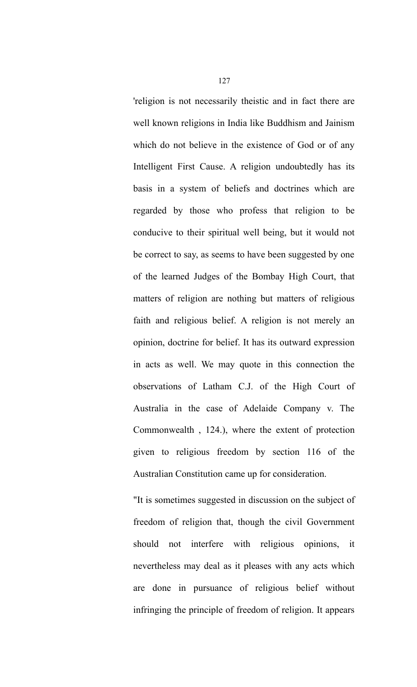'religion is not necessarily theistic and in fact there are well known religions in India like Buddhism and Jainism which do not believe in the existence of God or of any Intelligent First Cause. A religion undoubtedly has its basis in a system of beliefs and doctrines which are regarded by those who profess that religion to be conducive to their spiritual well being, but it would not be correct to say, as seems to have been suggested by one of the learned Judges of the Bombay High Court, that matters of religion are nothing but matters of religious faith and religious belief. A religion is not merely an opinion, doctrine for belief. It has its outward expression in acts as well. We may quote in this connection the observations of Latham C.J. of the High Court of Australia in the case of Adelaide Company v. The Commonwealth , 124.), where the extent of protection given to religious freedom by section 116 of the Australian Constitution came up for consideration.

"It is sometimes suggested in discussion on the subject of freedom of religion that, though the civil Government should not interfere with religious opinions, it nevertheless may deal as it pleases with any acts which are done in pursuance of religious belief without infringing the principle of freedom of religion. It appears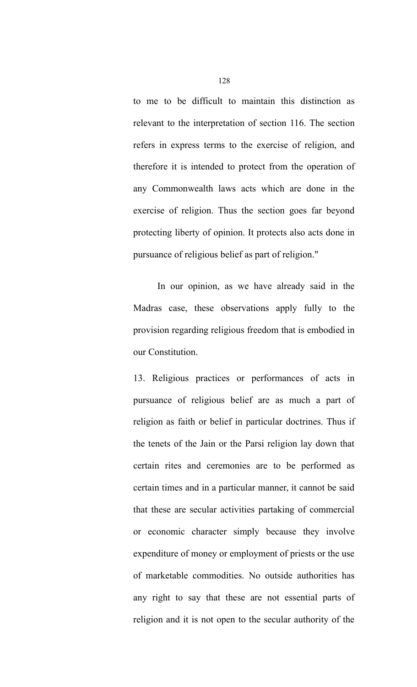to me to be difficult to maintain this distinction as relevant to the interpretation of section 116. The section refers in express terms to the exercise of religion, and therefore it is intended to protect from the operation of any Commonwealth laws acts which are done in the exercise of religion. Thus the section goes far beyond protecting liberty of opinion. It protects also acts done in pursuance of religious belief as part of religion."

In our opinion, as we have already said in the Madras case, these observations apply fully to the provision regarding religious freedom that is embodied in our Constitution.

13. Religious practices or performances of acts in pursuance of religious belief are as much a part of religion as faith or belief in particular doctrines. Thus if the tenets of the Jain or the Parsi religion lay down that certain rites and ceremonies are to be performed as certain times and in a particular manner, it cannot be said that these are secular activities partaking of commercial or economic character simply because they involve expenditure of money or employment of priests or the use of marketable commodities. No outside authorities has any right to say that these are not essential parts of religion and it is not open to the secular authority of the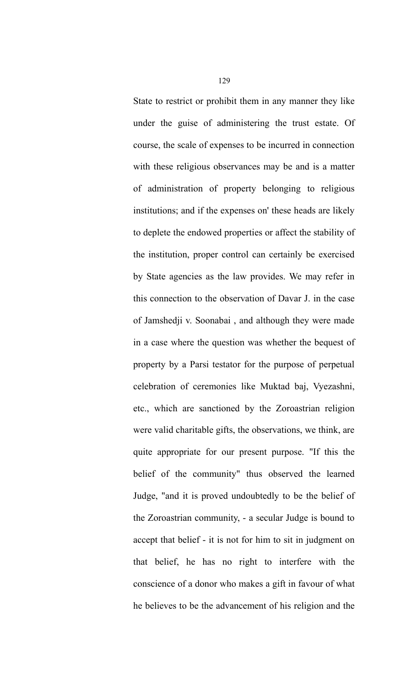State to restrict or prohibit them in any manner they like under the guise of administering the trust estate. Of course, the scale of expenses to be incurred in connection with these religious observances may be and is a matter of administration of property belonging to religious institutions; and if the expenses on' these heads are likely to deplete the endowed properties or affect the stability of the institution, proper control can certainly be exercised by State agencies as the law provides. We may refer in this connection to the observation of Davar J. in the case of Jamshedji v. Soonabai , and although they were made in a case where the question was whether the bequest of property by a Parsi testator for the purpose of perpetual celebration of ceremonies like Muktad baj, Vyezashni, etc., which are sanctioned by the Zoroastrian religion were valid charitable gifts, the observations, we think, are quite appropriate for our present purpose. "If this the belief of the community" thus observed the learned Judge, "and it is proved undoubtedly to be the belief of the Zoroastrian community, - a secular Judge is bound to accept that belief - it is not for him to sit in judgment on that belief, he has no right to interfere with the conscience of a donor who makes a gift in favour of what he believes to be the advancement of his religion and the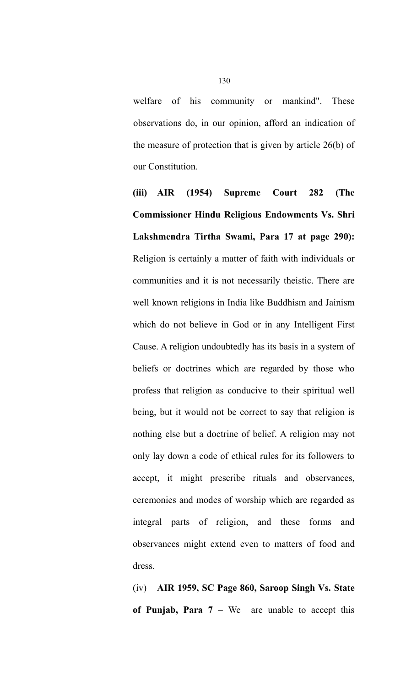welfare of his community or mankind". These observations do, in our opinion, afford an indication of the measure of protection that is given by article 26(b) of our Constitution.

**(iii) AIR (1954) Supreme Court 282 (The Commissioner Hindu Religious Endowments Vs. Shri Lakshmendra Tirtha Swami, Para 17 at page 290):** Religion is certainly a matter of faith with individuals or communities and it is not necessarily theistic. There are well known religions in India like Buddhism and Jainism which do not believe in God or in any Intelligent First Cause. A religion undoubtedly has its basis in a system of beliefs or doctrines which are regarded by those who profess that religion as conducive to their spiritual well being, but it would not be correct to say that religion is nothing else but a doctrine of belief. A religion may not only lay down a code of ethical rules for its followers to accept, it might prescribe rituals and observances, ceremonies and modes of worship which are regarded as integral parts of religion, and these forms and observances might extend even to matters of food and dress.

(iv) **AIR 1959, SC Page 860, Saroop Singh Vs. State of Punjab, Para 7 –** We are unable to accept this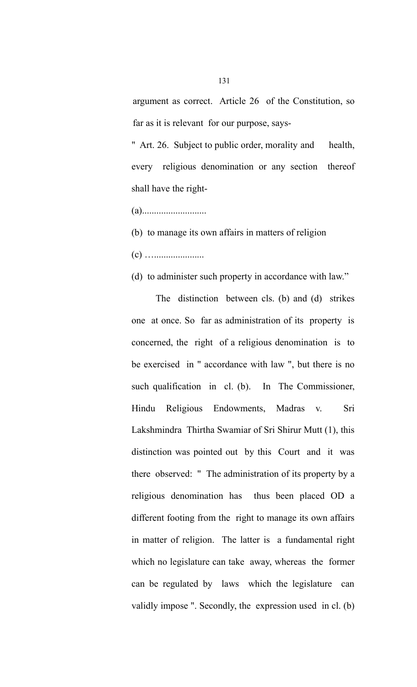argument as correct. Article 26 of the Constitution, so far as it is relevant for our purpose, says-

" Art. 26. Subject to public order, morality and health, every religious denomination or any section thereof shall have the right-

(a)...........................

(b) to manage its own affairs in matters of religion

(c) ….....................

(d) to administer such property in accordance with law."

The distinction between cls. (b) and (d) strikes one at once. So far as administration of its property is concerned, the right of a religious denomination is to be exercised in " accordance with law ", but there is no such qualification in cl. (b). In The Commissioner, Hindu Religious Endowments, Madras v. Sri Lakshmindra Thirtha Swamiar of Sri Shirur Mutt (1), this distinction was pointed out by this Court and it was there observed: " The administration of its property by a religious denomination has thus been placed OD a different footing from the right to manage its own affairs in matter of religion. The latter is a fundamental right which no legislature can take away, whereas the former can be regulated by laws which the legislature can validly impose ". Secondly, the expression used in cl. (b)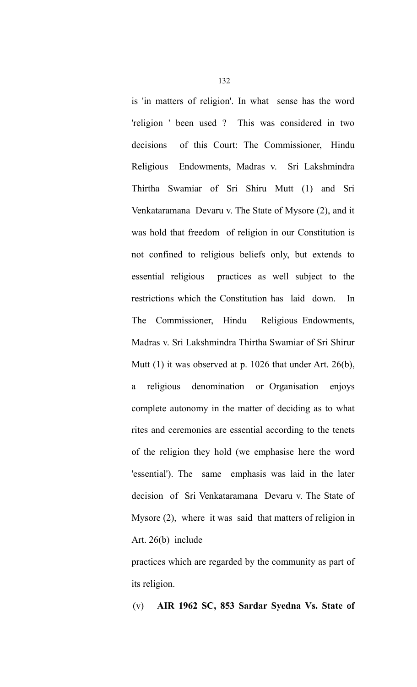is 'in matters of religion'. In what sense has the word 'religion ' been used ? This was considered in two decisions of this Court: The Commissioner, Hindu Religious Endowments, Madras v. Sri Lakshmindra Thirtha Swamiar of Sri Shiru Mutt (1) and Sri Venkataramana Devaru v. The State of Mysore (2), and it was hold that freedom of religion in our Constitution is not confined to religious beliefs only, but extends to essential religious practices as well subject to the restrictions which the Constitution has laid down. In The Commissioner, Hindu Religious Endowments, Madras v. Sri Lakshmindra Thirtha Swamiar of Sri Shirur Mutt (1) it was observed at p. 1026 that under Art. 26(b), a religious denomination or Organisation enjoys complete autonomy in the matter of deciding as to what rites and ceremonies are essential according to the tenets of the religion they hold (we emphasise here the word 'essential'). The same emphasis was laid in the later decision of Sri Venkataramana Devaru v. The State of Mysore (2), where it was said that matters of religion in Art. 26(b) include

practices which are regarded by the community as part of its religion.

(v) **AIR 1962 SC, 853 Sardar Syedna Vs. State of**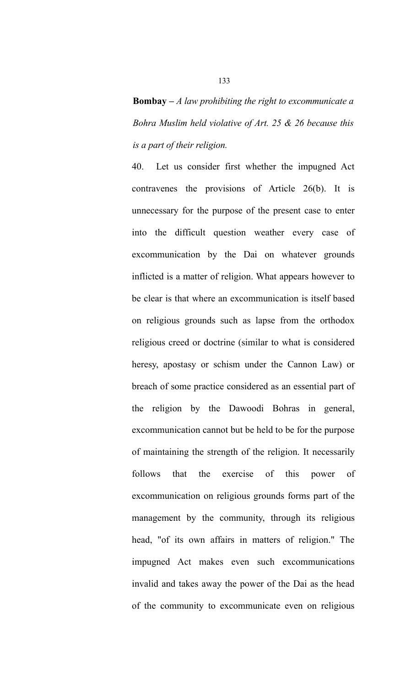**Bombay –** *A law prohibiting the right to excommunicate a Bohra Muslim held violative of Art. 25 & 26 because this is a part of their religion.*

40. Let us consider first whether the impugned Act contravenes the provisions of Article 26(b). It is unnecessary for the purpose of the present case to enter into the difficult question weather every case of excommunication by the Dai on whatever grounds inflicted is a matter of religion. What appears however to be clear is that where an excommunication is itself based on religious grounds such as lapse from the orthodox religious creed or doctrine (similar to what is considered heresy, apostasy or schism under the Cannon Law) or breach of some practice considered as an essential part of the religion by the Dawoodi Bohras in general, excommunication cannot but be held to be for the purpose of maintaining the strength of the religion. It necessarily follows that the exercise of this power of excommunication on religious grounds forms part of the management by the community, through its religious head, "of its own affairs in matters of religion." The impugned Act makes even such excommunications invalid and takes away the power of the Dai as the head of the community to excommunicate even on religious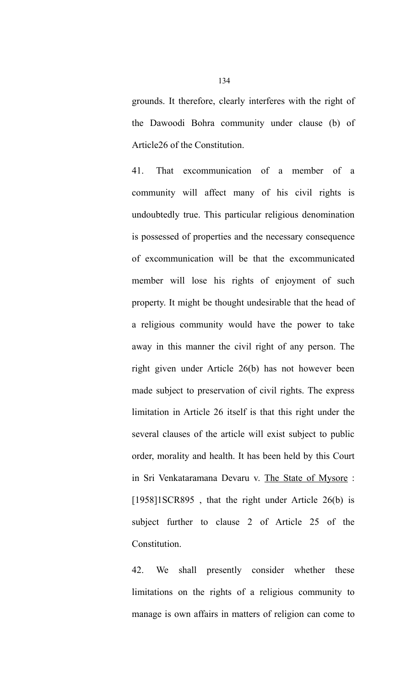grounds. It therefore, clearly interferes with the right of the Dawoodi Bohra community under clause (b) of Article26 of the Constitution.

41. That excommunication of a member of a community will affect many of his civil rights is undoubtedly true. This particular religious denomination is possessed of properties and the necessary consequence of excommunication will be that the excommunicated member will lose his rights of enjoyment of such property. It might be thought undesirable that the head of a religious community would have the power to take away in this manner the civil right of any person. The right given under Article 26(b) has not however been made subject to preservation of civil rights. The express limitation in Article 26 itself is that this right under the several clauses of the article will exist subject to public order, morality and health. It has been held by this Court in Sri Venkataramana Devaru v. [The State of Mysore](javascript:fnOpenGlobalPopUp() : [1958]1SCR895, that the right under Article 26(b) is subject further to clause 2 of Article 25 of the Constitution.

42. We shall presently consider whether these limitations on the rights of a religious community to manage is own affairs in matters of religion can come to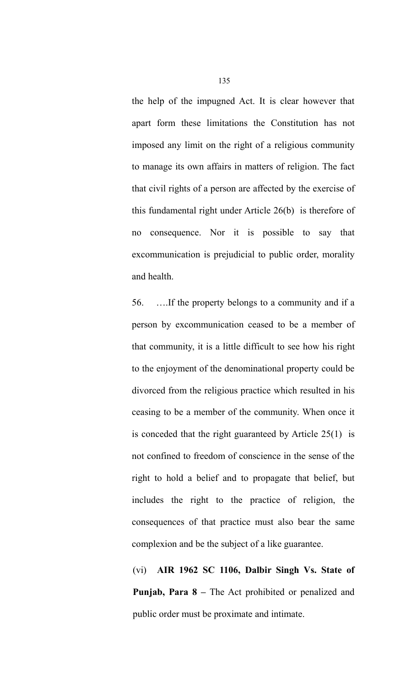the help of the impugned Act. It is clear however that apart form these limitations the Constitution has not imposed any limit on the right of a religious community to manage its own affairs in matters of religion. The fact that civil rights of a person are affected by the exercise of this fundamental right under Article 26(b) is therefore of no consequence. Nor it is possible to say that excommunication is prejudicial to public order, morality and health.

56. ….If the property belongs to a community and if a person by excommunication ceased to be a member of that community, it is a little difficult to see how his right to the enjoyment of the denominational property could be divorced from the religious practice which resulted in his ceasing to be a member of the community. When once it is conceded that the right guaranteed by Article 25(1) is not confined to freedom of conscience in the sense of the right to hold a belief and to propagate that belief, but includes the right to the practice of religion, the consequences of that practice must also bear the same complexion and be the subject of a like guarantee.

(vi) **AIR 1962 SC 1106, Dalbir Singh Vs. State of Punjab, Para 8 –** The Act prohibited or penalized and public order must be proximate and intimate.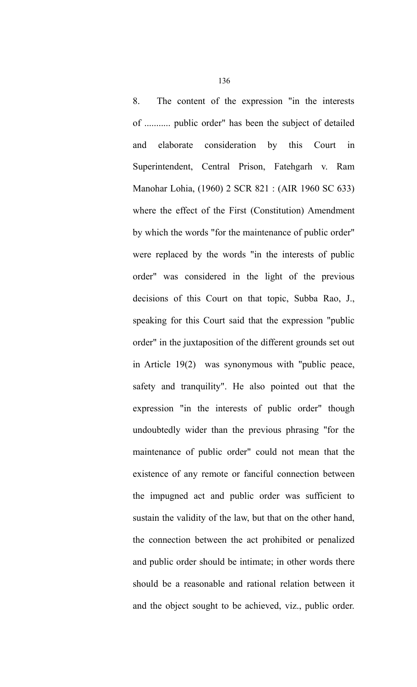8. The content of the expression "in the interests of ........... public order" has been the subject of detailed and elaborate consideration by this Court in Superintendent, Central Prison, Fatehgarh v. Ram Manohar Lohia, (1960) 2 SCR 821 : (AIR 1960 SC 633) where the effect of the First (Constitution) Amendment by which the words "for the maintenance of public order" were replaced by the words "in the interests of public order" was considered in the light of the previous decisions of this Court on that topic, Subba Rao, J., speaking for this Court said that the expression "public order" in the juxtaposition of the different grounds set out in Article 19(2) was synonymous with "public peace, safety and tranquility". He also pointed out that the expression "in the interests of public order" though undoubtedly wider than the previous phrasing "for the maintenance of public order" could not mean that the existence of any remote or fanciful connection between the impugned act and public order was sufficient to sustain the validity of the law, but that on the other hand, the connection between the act prohibited or penalized and public order should be intimate; in other words there should be a reasonable and rational relation between it and the object sought to be achieved, viz., public order.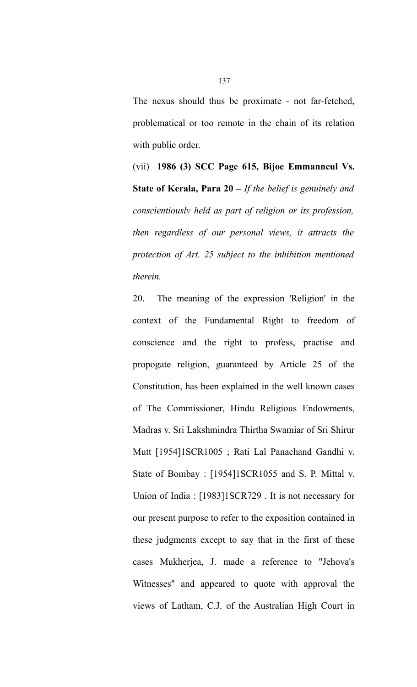The nexus should thus be proximate - not far-fetched, problematical or too remote in the chain of its relation with public order.

(vii) **1986 (3) SCC Page 615, Bijoe Emmanneul Vs. State of Kerala, Para 20 –** *If the belief is genuinely and conscientiously held as part of religion or its profession, then regardless of our personal views, it attracts the protection of Art. 25 subject to the inhibition mentioned therein.*

20. The meaning of the expression 'Religion' in the context of the Fundamental Right to freedom of conscience and the right to profess, practise and propogate religion, guaranteed by Article 25 of the Constitution, has been explained in the well known cases of The Commissioner, Hindu Religious Endowments, Madras v. Sri Lakshmindra Thirtha Swamiar of Sri Shirur Mutt [1954]1SCR1005 ; Rati Lal Panachand Gandhi v. [State of Bombay](javascript:fnOpenGlobalPopUp() : [1954]1SCR1055 and S. P. Mittal v. [Union of India](javascript:fnOpenGlobalPopUp() : [1983]1SCR729 . It is not necessary for our present purpose to refer to the exposition contained in these judgments except to say that in the first of these cases Mukherjea, J. made a reference to "Jehova's Witnesses" and appeared to quote with approval the views of Latham, C.J. of the Australian High Court in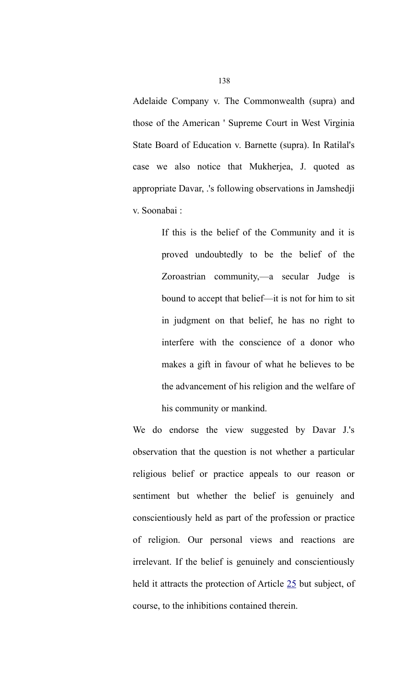Adelaide Company v. The Commonwealth (supra) and those of the American ' Supreme Court in West Virginia State Board of Education v. Barnette (supra). In Ratilal's case we also notice that Mukherjea, J. quoted as appropriate Davar, .'s following observations in Jamshedji v. Soonabai :

> If this is the belief of the Community and it is proved undoubtedly to be the belief of the Zoroastrian community,—a secular Judge is bound to accept that belief—it is not for him to sit in judgment on that belief, he has no right to interfere with the conscience of a donor who makes a gift in favour of what he believes to be the advancement of his religion and the welfare of his community or mankind.

We do endorse the view suggested by Davar J.'s observation that the question is not whether a particular religious belief or practice appeals to our reason or sentiment but whether the belief is genuinely and conscientiously held as part of the profession or practice of religion. Our personal views and reactions are irrelevant. If the belief is genuinely and conscientiously held it attracts the protection of Article [25](javascript:fnOpenGlobalPopUp() but subject, of course, to the inhibitions contained therein.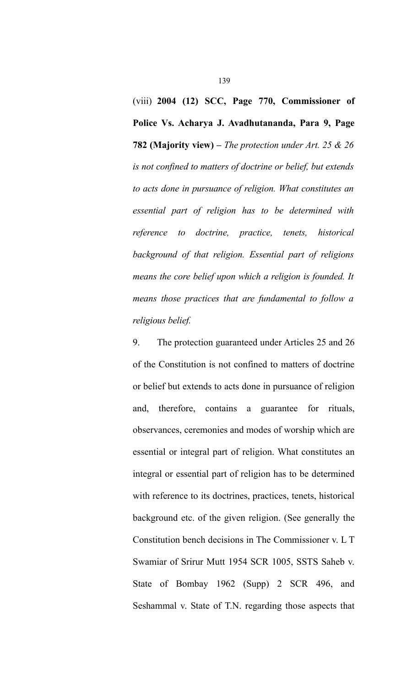(viii) **2004 (12) SCC, Page 770, Commissioner of Police Vs. Acharya J. Avadhutananda, Para 9, Page 782 (Majority view) –** *The protection under Art. 25 & 26 is not confined to matters of doctrine or belief, but extends to acts done in pursuance of religion. What constitutes an essential part of religion has to be determined with reference to doctrine, practice, tenets, historical background of that religion. Essential part of religions means the core belief upon which a religion is founded. It means those practices that are fundamental to follow a religious belief.*

9. The protection guaranteed under Articles 25 and 26 of the Constitution is not confined to matters of doctrine or belief but extends to acts done in pursuance of religion and, therefore, contains a guarantee for rituals, observances, ceremonies and modes of worship which are essential or integral part of religion. What constitutes an integral or essential part of religion has to be determined with reference to its doctrines, practices, tenets, historical background etc. of the given religion. (See generally the Constitution bench decisions in The Commissioner v. L T Swamiar of Srirur Mutt 1954 SCR 1005, SSTS Saheb v. State of Bombay 1962 (Supp) 2 SCR 496, and Seshammal v. State of T.N. regarding those aspects that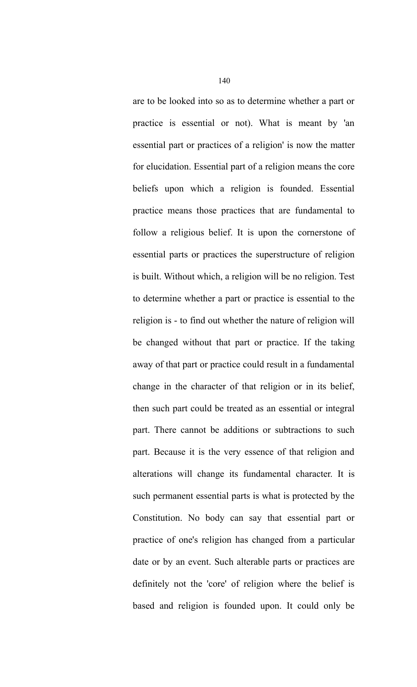are to be looked into so as to determine whether a part or practice is essential or not). What is meant by 'an essential part or practices of a religion' is now the matter for elucidation. Essential part of a religion means the core beliefs upon which a religion is founded. Essential practice means those practices that are fundamental to follow a religious belief. It is upon the cornerstone of essential parts or practices the superstructure of religion is built. Without which, a religion will be no religion. Test to determine whether a part or practice is essential to the religion is - to find out whether the nature of religion will be changed without that part or practice. If the taking away of that part or practice could result in a fundamental change in the character of that religion or in its belief, then such part could be treated as an essential or integral part. There cannot be additions or subtractions to such part. Because it is the very essence of that religion and alterations will change its fundamental character. It is such permanent essential parts is what is protected by the Constitution. No body can say that essential part or practice of one's religion has changed from a particular date or by an event. Such alterable parts or practices are definitely not the 'core' of religion where the belief is based and religion is founded upon. It could only be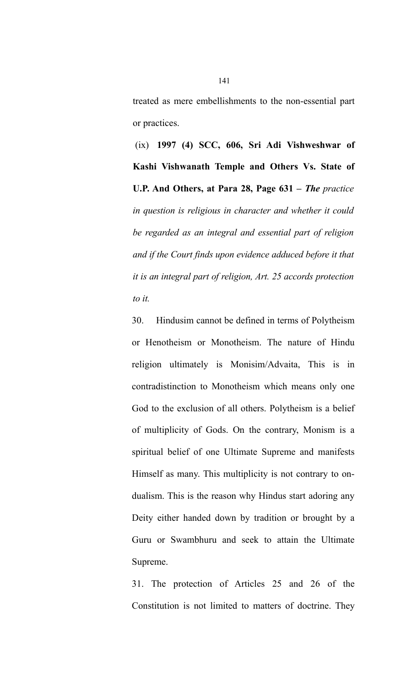treated as mere embellishments to the non-essential part or practices.

 (ix) **1997 (4) SCC, 606, Sri Adi Vishweshwar of Kashi Vishwanath Temple and Others Vs. State of U.P. And Others, at Para 28, Page 631 –** *The practice in question is religious in character and whether it could be regarded as an integral and essential part of religion and if the Court finds upon evidence adduced before it that it is an integral part of religion, Art. 25 accords protection to it.*

30. Hindusim cannot be defined in terms of Polytheism or Henotheism or Monotheism. The nature of Hindu religion ultimately is Monisim/Advaita, This is in contradistinction to Monotheism which means only one God to the exclusion of all others. Polytheism is a belief of multiplicity of Gods. On the contrary, Monism is a spiritual belief of one Ultimate Supreme and manifests Himself as many. This multiplicity is not contrary to ondualism. This is the reason why Hindus start adoring any Deity either handed down by tradition or brought by a Guru or Swambhuru and seek to attain the Ultimate Supreme.

31. The protection of Articles 25 and 26 of the Constitution is not limited to matters of doctrine. They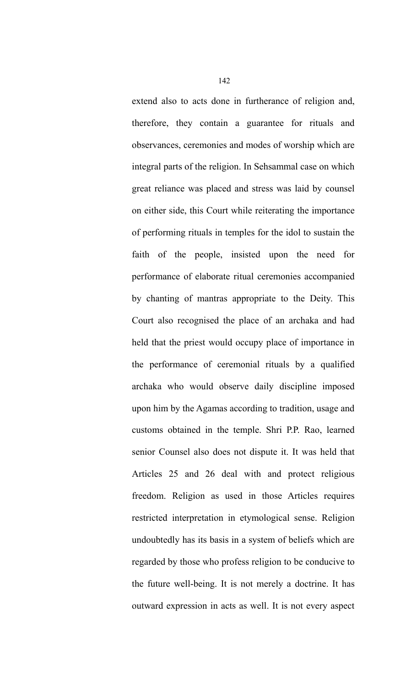extend also to acts done in furtherance of religion and, therefore, they contain a guarantee for rituals and observances, ceremonies and modes of worship which are integral parts of the religion. In Sehsammal case on which great reliance was placed and stress was laid by counsel on either side, this Court while reiterating the importance of performing rituals in temples for the idol to sustain the faith of the people, insisted upon the need for performance of elaborate ritual ceremonies accompanied by chanting of mantras appropriate to the Deity. This Court also recognised the place of an archaka and had held that the priest would occupy place of importance in the performance of ceremonial rituals by a qualified archaka who would observe daily discipline imposed upon him by the Agamas according to tradition, usage and customs obtained in the temple. Shri P.P. Rao, learned senior Counsel also does not dispute it. It was held that Articles 25 and 26 deal with and protect religious freedom. Religion as used in those Articles requires restricted interpretation in etymological sense. Religion undoubtedly has its basis in a system of beliefs which are regarded by those who profess religion to be conducive to the future well-being. It is not merely a doctrine. It has outward expression in acts as well. It is not every aspect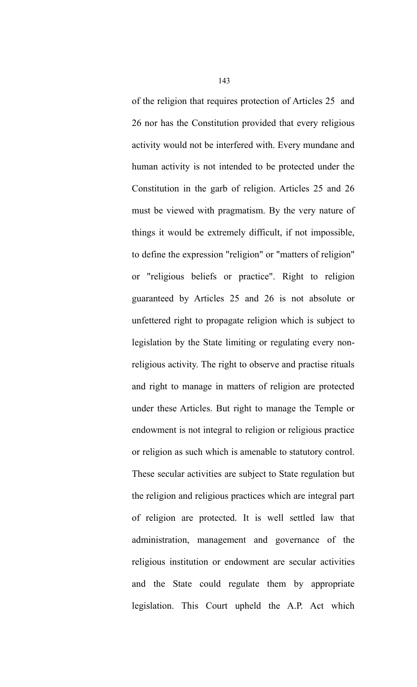of the religion that requires protection of Articles 25 and 26 nor has the Constitution provided that every religious activity would not be interfered with. Every mundane and human activity is not intended to be protected under the Constitution in the garb of religion. Articles 25 and 26 must be viewed with pragmatism. By the very nature of things it would be extremely difficult, if not impossible, to define the expression "religion" or "matters of religion" or "religious beliefs or practice". Right to religion guaranteed by Articles 25 and 26 is not absolute or unfettered right to propagate religion which is subject to legislation by the State limiting or regulating every nonreligious activity. The right to observe and practise rituals and right to manage in matters of religion are protected under these Articles. But right to manage the Temple or endowment is not integral to religion or religious practice or religion as such which is amenable to statutory control. These secular activities are subject to State regulation but the religion and religious practices which are integral part of religion are protected. It is well settled law that administration, management and governance of the religious institution or endowment are secular activities and the State could regulate them by appropriate legislation. This Court upheld the A.P. Act which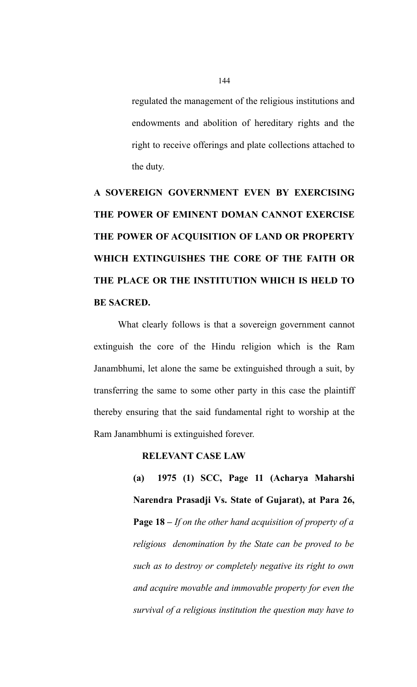regulated the management of the religious institutions and endowments and abolition of hereditary rights and the right to receive offerings and plate collections attached to the duty.

# **A SOVEREIGN GOVERNMENT EVEN BY EXERCISING THE POWER OF EMINENT DOMAN CANNOT EXERCISE THE POWER OF ACQUISITION OF LAND OR PROPERTY WHICH EXTINGUISHES THE CORE OF THE FAITH OR THE PLACE OR THE INSTITUTION WHICH IS HELD TO BE SACRED.**

What clearly follows is that a sovereign government cannot extinguish the core of the Hindu religion which is the Ram Janambhumi, let alone the same be extinguished through a suit, by transferring the same to some other party in this case the plaintiff thereby ensuring that the said fundamental right to worship at the Ram Janambhumi is extinguished forever.

#### **RELEVANT CASE LAW**

**(a) 1975 (1) SCC, Page 11 (Acharya Maharshi Narendra Prasadji Vs. State of Gujarat), at Para 26, Page 18 –** *If on the other hand acquisition of property of a religious denomination by the State can be proved to be such as to destroy or completely negative its right to own and acquire movable and immovable property for even the survival of a religious institution the question may have to*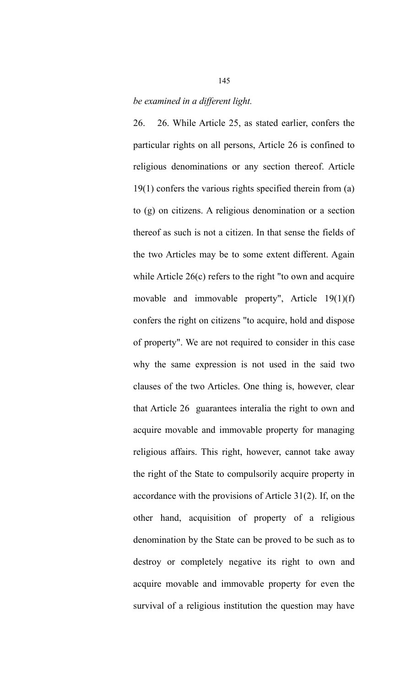### *be examined in a different light.*

26. 26. While Article 25, as stated earlier, confers the particular rights on all persons, Article 26 is confined to religious denominations or any section thereof. Article 19(1) confers the various rights specified therein from (a) to (g) on citizens. A religious denomination or a section thereof as such is not a citizen. In that sense the fields of the two Articles may be to some extent different. Again while Article 26(c) refers to the right "to own and acquire movable and immovable property", Article 19(1)(f) confers the right on citizens "to acquire, hold and dispose of property". We are not required to consider in this case why the same expression is not used in the said two clauses of the two Articles. One thing is, however, clear that Article 26 guarantees interalia the right to own and acquire movable and immovable property for managing religious affairs. This right, however, cannot take away the right of the State to compulsorily acquire property in accordance with the provisions of Article 31(2). If, on the other hand, acquisition of property of a religious denomination by the State can be proved to be such as to destroy or completely negative its right to own and acquire movable and immovable property for even the survival of a religious institution the question may have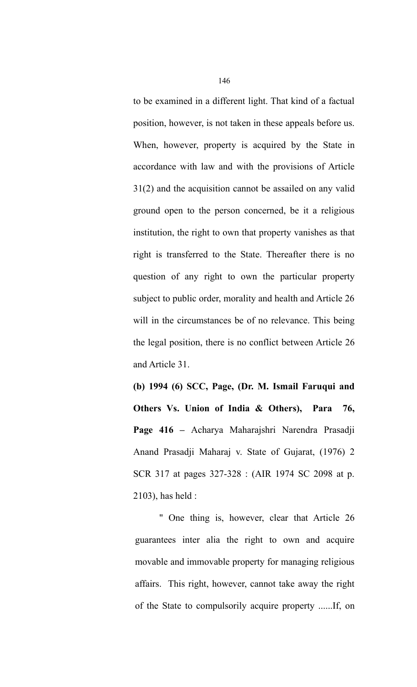to be examined in a different light. That kind of a factual position, however, is not taken in these appeals before us. When, however, property is acquired by the State in accordance with law and with the provisions of Article 31(2) and the acquisition cannot be assailed on any valid ground open to the person concerned, be it a religious institution, the right to own that property vanishes as that right is transferred to the State. Thereafter there is no question of any right to own the particular property subject to public order, morality and health and Article 26 will in the circumstances be of no relevance. This being the legal position, there is no conflict between Article 26 and Article 31.

**(b) 1994 (6) SCC, Page, (Dr. M. Ismail Faruqui and Others Vs. Union of India & Others), Para 76, Page 416 –** Acharya Maharajshri Narendra Prasadji Anand Prasadji Maharaj v. State of Gujarat, (1976) 2 SCR 317 at pages 327-328 : (AIR 1974 SC 2098 at p. 2103), has held :

" One thing is, however, clear that Article 26 guarantees inter alia the right to own and acquire movable and immovable property for managing religious affairs. This right, however, cannot take away the right of the State to compulsorily acquire property ......If, on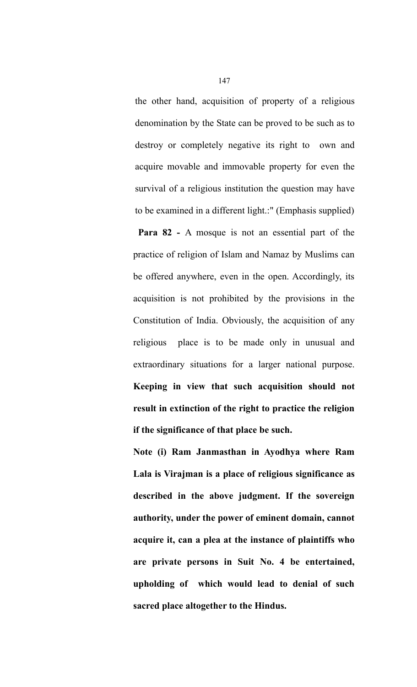the other hand, acquisition of property of a religious denomination by the State can be proved to be such as to destroy or completely negative its right to own and acquire movable and immovable property for even the survival of a religious institution the question may have to be examined in a different light.:" (Emphasis supplied)

**Para 82 -** A mosque is not an essential part of the practice of religion of Islam and Namaz by Muslims can be offered anywhere, even in the open. Accordingly, its acquisition is not prohibited by the provisions in the Constitution of India. Obviously, the acquisition of any religious place is to be made only in unusual and extraordinary situations for a larger national purpose. **Keeping in view that such acquisition should not result in extinction of the right to practice the religion if the significance of that place be such.**

**Note (i) Ram Janmasthan in Ayodhya where Ram Lala is Virajman is a place of religious significance as described in the above judgment. If the sovereign authority, under the power of eminent domain, cannot acquire it, can a plea at the instance of plaintiffs who are private persons in Suit No. 4 be entertained, upholding of which would lead to denial of such sacred place altogether to the Hindus.**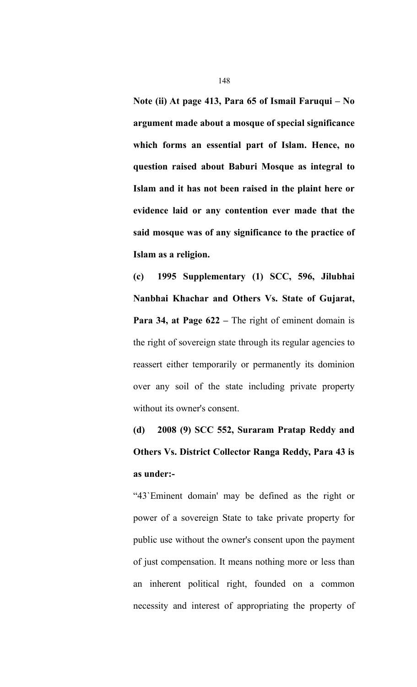**Note (ii) At page 413, Para 65 of Ismail Faruqui – No argument made about a mosque of special significance which forms an essential part of Islam. Hence, no question raised about Baburi Mosque as integral to Islam and it has not been raised in the plaint here or evidence laid or any contention ever made that the said mosque was of any significance to the practice of Islam as a religion.**

**(c) 1995 Supplementary (1) SCC, 596, Jilubhai Nanbhai Khachar and Others Vs. State of Gujarat, Para 34, at Page 622 – The right of eminent domain is** the right of sovereign state through its regular agencies to reassert either temporarily or permanently its dominion over any soil of the state including private property without its owner's consent.

**(d) 2008 (9) SCC 552, Suraram Pratap Reddy and Others Vs. District Collector Ranga Reddy, Para 43 is as under:-**

"43`Eminent domain' may be defined as the right or power of a sovereign State to take private property for public use without the owner's consent upon the payment of just compensation. It means nothing more or less than an inherent political right, founded on a common necessity and interest of appropriating the property of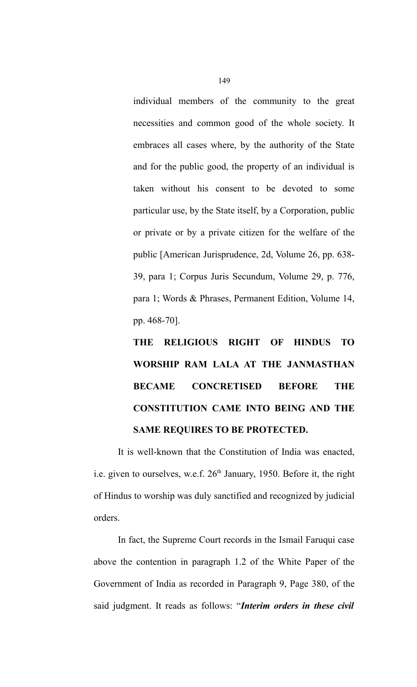individual members of the community to the great necessities and common good of the whole society. It embraces all cases where, by the authority of the State and for the public good, the property of an individual is taken without his consent to be devoted to some particular use, by the State itself, by a Corporation, public or private or by a private citizen for the welfare of the public [American Jurisprudence, 2d, Volume 26, pp. 638- 39, para 1; Corpus Juris Secundum, Volume 29, p. 776, para 1; Words & Phrases, Permanent Edition, Volume 14, pp. 468-70].

**THE RELIGIOUS RIGHT OF HINDUS TO WORSHIP RAM LALA AT THE JANMASTHAN BECAME CONCRETISED BEFORE THE CONSTITUTION CAME INTO BEING AND THE SAME REQUIRES TO BE PROTECTED.**

It is well-known that the Constitution of India was enacted, i.e. given to ourselves, w.e.f.  $26<sup>th</sup>$  January, 1950. Before it, the right of Hindus to worship was duly sanctified and recognized by judicial orders.

In fact, the Supreme Court records in the Ismail Faruqui case above the contention in paragraph 1.2 of the White Paper of the Government of India as recorded in Paragraph 9, Page 380, of the said judgment. It reads as follows: "*Interim orders in these civil*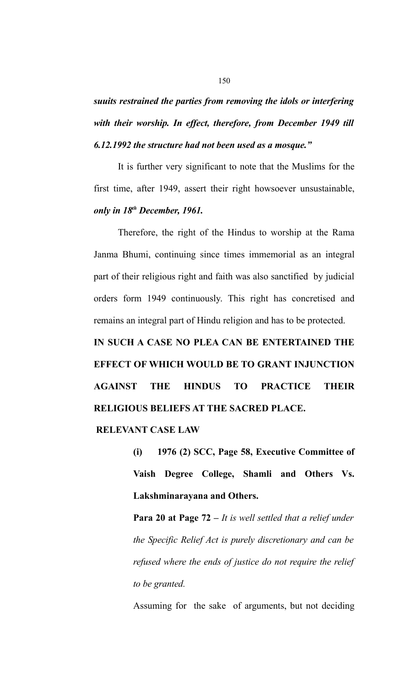*suuits restrained the parties from removing the idols or interfering with their worship. In effect, therefore, from December 1949 till 6.12.1992 the structure had not been used as a mosque."*

It is further very significant to note that the Muslims for the first time, after 1949, assert their right howsoever unsustainable, *only in 18th December, 1961.*

Therefore, the right of the Hindus to worship at the Rama Janma Bhumi, continuing since times immemorial as an integral part of their religious right and faith was also sanctified by judicial orders form 1949 continuously. This right has concretised and remains an integral part of Hindu religion and has to be protected.

**IN SUCH A CASE NO PLEA CAN BE ENTERTAINED THE EFFECT OF WHICH WOULD BE TO GRANT INJUNCTION AGAINST THE HINDUS TO PRACTICE THEIR RELIGIOUS BELIEFS AT THE SACRED PLACE.** 

## **RELEVANT CASE LAW**

**(i) 1976 (2) SCC, Page 58, Executive Committee of Vaish Degree College, Shamli and Others Vs. Lakshminarayana and Others.**

**Para 20 at Page 72 –** *It is well settled that a relief under the Specific Relief Act is purely discretionary and can be refused where the ends of justice do not require the relief to be granted.* 

Assuming for the sake of arguments, but not deciding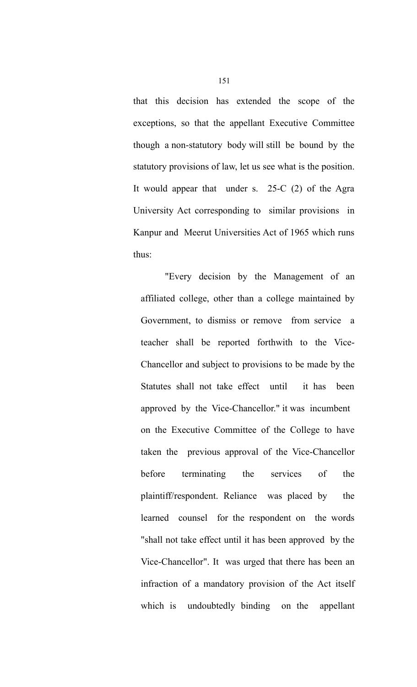that this decision has extended the scope of the exceptions, so that the appellant Executive Committee though a non-statutory body will still be bound by the statutory provisions of law, let us see what is the position. It would appear that under s. 25-C (2) of the Agra University Act corresponding to similar provisions in Kanpur and Meerut Universities Act of 1965 which runs thus:

"Every decision by the Management of an affiliated college, other than a college maintained by Government, to dismiss or remove from service a teacher shall be reported forthwith to the Vice-Chancellor and subject to provisions to be made by the Statutes shall not take effect until it has been approved by the Vice-Chancellor." it was incumbent on the Executive Committee of the College to have taken the previous approval of the Vice-Chancellor before terminating the services of the plaintiff/respondent. Reliance was placed by the learned counsel for the respondent on the words "shall not take effect until it has been approved by the Vice-Chancellor". It was urged that there has been an infraction of a mandatory provision of the Act itself which is undoubtedly binding on the appellant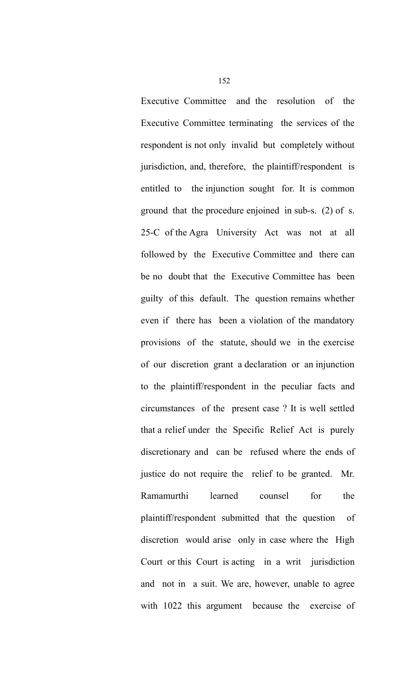Executive Committee and the resolution of the Executive Committee terminating the services of the respondent is not only invalid but completely without jurisdiction, and, therefore, the plaintiff/respondent is entitled to the injunction sought for. It is common ground that the procedure enjoined in sub-s. (2) of s. 25-C of the Agra University Act was not at all followed by the Executive Committee and there can be no doubt that the Executive Committee has been guilty of this default. The question remains whether even if there has been a violation of the mandatory provisions of the statute, should we in the exercise of our discretion grant a declaration or an injunction to the plaintiff/respondent in the peculiar facts and circumstances of the present case ? It is well settled that a relief under the Specific Relief Act is purely discretionary and can be refused where the ends of justice do not require the relief to be granted. Mr. Ramamurthi learned counsel for the plaintiff/respondent submitted that the question of discretion would arise only in case where the High Court or this Court is acting in a writ jurisdiction and not in a suit. We are, however, unable to agree with 1022 this argument because the exercise of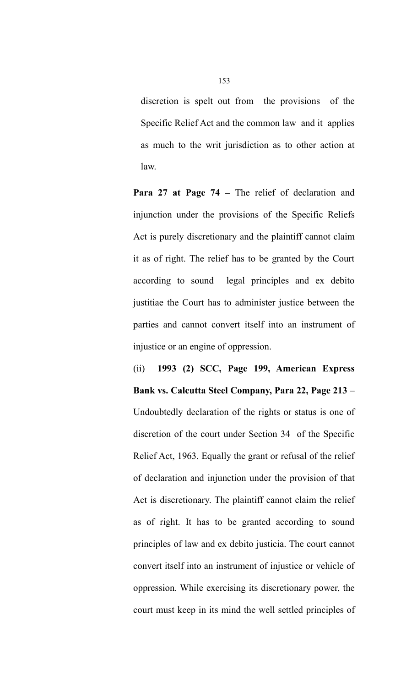discretion is spelt out from the provisions of the Specific Relief Act and the common law and it applies as much to the writ jurisdiction as to other action at law.

Para 27 at Page 74 – The relief of declaration and injunction under the provisions of the Specific Reliefs Act is purely discretionary and the plaintiff cannot claim it as of right. The relief has to be granted by the Court according to sound legal principles and ex debito justitiae the Court has to administer justice between the parties and cannot convert itself into an instrument of injustice or an engine of oppression.

(ii) **1993 (2) SCC, Page 199, American Express Bank vs. Calcutta Steel Company, Para 22, Page 213** – Undoubtedly declaration of the rights or status is one of discretion of the court under Section 34 of the Specific Relief Act, 1963. Equally the grant or refusal of the relief of declaration and injunction under the provision of that Act is discretionary. The plaintiff cannot claim the relief as of right. It has to be granted according to sound principles of law and ex debito justicia. The court cannot convert itself into an instrument of injustice or vehicle of oppression. While exercising its discretionary power, the court must keep in its mind the well settled principles of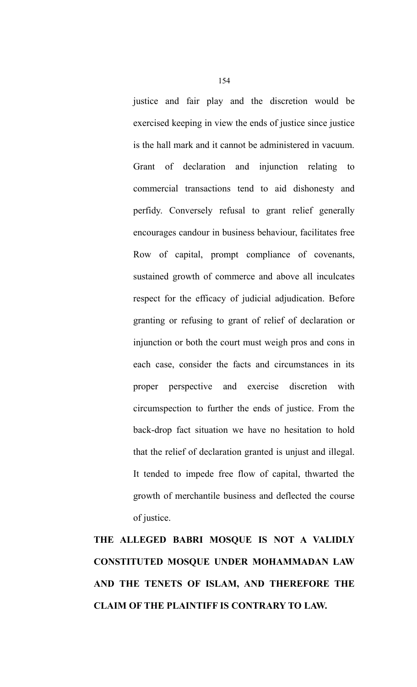justice and fair play and the discretion would be exercised keeping in view the ends of justice since justice is the hall mark and it cannot be administered in vacuum. Grant of declaration and injunction relating to commercial transactions tend to aid dishonesty and perfidy. Conversely refusal to grant relief generally encourages candour in business behaviour, facilitates free Row of capital, prompt compliance of covenants, sustained growth of commerce and above all inculcates respect for the efficacy of judicial adjudication. Before granting or refusing to grant of relief of declaration or injunction or both the court must weigh pros and cons in each case, consider the facts and circumstances in its proper perspective and exercise discretion with circumspection to further the ends of justice. From the back-drop fact situation we have no hesitation to hold that the relief of declaration granted is unjust and illegal. It tended to impede free flow of capital, thwarted the growth of merchantile business and deflected the course of justice.

**THE ALLEGED BABRI MOSQUE IS NOT A VALIDLY CONSTITUTED MOSQUE UNDER MOHAMMADAN LAW AND THE TENETS OF ISLAM, AND THEREFORE THE CLAIM OF THE PLAINTIFF IS CONTRARY TO LAW.**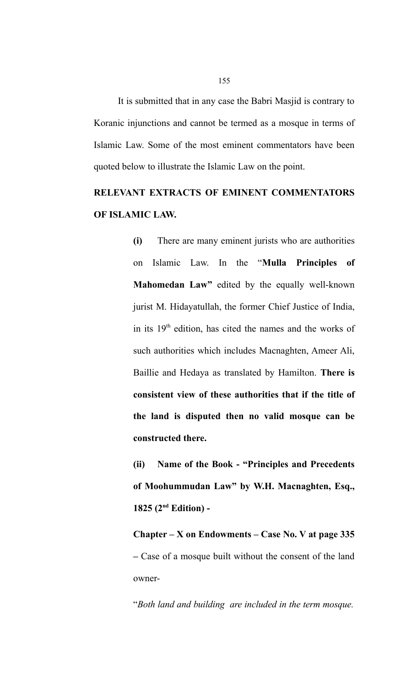It is submitted that in any case the Babri Masjid is contrary to Koranic injunctions and cannot be termed as a mosque in terms of Islamic Law. Some of the most eminent commentators have been quoted below to illustrate the Islamic Law on the point.

# **RELEVANT EXTRACTS OF EMINENT COMMENTATORS OF ISLAMIC LAW.**

**(i)** There are many eminent jurists who are authorities on Islamic Law. In the "**Mulla Principles of Mahomedan Law"** edited by the equally well-known jurist M. Hidayatullah, the former Chief Justice of India, in its  $19<sup>th</sup>$  edition, has cited the names and the works of such authorities which includes Macnaghten, Ameer Ali, Baillie and Hedaya as translated by Hamilton. **There is consistent view of these authorities that if the title of the land is disputed then no valid mosque can be constructed there.**

**(ii) Name of the Book - "Principles and Precedents of Moohummudan Law" by W.H. Macnaghten, Esq., 1825 (2nd Edition) -** 

**Chapter – X on Endowments – Case No. V at page 335 –** Case of a mosque built without the consent of the land owner-

"*Both land and building are included in the term mosque.*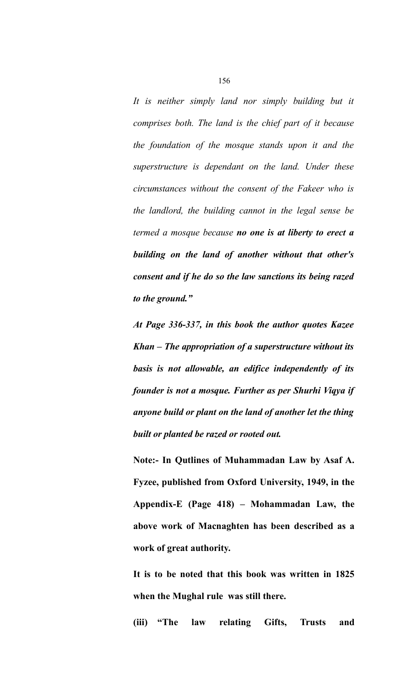*It is neither simply land nor simply building but it comprises both. The land is the chief part of it because the foundation of the mosque stands upon it and the superstructure is dependant on the land. Under these circumstances without the consent of the Fakeer who is the landlord, the building cannot in the legal sense be termed a mosque because no one is at liberty to erect a building on the land of another without that other's consent and if he do so the law sanctions its being razed to the ground."*

*At Page 336-337, in this book the author quotes Kazee Khan – The appropriation of a superstructure without its basis is not allowable, an edifice independently of its founder is not a mosque. Further as per Shurhi Viqya if anyone build or plant on the land of another let the thing built or planted be razed or rooted out.*

**Note:- In Qutlines of Muhammadan Law by Asaf A. Fyzee, published from Oxford University, 1949, in the Appendix-E (Page 418) – Mohammadan Law, the above work of Macnaghten has been described as a work of great authority.**

**It is to be noted that this book was written in 1825 when the Mughal rule was still there.**

**(iii) "The law relating Gifts, Trusts and**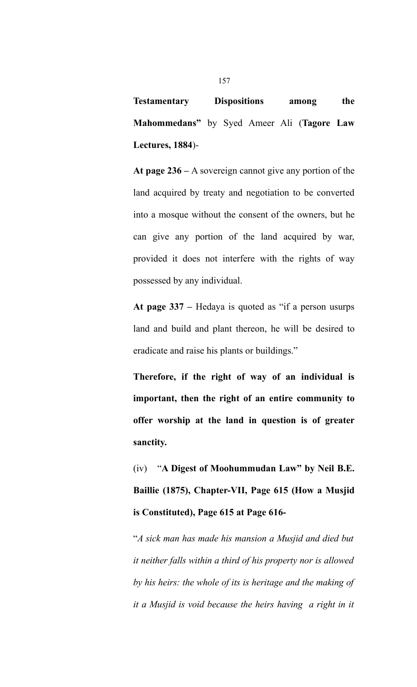**Testamentary Dispositions among the Mahommedans"** by Syed Ameer Ali (**Tagore Law Lectures, 1884**)-

**At page 236 –** A sovereign cannot give any portion of the land acquired by treaty and negotiation to be converted into a mosque without the consent of the owners, but he can give any portion of the land acquired by war, provided it does not interfere with the rights of way possessed by any individual.

**At page 337 –** Hedaya is quoted as "if a person usurps land and build and plant thereon, he will be desired to eradicate and raise his plants or buildings."

**Therefore, if the right of way of an individual is important, then the right of an entire community to offer worship at the land in question is of greater sanctity.**

(iv) "**A Digest of Moohummudan Law" by Neil B.E. Baillie (1875), Chapter-VII, Page 615 (How a Musjid is Constituted), Page 615 at Page 616-**

"*A sick man has made his mansion a Musjid and died but it neither falls within a third of his property nor is allowed by his heirs: the whole of its is heritage and the making of it a Musjid is void because the heirs having a right in it*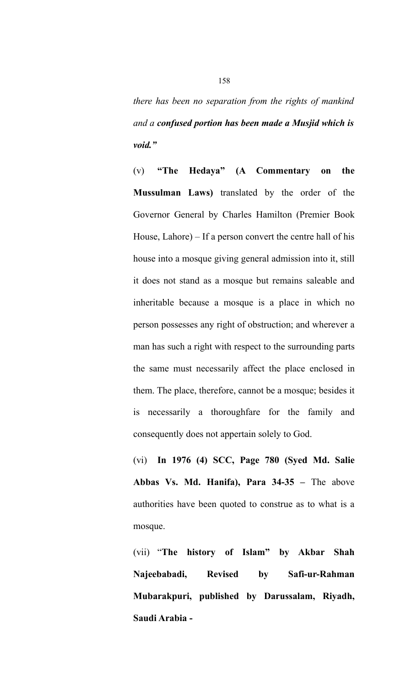*there has been no separation from the rights of mankind and a confused portion has been made a Musjid which is void."*

(v) **"The Hedaya" (A Commentary on the Mussulman Laws)** translated by the order of the Governor General by Charles Hamilton (Premier Book House, Lahore) – If a person convert the centre hall of his house into a mosque giving general admission into it, still it does not stand as a mosque but remains saleable and inheritable because a mosque is a place in which no person possesses any right of obstruction; and wherever a man has such a right with respect to the surrounding parts the same must necessarily affect the place enclosed in them. The place, therefore, cannot be a mosque; besides it is necessarily a thoroughfare for the family and consequently does not appertain solely to God.

(vi) **In 1976 (4) SCC, Page 780 (Syed Md. Salie Abbas Vs. Md. Hanifa), Para 34-35 –** The above authorities have been quoted to construe as to what is a mosque.

(vii) "**The history of Islam" by Akbar Shah Najeebabadi, Revised by Safi-ur-Rahman Mubarakpuri, published by Darussalam, Riyadh, Saudi Arabia -**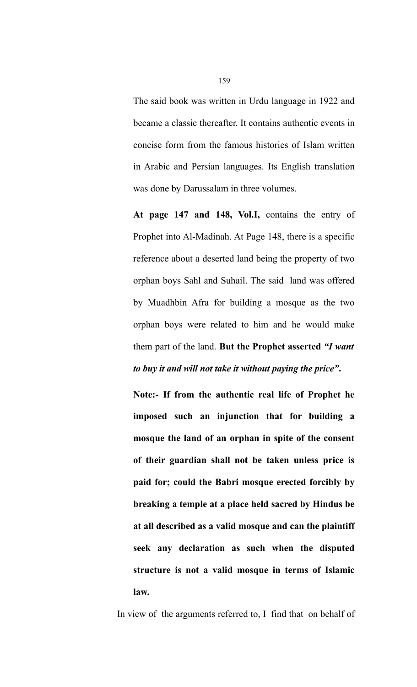The said book was written in Urdu language in 1922 and became a classic thereafter. It contains authentic events in concise form from the famous histories of Islam written in Arabic and Persian languages. Its English translation was done by Darussalam in three volumes.

**At page 147 and 148, Vol.I,** contains the entry of Prophet into Al-Madinah. At Page 148, there is a specific reference about a deserted land being the property of two orphan boys Sahl and Suhail. The said land was offered by Muadhbin Afra for building a mosque as the two orphan boys were related to him and he would make them part of the land. **But the Prophet asserted** *"I want to buy it and will not take it without paying the price"***.**

**Note:- If from the authentic real life of Prophet he imposed such an injunction that for building a mosque the land of an orphan in spite of the consent of their guardian shall not be taken unless price is paid for; could the Babri mosque erected forcibly by breaking a temple at a place held sacred by Hindus be at all described as a valid mosque and can the plaintiff seek any declaration as such when the disputed structure is not a valid mosque in terms of Islamic law.**

In view of the arguments referred to, I find that on behalf of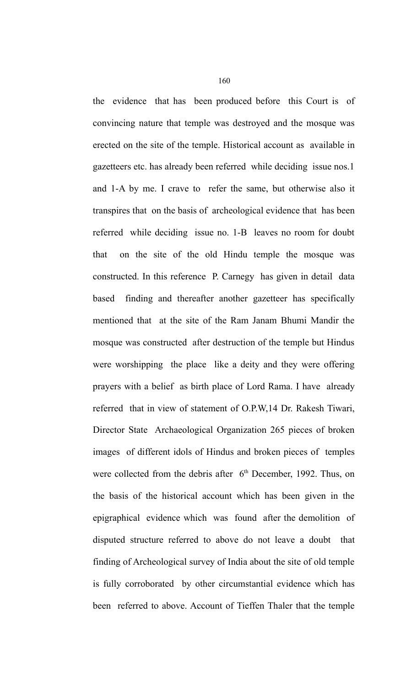the evidence that has been produced before this Court is of convincing nature that temple was destroyed and the mosque was erected on the site of the temple. Historical account as available in gazetteers etc. has already been referred while deciding issue nos.1 and 1-A by me. I crave to refer the same, but otherwise also it transpires that on the basis of archeological evidence that has been referred while deciding issue no. 1-B leaves no room for doubt that on the site of the old Hindu temple the mosque was constructed. In this reference P. Carnegy has given in detail data based finding and thereafter another gazetteer has specifically mentioned that at the site of the Ram Janam Bhumi Mandir the mosque was constructed after destruction of the temple but Hindus were worshipping the place like a deity and they were offering prayers with a belief as birth place of Lord Rama. I have already referred that in view of statement of O.P.W,14 Dr. Rakesh Tiwari, Director State Archaeological Organization 265 pieces of broken images of different idols of Hindus and broken pieces of temples were collected from the debris after  $6<sup>th</sup>$  December, 1992. Thus, on the basis of the historical account which has been given in the epigraphical evidence which was found after the demolition of disputed structure referred to above do not leave a doubt that finding of Archeological survey of India about the site of old temple is fully corroborated by other circumstantial evidence which has been referred to above. Account of Tieffen Thaler that the temple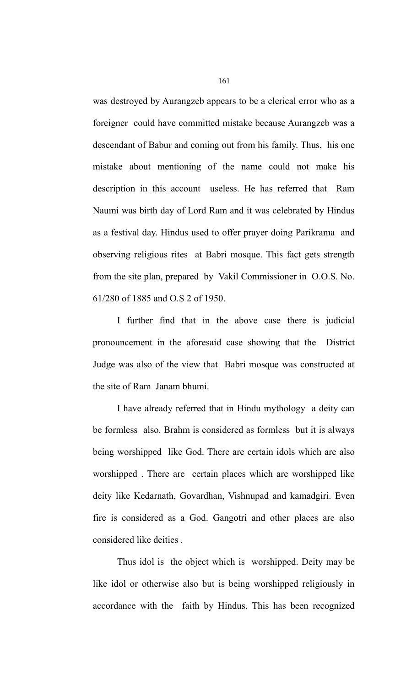was destroyed by Aurangzeb appears to be a clerical error who as a foreigner could have committed mistake because Aurangzeb was a descendant of Babur and coming out from his family. Thus, his one mistake about mentioning of the name could not make his description in this account useless. He has referred that Ram Naumi was birth day of Lord Ram and it was celebrated by Hindus as a festival day. Hindus used to offer prayer doing Parikrama and observing religious rites at Babri mosque. This fact gets strength from the site plan, prepared by Vakil Commissioner in O.O.S. No. 61/280 of 1885 and O.S 2 of 1950.

I further find that in the above case there is judicial pronouncement in the aforesaid case showing that the District Judge was also of the view that Babri mosque was constructed at the site of Ram Janam bhumi.

I have already referred that in Hindu mythology a deity can be formless also. Brahm is considered as formless but it is always being worshipped like God. There are certain idols which are also worshipped . There are certain places which are worshipped like deity like Kedarnath, Govardhan, Vishnupad and kamadgiri. Even fire is considered as a God. Gangotri and other places are also considered like deities .

Thus idol is the object which is worshipped. Deity may be like idol or otherwise also but is being worshipped religiously in accordance with the faith by Hindus. This has been recognized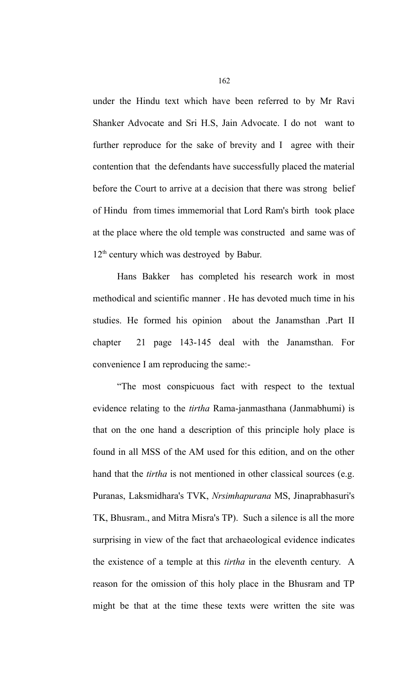under the Hindu text which have been referred to by Mr Ravi Shanker Advocate and Sri H.S, Jain Advocate. I do not want to further reproduce for the sake of brevity and I agree with their contention that the defendants have successfully placed the material before the Court to arrive at a decision that there was strong belief of Hindu from times immemorial that Lord Ram's birth took place at the place where the old temple was constructed and same was of 12<sup>th</sup> century which was destroyed by Babur.

Hans Bakker has completed his research work in most methodical and scientific manner . He has devoted much time in his studies. He formed his opinion about the Janamsthan .Part II chapter 21 page 143-145 deal with the Janamsthan. For convenience I am reproducing the same:-

"The most conspicuous fact with respect to the textual evidence relating to the *tirtha* Rama-janmasthana (Janmabhumi) is that on the one hand a description of this principle holy place is found in all MSS of the AM used for this edition, and on the other hand that the *tirtha* is not mentioned in other classical sources (e.g. Puranas, Laksmidhara's TVK, *Nrsimhapurana* MS, Jinaprabhasuri's TK, Bhusram., and Mitra Misra's TP). Such a silence is all the more surprising in view of the fact that archaeological evidence indicates the existence of a temple at this *tirtha* in the eleventh century. A reason for the omission of this holy place in the Bhusram and TP might be that at the time these texts were written the site was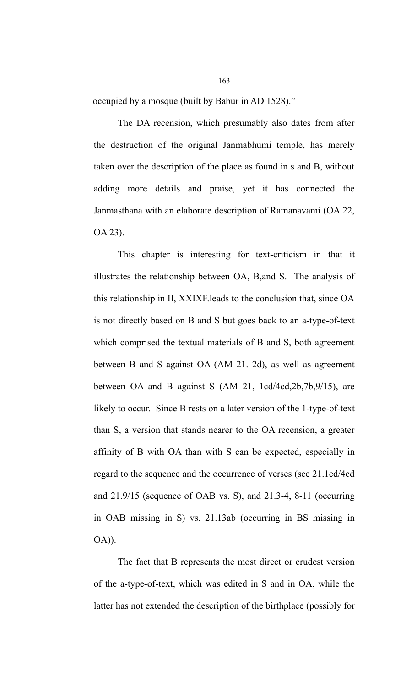occupied by a mosque (built by Babur in AD 1528)."

The DA recension, which presumably also dates from after the destruction of the original Janmabhumi temple, has merely taken over the description of the place as found in s and B, without adding more details and praise, yet it has connected the Janmasthana with an elaborate description of Ramanavami (OA 22, OA 23).

This chapter is interesting for text-criticism in that it illustrates the relationship between OA, B,and S. The analysis of this relationship in II, XXIXF.leads to the conclusion that, since OA is not directly based on B and S but goes back to an a-type-of-text which comprised the textual materials of B and S, both agreement between B and S against OA (AM 21. 2d), as well as agreement between OA and B against S (AM 21, 1cd/4cd,2b,7b,9/15), are likely to occur. Since B rests on a later version of the 1-type-of-text than S, a version that stands nearer to the OA recension, a greater affinity of B with OA than with S can be expected, especially in regard to the sequence and the occurrence of verses (see 21.1cd/4cd and 21.9/15 (sequence of OAB vs. S), and 21.3-4, 8-11 (occurring in OAB missing in S) vs. 21.13ab (occurring in BS missing in OA)).

The fact that B represents the most direct or crudest version of the a-type-of-text, which was edited in S and in OA, while the latter has not extended the description of the birthplace (possibly for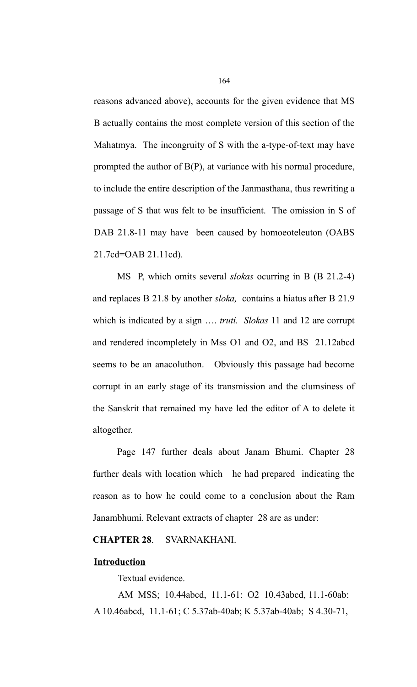reasons advanced above), accounts for the given evidence that MS B actually contains the most complete version of this section of the Mahatmya. The incongruity of S with the a-type-of-text may have prompted the author of B(P), at variance with his normal procedure, to include the entire description of the Janmasthana, thus rewriting a passage of S that was felt to be insufficient. The omission in S of DAB 21.8-11 may have been caused by homoeoteleuton (OABS) 21.7cd=OAB 21.11cd).

MS P, which omits several *slokas* ocurring in B (B 21.2-4) and replaces B 21.8 by another *sloka,* contains a hiatus after B 21.9 which is indicated by a sign …. *truti. Slokas* 11 and 12 are corrupt and rendered incompletely in Mss O1 and O2, and BS 21.12abcd seems to be an anacoluthon. Obviously this passage had become corrupt in an early stage of its transmission and the clumsiness of the Sanskrit that remained my have led the editor of A to delete it altogether.

Page 147 further deals about Janam Bhumi. Chapter 28 further deals with location which he had prepared indicating the reason as to how he could come to a conclusion about the Ram Janambhumi. Relevant extracts of chapter 28 are as under:

## **CHAPTER 28**. SVARNAKHANI.

#### **Introduction**

Textual evidence.

AM MSS; 10.44abcd, 11.1-61: O2 10.43abcd, 11.1-60ab: A 10.46abcd, 11.1-61; C 5.37ab-40ab; K 5.37ab-40ab; S 4.30-71,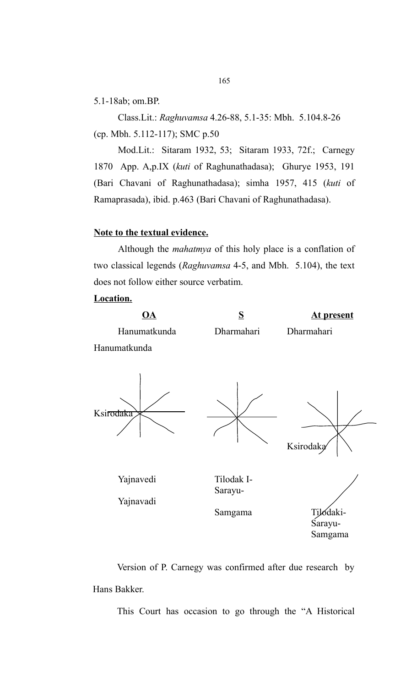5.1-18ab; om.BP.

Class.Lit.: *Raghuvamsa* 4.26-88, 5.1-35: Mbh. 5.104.8-26 (cp. Mbh. 5.112-117); SMC p.50

Mod.Lit.: Sitaram 1932, 53; Sitaram 1933, 72f.; Carnegy 1870 App. A,p.IX (*kuti* of Raghunathadasa); Ghurye 1953, 191 (Bari Chavani of Raghunathadasa); simha 1957, 415 (*kuti* of Ramaprasada), ibid. p.463 (Bari Chavani of Raghunathadasa).

## **Note to the textual evidence.**

Although the *mahatmya* of this holy place is a conflation of two classical legends (*Raghuvamsa* 4-5, and Mbh. 5.104), the text does not follow either source verbatim.

**Location.**

| OА           |                   | <u>At present</u> |
|--------------|-------------------|-------------------|
| Hanumatkunda | <b>Dharmahari</b> | Dharmahari        |
| Hanumatkunda |                   |                   |



Sarayu-Samgama

Version of P. Carnegy was confirmed after due research by Hans Bakker.

This Court has occasion to go through the "A Historical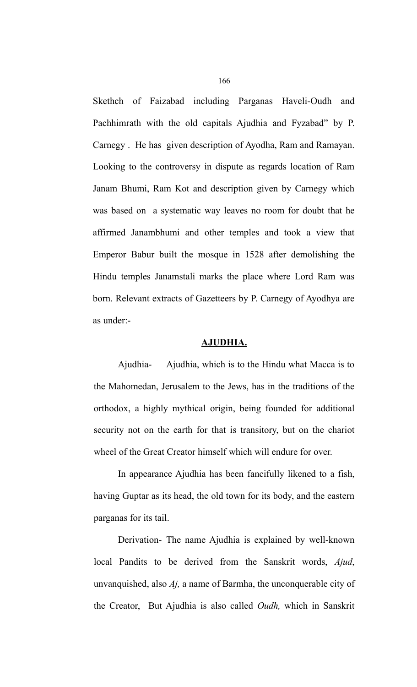Skethch of Faizabad including Parganas Haveli-Oudh and Pachhimrath with the old capitals Ajudhia and Fyzabad" by P. Carnegy . He has given description of Ayodha, Ram and Ramayan. Looking to the controversy in dispute as regards location of Ram Janam Bhumi, Ram Kot and description given by Carnegy which was based on a systematic way leaves no room for doubt that he affirmed Janambhumi and other temples and took a view that Emperor Babur built the mosque in 1528 after demolishing the Hindu temples Janamstali marks the place where Lord Ram was born. Relevant extracts of Gazetteers by P. Carnegy of Ayodhya are as under:-

## **AJUDHIA.**

Ajudhia- Ajudhia, which is to the Hindu what Macca is to the Mahomedan, Jerusalem to the Jews, has in the traditions of the orthodox, a highly mythical origin, being founded for additional security not on the earth for that is transitory, but on the chariot wheel of the Great Creator himself which will endure for over.

In appearance Ajudhia has been fancifully likened to a fish, having Guptar as its head, the old town for its body, and the eastern parganas for its tail.

Derivation- The name Ajudhia is explained by well-known local Pandits to be derived from the Sanskrit words, *Ajud*, unvanquished, also *Aj,* a name of Barmha, the unconquerable city of the Creator, But Ajudhia is also called *Oudh,* which in Sanskrit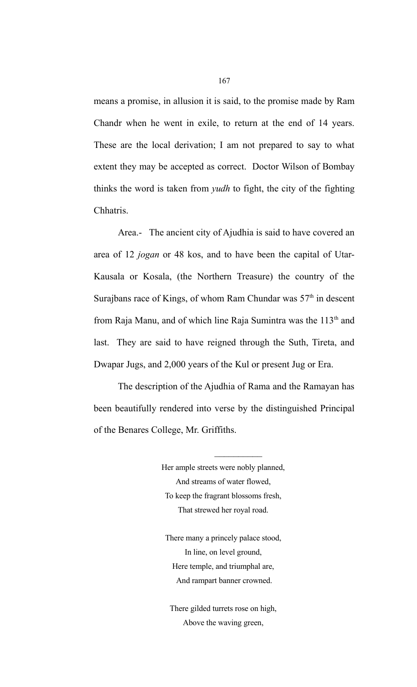means a promise, in allusion it is said, to the promise made by Ram Chandr when he went in exile, to return at the end of 14 years. These are the local derivation; I am not prepared to say to what extent they may be accepted as correct. Doctor Wilson of Bombay thinks the word is taken from *yudh* to fight, the city of the fighting Chhatris.

Area.- The ancient city of Ajudhia is said to have covered an area of 12 *jogan* or 48 kos, and to have been the capital of Utar-Kausala or Kosala, (the Northern Treasure) the country of the Surajbans race of Kings, of whom Ram Chundar was  $57<sup>th</sup>$  in descent from Raja Manu, and of which line Raja Sumintra was the  $113<sup>th</sup>$  and last. They are said to have reigned through the Suth, Tireta, and Dwapar Jugs, and 2,000 years of the Kul or present Jug or Era.

The description of the Ajudhia of Rama and the Ramayan has been beautifully rendered into verse by the distinguished Principal of the Benares College, Mr. Griffiths.

> Her ample streets were nobly planned, And streams of water flowed, To keep the fragrant blossoms fresh, That strewed her royal road.

There many a princely palace stood, In line, on level ground, Here temple, and triumphal are, And rampart banner crowned.

There gilded turrets rose on high, Above the waving green,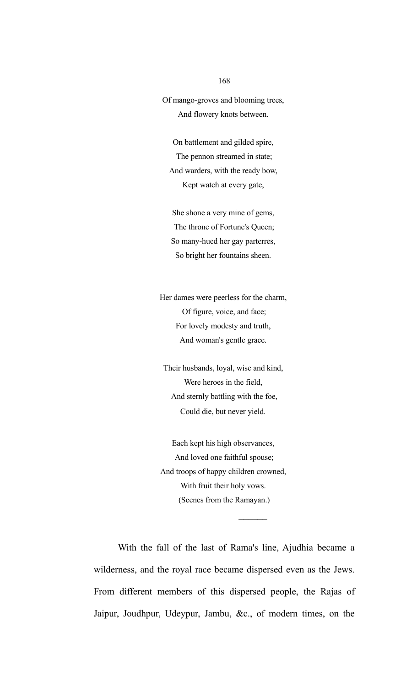Of mango-groves and blooming trees, And flowery knots between.

On battlement and gilded spire, The pennon streamed in state; And warders, with the ready bow, Kept watch at every gate,

She shone a very mine of gems, The throne of Fortune's Queen; So many-hued her gay parterres, So bright her fountains sheen.

Her dames were peerless for the charm, Of figure, voice, and face; For lovely modesty and truth, And woman's gentle grace.

Their husbands, loyal, wise and kind, Were heroes in the field, And sternly battling with the foe, Could die, but never yield.

Each kept his high observances, And loved one faithful spouse; And troops of happy children crowned, With fruit their holy vows. (Scenes from the Ramayan.)

 $\frac{1}{2}$ 

With the fall of the last of Rama's line, Ajudhia became a wilderness, and the royal race became dispersed even as the Jews. From different members of this dispersed people, the Rajas of Jaipur, Joudhpur, Udeypur, Jambu, &c., of modern times, on the

168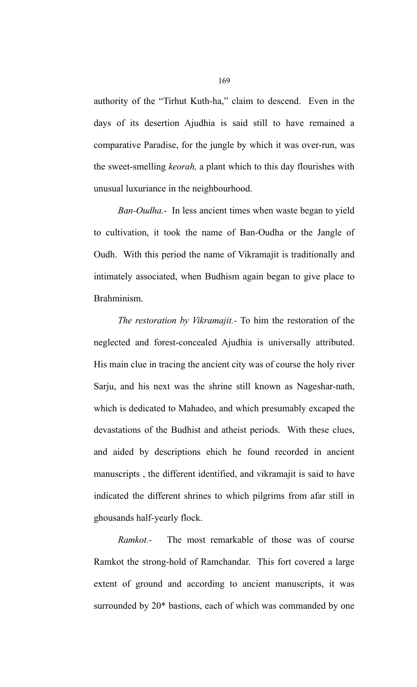authority of the "Tirhut Kuth-ha," claim to descend. Even in the days of its desertion Ajudhia is said still to have remained a comparative Paradise, for the jungle by which it was over-run, was the sweet-smelling *keorah,* a plant which to this day flourishes with unusual luxuriance in the neighbourhood.

*Ban-Oudha.-* In less ancient times when waste began to yield to cultivation, it took the name of Ban-Oudha or the Jangle of Oudh. With this period the name of Vikramajit is traditionally and intimately associated, when Budhism again began to give place to Brahminism.

*The restoration by Vikramajit.-* To him the restoration of the neglected and forest-concealed Ajudhia is universally attributed. His main clue in tracing the ancient city was of course the holy river Sarju, and his next was the shrine still known as Nageshar-nath, which is dedicated to Mahadeo, and which presumably excaped the devastations of the Budhist and atheist periods. With these clues, and aided by descriptions ehich he found recorded in ancient manuscripts , the different identified, and vikramajit is said to have indicated the different shrines to which pilgrims from afar still in ghousands half-yearly flock.

*Ramkot.-* The most remarkable of those was of course Ramkot the strong-hold of Ramchandar. This fort covered a large extent of ground and according to ancient manuscripts, it was surrounded by 20\* bastions, each of which was commanded by one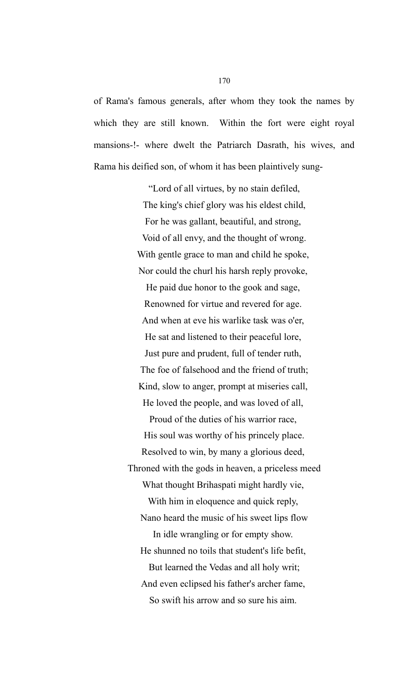of Rama's famous generals, after whom they took the names by which they are still known. Within the fort were eight royal mansions-!- where dwelt the Patriarch Dasrath, his wives, and Rama his deified son, of whom it has been plaintively sung-

> "Lord of all virtues, by no stain defiled, The king's chief glory was his eldest child, For he was gallant, beautiful, and strong, Void of all envy, and the thought of wrong. With gentle grace to man and child he spoke, Nor could the churl his harsh reply provoke, He paid due honor to the gook and sage, Renowned for virtue and revered for age. And when at eve his warlike task was o'er, He sat and listened to their peaceful lore, Just pure and prudent, full of tender ruth, The foe of falsehood and the friend of truth; Kind, slow to anger, prompt at miseries call, He loved the people, and was loved of all, Proud of the duties of his warrior race, His soul was worthy of his princely place. Resolved to win, by many a glorious deed, Throned with the gods in heaven, a priceless meed What thought Brihaspati might hardly vie, With him in eloquence and quick reply, Nano heard the music of his sweet lips flow In idle wrangling or for empty show. He shunned no toils that student's life befit, But learned the Vedas and all holy writ; And even eclipsed his father's archer fame, So swift his arrow and so sure his aim.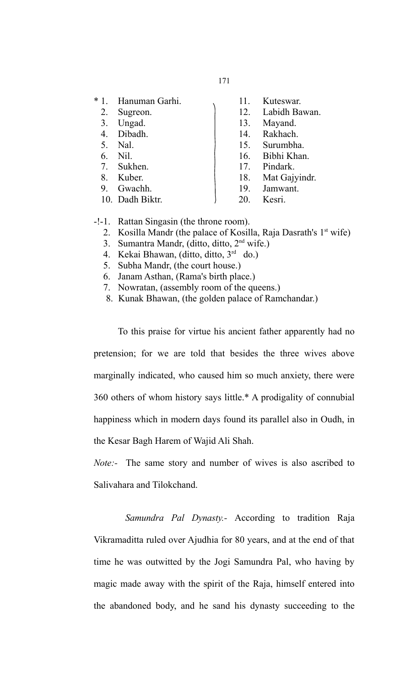| $*1$        | Hanuman Garhi.  | 11. | Kuteswar.     |
|-------------|-----------------|-----|---------------|
| 2.          | Sugreon.        | 12. | Labidh Bawan. |
| 3.          | Ungad.          | 13. | Mayand.       |
|             | Dibadh.         | 14. | Rakhach.      |
| 5.          | Nal.            | 15. | Surumbha.     |
| 6.          | Nil.            | 16. | Bibhi Khan.   |
| $7_{\cdot}$ | Sukhen.         | 17. | Pindark.      |
| 8.          | Kuber.          | 18. | Mat Gajyindr. |
| 9.          | Gwachh.         |     | 19. Jamwant.  |
|             | 10. Dadh Biktr. | 20. | Kesri.        |

#### -!-1. Rattan Singasin (the throne room).

- 2. Kosilla Mandr (the palace of Kosilla, Raja Dasrath's  $1<sup>st</sup>$  wife)
- 3. Sumantra Mandr, (ditto, ditto, 2nd wife.)
- 4. Kekai Bhawan, (ditto, ditto,  $3<sup>rd</sup>$  do.)
- 5. Subha Mandr, (the court house.)
- 6. Janam Asthan, (Rama's birth place.)
- 7. Nowratan, (assembly room of the queens.)
- 8. Kunak Bhawan, (the golden palace of Ramchandar.)

To this praise for virtue his ancient father apparently had no pretension; for we are told that besides the three wives above marginally indicated, who caused him so much anxiety, there were 360 others of whom history says little.\* A prodigality of connubial happiness which in modern days found its parallel also in Oudh, in the Kesar Bagh Harem of Wajid Ali Shah.

*Note:*- The same story and number of wives is also ascribed to Salivahara and Tilokchand.

*Samundra Pal Dynasty.-* According to tradition Raja Vikramaditta ruled over Ajudhia for 80 years, and at the end of that time he was outwitted by the Jogi Samundra Pal, who having by magic made away with the spirit of the Raja, himself entered into the abandoned body, and he sand his dynasty succeeding to the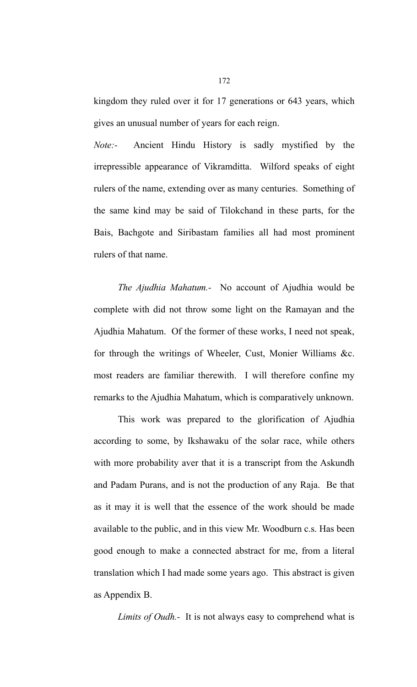kingdom they ruled over it for 17 generations or 643 years, which gives an unusual number of years for each reign.

*Note:-* Ancient Hindu History is sadly mystified by the irrepressible appearance of Vikramditta. Wilford speaks of eight rulers of the name, extending over as many centuries. Something of the same kind may be said of Tilokchand in these parts, for the Bais, Bachgote and Siribastam families all had most prominent rulers of that name.

*The Ajudhia Mahatum.-* No account of Ajudhia would be complete with did not throw some light on the Ramayan and the Ajudhia Mahatum. Of the former of these works, I need not speak, for through the writings of Wheeler, Cust, Monier Williams &c. most readers are familiar therewith. I will therefore confine my remarks to the Ajudhia Mahatum, which is comparatively unknown.

This work was prepared to the glorification of Ajudhia according to some, by Ikshawaku of the solar race, while others with more probability aver that it is a transcript from the Askundh and Padam Purans, and is not the production of any Raja. Be that as it may it is well that the essence of the work should be made available to the public, and in this view Mr. Woodburn c.s. Has been good enough to make a connected abstract for me, from a literal translation which I had made some years ago. This abstract is given as Appendix B.

*Limits of Oudh.-* It is not always easy to comprehend what is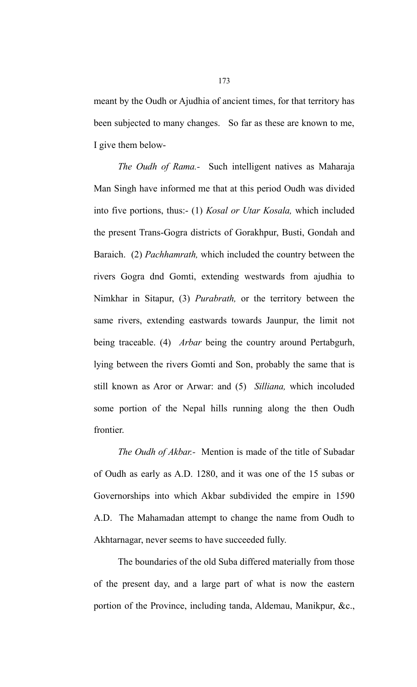meant by the Oudh or Ajudhia of ancient times, for that territory has been subjected to many changes. So far as these are known to me, I give them below-

*The Oudh of Rama.-* Such intelligent natives as Maharaja Man Singh have informed me that at this period Oudh was divided into five portions, thus:- (1) *Kosal or Utar Kosala,* which included the present Trans-Gogra districts of Gorakhpur, Busti, Gondah and Baraich. (2) *Pachhamrath,* which included the country between the rivers Gogra dnd Gomti, extending westwards from ajudhia to Nimkhar in Sitapur, (3) *Purabrath,* or the territory between the same rivers, extending eastwards towards Jaunpur, the limit not being traceable. (4) *Arbar* being the country around Pertabgurh, lying between the rivers Gomti and Son, probably the same that is still known as Aror or Arwar: and (5) *Silliana,* which incoluded some portion of the Nepal hills running along the then Oudh frontier.

*The Oudh of Akbar.-* Mention is made of the title of Subadar of Oudh as early as A.D. 1280, and it was one of the 15 subas or Governorships into which Akbar subdivided the empire in 1590 A.D. The Mahamadan attempt to change the name from Oudh to Akhtarnagar, never seems to have succeeded fully.

The boundaries of the old Suba differed materially from those of the present day, and a large part of what is now the eastern portion of the Province, including tanda, Aldemau, Manikpur, &c.,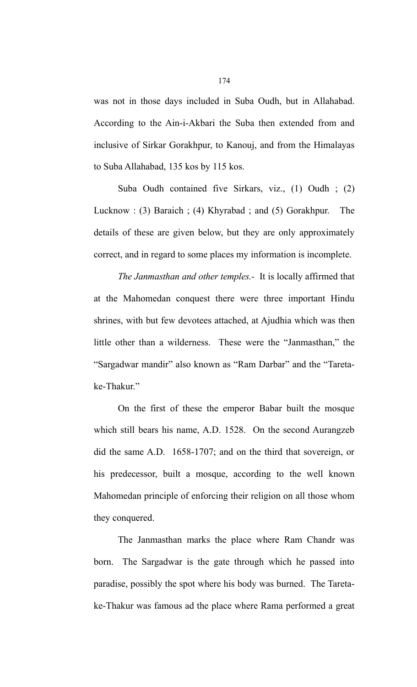was not in those days included in Suba Oudh, but in Allahabad. According to the Ain-i-Akbari the Suba then extended from and inclusive of Sirkar Gorakhpur, to Kanouj, and from the Himalayas to Suba Allahabad, 135 kos by 115 kos.

Suba Oudh contained five Sirkars, viz., (1) Oudh ; (2) Lucknow : (3) Baraich ; (4) Khyrabad ; and (5) Gorakhpur. The details of these are given below, but they are only approximately correct, and in regard to some places my information is incomplete.

*The Janmasthan and other temples.-* It is locally affirmed that at the Mahomedan conquest there were three important Hindu shrines, with but few devotees attached, at Ajudhia which was then little other than a wilderness. These were the "Janmasthan," the "Sargadwar mandir" also known as "Ram Darbar" and the "Taretake-Thakur."

On the first of these the emperor Babar built the mosque which still bears his name, A.D. 1528. On the second Aurangzeb did the same A.D. 1658-1707; and on the third that sovereign, or his predecessor, built a mosque, according to the well known Mahomedan principle of enforcing their religion on all those whom they conquered.

The Janmasthan marks the place where Ram Chandr was born. The Sargadwar is the gate through which he passed into paradise, possibly the spot where his body was burned. The Taretake-Thakur was famous ad the place where Rama performed a great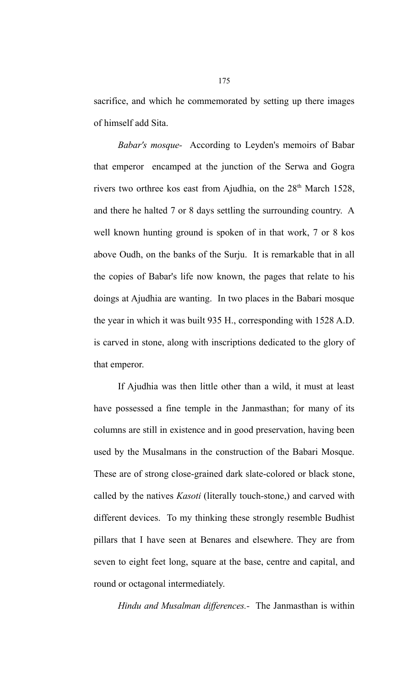sacrifice, and which he commemorated by setting up there images of himself add Sita.

*Babar's mosque-* According to Leyden's memoirs of Babar that emperor encamped at the junction of the Serwa and Gogra rivers two orthree kos east from Ajudhia, on the  $28<sup>th</sup>$  March 1528, and there he halted 7 or 8 days settling the surrounding country. A well known hunting ground is spoken of in that work, 7 or 8 kos above Oudh, on the banks of the Surju. It is remarkable that in all the copies of Babar's life now known, the pages that relate to his doings at Ajudhia are wanting. In two places in the Babari mosque the year in which it was built 935 H., corresponding with 1528 A.D. is carved in stone, along with inscriptions dedicated to the glory of that emperor.

If Ajudhia was then little other than a wild, it must at least have possessed a fine temple in the Janmasthan; for many of its columns are still in existence and in good preservation, having been used by the Musalmans in the construction of the Babari Mosque. These are of strong close-grained dark slate-colored or black stone, called by the natives *Kasoti* (literally touch-stone,) and carved with different devices. To my thinking these strongly resemble Budhist pillars that I have seen at Benares and elsewhere. They are from seven to eight feet long, square at the base, centre and capital, and round or octagonal intermediately.

*Hindu and Musalman differences.-* The Janmasthan is within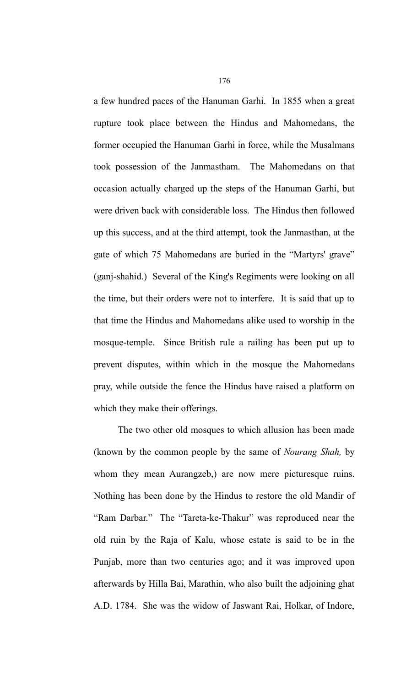a few hundred paces of the Hanuman Garhi. In 1855 when a great rupture took place between the Hindus and Mahomedans, the former occupied the Hanuman Garhi in force, while the Musalmans took possession of the Janmastham. The Mahomedans on that occasion actually charged up the steps of the Hanuman Garhi, but were driven back with considerable loss. The Hindus then followed up this success, and at the third attempt, took the Janmasthan, at the gate of which 75 Mahomedans are buried in the "Martyrs' grave" (ganj-shahid.) Several of the King's Regiments were looking on all the time, but their orders were not to interfere. It is said that up to that time the Hindus and Mahomedans alike used to worship in the mosque-temple. Since British rule a railing has been put up to prevent disputes, within which in the mosque the Mahomedans pray, while outside the fence the Hindus have raised a platform on which they make their offerings.

The two other old mosques to which allusion has been made (known by the common people by the same of *Nourang Shah,* by whom they mean Aurangzeb,) are now mere picturesque ruins. Nothing has been done by the Hindus to restore the old Mandir of "Ram Darbar." The "Tareta-ke-Thakur" was reproduced near the old ruin by the Raja of Kalu, whose estate is said to be in the Punjab, more than two centuries ago; and it was improved upon afterwards by Hilla Bai, Marathin, who also built the adjoining ghat A.D. 1784. She was the widow of Jaswant Rai, Holkar, of Indore,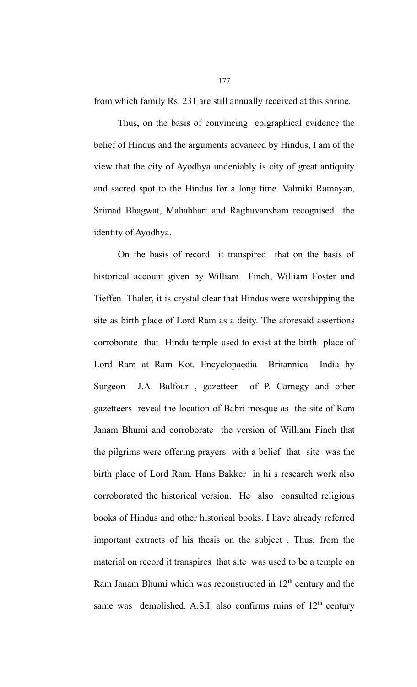from which family Rs. 231 are still annually received at this shrine.

Thus, on the basis of convincing epigraphical evidence the belief of Hindus and the arguments advanced by Hindus, I am of the view that the city of Ayodhya undeniably is city of great antiquity and sacred spot to the Hindus for a long time. Valmiki Ramayan, Srimad Bhagwat, Mahabhart and Raghuvansham recognised the identity of Ayodhya.

On the basis of record it transpired that on the basis of historical account given by William Finch, William Foster and Tieffen Thaler, it is crystal clear that Hindus were worshipping the site as birth place of Lord Ram as a deity. The aforesaid assertions corroborate that Hindu temple used to exist at the birth place of Lord Ram at Ram Kot. Encyclopaedia Britannica India by Surgeon J.A. Balfour , gazetteer of P. Carnegy and other gazetteers reveal the location of Babri mosque as the site of Ram Janam Bhumi and corroborate the version of William Finch that the pilgrims were offering prayers with a belief that site was the birth place of Lord Ram. Hans Bakker in hi s research work also corroborated the historical version. He also consulted religious books of Hindus and other historical books. I have already referred important extracts of his thesis on the subject . Thus, from the material on record it transpires that site was used to be a temple on Ram Janam Bhumi which was reconstructed in  $12<sup>th</sup>$  century and the same was demolished. A.S.I. also confirms ruins of  $12<sup>th</sup>$  century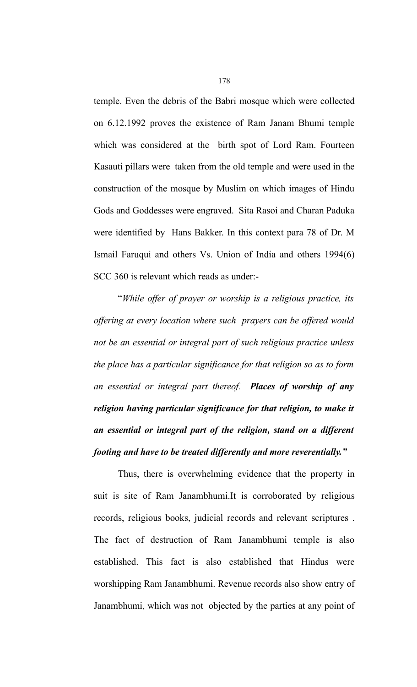temple. Even the debris of the Babri mosque which were collected on 6.12.1992 proves the existence of Ram Janam Bhumi temple which was considered at the birth spot of Lord Ram. Fourteen Kasauti pillars were taken from the old temple and were used in the construction of the mosque by Muslim on which images of Hindu Gods and Goddesses were engraved. Sita Rasoi and Charan Paduka were identified by Hans Bakker. In this context para 78 of Dr. M Ismail Faruqui and others Vs. Union of India and others 1994(6) SCC 360 is relevant which reads as under:-

"*While offer of prayer or worship is a religious practice, its offering at every location where such prayers can be offered would not be an essential or integral part of such religious practice unless the place has a particular significance for that religion so as to form an essential or integral part thereof. Places of worship of any religion having particular significance for that religion, to make it an essential or integral part of the religion, stand on a different footing and have to be treated differently and more reverentially."*

Thus, there is overwhelming evidence that the property in suit is site of Ram Janambhumi.It is corroborated by religious records, religious books, judicial records and relevant scriptures . The fact of destruction of Ram Janambhumi temple is also established. This fact is also established that Hindus were worshipping Ram Janambhumi. Revenue records also show entry of Janambhumi, which was not objected by the parties at any point of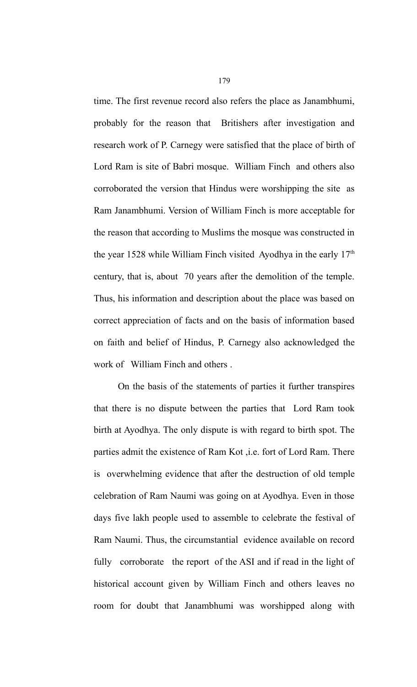time. The first revenue record also refers the place as Janambhumi, probably for the reason that Britishers after investigation and research work of P. Carnegy were satisfied that the place of birth of Lord Ram is site of Babri mosque. William Finch and others also corroborated the version that Hindus were worshipping the site as Ram Janambhumi. Version of William Finch is more acceptable for the reason that according to Muslims the mosque was constructed in the year 1528 while William Finch visited Ayodhya in the early  $17<sup>th</sup>$ century, that is, about 70 years after the demolition of the temple. Thus, his information and description about the place was based on correct appreciation of facts and on the basis of information based on faith and belief of Hindus, P. Carnegy also acknowledged the work of William Finch and others .

On the basis of the statements of parties it further transpires that there is no dispute between the parties that Lord Ram took birth at Ayodhya. The only dispute is with regard to birth spot. The parties admit the existence of Ram Kot ,i.e. fort of Lord Ram. There is overwhelming evidence that after the destruction of old temple celebration of Ram Naumi was going on at Ayodhya. Even in those days five lakh people used to assemble to celebrate the festival of Ram Naumi. Thus, the circumstantial evidence available on record fully corroborate the report of the ASI and if read in the light of historical account given by William Finch and others leaves no room for doubt that Janambhumi was worshipped along with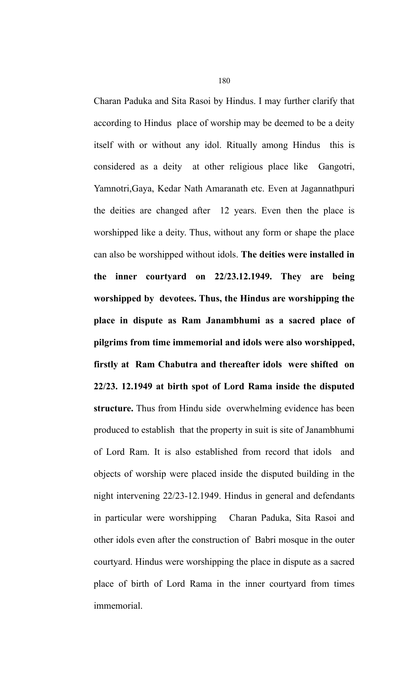Charan Paduka and Sita Rasoi by Hindus. I may further clarify that according to Hindus place of worship may be deemed to be a deity itself with or without any idol. Ritually among Hindus this is considered as a deity at other religious place like Gangotri, Yamnotri,Gaya, Kedar Nath Amaranath etc. Even at Jagannathpuri the deities are changed after 12 years. Even then the place is worshipped like a deity. Thus, without any form or shape the place can also be worshipped without idols. **The deities were installed in the inner courtyard on 22/23.12.1949. They are being worshipped by devotees. Thus, the Hindus are worshipping the place in dispute as Ram Janambhumi as a sacred place of pilgrims from time immemorial and idols were also worshipped, firstly at Ram Chabutra and thereafter idols were shifted on 22/23. 12.1949 at birth spot of Lord Rama inside the disputed structure.** Thus from Hindu side overwhelming evidence has been produced to establish that the property in suit is site of Janambhumi of Lord Ram. It is also established from record that idols and objects of worship were placed inside the disputed building in the night intervening 22/23-12.1949. Hindus in general and defendants in particular were worshipping Charan Paduka, Sita Rasoi and other idols even after the construction of Babri mosque in the outer courtyard. Hindus were worshipping the place in dispute as a sacred place of birth of Lord Rama in the inner courtyard from times immemorial.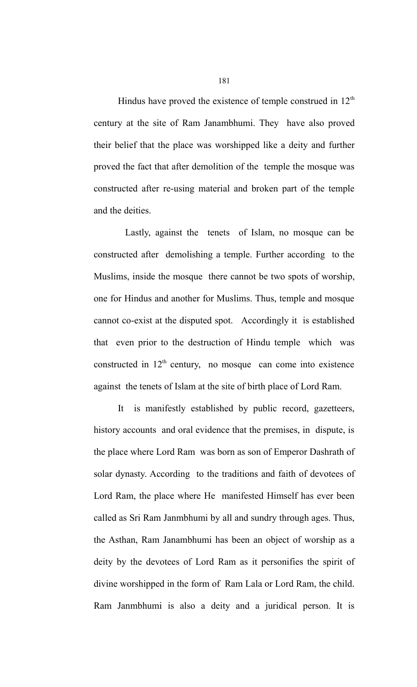Hindus have proved the existence of temple construed in  $12<sup>th</sup>$ century at the site of Ram Janambhumi. They have also proved their belief that the place was worshipped like a deity and further proved the fact that after demolition of the temple the mosque was constructed after re-using material and broken part of the temple and the deities.

 Lastly, against the tenets of Islam, no mosque can be constructed after demolishing a temple. Further according to the Muslims, inside the mosque there cannot be two spots of worship, one for Hindus and another for Muslims. Thus, temple and mosque cannot co-exist at the disputed spot. Accordingly it is established that even prior to the destruction of Hindu temple which was constructed in  $12<sup>th</sup>$  century, no mosque can come into existence against the tenets of Islam at the site of birth place of Lord Ram.

It is manifestly established by public record, gazetteers, history accounts and oral evidence that the premises, in dispute, is the place where Lord Ram was born as son of Emperor Dashrath of solar dynasty. According to the traditions and faith of devotees of Lord Ram, the place where He manifested Himself has ever been called as Sri Ram Janmbhumi by all and sundry through ages. Thus, the Asthan, Ram Janambhumi has been an object of worship as a deity by the devotees of Lord Ram as it personifies the spirit of divine worshipped in the form of Ram Lala or Lord Ram, the child. Ram Janmbhumi is also a deity and a juridical person. It is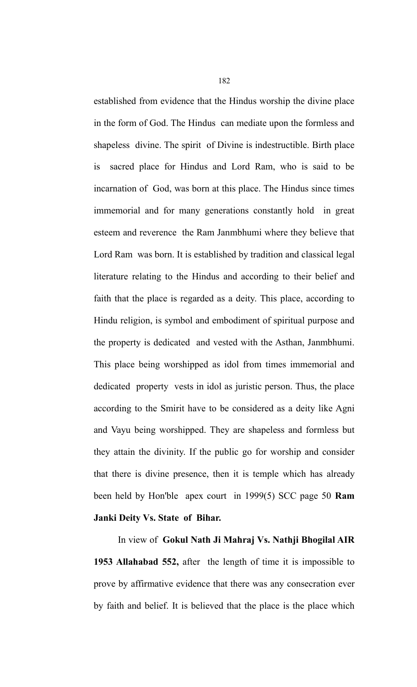established from evidence that the Hindus worship the divine place in the form of God. The Hindus can mediate upon the formless and shapeless divine. The spirit of Divine is indestructible. Birth place is sacred place for Hindus and Lord Ram, who is said to be incarnation of God, was born at this place. The Hindus since times immemorial and for many generations constantly hold in great esteem and reverence the Ram Janmbhumi where they believe that Lord Ram was born. It is established by tradition and classical legal literature relating to the Hindus and according to their belief and faith that the place is regarded as a deity. This place, according to Hindu religion, is symbol and embodiment of spiritual purpose and the property is dedicated and vested with the Asthan, Janmbhumi. This place being worshipped as idol from times immemorial and dedicated property vests in idol as juristic person. Thus, the place according to the Smirit have to be considered as a deity like Agni and Vayu being worshipped. They are shapeless and formless but they attain the divinity. If the public go for worship and consider that there is divine presence, then it is temple which has already been held by Hon'ble apex court in 1999(5) SCC page 50 **Ram Janki Deity Vs. State of Bihar.** 

In view of **Gokul Nath Ji Mahraj Vs. Nathji Bhogilal AIR 1953 Allahabad 552,** after the length of time it is impossible to prove by affirmative evidence that there was any consecration ever by faith and belief. It is believed that the place is the place which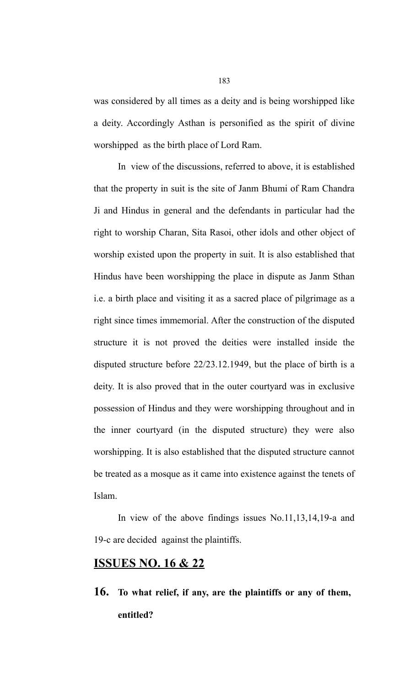was considered by all times as a deity and is being worshipped like a deity. Accordingly Asthan is personified as the spirit of divine worshipped as the birth place of Lord Ram.

In view of the discussions, referred to above, it is established that the property in suit is the site of Janm Bhumi of Ram Chandra Ji and Hindus in general and the defendants in particular had the right to worship Charan, Sita Rasoi, other idols and other object of worship existed upon the property in suit. It is also established that Hindus have been worshipping the place in dispute as Janm Sthan i.e. a birth place and visiting it as a sacred place of pilgrimage as a right since times immemorial. After the construction of the disputed structure it is not proved the deities were installed inside the disputed structure before 22/23.12.1949, but the place of birth is a deity. It is also proved that in the outer courtyard was in exclusive possession of Hindus and they were worshipping throughout and in the inner courtyard (in the disputed structure) they were also worshipping. It is also established that the disputed structure cannot be treated as a mosque as it came into existence against the tenets of Islam.

In view of the above findings issues No.11,13,14,19-a and 19-c are decided against the plaintiffs.

# **ISSUES NO. 16 & 22**

**16. To what relief, if any, are the plaintiffs or any of them, entitled?**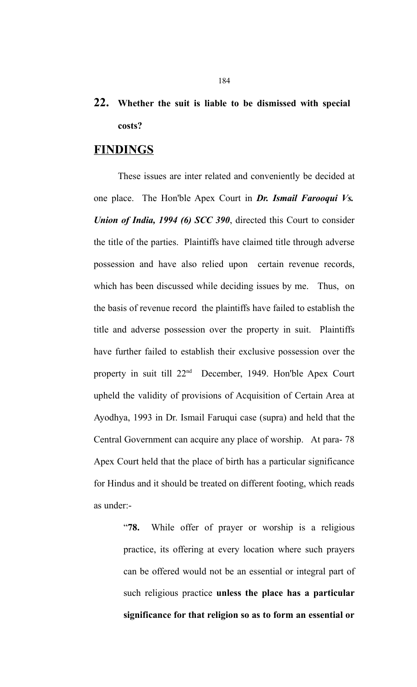**22. Whether the suit is liable to be dismissed with special costs?**

# **FINDINGS**

These issues are inter related and conveniently be decided at one place. The Hon'ble Apex Court in *Dr. Ismail Farooqui Vs. Union of India, 1994 (6) SCC 390*, directed this Court to consider the title of the parties. Plaintiffs have claimed title through adverse possession and have also relied upon certain revenue records, which has been discussed while deciding issues by me. Thus, on the basis of revenue record the plaintiffs have failed to establish the title and adverse possession over the property in suit. Plaintiffs have further failed to establish their exclusive possession over the property in suit till 22<sup>nd</sup> December, 1949. Hon'ble Apex Court upheld the validity of provisions of Acquisition of Certain Area at Ayodhya, 1993 in Dr. Ismail Faruqui case (supra) and held that the Central Government can acquire any place of worship. At para- 78 Apex Court held that the place of birth has a particular significance for Hindus and it should be treated on different footing, which reads as under:-

> "**78.** While offer of prayer or worship is a religious practice, its offering at every location where such prayers can be offered would not be an essential or integral part of such religious practice **unless the place has a particular significance for that religion so as to form an essential or**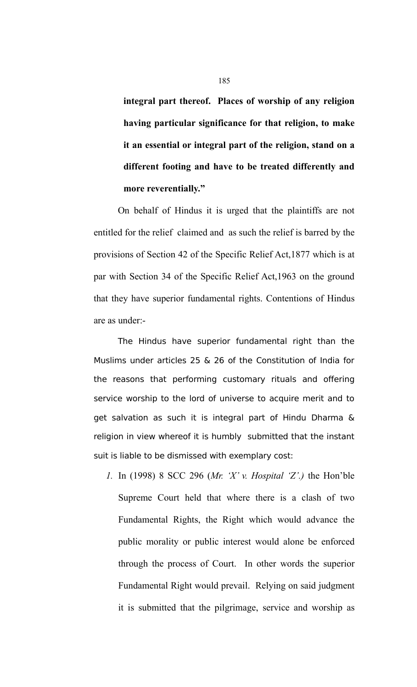**integral part thereof. Places of worship of any religion having particular significance for that religion, to make it an essential or integral part of the religion, stand on a different footing and have to be treated differently and more reverentially."**

On behalf of Hindus it is urged that the plaintiffs are not entitled for the relief claimed and as such the relief is barred by the provisions of Section 42 of the Specific Relief Act,1877 which is at par with Section 34 of the Specific Relief Act,1963 on the ground that they have superior fundamental rights. Contentions of Hindus are as under:-

The Hindus have superior fundamental right than the Muslims under articles 25 & 26 of the Constitution of India for the reasons that performing customary rituals and offering service worship to the lord of universe to acquire merit and to get salvation as such it is integral part of Hindu Dharma & religion in view whereof it is humbly submitted that the instant suit is liable to be dismissed with exemplary cost:

*1.* In (1998) 8 SCC 296 (*Mr. 'X' v. Hospital 'Z'.)* the Hon'ble Supreme Court held that where there is a clash of two Fundamental Rights, the Right which would advance the public morality or public interest would alone be enforced through the process of Court. In other words the superior Fundamental Right would prevail. Relying on said judgment it is submitted that the pilgrimage, service and worship as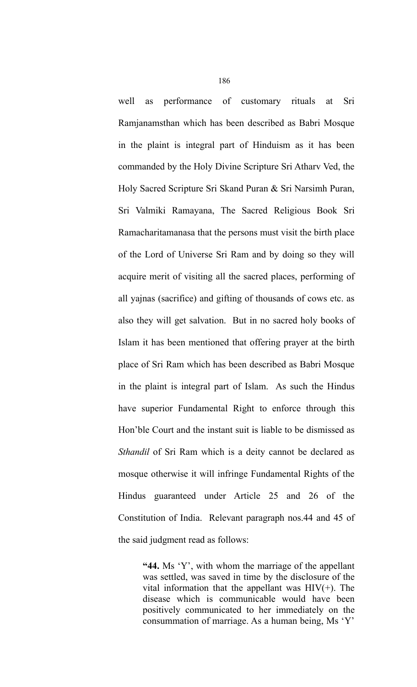well as performance of customary rituals at Sri Ramjanamsthan which has been described as Babri Mosque in the plaint is integral part of Hinduism as it has been commanded by the Holy Divine Scripture Sri Atharv Ved, the Holy Sacred Scripture Sri Skand Puran & Sri Narsimh Puran, Sri Valmiki Ramayana, The Sacred Religious Book Sri Ramacharitamanasa that the persons must visit the birth place of the Lord of Universe Sri Ram and by doing so they will acquire merit of visiting all the sacred places, performing of all yajnas (sacrifice) and gifting of thousands of cows etc. as also they will get salvation. But in no sacred holy books of Islam it has been mentioned that offering prayer at the birth place of Sri Ram which has been described as Babri Mosque in the plaint is integral part of Islam. As such the Hindus have superior Fundamental Right to enforce through this Hon'ble Court and the instant suit is liable to be dismissed as *Sthandil* of Sri Ram which is a deity cannot be declared as mosque otherwise it will infringe Fundamental Rights of the Hindus guaranteed under Article 25 and 26 of the Constitution of India. Relevant paragraph nos.44 and 45 of the said judgment read as follows:

> **"44.** Ms 'Y', with whom the marriage of the appellant was settled, was saved in time by the disclosure of the vital information that the appellant was  $HIV(+)$ . The disease which is communicable would have been positively communicated to her immediately on the consummation of marriage. As a human being, Ms 'Y'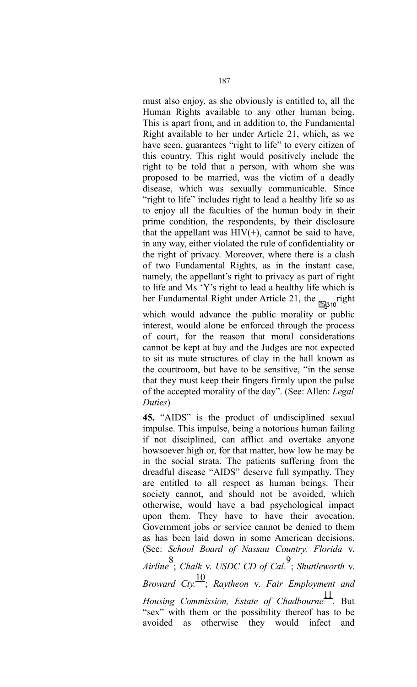must also enjoy, as she obviously is entitled to, all the Human Rights available to any other human being. This is apart from, and in addition to, the Fundamental Right available to her under Article 21, which, as we have seen, guarantees "right to life" to every citizen of this country. This right would positively include the right to be told that a person, with whom she was proposed to be married, was the victim of a deadly disease, which was sexually communicable. Since "right to life" includes right to lead a healthy life so as to enjoy all the faculties of the human body in their prime condition, the respondents, by their disclosure that the appellant was  $HIV(+)$ , cannot be said to have, in any way, either violated the rule of confidentiality or the right of privacy. Moreover, where there is a clash of two Fundamental Rights, as in the instant case, namely, the appellant's right to privacy as part of right to life and Ms 'Y's right to lead a healthy life which is her Fundamental Right under Article 21, the  $\frac{1}{210}$  right

which would advance the public morality or public interest, would alone be enforced through the process of court, for the reason that moral considerations cannot be kept at bay and the Judges are not expected to sit as mute structures of clay in the hall known as the courtroom, but have to be sensitive, "in the sense that they must keep their fingers firmly upon the pulse of the accepted morality of the day". (See: Allen: *Legal Duties*)

**45.** "AIDS" is the product of undisciplined sexual impulse. This impulse, being a notorious human failing if not disciplined, can afflict and overtake anyone howsoever high or, for that matter, how low he may be in the social strata. The patients suffering from the dreadful disease "AIDS" deserve full sympathy. They are entitled to all respect as human beings. Their society cannot, and should not be avoided, which otherwise, would have a bad psychological impact upon them. They have to have their avocation. Government jobs or service cannot be denied to them as has been laid down in some American decisions. (See: *School Board of Nassau Country, Florida* v. *Airline*<sup>8</sup> ; *Chalk* v. *USDC CD of Cal*. 9 ; *Shuttleworth* v. *Broward Cty.*<sup>10</sup> ; *Raytheon* v. *Fair Employment and Housing Commission, Estate of Chadbourne*<sup>11</sup>. But "sex" with them or the possibility thereof has to be avoided as otherwise they would infect and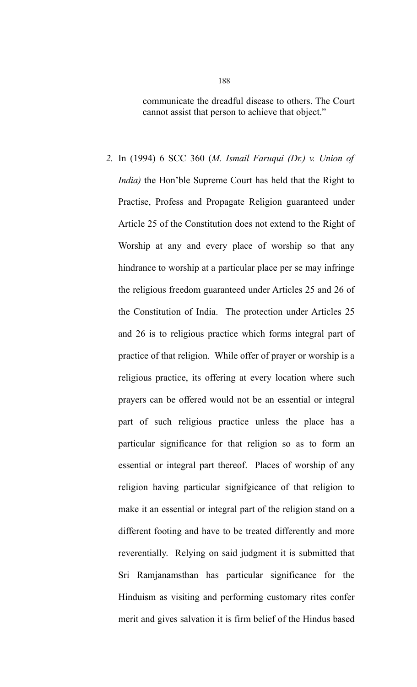communicate the dreadful disease to others. The Court cannot assist that person to achieve that object."

*2.* In (1994) 6 SCC 360 (*M. Ismail Faruqui (Dr.) v. Union of India*) the Hon'ble Supreme Court has held that the Right to Practise, Profess and Propagate Religion guaranteed under Article 25 of the Constitution does not extend to the Right of Worship at any and every place of worship so that any hindrance to worship at a particular place per se may infringe the religious freedom guaranteed under Articles 25 and 26 of the Constitution of India. The protection under Articles 25 and 26 is to religious practice which forms integral part of practice of that religion. While offer of prayer or worship is a religious practice, its offering at every location where such prayers can be offered would not be an essential or integral part of such religious practice unless the place has a particular significance for that religion so as to form an essential or integral part thereof. Places of worship of any religion having particular signifgicance of that religion to make it an essential or integral part of the religion stand on a different footing and have to be treated differently and more reverentially. Relying on said judgment it is submitted that Sri Ramjanamsthan has particular significance for the Hinduism as visiting and performing customary rites confer merit and gives salvation it is firm belief of the Hindus based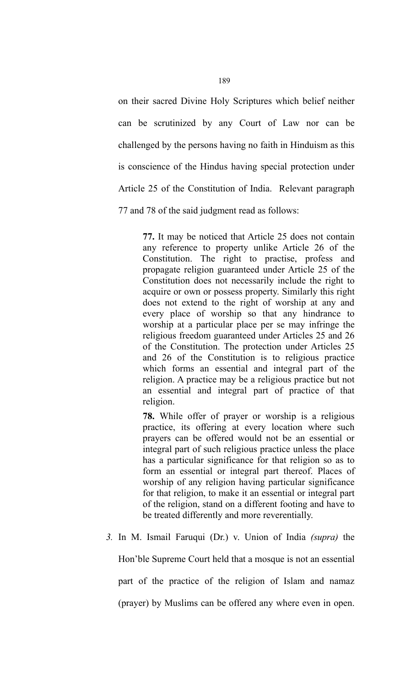on their sacred Divine Holy Scriptures which belief neither can be scrutinized by any Court of Law nor can be challenged by the persons having no faith in Hinduism as this is conscience of the Hindus having special protection under Article 25 of the Constitution of India. Relevant paragraph 77 and 78 of the said judgment read as follows:

> **77.** It may be noticed that Article 25 does not contain any reference to property unlike Article 26 of the Constitution. The right to practise, profess and propagate religion guaranteed under Article 25 of the Constitution does not necessarily include the right to acquire or own or possess property. Similarly this right does not extend to the right of worship at any and every place of worship so that any hindrance to worship at a particular place per se may infringe the religious freedom guaranteed under Articles 25 and 26 of the Constitution. The protection under Articles 25 and 26 of the Constitution is to religious practice which forms an essential and integral part of the religion. A practice may be a religious practice but not an essential and integral part of practice of that religion.

> **78.** While offer of prayer or worship is a religious practice, its offering at every location where such prayers can be offered would not be an essential or integral part of such religious practice unless the place has a particular significance for that religion so as to form an essential or integral part thereof. Places of worship of any religion having particular significance for that religion, to make it an essential or integral part of the religion, stand on a different footing and have to be treated differently and more reverentially.

*3.* In M. Ismail Faruqui (Dr.) v. Union of India *(supra)* the

Hon'ble Supreme Court held that a mosque is not an essential part of the practice of the religion of Islam and namaz (prayer) by Muslims can be offered any where even in open.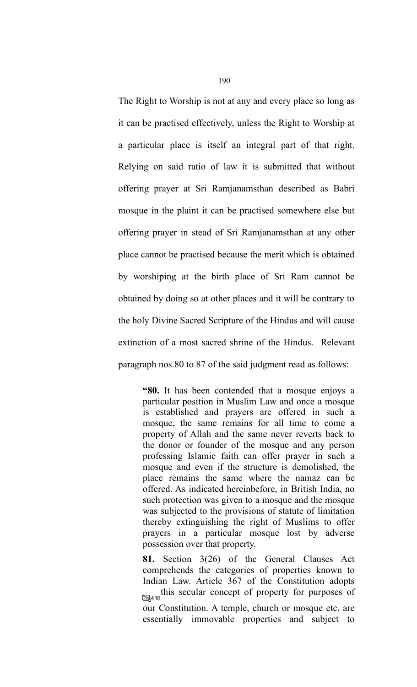The Right to Worship is not at any and every place so long as it can be practised effectively, unless the Right to Worship at a particular place is itself an integral part of that right. Relying on said ratio of law it is submitted that without offering prayer at Sri Ramjanamsthan described as Babri mosque in the plaint it can be practised somewhere else but offering prayer in stead of Sri Ramjanamsthan at any other place cannot be practised because the merit which is obtained by worshiping at the birth place of Sri Ram cannot be obtained by doing so at other places and it will be contrary to the holy Divine Sacred Scripture of the Hindus and will cause extinction of a most sacred shrine of the Hindus. Relevant paragraph nos.80 to 87 of the said judgment read as follows:

**"80.** It has been contended that a mosque enjoys a particular position in Muslim Law and once a mosque is established and prayers are offered in such a mosque, the same remains for all time to come a property of Allah and the same never reverts back to the donor or founder of the mosque and any person professing Islamic faith can offer prayer in such a mosque and even if the structure is demolished, the place remains the same where the namaz can be offered. As indicated hereinbefore, in British India, no such protection was given to a mosque and the mosque was subjected to the provisions of statute of limitation thereby extinguishing the right of Muslims to offer prayers in a particular mosque lost by adverse possession over that property.

**81.** Section 3(26) of the General Clauses Act comprehends the categories of properties known to Indian Law. Article 367 of the Constitution adopts this secular concept of property for purposes of our Constitution. A temple, church or mosque etc. are essentially immovable properties and subject to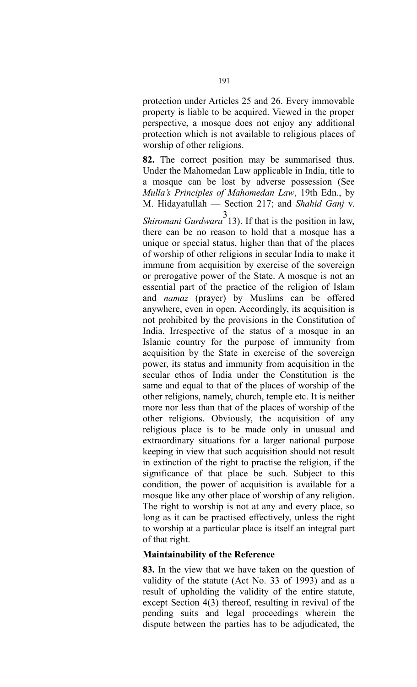protection under Articles 25 and 26. Every immovable property is liable to be acquired. Viewed in the proper perspective, a mosque does not enjoy any additional protection which is not available to religious places of worship of other religions.

**82.** The correct position may be summarised thus. Under the Mahomedan Law applicable in India, title to a mosque can be lost by adverse possession (See *Mulla's Principles of Mahomedan Law*, 19th Edn., by M. Hidayatullah — Section 217; and *Shahid Ganj* v. *Shiromani Gurdwara*<sup>3</sup> 13). If that is the position in law,

there can be no reason to hold that a mosque has a unique or special status, higher than that of the places of worship of other religions in secular India to make it immune from acquisition by exercise of the sovereign or prerogative power of the State. A mosque is not an essential part of the practice of the religion of Islam and *namaz* (prayer) by Muslims can be offered anywhere, even in open. Accordingly, its acquisition is not prohibited by the provisions in the Constitution of India. Irrespective of the status of a mosque in an Islamic country for the purpose of immunity from acquisition by the State in exercise of the sovereign power, its status and immunity from acquisition in the secular ethos of India under the Constitution is the same and equal to that of the places of worship of the other religions, namely, church, temple etc. It is neither more nor less than that of the places of worship of the other religions. Obviously, the acquisition of any religious place is to be made only in unusual and extraordinary situations for a larger national purpose keeping in view that such acquisition should not result in extinction of the right to practise the religion, if the significance of that place be such. Subject to this condition, the power of acquisition is available for a mosque like any other place of worship of any religion. The right to worship is not at any and every place, so long as it can be practised effectively, unless the right to worship at a particular place is itself an integral part of that right.

### **Maintainability of the Reference**

**83.** In the view that we have taken on the question of validity of the statute (Act No. 33 of 1993) and as a result of upholding the validity of the entire statute, except Section 4(3) thereof, resulting in revival of the pending suits and legal proceedings wherein the dispute between the parties has to be adjudicated, the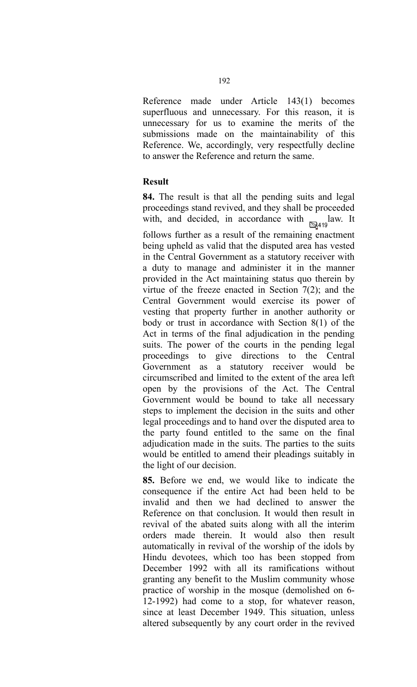Reference made under Article 143(1) becomes superfluous and unnecessary. For this reason, it is unnecessary for us to examine the merits of the submissions made on the maintainability of this Reference. We, accordingly, very respectfully decline to answer the Reference and return the same.

## **Result**

**84.** The result is that all the pending suits and legal proceedings stand revived, and they shall be proceeded with, and decided, in accordance with  $\frac{1}{12}$ aw. It follows further as a result of the remaining enactment being upheld as valid that the disputed area has vested in the Central Government as a statutory receiver with a duty to manage and administer it in the manner provided in the Act maintaining status quo therein by virtue of the freeze enacted in Section 7(2); and the Central Government would exercise its power of vesting that property further in another authority or body or trust in accordance with Section 8(1) of the Act in terms of the final adjudication in the pending suits. The power of the courts in the pending legal proceedings to give directions to the Central Government as a statutory receiver would be circumscribed and limited to the extent of the area left open by the provisions of the Act. The Central Government would be bound to take all necessary steps to implement the decision in the suits and other legal proceedings and to hand over the disputed area to the party found entitled to the same on the final adjudication made in the suits. The parties to the suits would be entitled to amend their pleadings suitably in the light of our decision.

**85.** Before we end, we would like to indicate the consequence if the entire Act had been held to be invalid and then we had declined to answer the Reference on that conclusion. It would then result in revival of the abated suits along with all the interim orders made therein. It would also then result automatically in revival of the worship of the idols by Hindu devotees, which too has been stopped from December 1992 with all its ramifications without granting any benefit to the Muslim community whose practice of worship in the mosque (demolished on 6- 12-1992) had come to a stop, for whatever reason, since at least December 1949. This situation, unless altered subsequently by any court order in the revived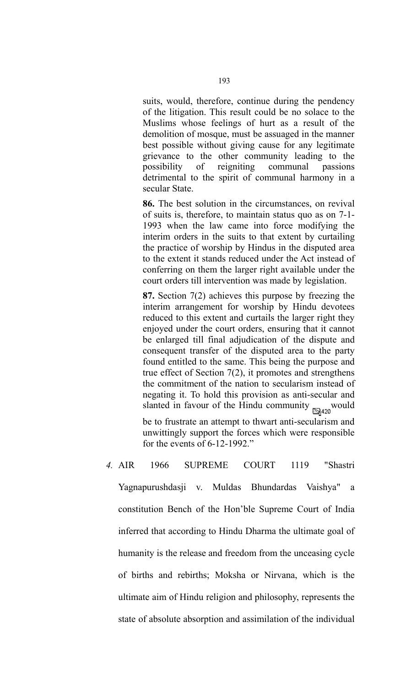suits, would, therefore, continue during the pendency of the litigation. This result could be no solace to the Muslims whose feelings of hurt as a result of the demolition of mosque, must be assuaged in the manner best possible without giving cause for any legitimate grievance to the other community leading to the possibility of reigniting communal passions detrimental to the spirit of communal harmony in a secular State.

**86.** The best solution in the circumstances, on revival of suits is, therefore, to maintain status quo as on 7-1- 1993 when the law came into force modifying the interim orders in the suits to that extent by curtailing the practice of worship by Hindus in the disputed area to the extent it stands reduced under the Act instead of conferring on them the larger right available under the court orders till intervention was made by legislation.

**87.** Section 7(2) achieves this purpose by freezing the interim arrangement for worship by Hindu devotees reduced to this extent and curtails the larger right they enjoyed under the court orders, ensuring that it cannot be enlarged till final adjudication of the dispute and consequent transfer of the disputed area to the party found entitled to the same. This being the purpose and true effect of Section 7(2), it promotes and strengthens the commitment of the nation to secularism instead of negating it. To hold this provision as anti-secular and slanted in favour of the Hindu community  $\frac{1}{2420}$  would

be to frustrate an attempt to thwart anti-secularism and unwittingly support the forces which were responsible for the events of 6-12-1992."

# *4.* AIR 1966 SUPREME COURT 1119 "Shastri Yagnapurushdasji v. Muldas Bhundardas Vaishya" a constitution Bench of the Hon'ble Supreme Court of India inferred that according to Hindu Dharma the ultimate goal of humanity is the release and freedom from the unceasing cycle of births and rebirths; Moksha or Nirvana, which is the ultimate aim of Hindu religion and philosophy, represents the state of absolute absorption and assimilation of the individual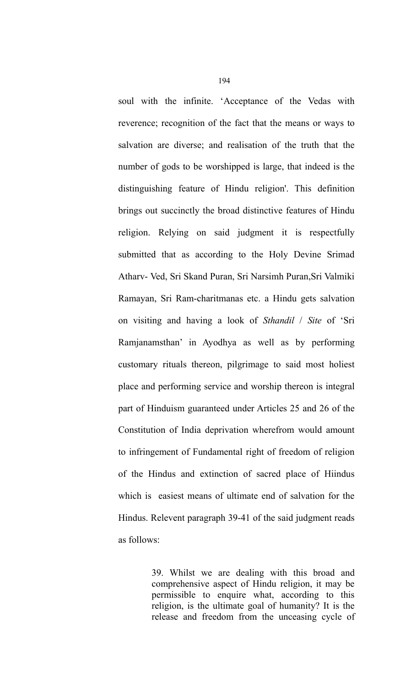soul with the infinite. 'Acceptance of the Vedas with reverence; recognition of the fact that the means or ways to salvation are diverse; and realisation of the truth that the number of gods to be worshipped is large, that indeed is the distinguishing feature of Hindu religion'. This definition brings out succinctly the broad distinctive features of Hindu religion. Relying on said judgment it is respectfully submitted that as according to the Holy Devine Srimad Atharv- Ved, Sri Skand Puran, Sri Narsimh Puran,Sri Valmiki Ramayan, Sri Ram-charitmanas etc. a Hindu gets salvation on visiting and having a look of *Sthandil* / *Site* of 'Sri Ramjanamsthan' in Ayodhya as well as by performing customary rituals thereon, pilgrimage to said most holiest place and performing service and worship thereon is integral part of Hinduism guaranteed under Articles 25 and 26 of the Constitution of India deprivation wherefrom would amount to infringement of Fundamental right of freedom of religion of the Hindus and extinction of sacred place of Hiindus which is easiest means of ultimate end of salvation for the Hindus. Relevent paragraph 39-41 of the said judgment reads as follows:

> 39. Whilst we are dealing with this broad and comprehensive aspect of Hindu religion, it may be permissible to enquire what, according to this religion, is the ultimate goal of humanity? It is the release and freedom from the unceasing cycle of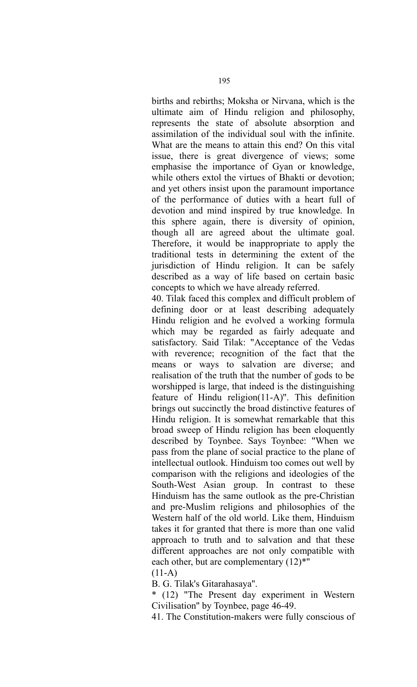births and rebirths; Moksha or Nirvana, which is the ultimate aim of Hindu religion and philosophy, represents the state of absolute absorption and assimilation of the individual soul with the infinite. What are the means to attain this end? On this vital issue, there is great divergence of views; some emphasise the importance of Gyan or knowledge, while others extol the virtues of Bhakti or devotion; and yet others insist upon the paramount importance of the performance of duties with a heart full of devotion and mind inspired by true knowledge. In this sphere again, there is diversity of opinion, though all are agreed about the ultimate goal. Therefore, it would be inappropriate to apply the traditional tests in determining the extent of the jurisdiction of Hindu religion. It can be safely described as a way of life based on certain basic concepts to which we have already referred.

40. Tilak faced this complex and difficult problem of defining door or at least describing adequately Hindu religion and he evolved a working formula which may be regarded as fairly adequate and satisfactory. Said Tilak: "Acceptance of the Vedas with reverence; recognition of the fact that the means or ways to salvation are diverse; and realisation of the truth that the number of gods to be worshipped is large, that indeed is the distinguishing feature of Hindu religion(11-A)''. This definition brings out succinctly the broad distinctive features of Hindu religion. It is somewhat remarkable that this broad sweep of Hindu religion has been eloquently described by Toynbee. Says Toynbee: "When we pass from the plane of social practice to the plane of intellectual outlook. Hinduism too comes out well by comparison with the religions and ideologies of the South-West Asian group. In contrast to these Hinduism has the same outlook as the pre-Christian and pre-Muslim religions and philosophies of the Western half of the old world. Like them, Hinduism takes it for granted that there is more than one valid approach to truth and to salvation and that these different approaches are not only compatible with each other, but are complementary (12)\*''  $(11-A)$ 

B. G. Tilak's Gitarahasaya''.

\* (12) "The Present day experiment in Western Civilisation'' by Toynbee, page 46-49.

41. The Constitution-makers were fully conscious of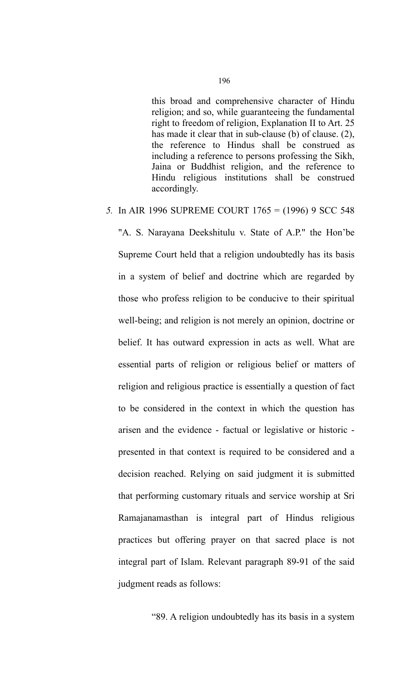this broad and comprehensive character of Hindu religion; and so, while guaranteeing the fundamental right to freedom of religion, Explanation II to Art. 25 has made it clear that in sub-clause (b) of clause. (2), the reference to Hindus shall be construed as including a reference to persons professing the Sikh, Jaina or Buddhist religion, and the reference to Hindu religious institutions shall be construed accordingly.

#### *5.* In AIR 1996 SUPREME COURT 1765 = (1996) 9 SCC 548

"A. S. Narayana Deekshitulu v. State of A.P." the Hon'be Supreme Court held that a religion undoubtedly has its basis in a system of belief and doctrine which are regarded by those who profess religion to be conducive to their spiritual well-being; and religion is not merely an opinion, doctrine or belief. It has outward expression in acts as well. What are essential parts of religion or religious belief or matters of religion and religious practice is essentially a question of fact to be considered in the context in which the question has arisen and the evidence - factual or legislative or historic presented in that context is required to be considered and a decision reached. Relying on said judgment it is submitted that performing customary rituals and service worship at Sri Ramajanamasthan is integral part of Hindus religious practices but offering prayer on that sacred place is not integral part of Islam. Relevant paragraph 89-91 of the said judgment reads as follows:

"89. A religion undoubtedly has its basis in a system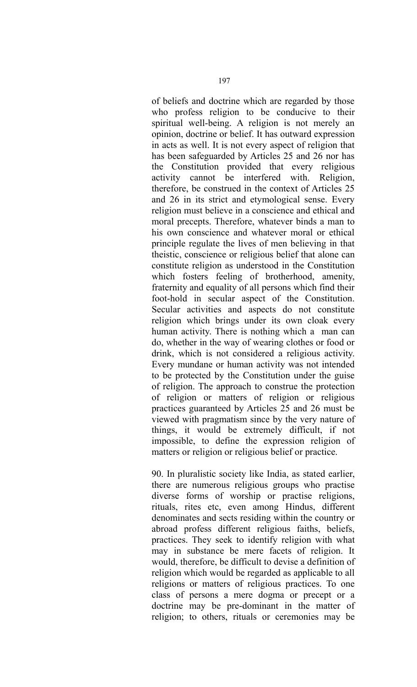of beliefs and doctrine which are regarded by those who profess religion to be conducive to their spiritual well-being. A religion is not merely an opinion, doctrine or belief. It has outward expression in acts as well. It is not every aspect of religion that has been safeguarded by Articles 25 and 26 nor has the Constitution provided that every religious activity cannot be interfered with. Religion, therefore, be construed in the context of Articles 25 and 26 in its strict and etymological sense. Every religion must believe in a conscience and ethical and moral precepts. Therefore, whatever binds a man to his own conscience and whatever moral or ethical principle regulate the lives of men believing in that theistic, conscience or religious belief that alone can constitute religion as understood in the Constitution which fosters feeling of brotherhood, amenity, fraternity and equality of all persons which find their foot-hold in secular aspect of the Constitution. Secular activities and aspects do not constitute religion which brings under its own cloak every human activity. There is nothing which a man can do, whether in the way of wearing clothes or food or drink, which is not considered a religious activity. Every mundane or human activity was not intended to be protected by the Constitution under the guise of religion. The approach to construe the protection of religion or matters of religion or religious practices guaranteed by Articles 25 and 26 must be viewed with pragmatism since by the very nature of things, it would be extremely difficult, if not impossible, to define the expression religion of matters or religion or religious belief or practice.

90. In pluralistic society like India, as stated earlier, there are numerous religious groups who practise diverse forms of worship or practise religions, rituals, rites etc, even among Hindus, different denominates and sects residing within the country or abroad profess different religious faiths, beliefs, practices. They seek to identify religion with what may in substance be mere facets of religion. It would, therefore, be difficult to devise a definition of religion which would be regarded as applicable to all religions or matters of religious practices. To one class of persons a mere dogma or precept or a doctrine may be pre-dominant in the matter of religion; to others, rituals or ceremonies may be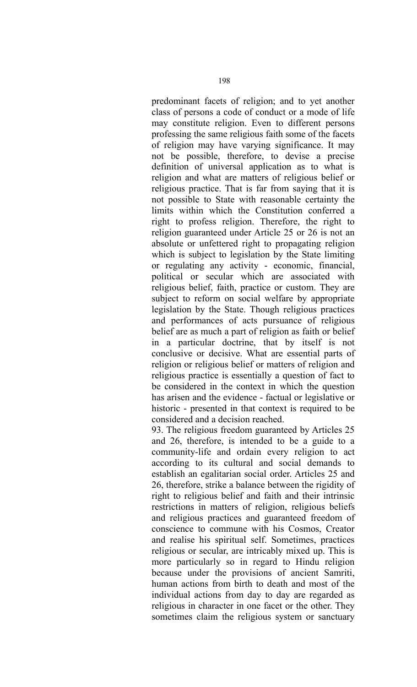predominant facets of religion; and to yet another class of persons a code of conduct or a mode of life may constitute religion. Even to different persons professing the same religious faith some of the facets of religion may have varying significance. It may not be possible, therefore, to devise a precise definition of universal application as to what is religion and what are matters of religious belief or religious practice. That is far from saying that it is not possible to State with reasonable certainty the limits within which the Constitution conferred a right to profess religion. Therefore, the right to religion guaranteed under Article 25 or 26 is not an absolute or unfettered right to propagating religion which is subject to legislation by the State limiting or regulating any activity - economic, financial, political or secular which are associated with religious belief, faith, practice or custom. They are subject to reform on social welfare by appropriate legislation by the State. Though religious practices and performances of acts pursuance of religious belief are as much a part of religion as faith or belief in a particular doctrine, that by itself is not conclusive or decisive. What are essential parts of religion or religious belief or matters of religion and religious practice is essentially a question of fact to be considered in the context in which the question has arisen and the evidence - factual or legislative or historic - presented in that context is required to be considered and a decision reached.

93. The religious freedom guaranteed by Articles 25 and 26, therefore, is intended to be a guide to a community-life and ordain every religion to act according to its cultural and social demands to establish an egalitarian social order. Articles 25 and 26, therefore, strike a balance between the rigidity of right to religious belief and faith and their intrinsic restrictions in matters of religion, religious beliefs and religious practices and guaranteed freedom of conscience to commune with his Cosmos, Creator and realise his spiritual self. Sometimes, practices religious or secular, are intricably mixed up. This is more particularly so in regard to Hindu religion because under the provisions of ancient Samriti, human actions from birth to death and most of the individual actions from day to day are regarded as religious in character in one facet or the other. They sometimes claim the religious system or sanctuary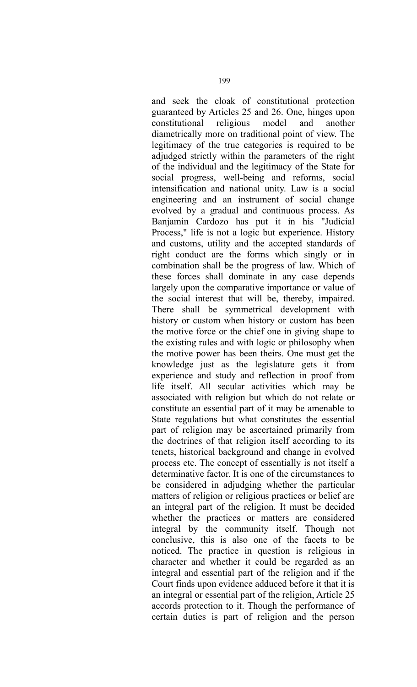and seek the cloak of constitutional protection guaranteed by Articles 25 and 26. One, hinges upon constitutional religious model and another diametrically more on traditional point of view. The legitimacy of the true categories is required to be adjudged strictly within the parameters of the right of the individual and the legitimacy of the State for social progress, well-being and reforms, social intensification and national unity. Law is a social engineering and an instrument of social change evolved by a gradual and continuous process. As Banjamin Cardozo has put it in his "Judicial Process," life is not a logic but experience. History and customs, utility and the accepted standards of right conduct are the forms which singly or in combination shall be the progress of law. Which of these forces shall dominate in any case depends largely upon the comparative importance or value of the social interest that will be, thereby, impaired. There shall be symmetrical development with history or custom when history or custom has been the motive force or the chief one in giving shape to the existing rules and with logic or philosophy when the motive power has been theirs. One must get the knowledge just as the legislature gets it from experience and study and reflection in proof from life itself. All secular activities which may be associated with religion but which do not relate or constitute an essential part of it may be amenable to State regulations but what constitutes the essential part of religion may be ascertained primarily from the doctrines of that religion itself according to its tenets, historical background and change in evolved process etc. The concept of essentially is not itself a determinative factor. It is one of the circumstances to be considered in adjudging whether the particular matters of religion or religious practices or belief are an integral part of the religion. It must be decided whether the practices or matters are considered integral by the community itself. Though not conclusive, this is also one of the facets to be noticed. The practice in question is religious in character and whether it could be regarded as an integral and essential part of the religion and if the Court finds upon evidence adduced before it that it is an integral or essential part of the religion, Article 25 accords protection to it. Though the performance of certain duties is part of religion and the person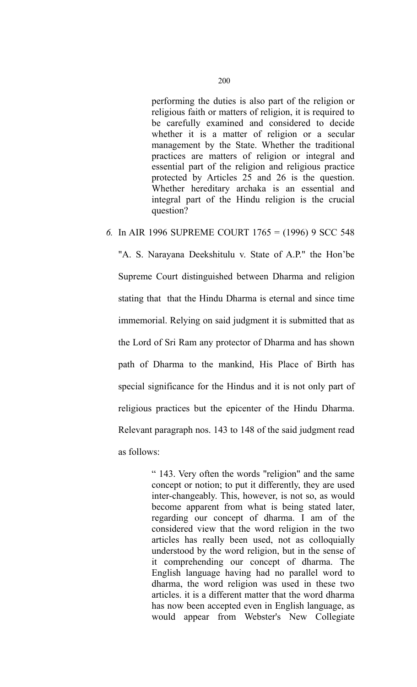performing the duties is also part of the religion or religious faith or matters of religion, it is required to be carefully examined and considered to decide whether it is a matter of religion or a secular management by the State. Whether the traditional practices are matters of religion or integral and essential part of the religion and religious practice protected by Articles 25 and 26 is the question. Whether hereditary archaka is an essential and integral part of the Hindu religion is the crucial question?

## *6.* In AIR 1996 SUPREME COURT 1765 = (1996) 9 SCC 548

"A. S. Narayana Deekshitulu v. State of A.P." the Hon'be Supreme Court distinguished between Dharma and religion stating that that the Hindu Dharma is eternal and since time immemorial. Relying on said judgment it is submitted that as the Lord of Sri Ram any protector of Dharma and has shown path of Dharma to the mankind, His Place of Birth has special significance for the Hindus and it is not only part of religious practices but the epicenter of the Hindu Dharma. Relevant paragraph nos. 143 to 148 of the said judgment read as follows:

> " 143. Very often the words "religion" and the same concept or notion; to put it differently, they are used inter-changeably. This, however, is not so, as would become apparent from what is being stated later, regarding our concept of dharma. I am of the considered view that the word religion in the two articles has really been used, not as colloquially understood by the word religion, but in the sense of it comprehending our concept of dharma. The English language having had no parallel word to dharma, the word religion was used in these two articles. it is a different matter that the word dharma has now been accepted even in English language, as would appear from Webster's New Collegiate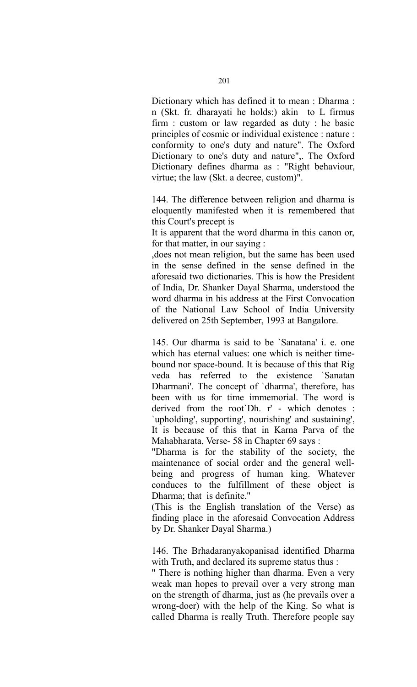Dictionary which has defined it to mean : Dharma : n (Skt. fr. dharayati he holds:) akin to L firmus firm : custom or law regarded as duty : he basic principles of cosmic or individual existence : nature : conformity to one's duty and nature". The Oxford Dictionary to one's duty and nature",. The Oxford Dictionary defines dharma as : "Right behaviour, virtue; the law (Skt. a decree, custom)".

144. The difference between religion and dharma is eloquently manifested when it is remembered that this Court's precept is

It is apparent that the word dharma in this canon or, for that matter, in our saying :

,does not mean religion, but the same has been used in the sense defined in the sense defined in the aforesaid two dictionaries. This is how the President of India, Dr. Shanker Dayal Sharma, understood the word dharma in his address at the First Convocation of the National Law School of India University delivered on 25th September, 1993 at Bangalore.

145. Our dharma is said to be `Sanatana' i. e. one which has eternal values: one which is neither timebound nor space-bound. It is because of this that Rig veda has referred to the existence `Sanatan Dharmani'. The concept of `dharma', therefore, has been with us for time immemorial. The word is derived from the root`Dh. r' - which denotes : `upholding', supporting', nourishing' and sustaining', It is because of this that in Karna Parva of the Mahabharata, Verse- 58 in Chapter 69 says :

"Dharma is for the stability of the society, the maintenance of social order and the general wellbeing and progress of human king. Whatever conduces to the fulfillment of these object is Dharma; that is definite."

(This is the English translation of the Verse) as finding place in the aforesaid Convocation Address by Dr. Shanker Dayal Sharma.)

146. The Brhadaranyakopanisad identified Dharma with Truth, and declared its supreme status thus :

" There is nothing higher than dharma. Even a very weak man hopes to prevail over a very strong man on the strength of dharma, just as (he prevails over a wrong-doer) with the help of the King. So what is called Dharma is really Truth. Therefore people say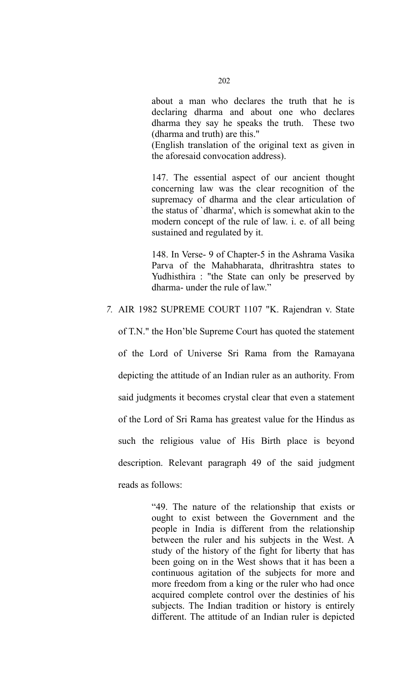about a man who declares the truth that he is declaring dharma and about one who declares dharma they say he speaks the truth. These two (dharma and truth) are this."

(English translation of the original text as given in the aforesaid convocation address).

147. The essential aspect of our ancient thought concerning law was the clear recognition of the supremacy of dharma and the clear articulation of the status of `dharma', which is somewhat akin to the modern concept of the rule of law. i. e. of all being sustained and regulated by it.

148. In Verse- 9 of Chapter-5 in the Ashrama Vasika Parva of the Mahabharata, dhritrashtra states to Yudhisthira : "the State can only be preserved by dharma- under the rule of law."

*7.* AIR 1982 SUPREME COURT 1107 "K. Rajendran v. State

of T.N." the Hon'ble Supreme Court has quoted the statement

of the Lord of Universe Sri Rama from the Ramayana depicting the attitude of an Indian ruler as an authority. From said judgments it becomes crystal clear that even a statement of the Lord of Sri Rama has greatest value for the Hindus as such the religious value of His Birth place is beyond description. Relevant paragraph 49 of the said judgment reads as follows:

> "49. The nature of the relationship that exists or ought to exist between the Government and the people in India is different from the relationship between the ruler and his subjects in the West. A study of the history of the fight for liberty that has been going on in the West shows that it has been a continuous agitation of the subjects for more and more freedom from a king or the ruler who had once acquired complete control over the destinies of his subjects. The Indian tradition or history is entirely different. The attitude of an Indian ruler is depicted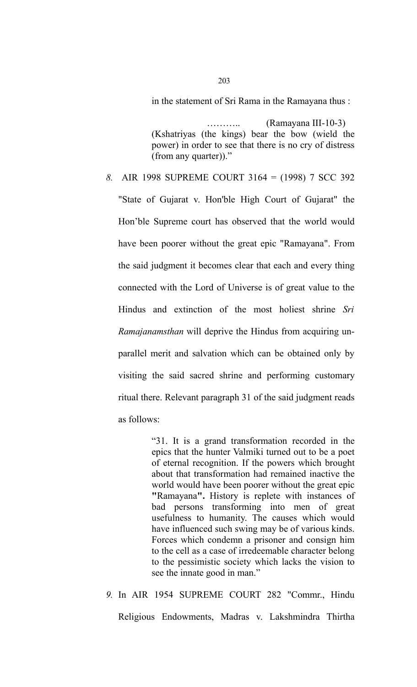in the statement of Sri Rama in the Ramayana thus :

 ……….. (Ramayana III-10-3) (Kshatriyas (the kings) bear the bow (wield the power) in order to see that there is no cry of distress (from any quarter))."

*8.* AIR 1998 SUPREME COURT 3164 = (1998) 7 SCC 392 "State of Gujarat v. Hon'ble High Court of Gujarat" the Hon'ble Supreme court has observed that the world would have been poorer without the great epic "Ramayana". From the said judgment it becomes clear that each and every thing connected with the Lord of Universe is of great value to the Hindus and extinction of the most holiest shrine *Sri Ramajanamsthan* will deprive the Hindus from acquiring unparallel merit and salvation which can be obtained only by visiting the said sacred shrine and performing customary ritual there. Relevant paragraph 31 of the said judgment reads as follows:

> "31. It is a grand transformation recorded in the epics that the hunter Valmiki turned out to be a poet of eternal recognition. If the powers which brought about that transformation had remained inactive the world would have been poorer without the great epic **"**Ramayana**".** History is replete with instances of bad persons transforming into men of great usefulness to humanity. The causes which would have influenced such swing may be of various kinds. Forces which condemn a prisoner and consign him to the cell as a case of irredeemable character belong to the pessimistic society which lacks the vision to see the innate good in man."

*9.* In AIR 1954 SUPREME COURT 282 "Commr., Hindu Religious Endowments, Madras v. Lakshmindra Thirtha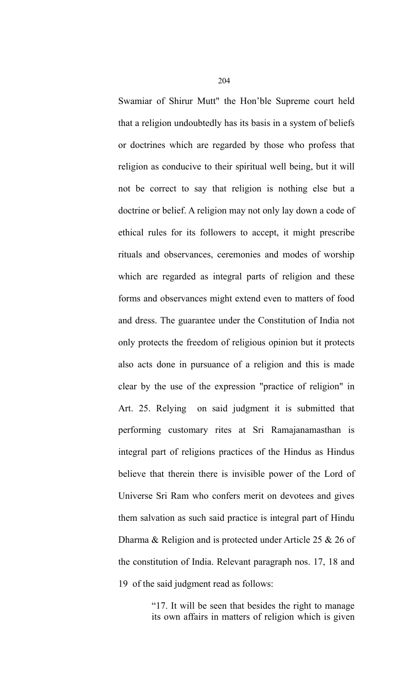Swamiar of Shirur Mutt" the Hon'ble Supreme court held that a religion undoubtedly has its basis in a system of beliefs or doctrines which are regarded by those who profess that religion as conducive to their spiritual well being, but it will not be correct to say that religion is nothing else but a doctrine or belief. A religion may not only lay down a code of ethical rules for its followers to accept, it might prescribe rituals and observances, ceremonies and modes of worship which are regarded as integral parts of religion and these forms and observances might extend even to matters of food and dress. The guarantee under the Constitution of India not only protects the freedom of religious opinion but it protects also acts done in pursuance of a religion and this is made clear by the use of the expression "practice of religion" in Art. 25. Relying on said judgment it is submitted that performing customary rites at Sri Ramajanamasthan is integral part of religions practices of the Hindus as Hindus believe that therein there is invisible power of the Lord of Universe Sri Ram who confers merit on devotees and gives them salvation as such said practice is integral part of Hindu Dharma & Religion and is protected under Article 25 & 26 of the constitution of India. Relevant paragraph nos. 17, 18 and 19 of the said judgment read as follows:

> "17. It will be seen that besides the right to manage its own affairs in matters of religion which is given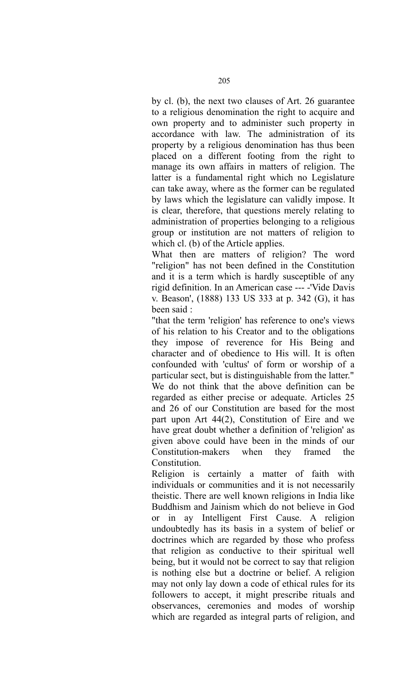by cl. (b), the next two clauses of Art. 26 guarantee to a religious denomination the right to acquire and own property and to administer such property in accordance with law. The administration of its property by a religious denomination has thus been placed on a different footing from the right to manage its own affairs in matters of religion. The latter is a fundamental right which no Legislature can take away, where as the former can be regulated by laws which the legislature can validly impose. It is clear, therefore, that questions merely relating to administration of properties belonging to a religious group or institution are not matters of religion to which cl. (b) of the Article applies.

What then are matters of religion? The word "religion" has not been defined in the Constitution and it is a term which is hardly susceptible of any rigid definition. In an American case --- -'Vide Davis v. Beason', (1888) 133 US 333 at p. 342 (G), it has been said :

"that the term 'religion' has reference to one's views of his relation to his Creator and to the obligations they impose of reverence for His Being and character and of obedience to His will. It is often confounded with 'cultus' of form or worship of a particular sect, but is distinguishable from the latter." We do not think that the above definition can be regarded as either precise or adequate. Articles 25 and 26 of our Constitution are based for the most part upon Art 44(2), Constitution of Eire and we have great doubt whether a definition of 'religion' as given above could have been in the minds of our Constitution-makers when they framed the Constitution.

Religion is certainly a matter of faith with individuals or communities and it is not necessarily theistic. There are well known religions in India like Buddhism and Jainism which do not believe in God or in ay Intelligent First Cause. A religion undoubtedly has its basis in a system of belief or doctrines which are regarded by those who profess that religion as conductive to their spiritual well being, but it would not be correct to say that religion is nothing else but a doctrine or belief. A religion may not only lay down a code of ethical rules for its followers to accept, it might prescribe rituals and observances, ceremonies and modes of worship which are regarded as integral parts of religion, and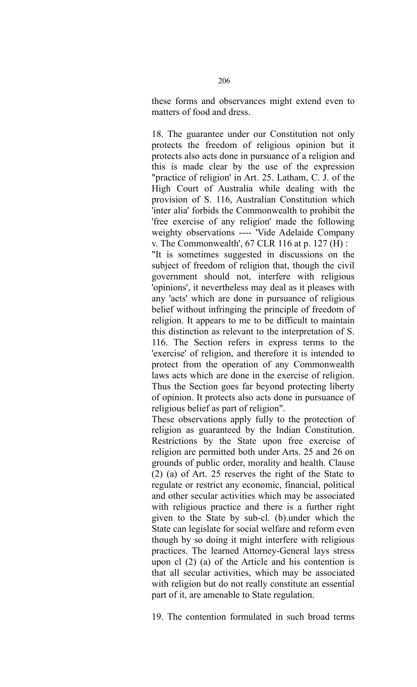these forms and observances might extend even to matters of food and dress.

18. The guarantee under our Constitution not only protects the freedom of religious opinion but it protects also acts done in pursuance of a religion and this is made clear by the use of the expression "practice of religion' in Art. 25. Latham, C. J. of the High Court of Australia while dealing with the provision of S. 116, Australian Constitution which 'inter alia' forbids the Commonwealth to prohibit the 'free exercise of any religion' made the following weighty observations ---- 'Vide Adelaide Company v. The Commonwealth', 67 CLR 116 at p. 127  $(\hat{H})$ :

"It is sometimes suggested in discussions on the subject of freedom of religion that, though the civil government should not, interfere with religious 'opinions', it nevertheless may deal as it pleases with any 'acts' which are done in pursuance of religious belief without infringing the principle of freedom of religion. It appears to me to be difficult to maintain this distinction as relevant to the interpretation of S. 116. The Section refers in express terms to the 'exercise' of religion, and therefore it is intended to protect from the operation of any Commonwealth laws acts which are done in the exercise of religion. Thus the Section goes far beyond protecting liberty of opinion. It protects also acts done in pursuance of religious belief as part of religion".

These observations apply fully to the protection of religion as guaranteed by the Indian Constitution. Restrictions by the State upon free exercise of religion are permitted both under Arts. 25 and 26 on grounds of public order, morality and health. Clause (2) (a) of Art. 25 reserves the right of the State to regulate or restrict any economic, financial, political and other secular activities which may be associated with religious practice and there is a further right given to the State by sub-cl. (b).under which the State can legislate for social welfare and reform even though by so doing it might interfere with religious practices. The learned Attorney-General lays stress upon cl (2) (a) of the Article and his contention is that all secular activities, which may be associated with religion but do not really constitute an essential part of it, are amenable to State regulation.

19. The contention formulated in such broad terms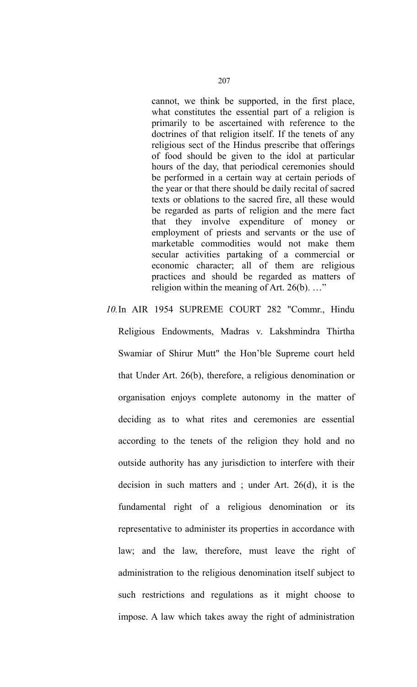cannot, we think be supported, in the first place, what constitutes the essential part of a religion is primarily to be ascertained with reference to the doctrines of that religion itself. If the tenets of any religious sect of the Hindus prescribe that offerings of food should be given to the idol at particular hours of the day, that periodical ceremonies should be performed in a certain way at certain periods of the year or that there should be daily recital of sacred texts or oblations to the sacred fire, all these would be regarded as parts of religion and the mere fact that they involve expenditure of money or employment of priests and servants or the use of marketable commodities would not make them secular activities partaking of a commercial or economic character; all of them are religious practices and should be regarded as matters of religion within the meaning of Art. 26(b). …"

## *10.*In AIR 1954 SUPREME COURT 282 "Commr., Hindu

Religious Endowments, Madras v. Lakshmindra Thirtha Swamiar of Shirur Mutt" the Hon'ble Supreme court held that Under Art. 26(b), therefore, a religious denomination or organisation enjoys complete autonomy in the matter of deciding as to what rites and ceremonies are essential according to the tenets of the religion they hold and no outside authority has any jurisdiction to interfere with their decision in such matters and ; under Art. 26(d), it is the fundamental right of a religious denomination or its representative to administer its properties in accordance with law; and the law, therefore, must leave the right of administration to the religious denomination itself subject to such restrictions and regulations as it might choose to impose. A law which takes away the right of administration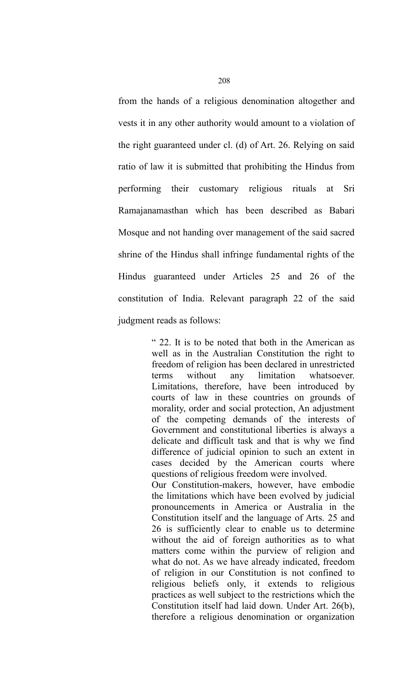from the hands of a religious denomination altogether and vests it in any other authority would amount to a violation of the right guaranteed under cl. (d) of Art. 26. Relying on said ratio of law it is submitted that prohibiting the Hindus from performing their customary religious rituals at Sri Ramajanamasthan which has been described as Babari Mosque and not handing over management of the said sacred shrine of the Hindus shall infringe fundamental rights of the Hindus guaranteed under Articles 25 and 26 of the constitution of India. Relevant paragraph 22 of the said judgment reads as follows:

> " 22. It is to be noted that both in the American as well as in the Australian Constitution the right to freedom of religion has been declared in unrestricted terms without any limitation whatsoever. Limitations, therefore, have been introduced by courts of law in these countries on grounds of morality, order and social protection, An adjustment of the competing demands of the interests of Government and constitutional liberties is always a delicate and difficult task and that is why we find difference of judicial opinion to such an extent in cases decided by the American courts where questions of religious freedom were involved.

> Our Constitution-makers, however, have embodie the limitations which have been evolved by judicial pronouncements in America or Australia in the Constitution itself and the language of Arts. 25 and 26 is sufficiently clear to enable us to determine without the aid of foreign authorities as to what matters come within the purview of religion and what do not. As we have already indicated, freedom of religion in our Constitution is not confined to religious beliefs only, it extends to religious practices as well subject to the restrictions which the Constitution itself had laid down. Under Art. 26(b), therefore a religious denomination or organization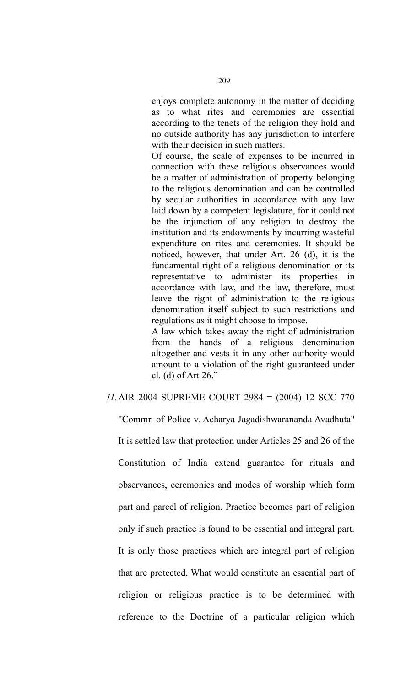enjoys complete autonomy in the matter of deciding as to what rites and ceremonies are essential according to the tenets of the religion they hold and no outside authority has any jurisdiction to interfere with their decision in such matters.

Of course, the scale of expenses to be incurred in connection with these religious observances would be a matter of administration of property belonging to the religious denomination and can be controlled by secular authorities in accordance with any law laid down by a competent legislature, for it could not be the injunction of any religion to destroy the institution and its endowments by incurring wasteful expenditure on rites and ceremonies. It should be noticed, however, that under Art. 26 (d), it is the fundamental right of a religious denomination or its representative to administer its properties in accordance with law, and the law, therefore, must leave the right of administration to the religious denomination itself subject to such restrictions and regulations as it might choose to impose.

A law which takes away the right of administration from the hands of a religious denomination altogether and vests it in any other authority would amount to a violation of the right guaranteed under cl. (d) of Art 26."

### *11.*AIR 2004 SUPREME COURT 2984 = (2004) 12 SCC 770

"Commr. of Police v. Acharya Jagadishwarananda Avadhuta" It is settled law that protection under Articles 25 and 26 of the Constitution of India extend guarantee for rituals and observances, ceremonies and modes of worship which form part and parcel of religion. Practice becomes part of religion only if such practice is found to be essential and integral part. It is only those practices which are integral part of religion that are protected. What would constitute an essential part of religion or religious practice is to be determined with reference to the Doctrine of a particular religion which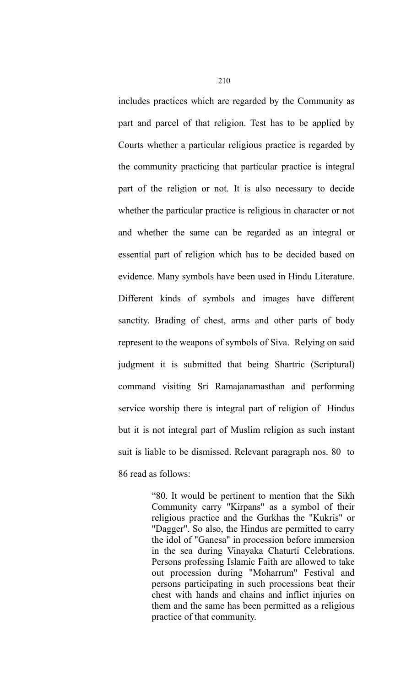includes practices which are regarded by the Community as part and parcel of that religion. Test has to be applied by Courts whether a particular religious practice is regarded by the community practicing that particular practice is integral part of the religion or not. It is also necessary to decide whether the particular practice is religious in character or not and whether the same can be regarded as an integral or essential part of religion which has to be decided based on evidence. Many symbols have been used in Hindu Literature. Different kinds of symbols and images have different sanctity. Brading of chest, arms and other parts of body represent to the weapons of symbols of Siva. Relying on said judgment it is submitted that being Shartric (Scriptural) command visiting Sri Ramajanamasthan and performing service worship there is integral part of religion of Hindus but it is not integral part of Muslim religion as such instant suit is liable to be dismissed. Relevant paragraph nos. 80 to 86 read as follows:

> "80. It would be pertinent to mention that the Sikh Community carry "Kirpans" as a symbol of their religious practice and the Gurkhas the "Kukris" or "Dagger". So also, the Hindus are permitted to carry the idol of "Ganesa" in procession before immersion in the sea during Vinayaka Chaturti Celebrations. Persons professing Islamic Faith are allowed to take out procession during "Moharrum" Festival and persons participating in such processions beat their chest with hands and chains and inflict injuries on them and the same has been permitted as a religious practice of that community.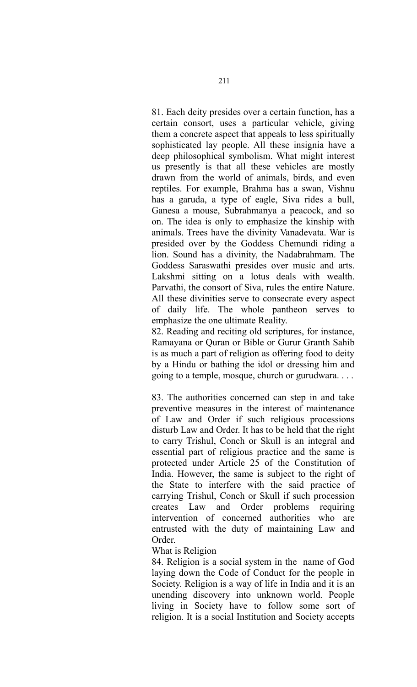81. Each deity presides over a certain function, has a certain consort, uses a particular vehicle, giving them a concrete aspect that appeals to less spiritually sophisticated lay people. All these insignia have a deep philosophical symbolism. What might interest us presently is that all these vehicles are mostly drawn from the world of animals, birds, and even reptiles. For example, Brahma has a swan, Vishnu has a garuda, a type of eagle, Siva rides a bull, Ganesa a mouse, Subrahmanya a peacock, and so on. The idea is only to emphasize the kinship with animals. Trees have the divinity Vanadevata. War is presided over by the Goddess Chemundi riding a lion. Sound has a divinity, the Nadabrahmam. The Goddess Saraswathi presides over music and arts. Lakshmi sitting on a lotus deals with wealth. Parvathi, the consort of Siva, rules the entire Nature. All these divinities serve to consecrate every aspect of daily life. The whole pantheon serves to emphasize the one ultimate Reality.

82. Reading and reciting old scriptures, for instance, Ramayana or Quran or Bible or Gurur Granth Sahib is as much a part of religion as offering food to deity by a Hindu or bathing the idol or dressing him and going to a temple, mosque, church or gurudwara. . . .

83. The authorities concerned can step in and take preventive measures in the interest of maintenance of Law and Order if such religious processions disturb Law and Order. It has to be held that the right to carry Trishul, Conch or Skull is an integral and essential part of religious practice and the same is protected under Article 25 of the Constitution of India. However, the same is subject to the right of the State to interfere with the said practice of carrying Trishul, Conch or Skull if such procession creates Law and Order problems requiring intervention of concerned authorities who are entrusted with the duty of maintaining Law and Order.

#### What is Religion

84. Religion is a social system in the name of God laying down the Code of Conduct for the people in Society. Religion is a way of life in India and it is an unending discovery into unknown world. People living in Society have to follow some sort of religion. It is a social Institution and Society accepts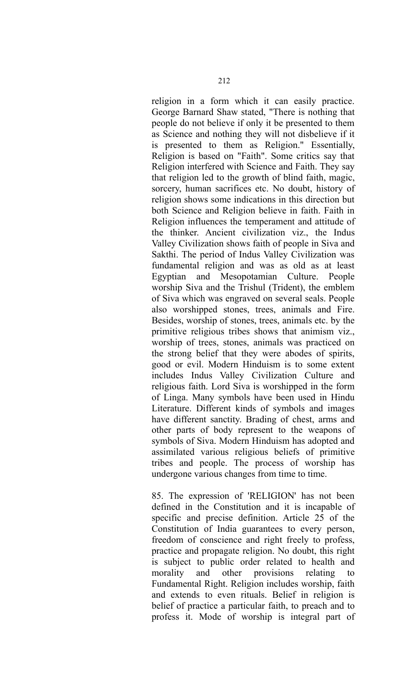religion in a form which it can easily practice. George Barnard Shaw stated, "There is nothing that people do not believe if only it be presented to them as Science and nothing they will not disbelieve if it is presented to them as Religion." Essentially, Religion is based on "Faith". Some critics say that Religion interfered with Science and Faith. They say that religion led to the growth of blind faith, magic, sorcery, human sacrifices etc. No doubt, history of religion shows some indications in this direction but both Science and Religion believe in faith. Faith in Religion influences the temperament and attitude of the thinker. Ancient civilization viz., the Indus Valley Civilization shows faith of people in Siva and Sakthi. The period of Indus Valley Civilization was fundamental religion and was as old as at least Egyptian and Mesopotamian Culture. People worship Siva and the Trishul (Trident), the emblem of Siva which was engraved on several seals. People also worshipped stones, trees, animals and Fire. Besides, worship of stones, trees, animals etc. by the primitive religious tribes shows that animism viz., worship of trees, stones, animals was practiced on the strong belief that they were abodes of spirits, good or evil. Modern Hinduism is to some extent includes Indus Valley Civilization Culture and religious faith. Lord Siva is worshipped in the form of Linga. Many symbols have been used in Hindu Literature. Different kinds of symbols and images have different sanctity. Brading of chest, arms and other parts of body represent to the weapons of symbols of Siva. Modern Hinduism has adopted and assimilated various religious beliefs of primitive tribes and people. The process of worship has undergone various changes from time to time.

85. The expression of 'RELIGION' has not been defined in the Constitution and it is incapable of specific and precise definition. Article 25 of the Constitution of India guarantees to every person, freedom of conscience and right freely to profess, practice and propagate religion. No doubt, this right is subject to public order related to health and morality and other provisions relating to Fundamental Right. Religion includes worship, faith and extends to even rituals. Belief in religion is belief of practice a particular faith, to preach and to profess it. Mode of worship is integral part of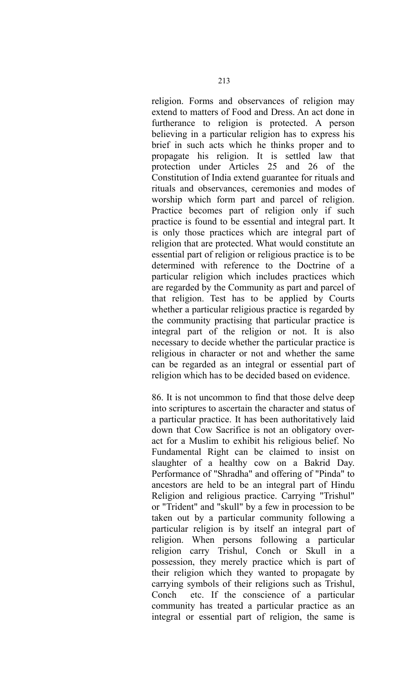religion. Forms and observances of religion may extend to matters of Food and Dress. An act done in furtherance to religion is protected. A person believing in a particular religion has to express his brief in such acts which he thinks proper and to propagate his religion. It is settled law that protection under Articles 25 and 26 of the Constitution of India extend guarantee for rituals and rituals and observances, ceremonies and modes of worship which form part and parcel of religion. Practice becomes part of religion only if such practice is found to be essential and integral part. It is only those practices which are integral part of religion that are protected. What would constitute an essential part of religion or religious practice is to be determined with reference to the Doctrine of a particular religion which includes practices which are regarded by the Community as part and parcel of that religion. Test has to be applied by Courts whether a particular religious practice is regarded by the community practising that particular practice is integral part of the religion or not. It is also necessary to decide whether the particular practice is religious in character or not and whether the same can be regarded as an integral or essential part of religion which has to be decided based on evidence.

86. It is not uncommon to find that those delve deep into scriptures to ascertain the character and status of a particular practice. It has been authoritatively laid down that Cow Sacrifice is not an obligatory overact for a Muslim to exhibit his religious belief. No Fundamental Right can be claimed to insist on slaughter of a healthy cow on a Bakrid Day. Performance of "Shradha" and offering of "Pinda" to ancestors are held to be an integral part of Hindu Religion and religious practice. Carrying "Trishul" or "Trident" and "skull" by a few in procession to be taken out by a particular community following a particular religion is by itself an integral part of religion. When persons following a particular religion carry Trishul, Conch or Skull in a possession, they merely practice which is part of their religion which they wanted to propagate by carrying symbols of their religions such as Trishul, Conch etc. If the conscience of a particular community has treated a particular practice as an integral or essential part of religion, the same is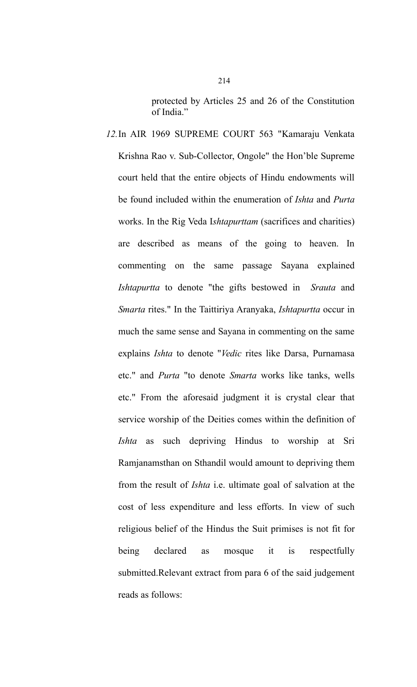protected by Articles 25 and 26 of the Constitution of India."

*12.*In AIR 1969 SUPREME COURT 563 "Kamaraju Venkata Krishna Rao v. Sub-Collector, Ongole" the Hon'ble Supreme court held that the entire objects of Hindu endowments will be found included within the enumeration of *Ishta* and *Purta* works. In the Rig Veda I*shtapurttam* (sacrifices and charities) are described as means of the going to heaven. In commenting on the same passage Sayana explained *Ishtapurtta* to denote "the gifts bestowed in *Srauta* and *Smarta* rites." In the Taittiriya Aranyaka, *Ishtapurtta* occur in much the same sense and Sayana in commenting on the same explains *Ishta* to denote "*Vedic* rites like Darsa, Purnamasa etc." and *Purta* "to denote *Smarta* works like tanks, wells etc." From the aforesaid judgment it is crystal clear that service worship of the Deities comes within the definition of *Ishta* as such depriving Hindus to worship at Sri Ramjanamsthan on Sthandil would amount to depriving them from the result of *Ishta* i.e. ultimate goal of salvation at the cost of less expenditure and less efforts. In view of such religious belief of the Hindus the Suit primises is not fit for being declared as mosque it is respectfully submitted.Relevant extract from para 6 of the said judgement reads as follows:

214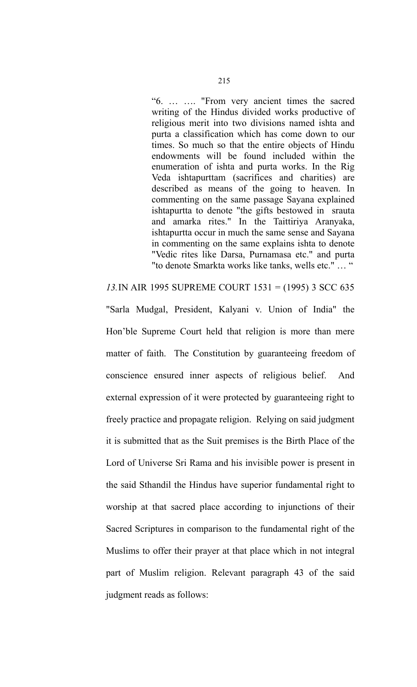"6. … …. "From very ancient times the sacred writing of the Hindus divided works productive of religious merit into two divisions named ishta and purta a classification which has come down to our times. So much so that the entire objects of Hindu endowments will be found included within the enumeration of ishta and purta works. In the Rig Veda ishtapurttam (sacrifices and charities) are described as means of the going to heaven. In commenting on the same passage Sayana explained ishtapurtta to denote "the gifts bestowed in srauta and amarka rites." In the Taittiriya Aranyaka, ishtapurtta occur in much the same sense and Sayana in commenting on the same explains ishta to denote "Vedic rites like Darsa, Purnamasa etc." and purta "to denote Smarkta works like tanks, wells etc." … "

*13.*IN AIR 1995 SUPREME COURT 1531 = (1995) 3 SCC 635

"Sarla Mudgal, President, Kalyani v. Union of India" the Hon'ble Supreme Court held that religion is more than mere matter of faith. The Constitution by guaranteeing freedom of conscience ensured inner aspects of religious belief. And external expression of it were protected by guaranteeing right to freely practice and propagate religion. Relying on said judgment it is submitted that as the Suit premises is the Birth Place of the Lord of Universe Sri Rama and his invisible power is present in the said Sthandil the Hindus have superior fundamental right to worship at that sacred place according to injunctions of their Sacred Scriptures in comparison to the fundamental right of the Muslims to offer their prayer at that place which in not integral part of Muslim religion. Relevant paragraph 43 of the said judgment reads as follows: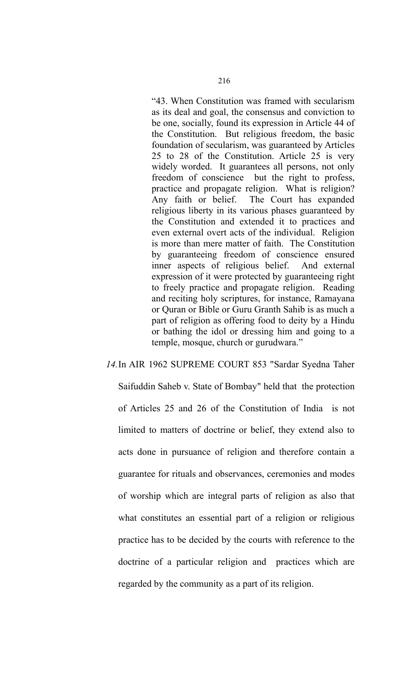"43. When Constitution was framed with secularism as its deal and goal, the consensus and conviction to be one, socially, found its expression in Article 44 of the Constitution. But religious freedom, the basic foundation of secularism, was guaranteed by Articles 25 to 28 of the Constitution. Article 25 is very widely worded. It guarantees all persons, not only freedom of conscience but the right to profess, practice and propagate religion. What is religion? Any faith or belief. The Court has expanded religious liberty in its various phases guaranteed by the Constitution and extended it to practices and even external overt acts of the individual. Religion is more than mere matter of faith. The Constitution by guaranteeing freedom of conscience ensured inner aspects of religious belief. And external expression of it were protected by guaranteeing right to freely practice and propagate religion. Reading and reciting holy scriptures, for instance, Ramayana or Quran or Bible or Guru Granth Sahib is as much a part of religion as offering food to deity by a Hindu or bathing the idol or dressing him and going to a temple, mosque, church or gurudwara."

#### *14.*In AIR 1962 SUPREME COURT 853 "Sardar Syedna Taher

Saifuddin Saheb v. State of Bombay" held that the protection of Articles 25 and 26 of the Constitution of India is not limited to matters of doctrine or belief, they extend also to acts done in pursuance of religion and therefore contain a guarantee for rituals and observances, ceremonies and modes of worship which are integral parts of religion as also that what constitutes an essential part of a religion or religious practice has to be decided by the courts with reference to the doctrine of a particular religion and practices which are regarded by the community as a part of its religion.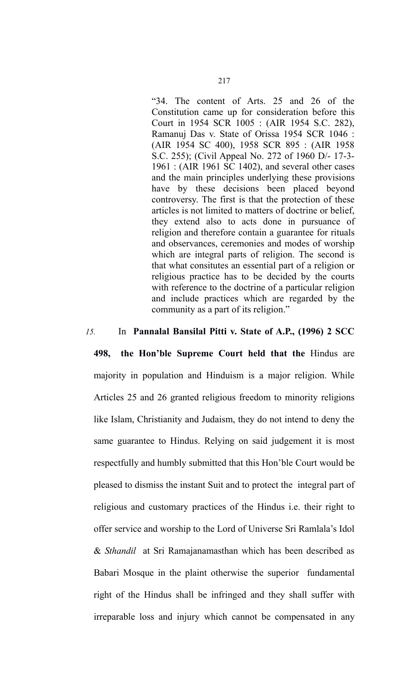"34. The content of Arts. 25 and 26 of the Constitution came up for consideration before this Court in 1954 SCR 1005 : (AIR 1954 S.C. 282), Ramanuj Das v. State of Orissa 1954 SCR 1046 : (AIR 1954 SC 400), 1958 SCR 895 : (AIR 1958 S.C. 255); (Civil Appeal No. 272 of 1960 D/- 17-3- 1961 : (AIR 1961 SC 1402), and several other cases and the main principles underlying these provisions have by these decisions been placed beyond controversy. The first is that the protection of these articles is not limited to matters of doctrine or belief, they extend also to acts done in pursuance of religion and therefore contain a guarantee for rituals and observances, ceremonies and modes of worship which are integral parts of religion. The second is that what consitutes an essential part of a religion or religious practice has to be decided by the courts with reference to the doctrine of a particular religion and include practices which are regarded by the community as a part of its religion."

## *15.* In **Pannalal Bansilal Pitti v. State of A.P., (1996) 2 SCC**

**498, the Hon'ble Supreme Court held that the** Hindus are majority in population and Hinduism is a major religion. While Articles 25 and 26 granted religious freedom to minority religions like Islam, Christianity and Judaism, they do not intend to deny the same guarantee to Hindus. Relying on said judgement it is most respectfully and humbly submitted that this Hon'ble Court would be pleased to dismiss the instant Suit and to protect the integral part of religious and customary practices of the Hindus i.e. their right to offer service and worship to the Lord of Universe Sri Ramlala's Idol & *Sthandil* at Sri Ramajanamasthan which has been described as Babari Mosque in the plaint otherwise the superior fundamental right of the Hindus shall be infringed and they shall suffer with irreparable loss and injury which cannot be compensated in any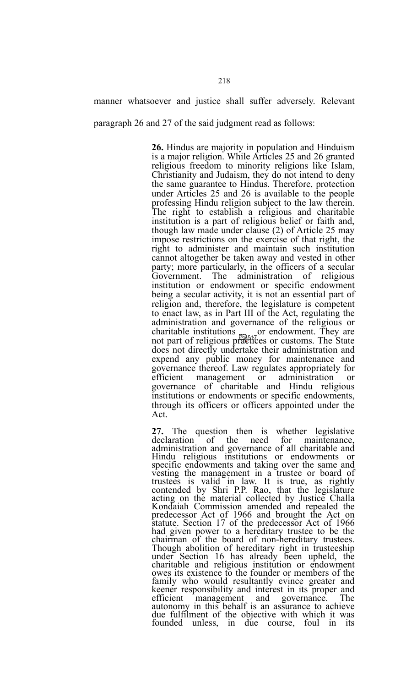manner whatsoever and justice shall suffer adversely. Relevant

paragraph 26 and 27 of the said judgment read as follows:

**26.** Hindus are majority in population and Hinduism is a major religion. While Articles 25 and 26 granted religious freedom to minority religions like Islam, Christianity and Judaism, they do not intend to deny the same guarantee to Hindus. Therefore, protection under Articles 25 and 26 is available to the people professing Hindu religion subject to the law therein. The right to establish a religious and charitable institution is a part of religious belief or faith and, though law made under clause (2) of Article 25 may impose restrictions on the exercise of that right, the right to administer and maintain such institution cannot altogether be taken away and vested in other party; more particularly, in the officers of a secular Government. The administration of religious institution or endowment or specific endowment being a secular activity, it is not an essential part of religion and, therefore, the legislature is competent to enact law, as in Part III of the Act, regulating the administration and governance of the religious or charitable institutions  $\sum_{n=1}^{\infty}$  or endowment. They are not part of religious practices or customs. The State does not directly undertake their administration and expend any public money for maintenance and governance thereof. Law regulates appropriately for efficient management or administration or governance of charitable and Hindu religious institutions or endowments or specific endowments, through its officers or officers appointed under the Act.

27. The question then is whether legislative declaration of the need for maintenance, declaration of the need for maintenance, administration and governance of all charitable and Hindu religious institutions or endowments or specific endowments and taking over the same and vesting the management in a trustee or board of trustees is valid in law. It is true, as rightly contended by Shri P.P. Rao, that the legislature acting on the material collected by Justice Challa Kondaiah Commission amended and repealed the predecessor Act of 1966 and brought the Act on statute. Section 17 of the predecessor Act of 1966 had given power to a hereditary trustee to be the chairman of the board of non-hereditary trustees. Though abolition of hereditary right in trusteeship under Section 16 has already been upheld, the charitable and religious institution or endowment owes its existence to the founder or members of the family who would resultantly evince greater and keener responsibility and interest in its proper and efficient management and governance. The autonomy in this behalf is an assurance to achieve due fulfilment of the objective with which it was founded unless, in due course, foul in its